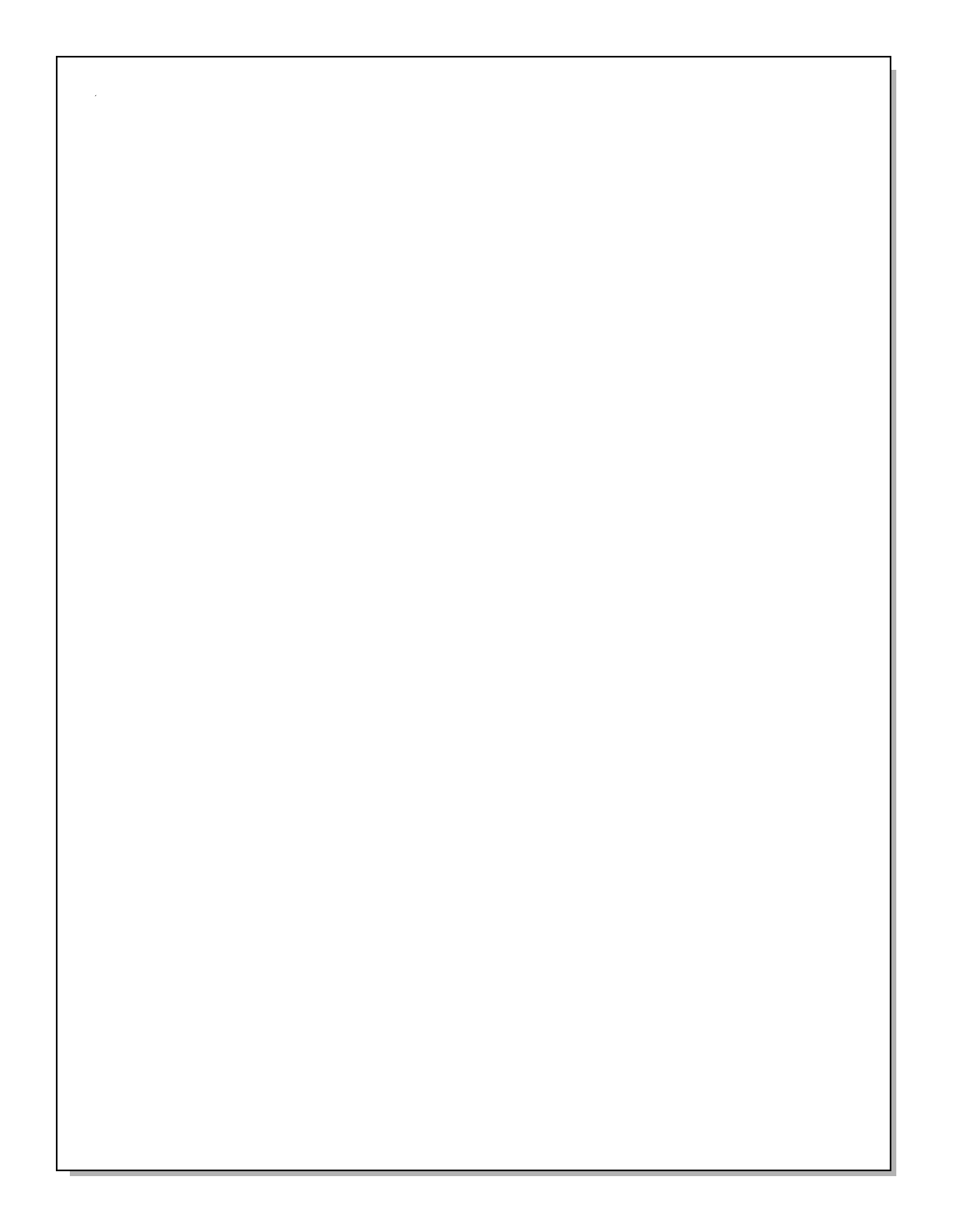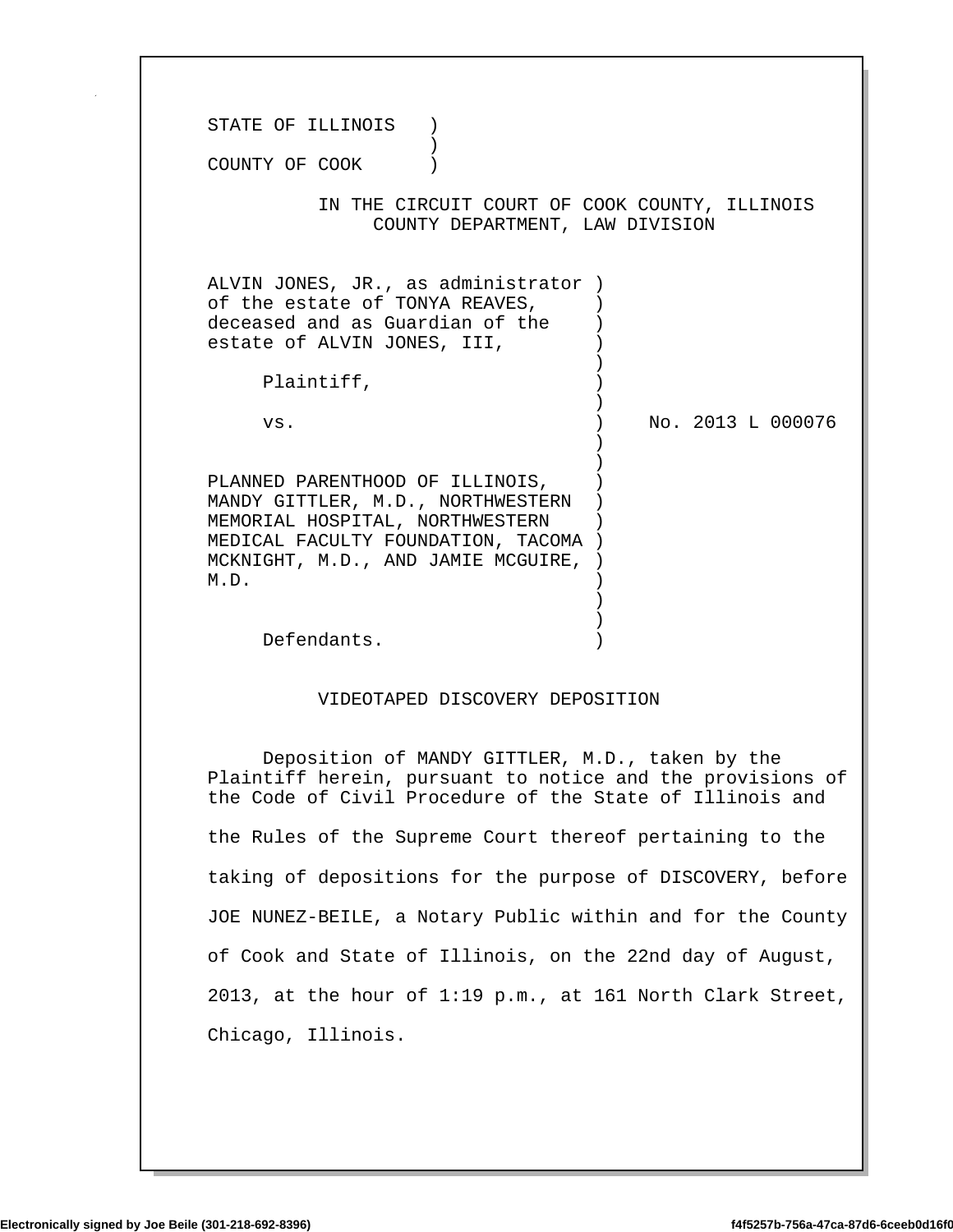| STATE OF ILLINOIS<br>COUNTY OF COOK                                                                                                                                                          |                   |
|----------------------------------------------------------------------------------------------------------------------------------------------------------------------------------------------|-------------------|
|                                                                                                                                                                                              |                   |
| IN THE CIRCUIT COURT OF COOK COUNTY, ILLINOIS<br>COUNTY DEPARTMENT, LAW DIVISION                                                                                                             |                   |
| ALVIN JONES, JR., as administrator )<br>of the estate of TONYA REAVES,<br>deceased and as Guardian of the<br>estate of ALVIN JONES, III,<br>Plaintiff,<br>VS.                                | No. 2013 L 000076 |
| PLANNED PARENTHOOD OF ILLINOIS,<br>MANDY GITTLER, M.D., NORTHWESTERN<br>MEMORIAL HOSPITAL, NORTHWESTERN<br>MEDICAL FACULTY FOUNDATION, TACOMA)<br>MCKNIGHT, M.D., AND JAMIE MCGUIRE,<br>M.D. |                   |
| Defendants.                                                                                                                                                                                  |                   |
| VIDEOTAPED DISCOVERY DEPOSITION                                                                                                                                                              |                   |
| Deposition of MANDY GITTLER, M.D., taken by the<br>Plaintiff herein, pursuant to notice and the provisions of<br>the Code of Civil Procedure of the State of Illinois and                    |                   |
| the Rules of the Supreme Court thereof pertaining to the                                                                                                                                     |                   |
| taking of depositions for the purpose of DISCOVERY, before                                                                                                                                   |                   |
| JOE NUNEZ-BEILE, a Notary Public within and for the County                                                                                                                                   |                   |
| of Cook and State of Illinois, on the 22nd day of August,                                                                                                                                    |                   |
| 2013, at the hour of 1:19 p.m., at 161 North Clark Street,                                                                                                                                   |                   |
| Chicago, Illinois.                                                                                                                                                                           |                   |
|                                                                                                                                                                                              |                   |
|                                                                                                                                                                                              |                   |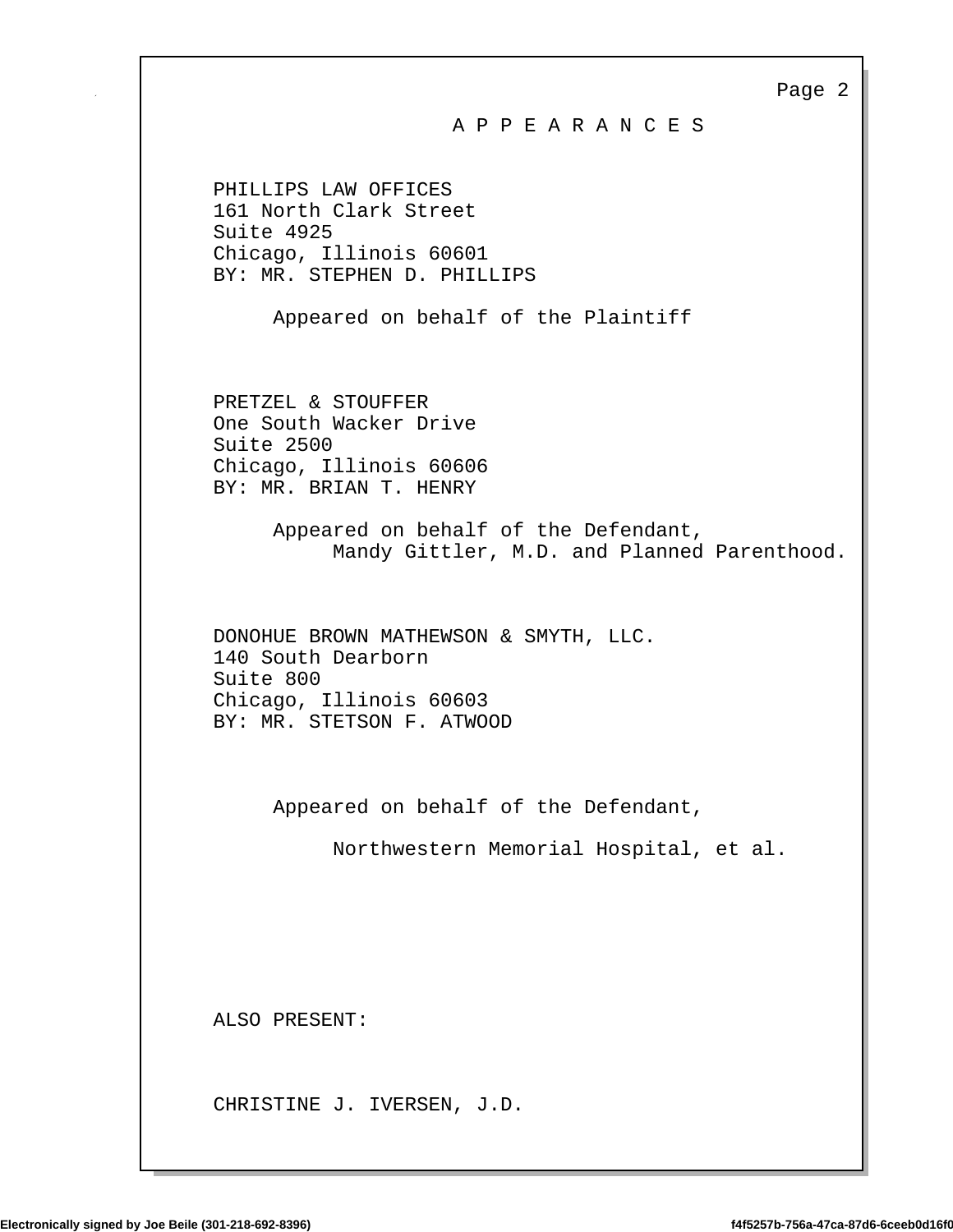Page 2

A P P E A R A N C E S

PHILLIPS LAW OFFICES 161 North Clark Street Suite 4925 Chicago, Illinois 60601 BY: MR. STEPHEN D. PHILLIPS

Appeared on behalf of the Plaintiff

PRETZEL & STOUFFER One South Wacker Drive Suite 2500 Chicago, Illinois 60606 BY: MR. BRIAN T. HENRY

> Appeared on behalf of the Defendant, Mandy Gittler, M.D. and Planned Parenthood.

DONOHUE BROWN MATHEWSON & SMYTH, LLC. 140 South Dearborn Suite 800 Chicago, Illinois 60603 BY: MR. STETSON F. ATWOOD

Appeared on behalf of the Defendant,

Northwestern Memorial Hospital, et al.

ALSO PRESENT:

CHRISTINE J. IVERSEN, J.D.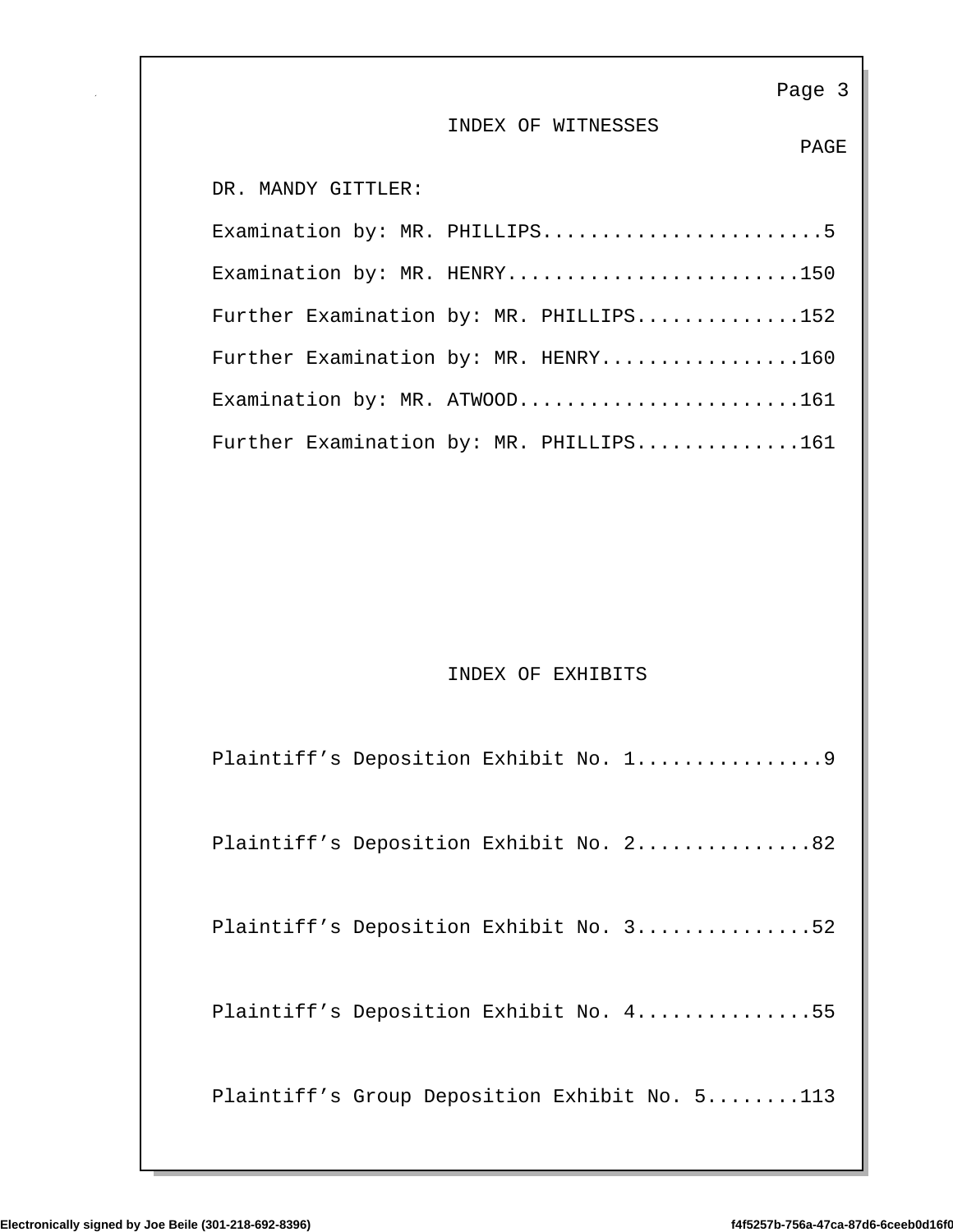|  | INDEX OF WITNESSES |  |
|--|--------------------|--|

## PAGE FOR THE PAGE FOR THE STATE OF THE STAGE FOR THE STAGE FOR THE STAGE OF THE STAGE OF THE STAGE OF THE STAGE OF THE STAGE OF THE STAGE OF THE STAGE OF THE STAGE OF THE STAGE OF THE STAGE OF THE STAGE OF THE STAGE OF THE

Page 3

## DR. MANDY GITTLER:

| Examination by: MR. PHILLIPS5           |  |
|-----------------------------------------|--|
| Examination by: MR. HENRY150            |  |
| Further Examination by: MR. PHILLIPS152 |  |
| Further Examination by: MR. HENRY160    |  |
| Examination by: MR. ATWOOD161           |  |
| Further Examination by: MR. PHILLIPS161 |  |

## INDEX OF EXHIBITS

| Plaintiff's Deposition Exhibit No. 19         |  |
|-----------------------------------------------|--|
| Plaintiff's Deposition Exhibit No. 282        |  |
| Plaintiff's Deposition Exhibit No. 352        |  |
| Plaintiff's Deposition Exhibit No. 455        |  |
| Plaintiff's Group Deposition Exhibit No. 5113 |  |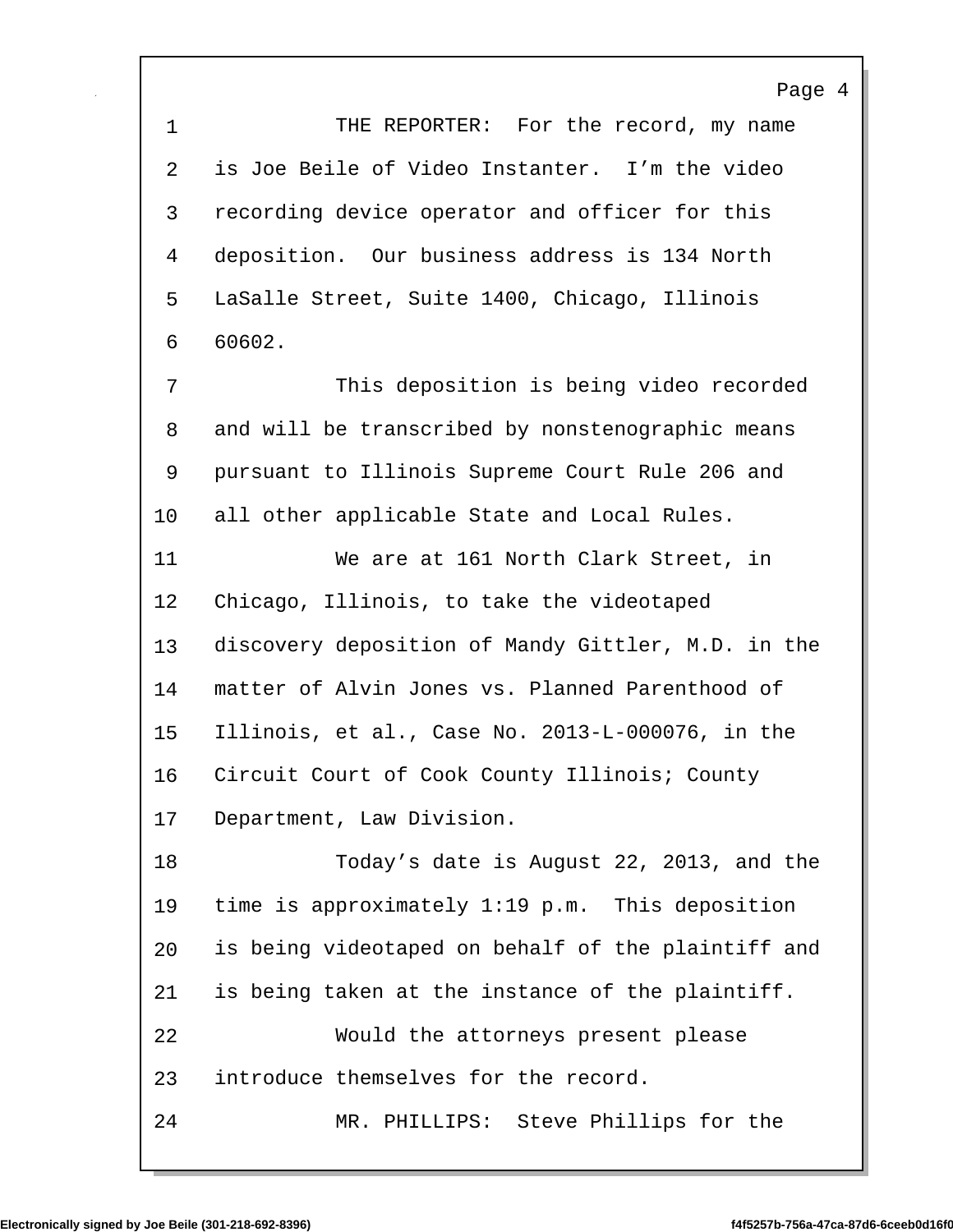is Joe Beile of Video Instanter. I'm the video recording device operator and officer for this deposition. Our business address is 134 North LaSalle Street, Suite 1400, Chicago, Illinois 60602. 7 This deposition is being video recorded and will be transcribed by nonstenographic means pursuant to Illinois Supreme Court Rule 206 and all other applicable State and Local Rules. 11 We are at 161 North Clark Street, in Chicago, Illinois, to take the videotaped discovery deposition of Mandy Gittler, M.D. in the matter of Alvin Jones vs. Planned Parenthood of Illinois, et al., Case No. 2013-L-000076, in the Circuit Court of Cook County Illinois; County Department, Law Division. Today's date is August 22, 2013, and the time is approximately 1:19 p.m. This deposition is being videotaped on behalf of the plaintiff and is being taken at the instance of the plaintiff. 22 Would the attorneys present please introduce themselves for the record.

1 THE REPORTER: For the record, my name

24 MR. PHILLIPS: Steve Phillips for the

Page 4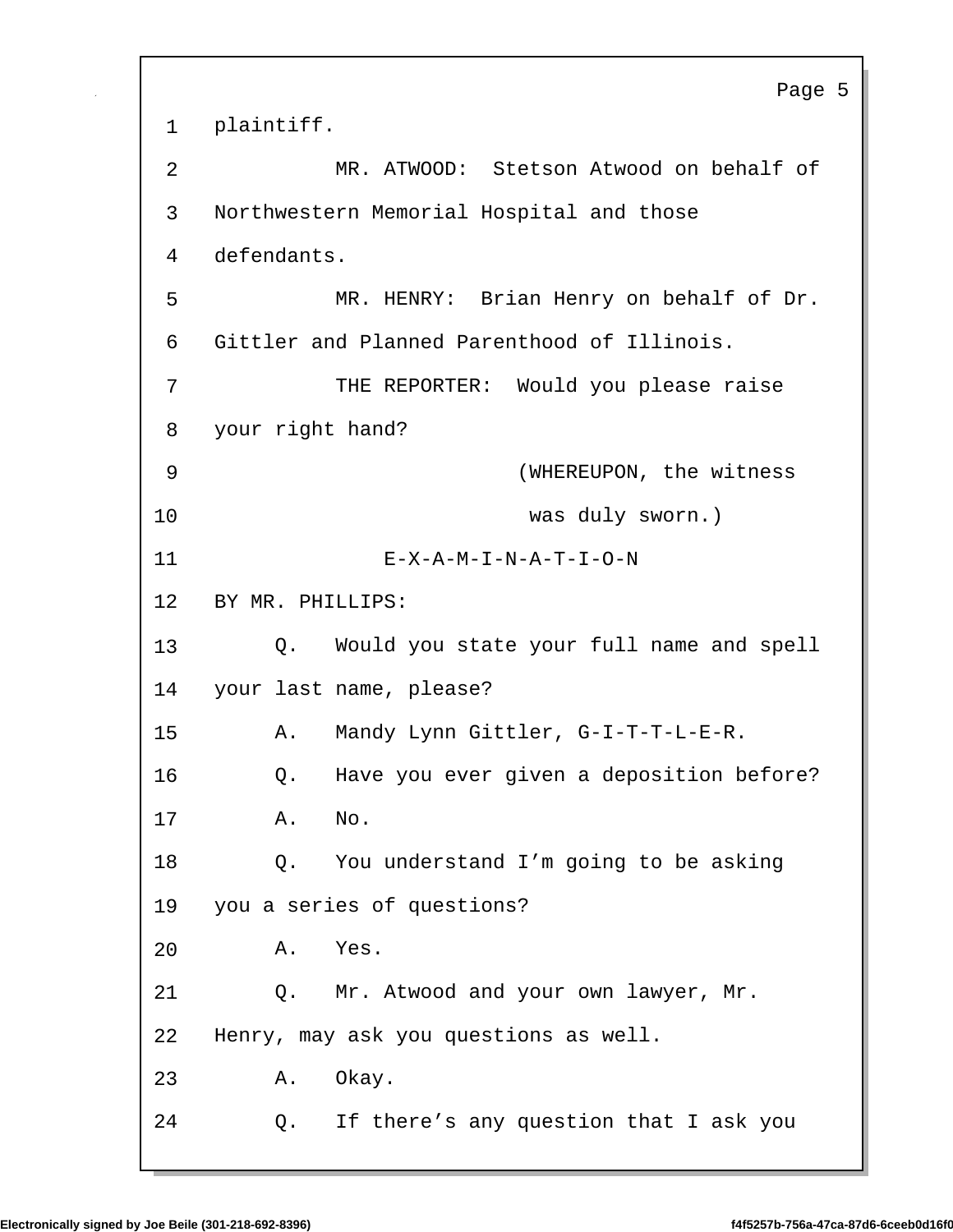Page 5 1 plaintiff. 2 MR. ATWOOD: Stetson Atwood on behalf of 3 Northwestern Memorial Hospital and those 4 defendants. 5 MR. HENRY: Brian Henry on behalf of Dr. 6 Gittler and Planned Parenthood of Illinois. 7 THE REPORTER: Would you please raise 8 your right hand? 9 (WHEREUPON, the witness 10 was duly sworn.) 11 E-X-A-M-I-N-A-T-I-O-N 12 BY MR. PHILLIPS: 13 Q. Would you state your full name and spell 14 your last name, please? 15 A. Mandy Lynn Gittler, G-I-T-T-L-E-R. 16 Q. Have you ever given a deposition before? 17 A. No. 18 Q. You understand I'm going to be asking 19 you a series of questions? 20 A. Yes. 21 Q. Mr. Atwood and your own lawyer, Mr. 22 Henry, may ask you questions as well. 23 A. Okay. 24 Q. If there's any question that I ask you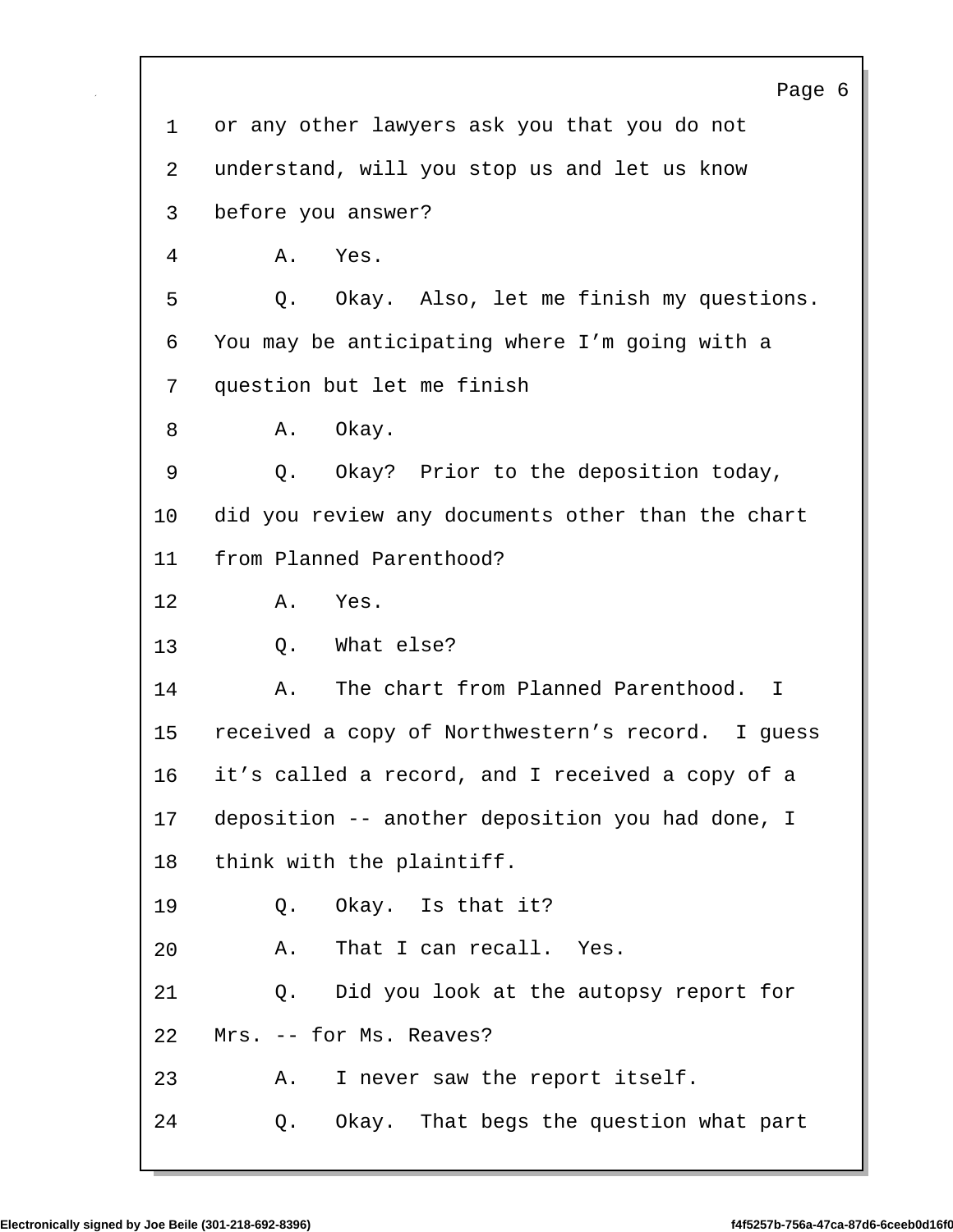|                | Page 6                                                   |  |
|----------------|----------------------------------------------------------|--|
| $\mathbf{1}$   | or any other lawyers ask you that you do not             |  |
| $\overline{a}$ | understand, will you stop us and let us know             |  |
| $\mathsf{3}$   | before you answer?                                       |  |
| 4              | Α.<br>Yes.                                               |  |
| 5              | Okay. Also, let me finish my questions.<br>Q.            |  |
| 6              | You may be anticipating where I'm going with a           |  |
| 7              | question but let me finish                               |  |
| 8              | Okay.<br>Α.                                              |  |
| 9              | Q.<br>Okay? Prior to the deposition today,               |  |
| 10             | did you review any documents other than the chart        |  |
| 11             | from Planned Parenthood?                                 |  |
| 12             | Yes.<br>Α.                                               |  |
| 13             | What else?<br>Q.                                         |  |
| 14             | The chart from Planned Parenthood.<br>Α.<br>$\mathbf{I}$ |  |
| 15             | received a copy of Northwestern's record.<br>I quess     |  |
| 16             | it's called a record, and I received a copy of a         |  |
| 17             | deposition -- another deposition you had done, I         |  |
| 18             | think with the plaintiff.                                |  |
| 19             | Okay. Is that it?<br>Q.                                  |  |
| 20             | That I can recall. Yes.<br>Α.                            |  |
| 21             | Did you look at the autopsy report for<br>Q.             |  |
| 22             | Mrs. -- for Ms. Reaves?                                  |  |
| 23             | I never saw the report itself.<br>Α.                     |  |
| 24             | Okay. That begs the question what part<br>Q.             |  |
|                |                                                          |  |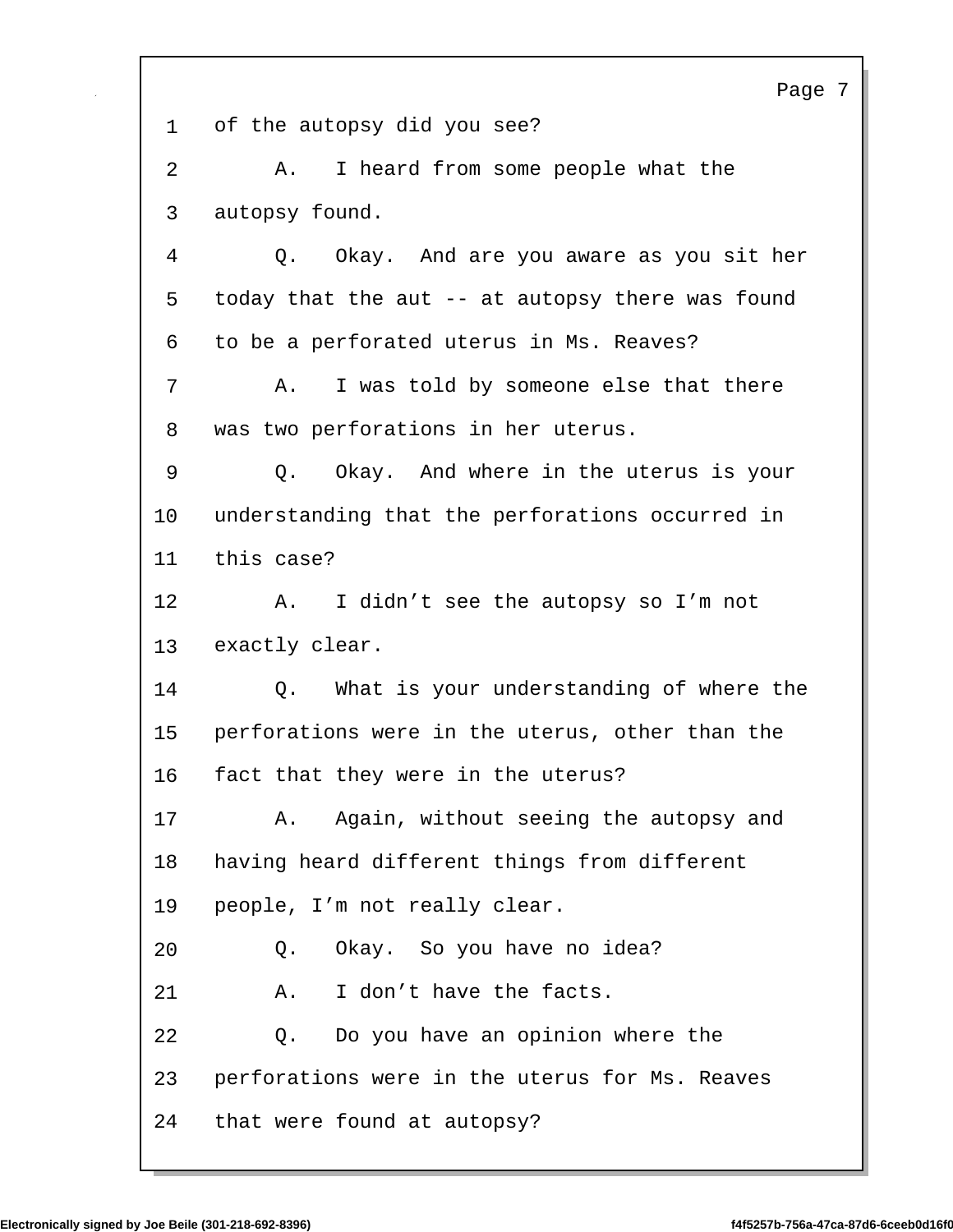1 of the autopsy did you see?

2 A. I heard from some people what the 3 autopsy found.

4 Q. Okay. And are you aware as you sit her 5 today that the aut -- at autopsy there was found 6 to be a perforated uterus in Ms. Reaves?

7 A. I was told by someone else that there 8 was two perforations in her uterus.

9 Q. Okay. And where in the uterus is your 10 understanding that the perforations occurred in 11 this case?

12 A. I didn't see the autopsy so I'm not 13 exactly clear.

14 Q. What is your understanding of where the 15 perforations were in the uterus, other than the 16 fact that they were in the uterus?

17 A. Again, without seeing the autopsy and 18 having heard different things from different 19 people, I'm not really clear. 20 Q. Okay. So you have no idea? 21 A. I don't have the facts.

22 Q. Do you have an opinion where the 23 perforations were in the uterus for Ms. Reaves 24 that were found at autopsy?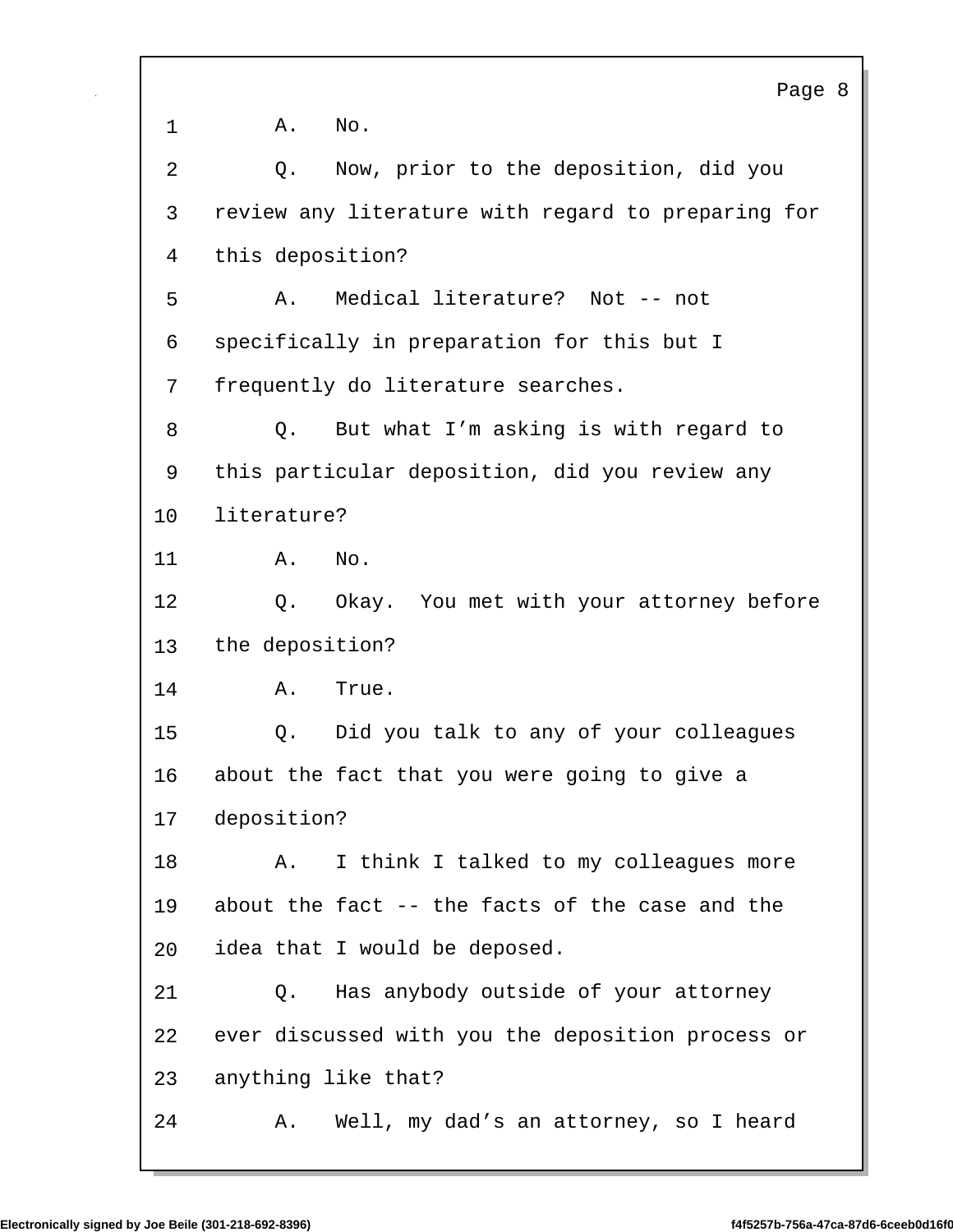Page 8 1 A. No. 2 Q. Now, prior to the deposition, did you 3 review any literature with regard to preparing for 4 this deposition? 5 A. Medical literature? Not -- not 6 specifically in preparation for this but I 7 frequently do literature searches. 8 Q. But what I'm asking is with regard to 9 this particular deposition, did you review any 10 literature? 11 A. No. 12 Q. Okay. You met with your attorney before 13 the deposition? 14 A. True. 15 Q. Did you talk to any of your colleagues 16 about the fact that you were going to give a 17 deposition? 18 A. I think I talked to my colleagues more 19 about the fact -- the facts of the case and the 20 idea that I would be deposed. 21 Q. Has anybody outside of your attorney 22 ever discussed with you the deposition process or 23 anything like that? 24 A. Well, my dad's an attorney, so I heard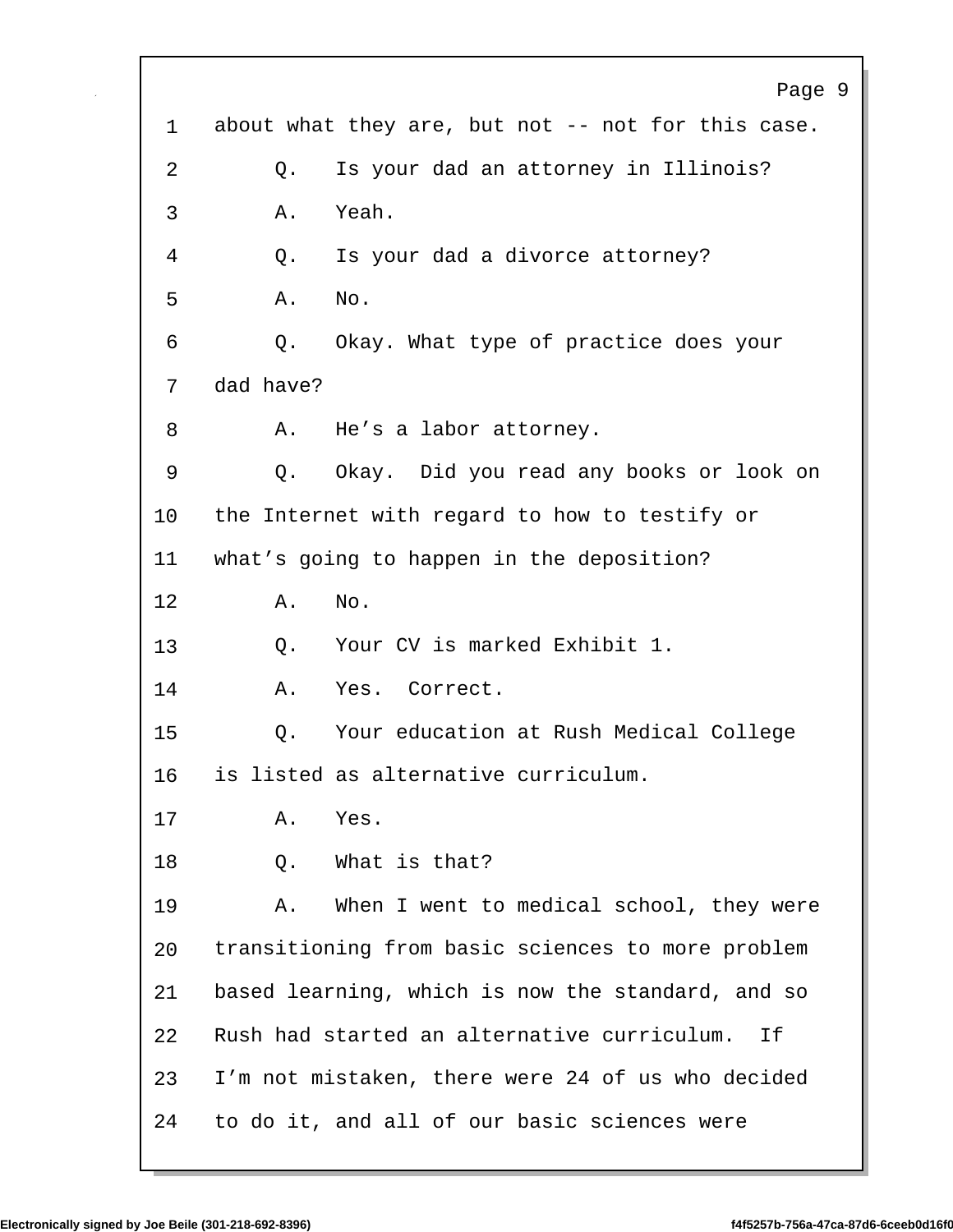Page 9 1 about what they are, but not -- not for this case. 2 Q. Is your dad an attorney in Illinois? 3 A. Yeah. 4 Q. Is your dad a divorce attorney? 5 A. No. 6 Q. Okay. What type of practice does your 7 dad have? 8 A. He's a labor attorney. 9 Q. Okay. Did you read any books or look on 10 the Internet with regard to how to testify or 11 what's going to happen in the deposition? 12 A. No. 13 Q. Your CV is marked Exhibit 1. 14 A. Yes. Correct. 15 Q. Your education at Rush Medical College 16 is listed as alternative curriculum. 17 A. Yes. 18 0. What is that? 19 A. When I went to medical school, they were 20 transitioning from basic sciences to more problem 21 based learning, which is now the standard, and so 22 Rush had started an alternative curriculum. If 23 I'm not mistaken, there were 24 of us who decided 24 to do it, and all of our basic sciences were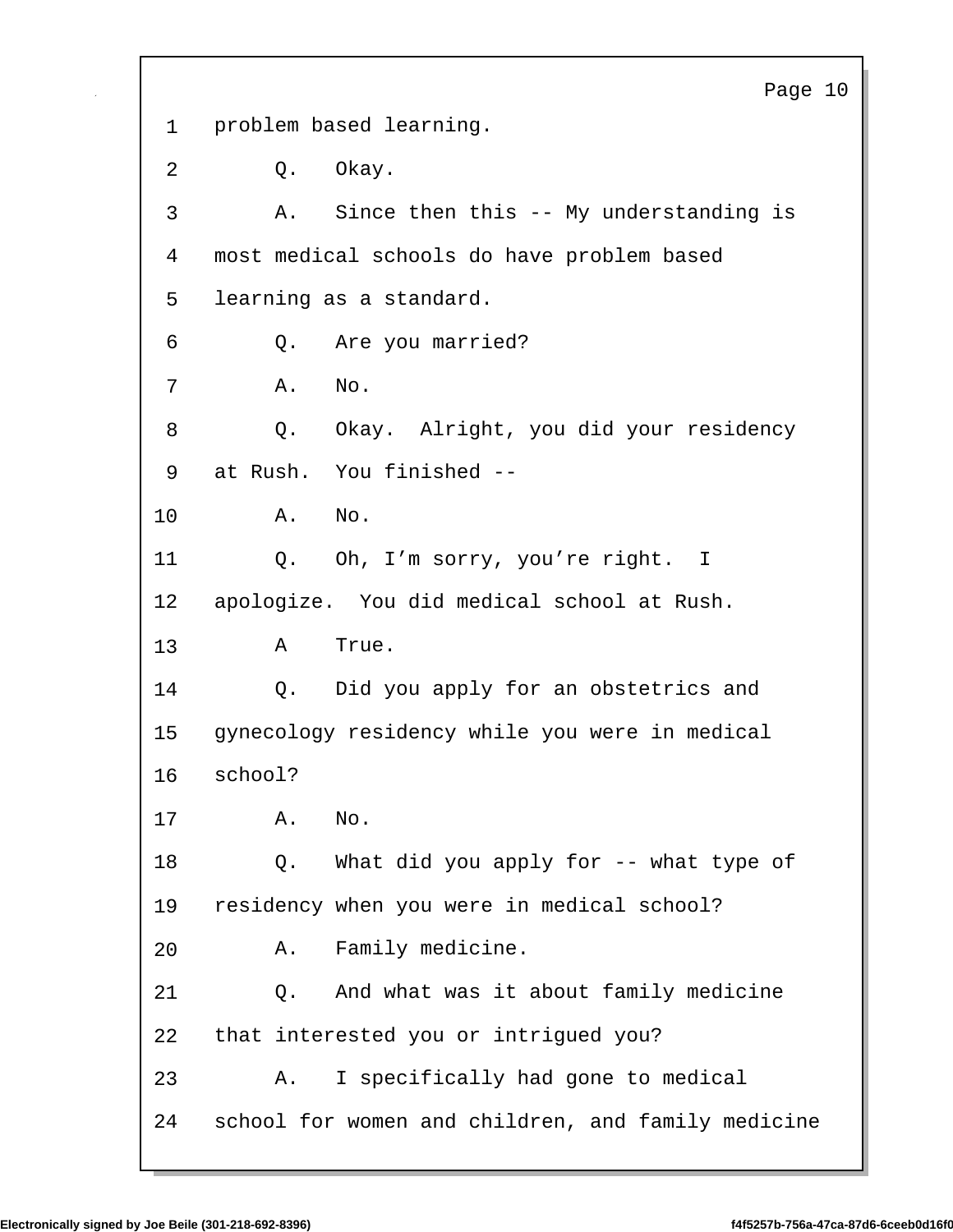Page 10 1 problem based learning. 2 Q. Okay. 3 A. Since then this -- My understanding is 4 most medical schools do have problem based 5 learning as a standard. 6 Q. Are you married? 7 A. No. 8 Q. Okay. Alright, you did your residency 9 at Rush. You finished -- 10 A. No. 11 Q. Oh, I'm sorry, you're right. I 12 apologize. You did medical school at Rush. 13 A True. 14 Q. Did you apply for an obstetrics and 15 gynecology residency while you were in medical 16 school? 17 A. No. 18 Q. What did you apply for -- what type of 19 residency when you were in medical school? 20 A. Family medicine. 21 Q. And what was it about family medicine 22 that interested you or intrigued you? 23 A. I specifically had gone to medical 24 school for women and children, and family medicine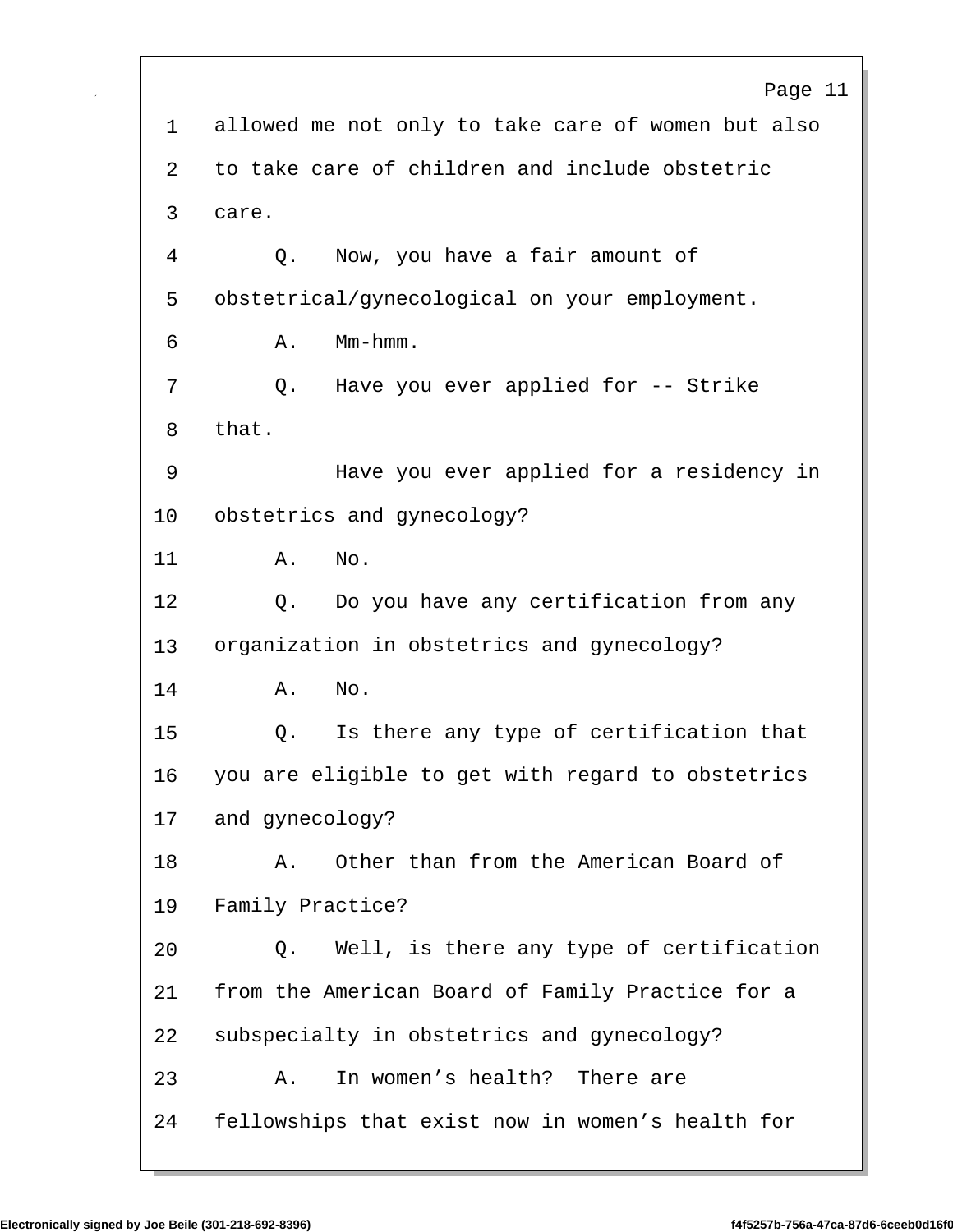Page 11 1 allowed me not only to take care of women but also 2 to take care of children and include obstetric 3 care. 4 Q. Now, you have a fair amount of 5 obstetrical/gynecological on your employment. 6 A. Mm-hmm. 7 Q. Have you ever applied for -- Strike 8 that. 9 Have you ever applied for a residency in 10 obstetrics and gynecology? 11 A. No. 12 Q. Do you have any certification from any 13 organization in obstetrics and gynecology? 14 A. No. 15 Q. Is there any type of certification that 16 you are eligible to get with regard to obstetrics 17 and gynecology? 18 A. Other than from the American Board of 19 Family Practice? 20 Q. Well, is there any type of certification 21 from the American Board of Family Practice for a 22 subspecialty in obstetrics and gynecology? 23 A. In women's health? There are 24 fellowships that exist now in women's health for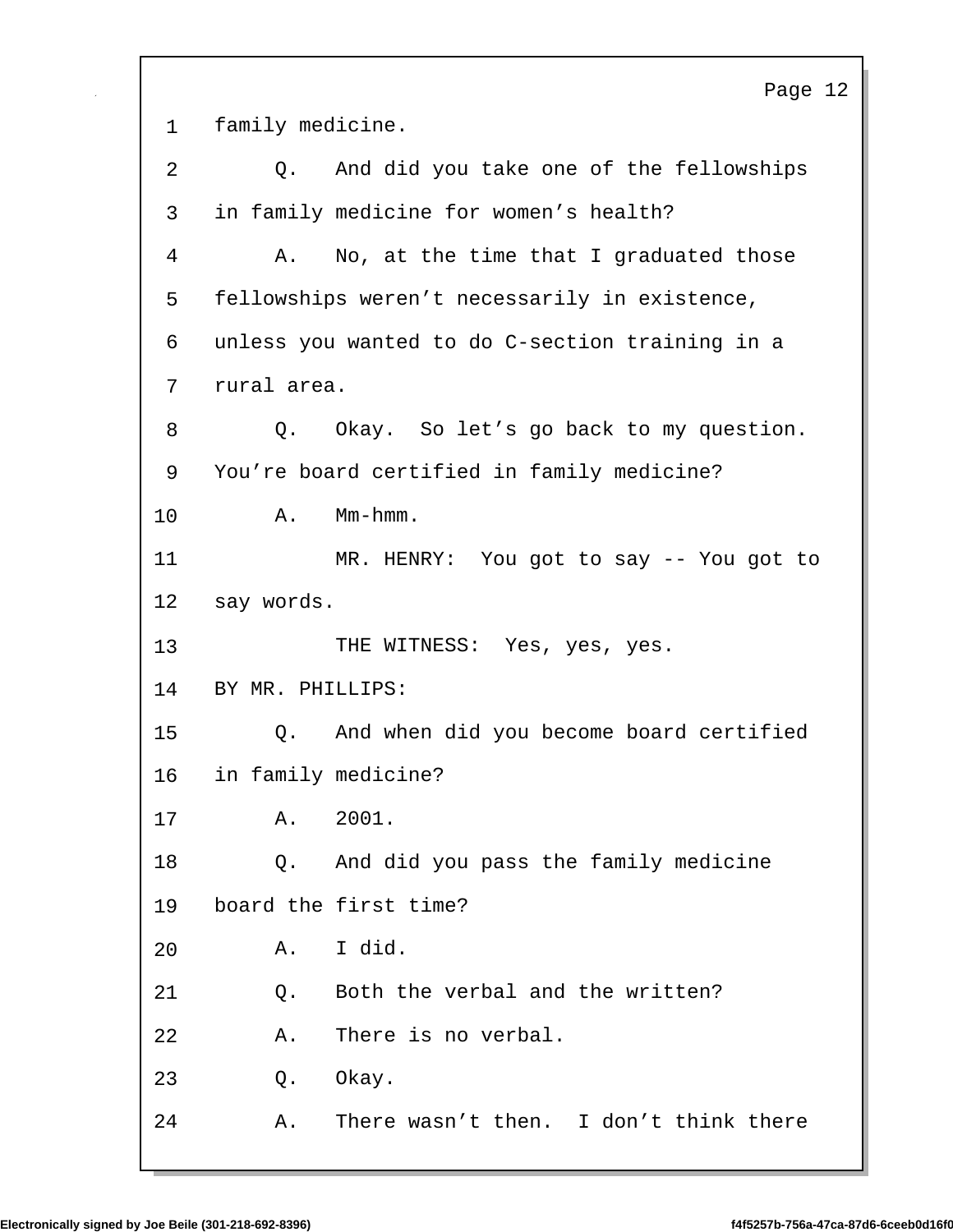Page 12 1 family medicine. 2 Q. And did you take one of the fellowships 3 in family medicine for women's health? 4 A. No, at the time that I graduated those 5 fellowships weren't necessarily in existence, 6 unless you wanted to do C-section training in a 7 rural area. 8 Q. Okay. So let's go back to my question. 9 You're board certified in family medicine? 10 A. Mm-hmm. 11 MR. HENRY: You got to say -- You got to 12 say words. 13 THE WITNESS: Yes, yes, yes. 14 BY MR. PHILLIPS: 15 Q. And when did you become board certified 16 in family medicine? 17 A. 2001. 18 Q. And did you pass the family medicine 19 board the first time? 20 A. I did. 21 Q. Both the verbal and the written? 22 A. There is no verbal. 23 Q. Okay. 24 A. There wasn't then. I don't think there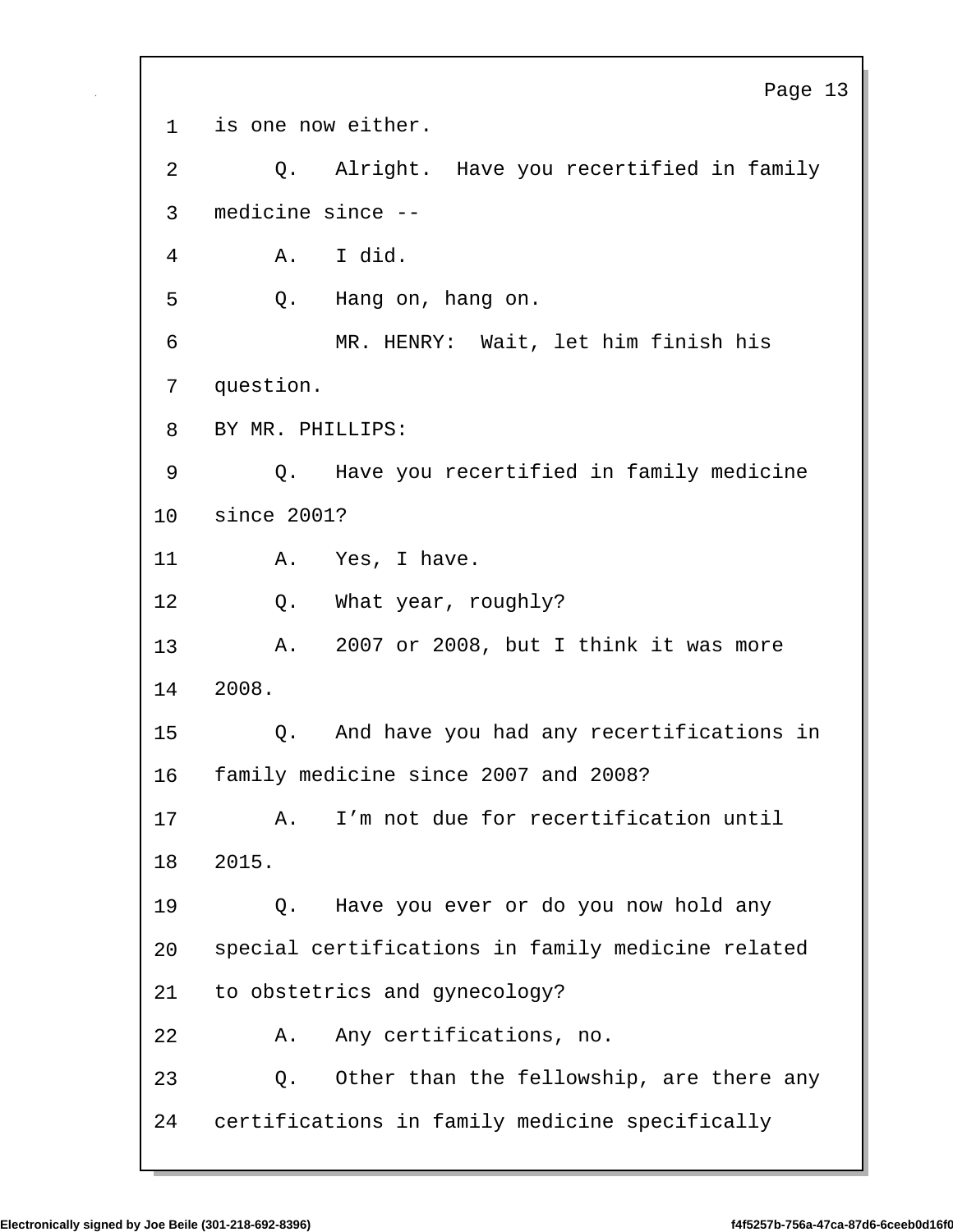Page 13 1 is one now either. 2 Q. Alright. Have you recertified in family 3 medicine since -- 4 A. I did. 5 Q. Hang on, hang on. 6 MR. HENRY: Wait, let him finish his 7 question. 8 BY MR. PHILLIPS: 9 Q. Have you recertified in family medicine 10 since 2001? 11 A. Yes, I have. 12 Q. What year, roughly? 13 A. 2007 or 2008, but I think it was more 14 2008. 15 Q. And have you had any recertifications in 16 family medicine since 2007 and 2008? 17 A. I'm not due for recertification until 18 2015. 19 Q. Have you ever or do you now hold any 20 special certifications in family medicine related 21 to obstetrics and gynecology? 22 A. Any certifications, no. 23 Q. Other than the fellowship, are there any 24 certifications in family medicine specifically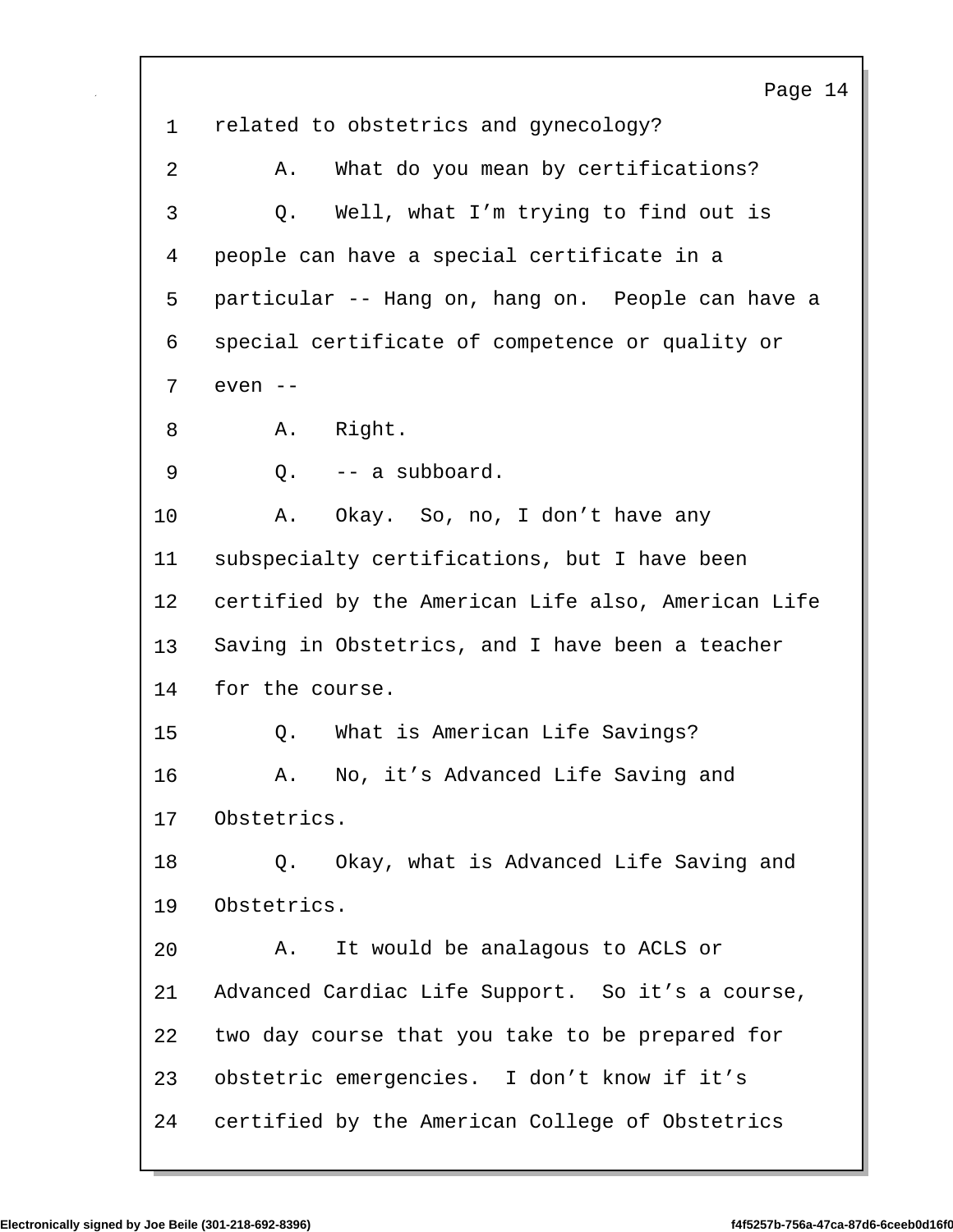Page 14 related to obstetrics and gynecology? 2 A. What do you mean by certifications? Q. Well, what I'm trying to find out is people can have a special certificate in a particular -- Hang on, hang on. People can have a special certificate of competence or quality or even -- 8 A. Right. 9 Q. -- a subboard. A. Okay. So, no, I don't have any subspecialty certifications, but I have been certified by the American Life also, American Life Saving in Obstetrics, and I have been a teacher for the course. 15 Q. What is American Life Savings? A. No, it's Advanced Life Saving and Obstetrics. 18 Q. Okay, what is Advanced Life Saving and Obstetrics. 20 A. It would be analagous to ACLS or Advanced Cardiac Life Support. So it's a course, two day course that you take to be prepared for obstetric emergencies. I don't know if it's certified by the American College of Obstetrics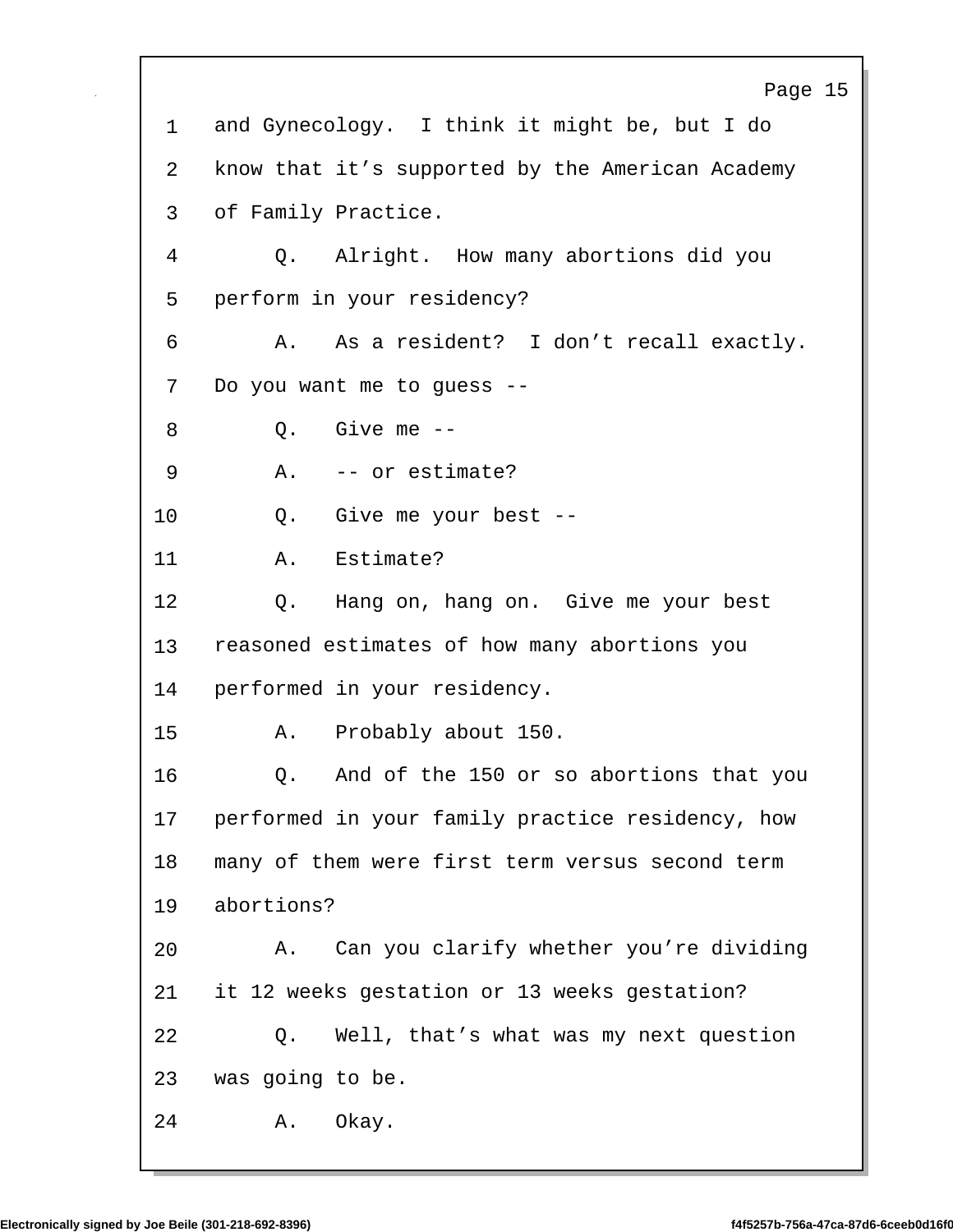Page 15 1 and Gynecology. I think it might be, but I do 2 know that it's supported by the American Academy 3 of Family Practice. 4 Q. Alright. How many abortions did you 5 perform in your residency? 6 A. As a resident? I don't recall exactly. 7 Do you want me to guess -- 8 Q. Give me -- 9 A. -- or estimate? 10 Q. Give me your best -- 11 A. Estimate? 12 Q. Hang on, hang on. Give me your best 13 reasoned estimates of how many abortions you 14 performed in your residency. 15 A. Probably about 150. 16 Q. And of the 150 or so abortions that you 17 performed in your family practice residency, how 18 many of them were first term versus second term 19 abortions? 20 A. Can you clarify whether you're dividing 21 it 12 weeks gestation or 13 weeks gestation? 22 Q. Well, that's what was my next question 23 was going to be. 24 A. Okay.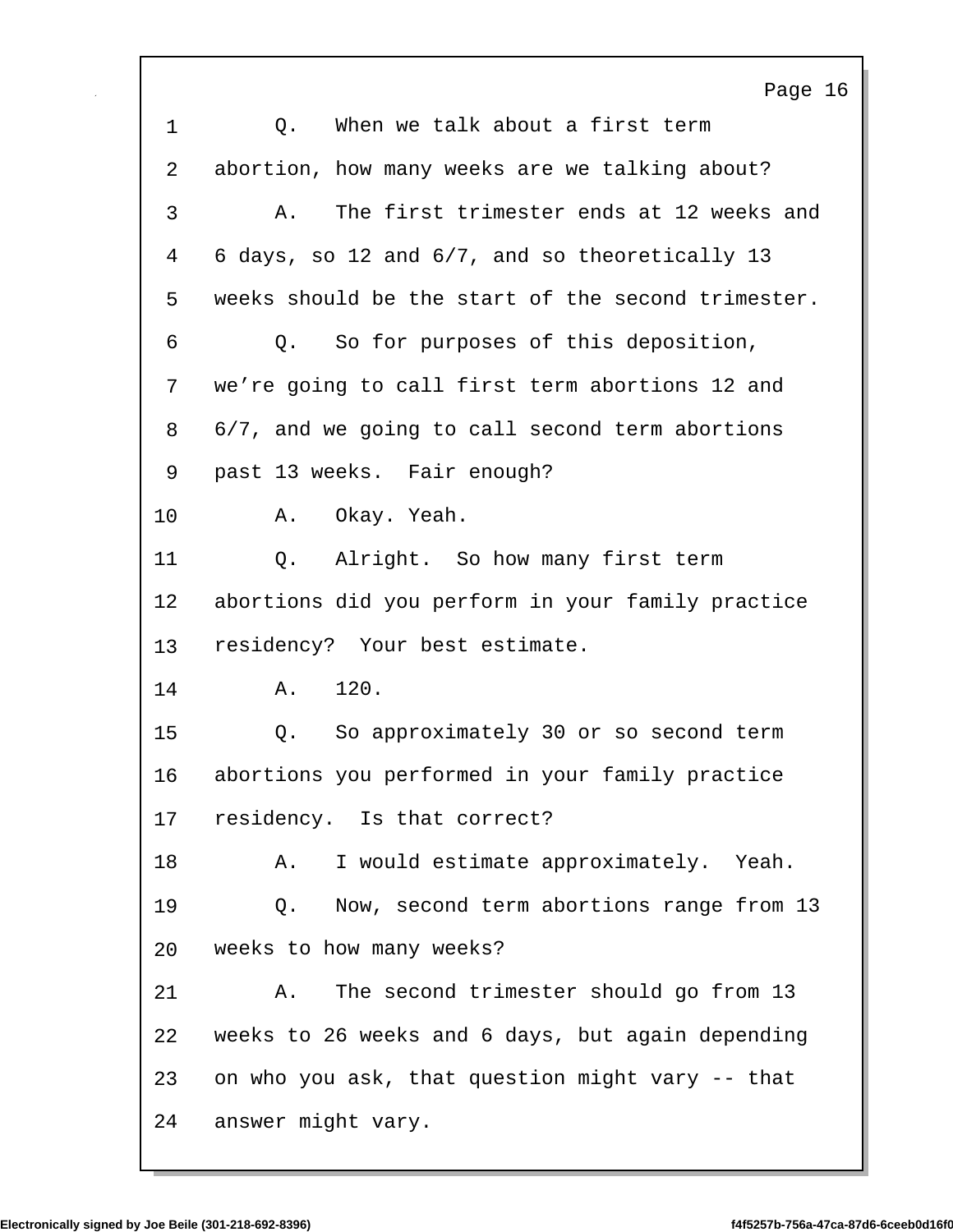Page 16 1 0. When we talk about a first term 2 abortion, how many weeks are we talking about? 3 A. The first trimester ends at 12 weeks and 4 6 days, so 12 and 6/7, and so theoretically 13 5 weeks should be the start of the second trimester. 6 Q. So for purposes of this deposition, 7 we're going to call first term abortions 12 and 8 6/7, and we going to call second term abortions 9 past 13 weeks. Fair enough? 10 A. Okay. Yeah. 11 Q. Alright. So how many first term 12 abortions did you perform in your family practice 13 residency? Your best estimate. 14 A. 120. 15 Q. So approximately 30 or so second term 16 abortions you performed in your family practice 17 residency. Is that correct? 18 A. I would estimate approximately. Yeah. 19 Q. Now, second term abortions range from 13 20 weeks to how many weeks? 21 A. The second trimester should go from 13 22 weeks to 26 weeks and 6 days, but again depending 23 on who you ask, that question might vary -- that 24 answer might vary.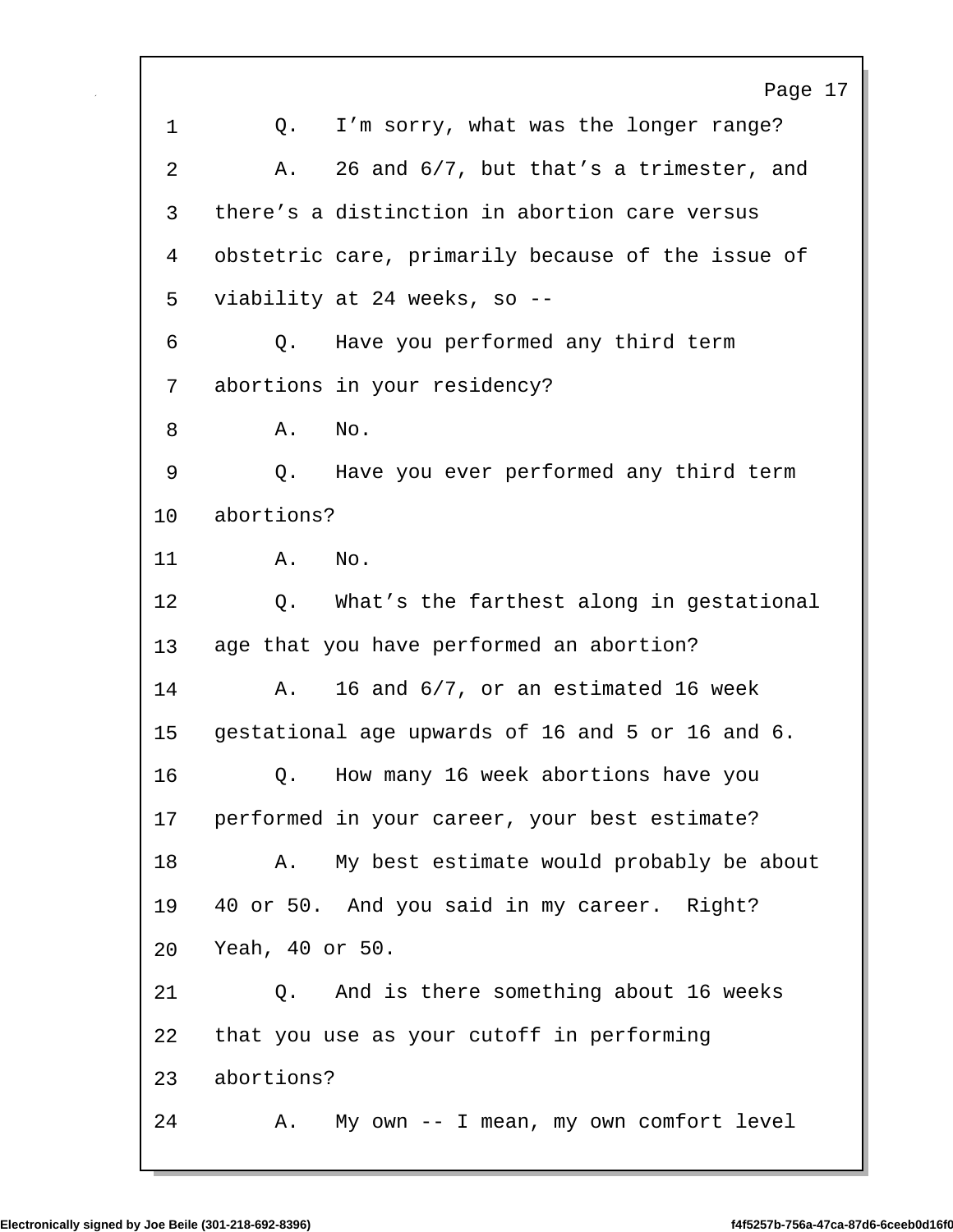Page 17 1 Q. I'm sorry, what was the longer range? 2 A. 26 and 6/7, but that's a trimester, and 3 there's a distinction in abortion care versus 4 obstetric care, primarily because of the issue of 5 viability at 24 weeks, so -- 6 Q. Have you performed any third term 7 abortions in your residency? 8 A. No. 9 Q. Have you ever performed any third term 10 abortions? 11 A. No. 12 Q. What's the farthest along in gestational 13 age that you have performed an abortion? 14 A. 16 and 6/7, or an estimated 16 week 15 gestational age upwards of 16 and 5 or 16 and 6. 16 Q. How many 16 week abortions have you 17 performed in your career, your best estimate? 18 A. My best estimate would probably be about 19 40 or 50. And you said in my career. Right? 20 Yeah, 40 or 50. 21 Q. And is there something about 16 weeks 22 that you use as your cutoff in performing 23 abortions? 24 A. My own -- I mean, my own comfort level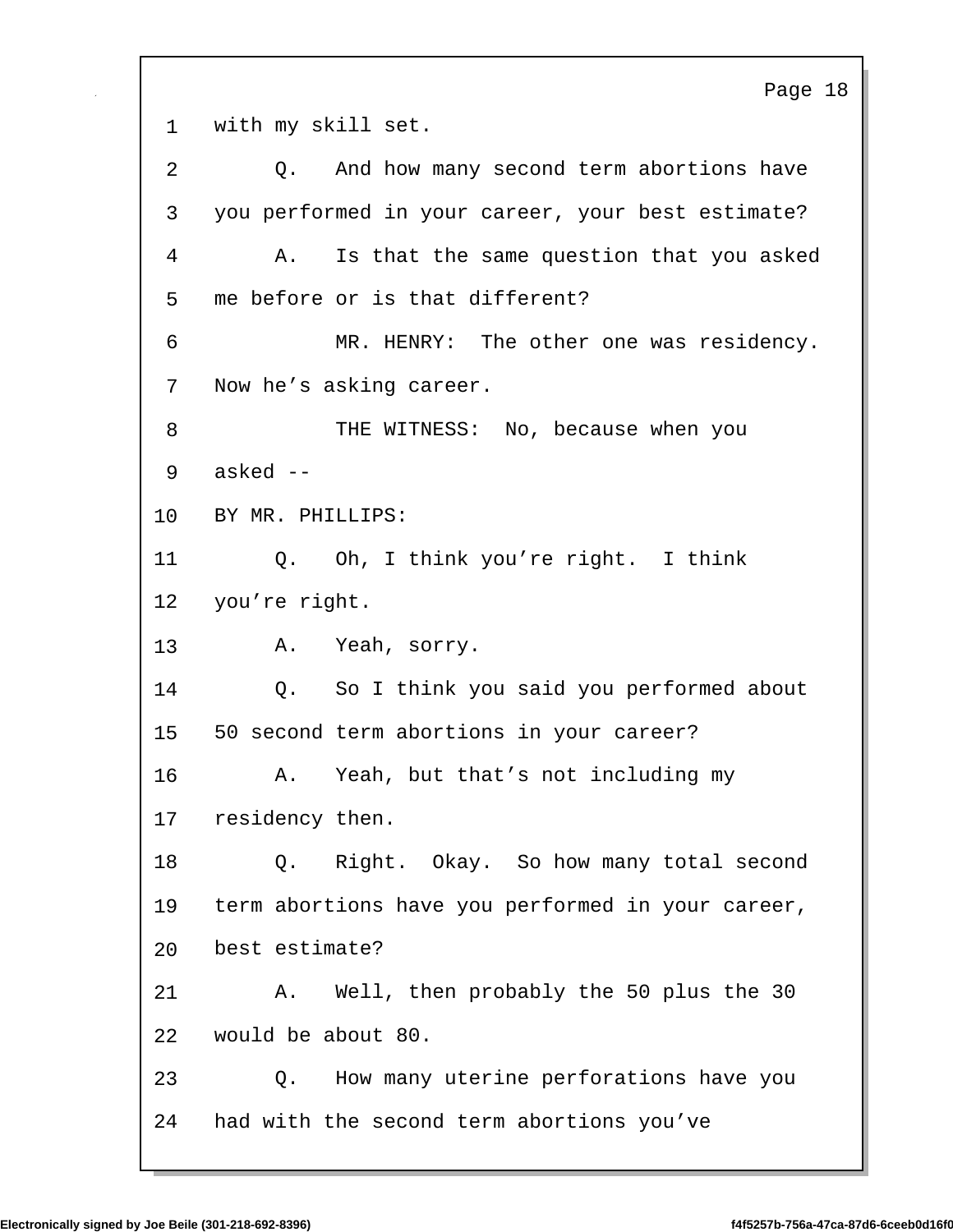Page 18 1 with my skill set. 2 Q. And how many second term abortions have 3 you performed in your career, your best estimate? 4 A. Is that the same question that you asked 5 me before or is that different? 6 MR. HENRY: The other one was residency. 7 Now he's asking career. 8 THE WITNESS: No, because when you 9 asked -- 10 BY MR. PHILLIPS: 11 Q. Oh, I think you're right. I think 12 you're right. 13 A. Yeah, sorry. 14 Q. So I think you said you performed about 15 50 second term abortions in your career? 16 A. Yeah, but that's not including my 17 residency then. 18 Q. Right. Okay. So how many total second 19 term abortions have you performed in your career, 20 best estimate? 21 A. Well, then probably the 50 plus the 30 22 would be about 80. 23 Q. How many uterine perforations have you 24 had with the second term abortions you've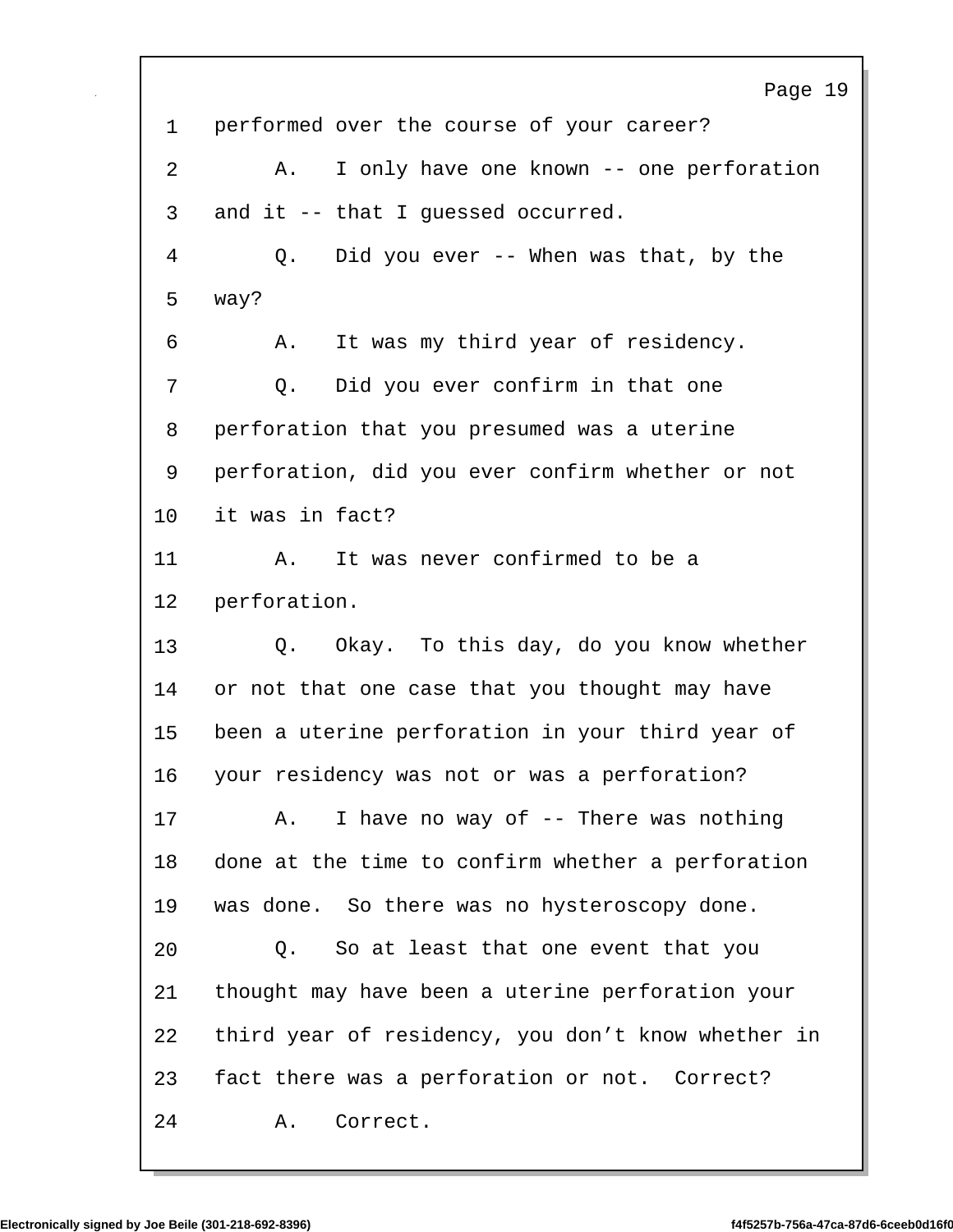Page 19 1 performed over the course of your career? 2 A. I only have one known -- one perforation 3 and it -- that I guessed occurred. 4 Q. Did you ever -- When was that, by the 5 way? 6 A. It was my third year of residency. 7 Q. Did you ever confirm in that one 8 perforation that you presumed was a uterine 9 perforation, did you ever confirm whether or not 10 it was in fact? 11 A. It was never confirmed to be a 12 perforation. 13 Q. Okay. To this day, do you know whether 14 or not that one case that you thought may have 15 been a uterine perforation in your third year of 16 your residency was not or was a perforation? 17 A. I have no way of -- There was nothing 18 done at the time to confirm whether a perforation 19 was done. So there was no hysteroscopy done. 20 Q. So at least that one event that you 21 thought may have been a uterine perforation your 22 third year of residency, you don't know whether in 23 fact there was a perforation or not. Correct? 24 A. Correct.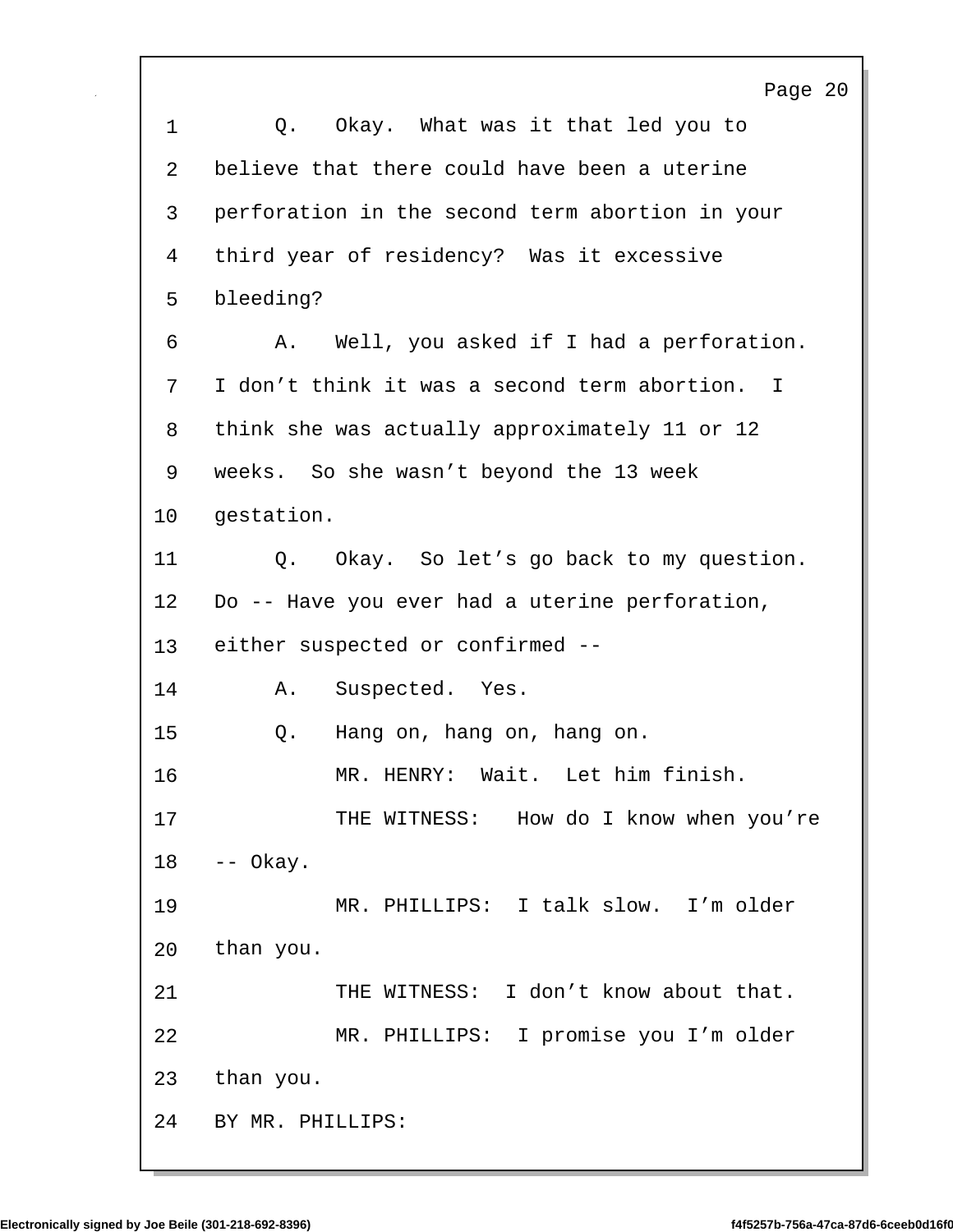Page 20 1 Q. Okay. What was it that led you to believe that there could have been a uterine perforation in the second term abortion in your third year of residency? Was it excessive bleeding? 6 A. Well, you asked if I had a perforation. I don't think it was a second term abortion. I think she was actually approximately 11 or 12 weeks. So she wasn't beyond the 13 week gestation. Q. Okay. So let's go back to my question. Do -- Have you ever had a uterine perforation, either suspected or confirmed -- 14 A. Suspected. Yes. 15 Q. Hang on, hang on, hang on. 16 MR. HENRY: Wait. Let him finish. THE WITNESS: How do I know when you're -- Okay. MR. PHILLIPS: I talk slow. I'm older than you. 21 THE WITNESS: I don't know about that. MR. PHILLIPS: I promise you I'm older than you. BY MR. PHILLIPS: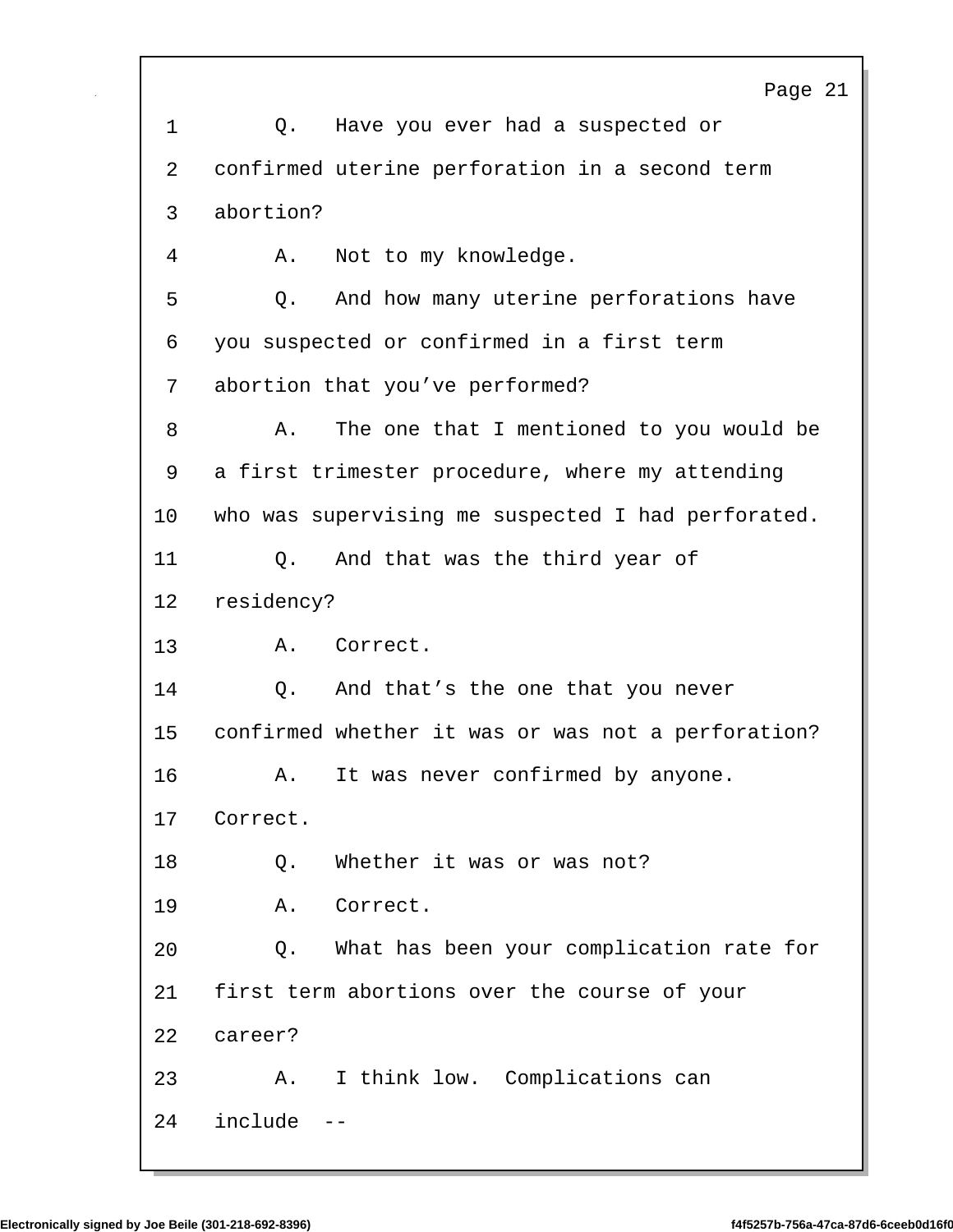Page 21 1 Q. Have you ever had a suspected or 2 confirmed uterine perforation in a second term 3 abortion? 4 A. Not to my knowledge. 5 Q. And how many uterine perforations have 6 you suspected or confirmed in a first term 7 abortion that you've performed? 8 A. The one that I mentioned to you would be 9 a first trimester procedure, where my attending 10 who was supervising me suspected I had perforated. 11 Q. And that was the third year of 12 residency? 13 A. Correct. 14 Q. And that's the one that you never 15 confirmed whether it was or was not a perforation? 16 A. It was never confirmed by anyone. 17 Correct. 18 O. Whether it was or was not? 19 A. Correct. 20 Q. What has been your complication rate for 21 first term abortions over the course of your 22 career? 23 A. I think low. Complications can 24 include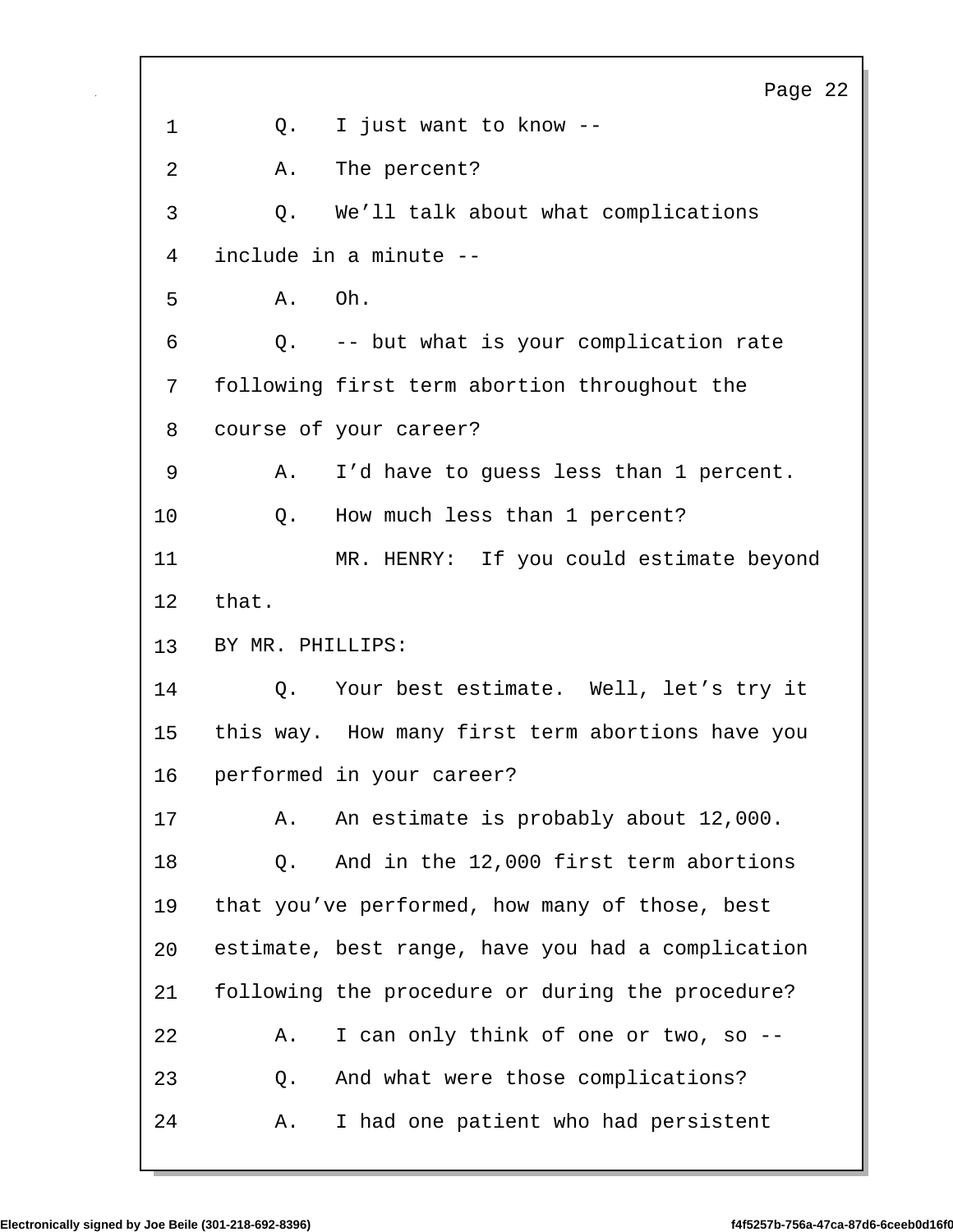|                |                  | Page 22                                           |  |
|----------------|------------------|---------------------------------------------------|--|
| 1              | Q.               | I just want to know --                            |  |
| $\overline{2}$ | Α.               | The percent?                                      |  |
| 3              | Q.               | We'll talk about what complications               |  |
| 4              |                  | include in a minute --                            |  |
| 5              | A. Oh.           |                                                   |  |
| 6              | $Q$ .            | -- but what is your complication rate             |  |
| 7              |                  | following first term abortion throughout the      |  |
| 8              |                  | course of your career?                            |  |
| 9              | Α.               | I'd have to guess less than 1 percent.            |  |
| 10             | Q.               | How much less than 1 percent?                     |  |
| 11             |                  | MR. HENRY: If you could estimate beyond           |  |
| 12             | that.            |                                                   |  |
| 13             | BY MR. PHILLIPS: |                                                   |  |
| 14             |                  | Q. Your best estimate. Well, let's try it         |  |
| 15             |                  | this way. How many first term abortions have you  |  |
| 16             |                  | performed in your career?                         |  |
| 17             | Α.               | An estimate is probably about 12,000.             |  |
| 18             | Q.               | And in the 12,000 first term abortions            |  |
| 19             |                  | that you've performed, how many of those, best    |  |
| 20             |                  | estimate, best range, have you had a complication |  |
| 21             |                  | following the procedure or during the procedure?  |  |
| 22             | Α.               | I can only think of one or two, so --             |  |
| 23             | Q.               | And what were those complications?                |  |
| 24             | Α.               | I had one patient who had persistent              |  |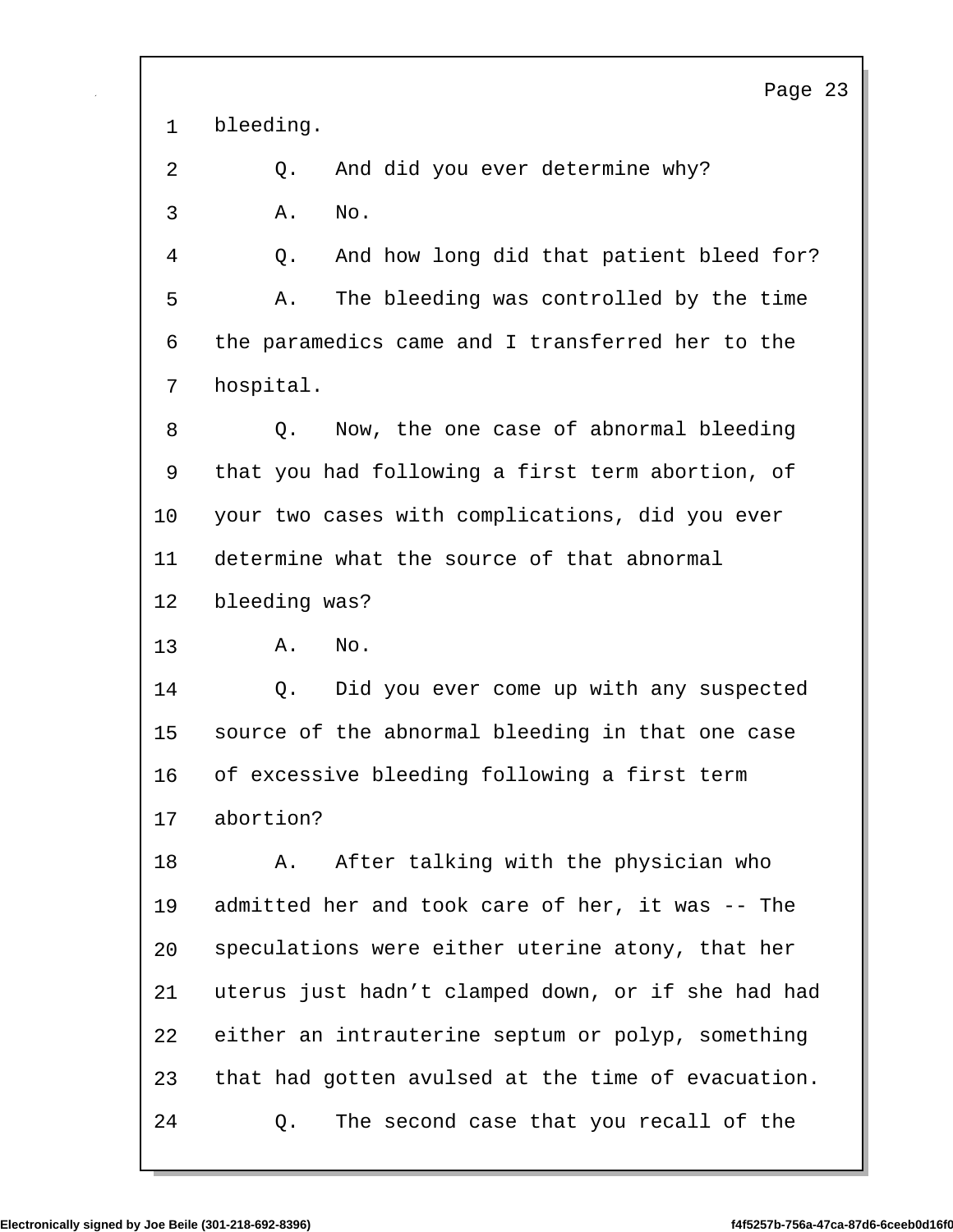Page 23 bleeding. 2 Q. And did you ever determine why? 3 A. No. 4 Q. And how long did that patient bleed for? 5 A. The bleeding was controlled by the time the paramedics came and I transferred her to the hospital. 8 Q. Now, the one case of abnormal bleeding that you had following a first term abortion, of your two cases with complications, did you ever determine what the source of that abnormal bleeding was? 13 A. No. 14 Q. Did you ever come up with any suspected source of the abnormal bleeding in that one case of excessive bleeding following a first term abortion? 18 A. After talking with the physician who admitted her and took care of her, it was -- The speculations were either uterine atony, that her uterus just hadn't clamped down, or if she had had either an intrauterine septum or polyp, something that had gotten avulsed at the time of evacuation.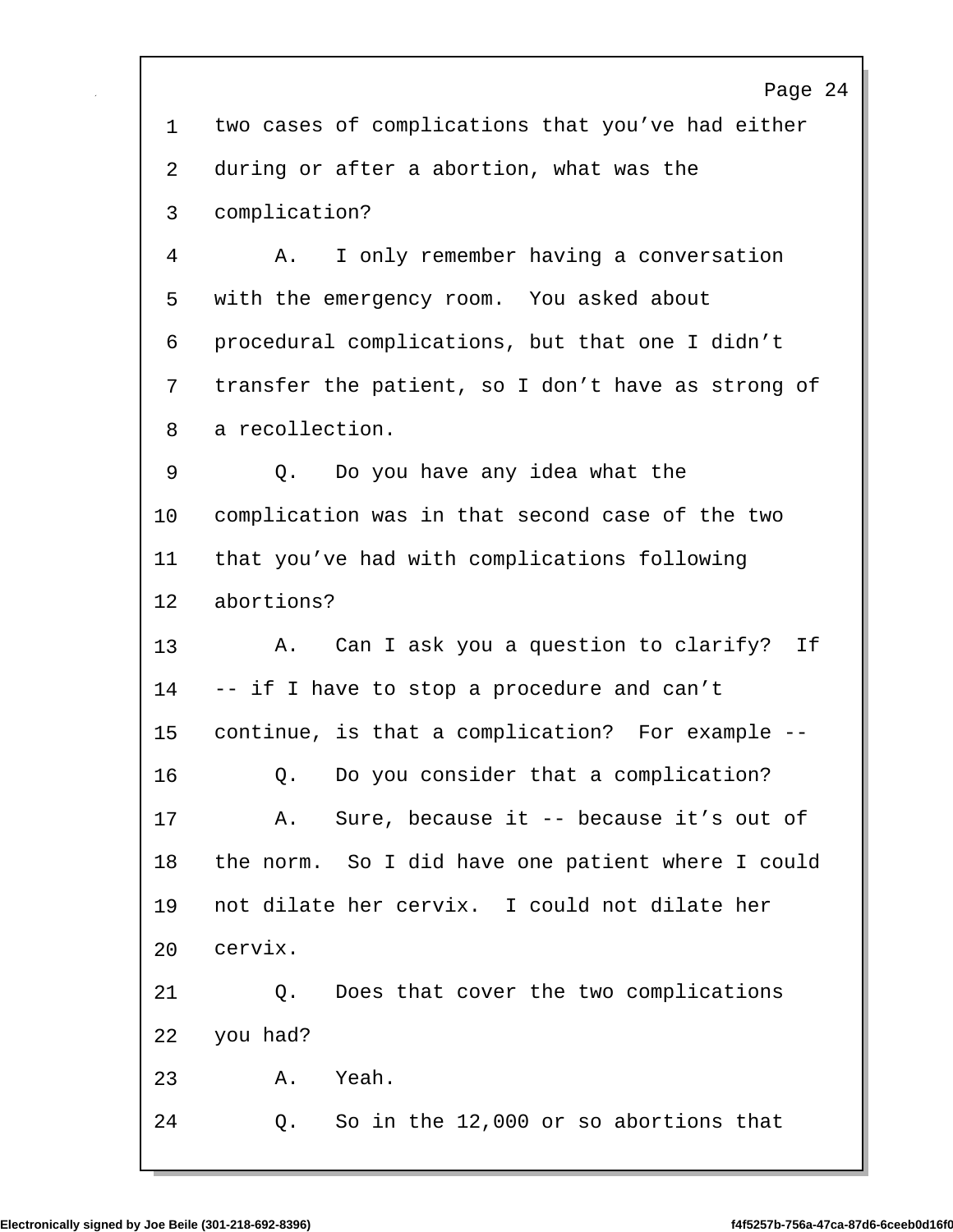two cases of complications that you've had either during or after a abortion, what was the complication?

4 A. I only remember having a conversation with the emergency room. You asked about procedural complications, but that one I didn't transfer the patient, so I don't have as strong of a recollection.

9 Q. Do you have any idea what the complication was in that second case of the two that you've had with complications following abortions?

13 A. Can I ask you a question to clarify? If -- if I have to stop a procedure and can't continue, is that a complication? For example -- 16 Q. Do you consider that a complication? A. Sure, because it -- because it's out of the norm. So I did have one patient where I could not dilate her cervix. I could not dilate her cervix. 21 Q. Does that cover the two complications you had? 23 A. Yeah. 24 Q. So in the 12,000 or so abortions that

## **Electronically signed by Joe Beile (301-218-692-8396) f4f5257b-756a-47ca-87d6-6ceeb0d16f0b**

Page 24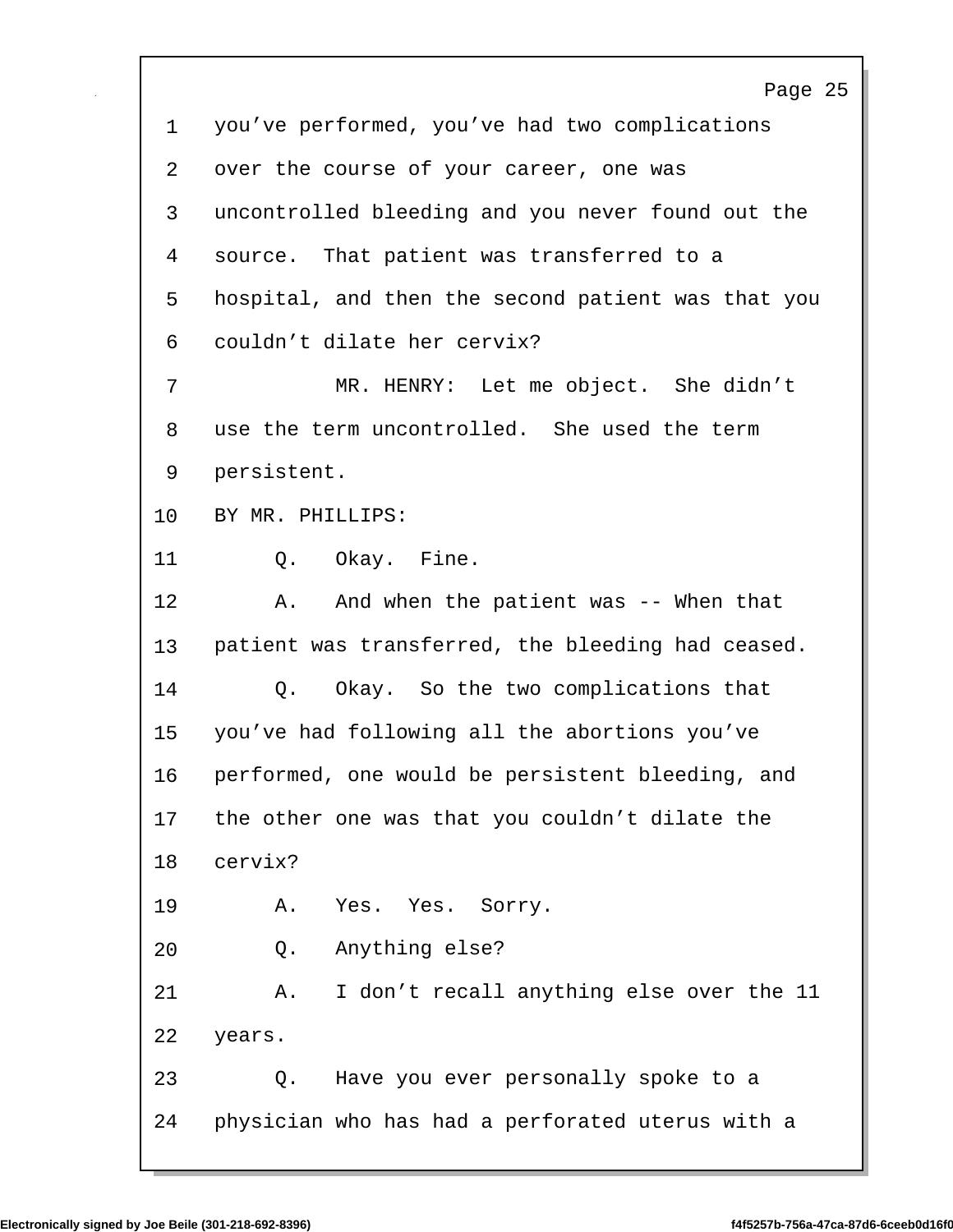Page 25 you've performed, you've had two complications over the course of your career, one was uncontrolled bleeding and you never found out the source. That patient was transferred to a hospital, and then the second patient was that you couldn't dilate her cervix? MR. HENRY: Let me object. She didn't use the term uncontrolled. She used the term persistent. BY MR. PHILLIPS: 11 Q. Okay. Fine. 12 A. And when the patient was -- When that patient was transferred, the bleeding had ceased. 14 Q. Okay. So the two complications that you've had following all the abortions you've performed, one would be persistent bleeding, and the other one was that you couldn't dilate the cervix? 19 A. Yes. Yes. Sorry. 20 Q. Anything else? A. I don't recall anything else over the 11 years. 23 Q. Have you ever personally spoke to a physician who has had a perforated uterus with a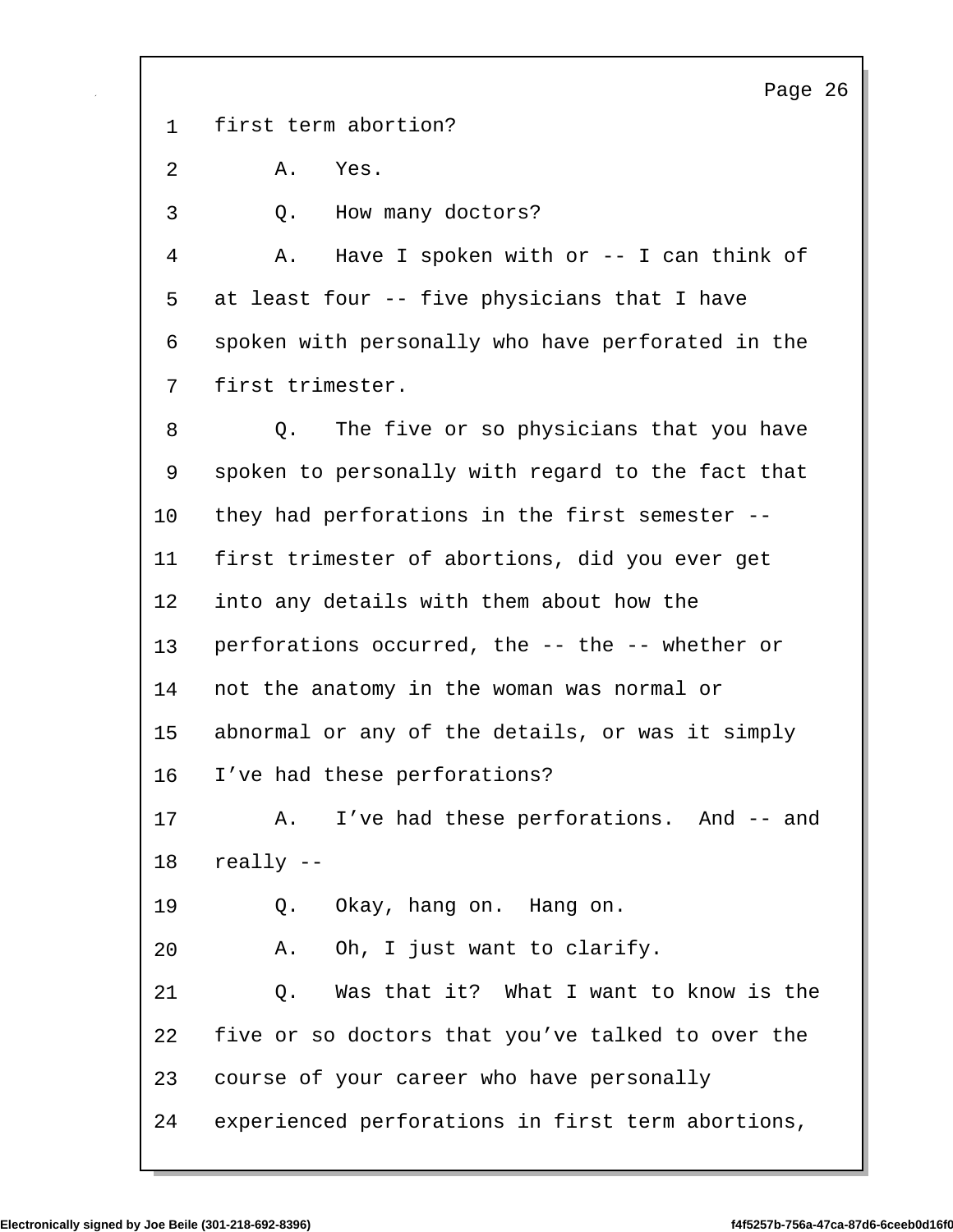first term abortion?

2 A. Yes.

3 Q. How many doctors?

4 A. Have I spoken with or -- I can think of at least four -- five physicians that I have spoken with personally who have perforated in the first trimester.

8 Q. The five or so physicians that you have spoken to personally with regard to the fact that they had perforations in the first semester -- first trimester of abortions, did you ever get into any details with them about how the perforations occurred, the -- the -- whether or not the anatomy in the woman was normal or abnormal or any of the details, or was it simply I've had these perforations? A. I've had these perforations. And -- and really -- 19 Q. Okay, hang on. Hang on. 20 A. Oh, I just want to clarify. 21 Q. Was that it? What I want to know is the five or so doctors that you've talked to over the course of your career who have personally experienced perforations in first term abortions,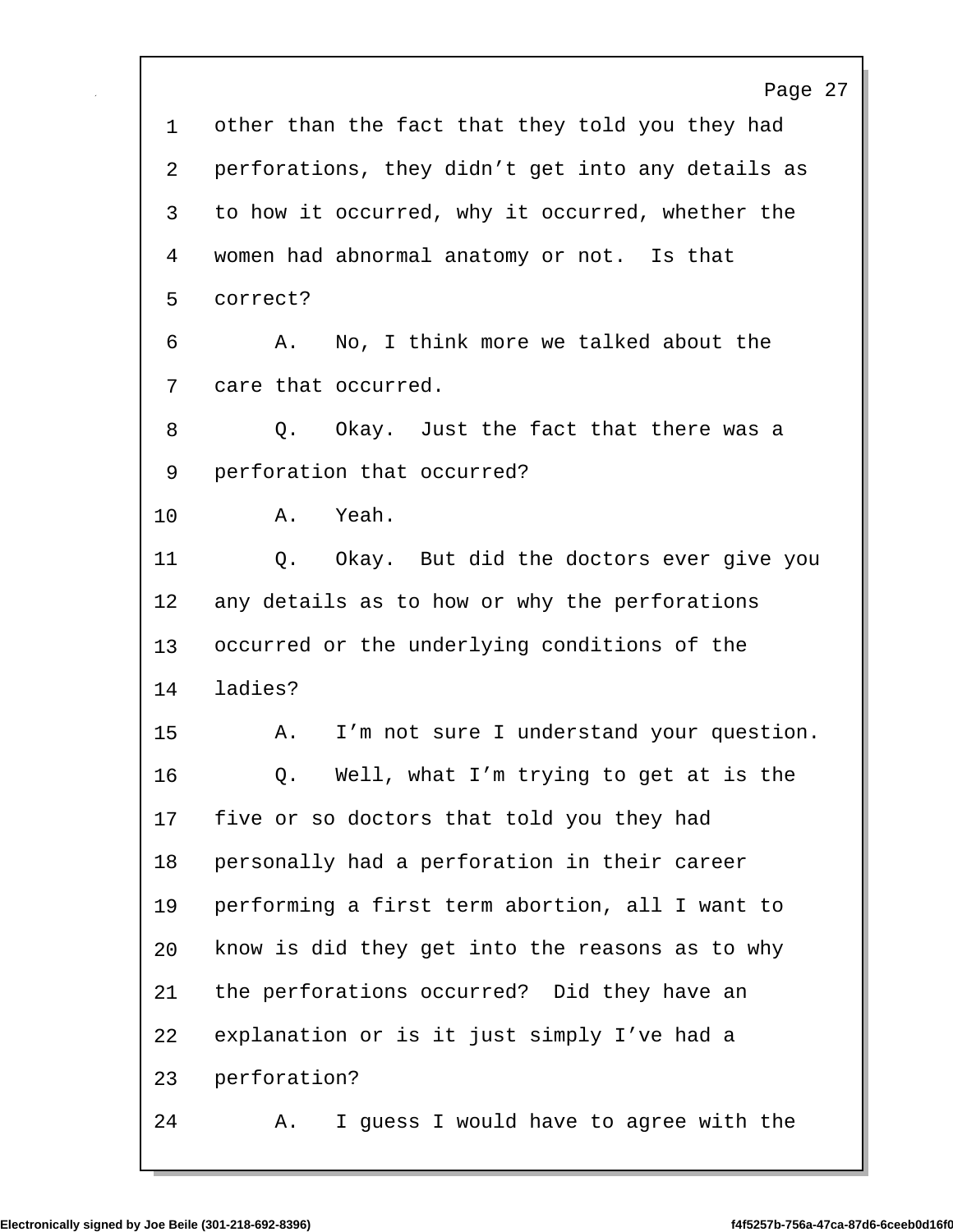Page 27 other than the fact that they told you they had perforations, they didn't get into any details as to how it occurred, why it occurred, whether the women had abnormal anatomy or not. Is that correct? 6 A. No, I think more we talked about the care that occurred. 8 Q. Okay. Just the fact that there was a perforation that occurred? 10 A. Yeah. 11 Q. Okay. But did the doctors ever give you any details as to how or why the perforations occurred or the underlying conditions of the ladies? A. I'm not sure I understand your question. Q. Well, what I'm trying to get at is the five or so doctors that told you they had personally had a perforation in their career performing a first term abortion, all I want to know is did they get into the reasons as to why the perforations occurred? Did they have an explanation or is it just simply I've had a perforation? 24 A. I guess I would have to agree with the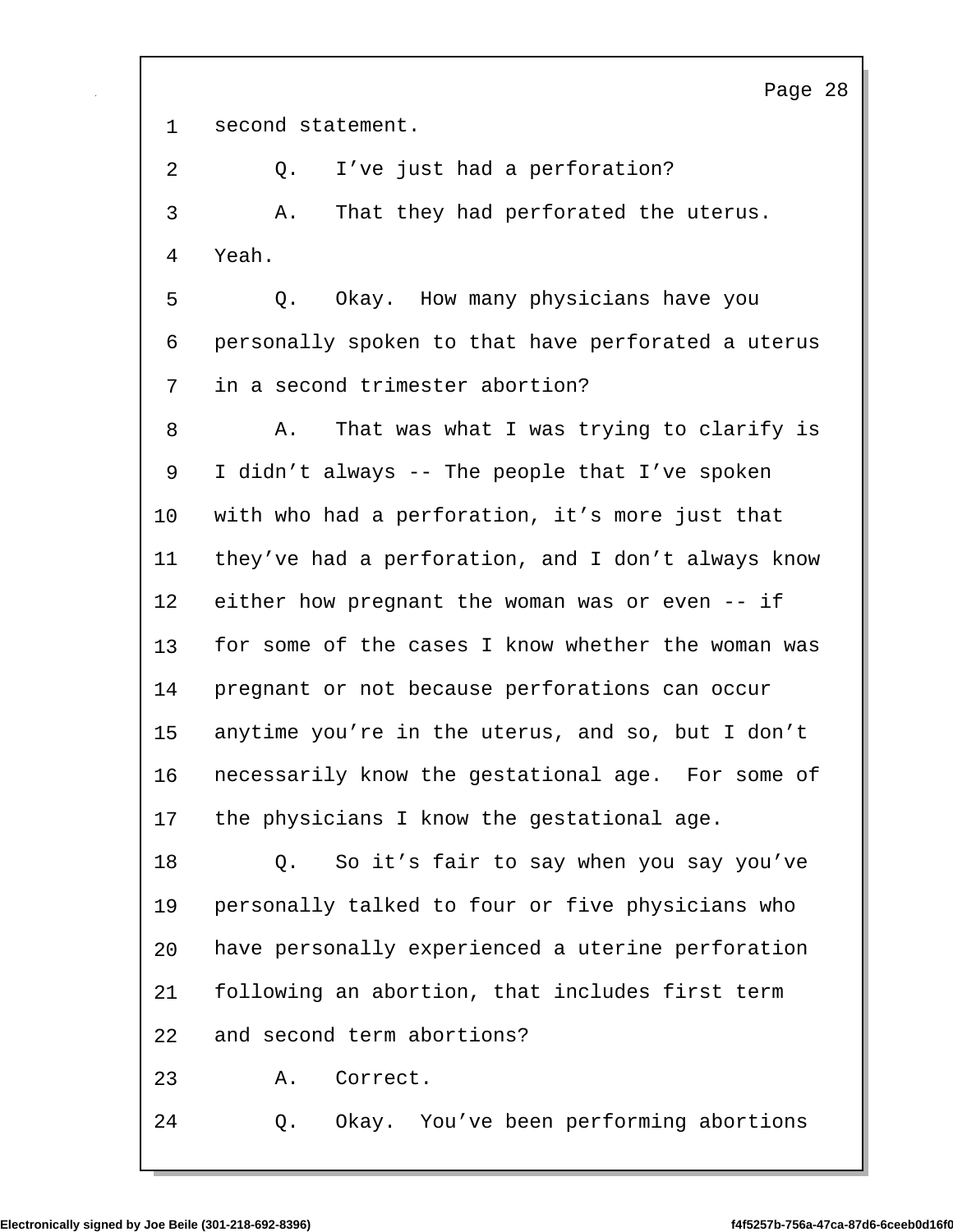Page 28

second statement.

 Q. I've just had a perforation? 3 A. That they had perforated the uterus. Yeah. 5 Q. Okay. How many physicians have you personally spoken to that have perforated a uterus in a second trimester abortion? 8 A. That was what I was trying to clarify is I didn't always -- The people that I've spoken with who had a perforation, it's more just that they've had a perforation, and I don't always know either how pregnant the woman was or even -- if for some of the cases I know whether the woman was pregnant or not because perforations can occur anytime you're in the uterus, and so, but I don't necessarily know the gestational age. For some of the physicians I know the gestational age. Q. So it's fair to say when you say you've personally talked to four or five physicians who have personally experienced a uterine perforation

following an abortion, that includes first term

and second term abortions?

23 A. Correct.

Q. Okay. You've been performing abortions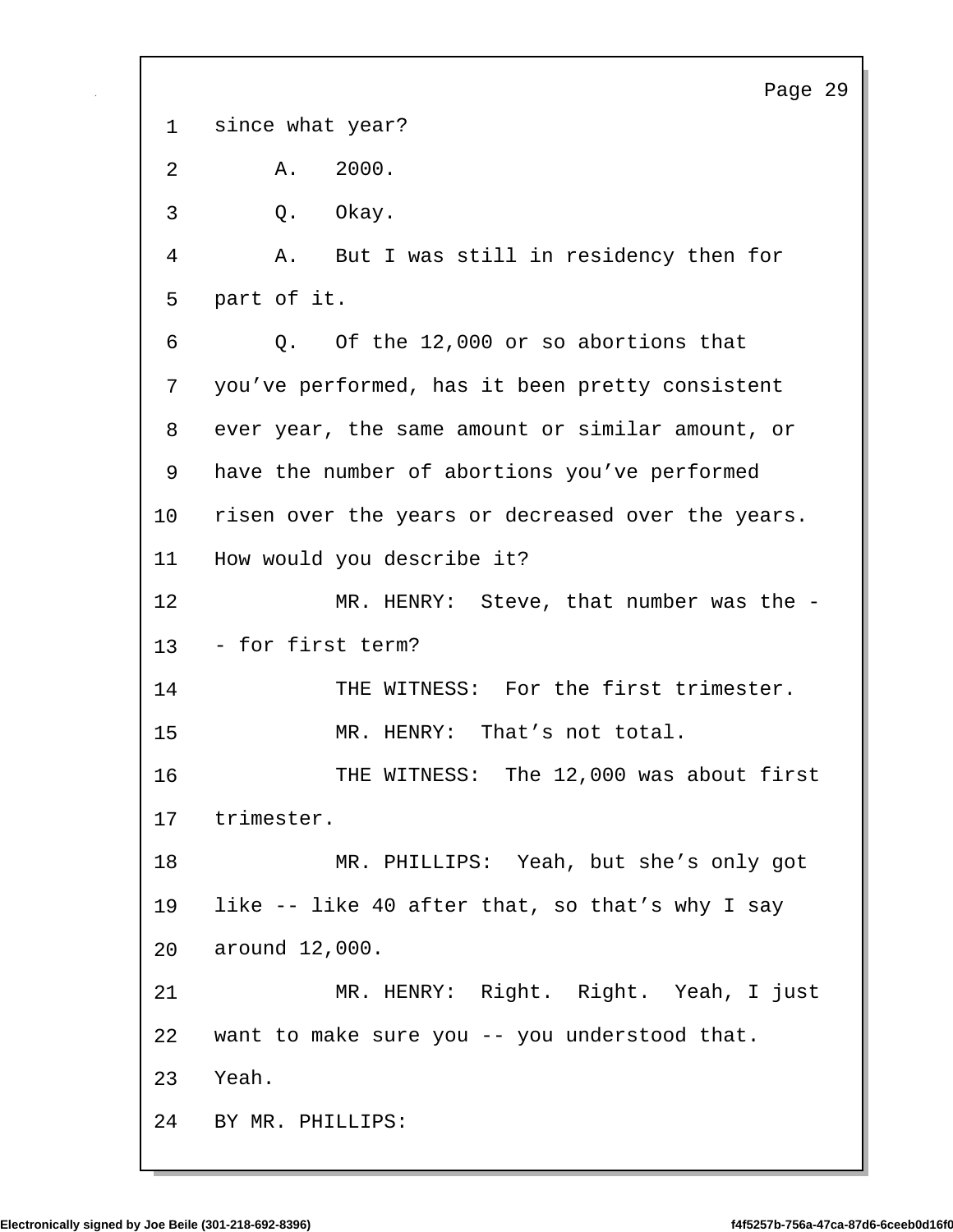Page 29 since what year? 2 A. 2000. 3 Q. Okay. 4 A. But I was still in residency then for part of it. 6 Q. Of the 12,000 or so abortions that you've performed, has it been pretty consistent ever year, the same amount or similar amount, or have the number of abortions you've performed risen over the years or decreased over the years. How would you describe it? 12 MR. HENRY: Steve, that number was the - - for first term? 14 THE WITNESS: For the first trimester. MR. HENRY: That's not total. 16 THE WITNESS: The 12,000 was about first trimester. MR. PHILLIPS: Yeah, but she's only got like -- like 40 after that, so that's why I say around 12,000. 21 MR. HENRY: Right. Right. Yeah, I just want to make sure you -- you understood that. Yeah. BY MR. PHILLIPS: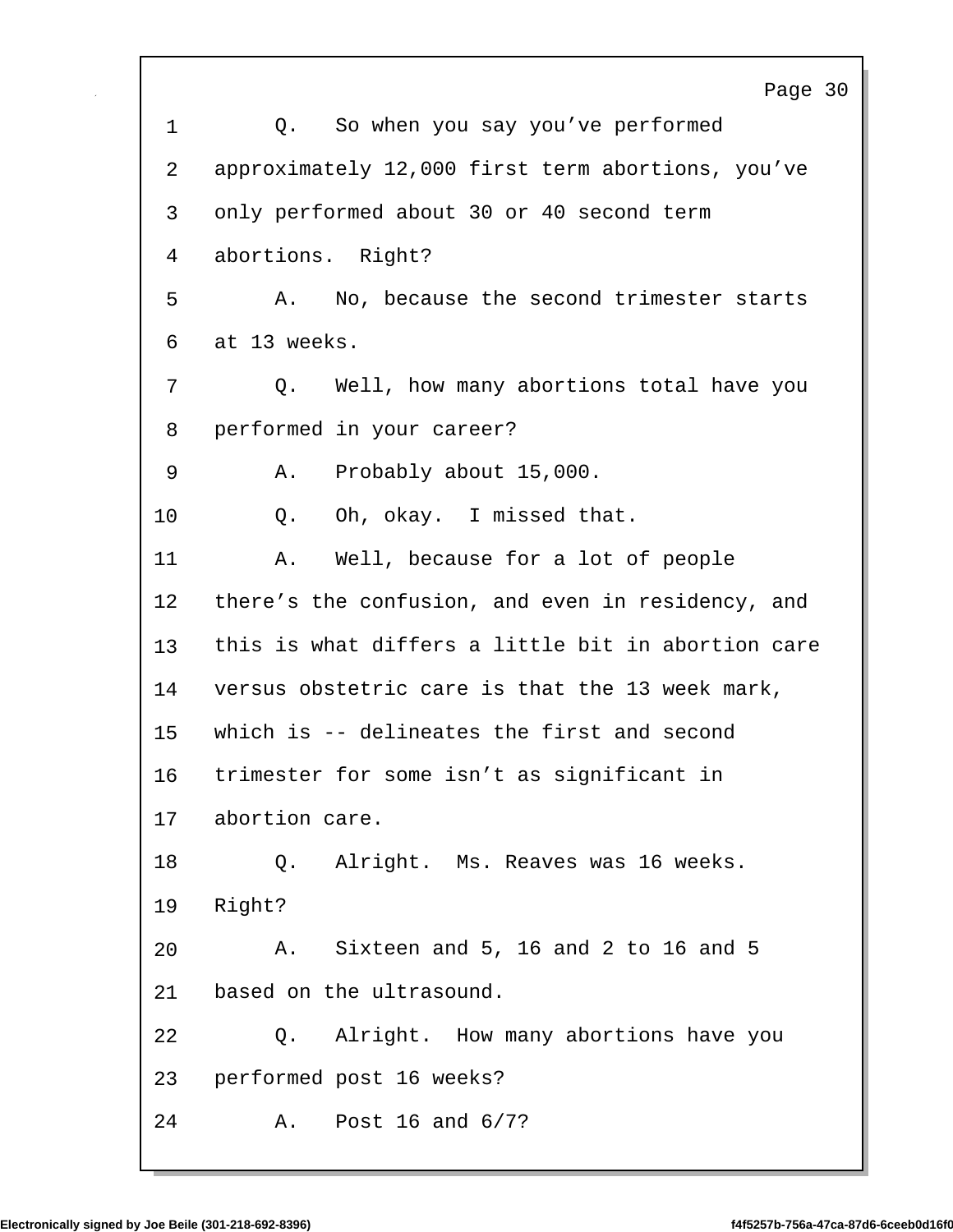|    | Page 30                                            |
|----|----------------------------------------------------|
| 1  | So when you say you've performed<br>Q.             |
| 2  | approximately 12,000 first term abortions, you've  |
| 3  | only performed about 30 or 40 second term          |
| 4  | abortions. Right?                                  |
| 5  | No, because the second trimester starts<br>Α.      |
| 6  | at 13 weeks.                                       |
| 7  | Well, how many abortions total have you<br>Q.      |
| 8  | performed in your career?                          |
| 9  | Probably about 15,000.<br>Α.                       |
| 10 | Oh, okay. I missed that.<br>Q.                     |
| 11 | Well, because for a lot of people<br>A.            |
| 12 | there's the confusion, and even in residency, and  |
| 13 | this is what differs a little bit in abortion care |
| 14 | versus obstetric care is that the 13 week mark,    |
| 15 | which is -- delineates the first and second        |
| 16 | trimester for some isn't as significant in         |
| 17 | abortion care.                                     |
| 18 | Q. Alright. Ms. Reaves was 16 weeks.               |
| 19 | Right?                                             |
| 20 | Sixteen and 5, 16 and 2 to 16 and 5<br>A.          |
| 21 | based on the ultrasound.                           |
| 22 | Alright. How many abortions have you<br>Q.         |
| 23 | performed post 16 weeks?                           |
| 24 | Post 16 and 6/7?<br>Α.                             |
|    |                                                    |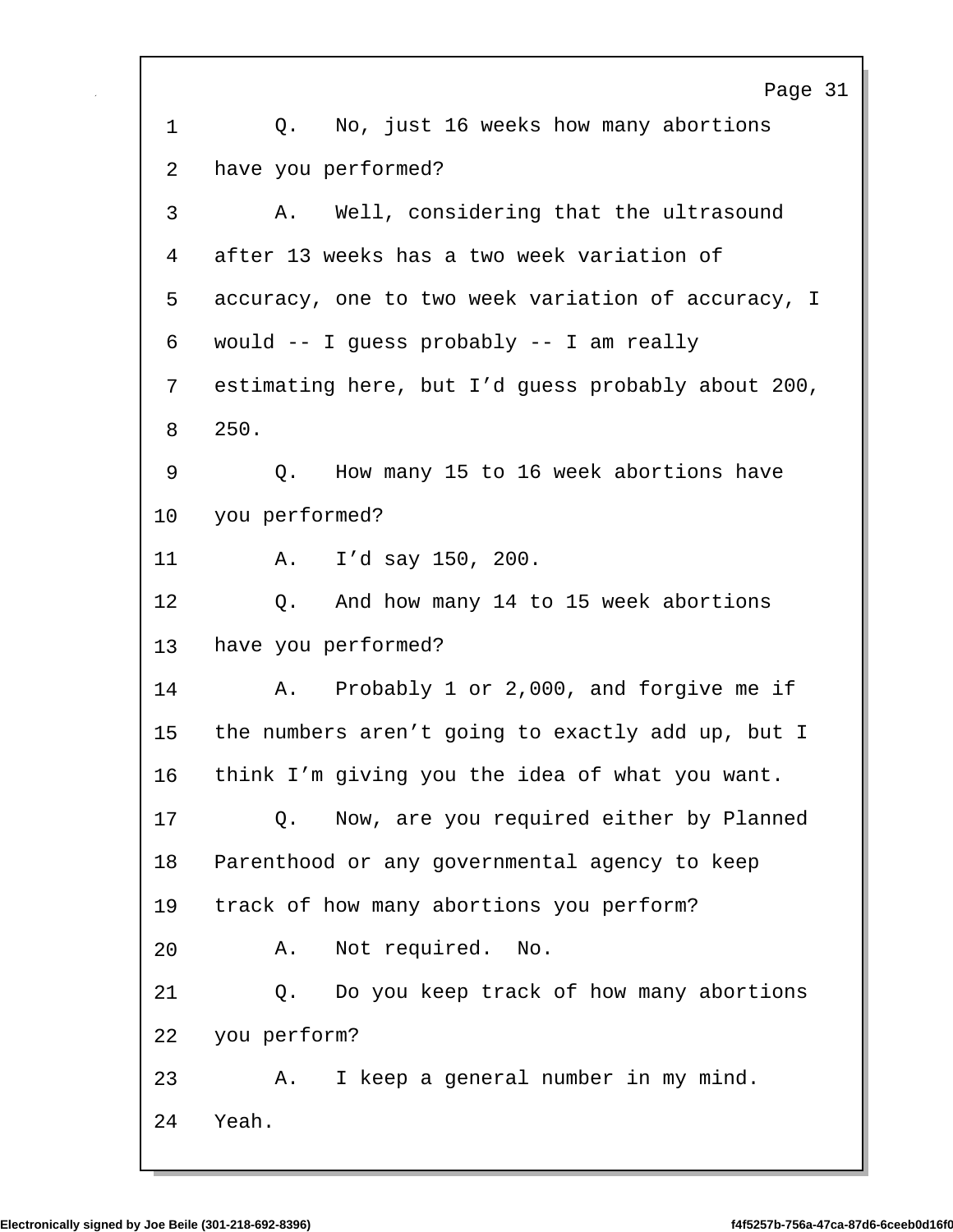Page 31 1 Q. No, just 16 weeks how many abortions 2 have you performed? 3 A. Well, considering that the ultrasound 4 after 13 weeks has a two week variation of 5 accuracy, one to two week variation of accuracy, I 6 would -- I guess probably -- I am really 7 estimating here, but I'd guess probably about 200, 8 250. 9 Q. How many 15 to 16 week abortions have 10 you performed? 11 A. I'd say 150, 200. 12 Q. And how many 14 to 15 week abortions 13 have you performed? 14 A. Probably 1 or 2,000, and forgive me if 15 the numbers aren't going to exactly add up, but I 16 think I'm giving you the idea of what you want. 17 Q. Now, are you required either by Planned 18 Parenthood or any governmental agency to keep 19 track of how many abortions you perform? 20 A. Not required. No. 21 Q. Do you keep track of how many abortions 22 you perform? 23 A. I keep a general number in my mind. 24 Yeah.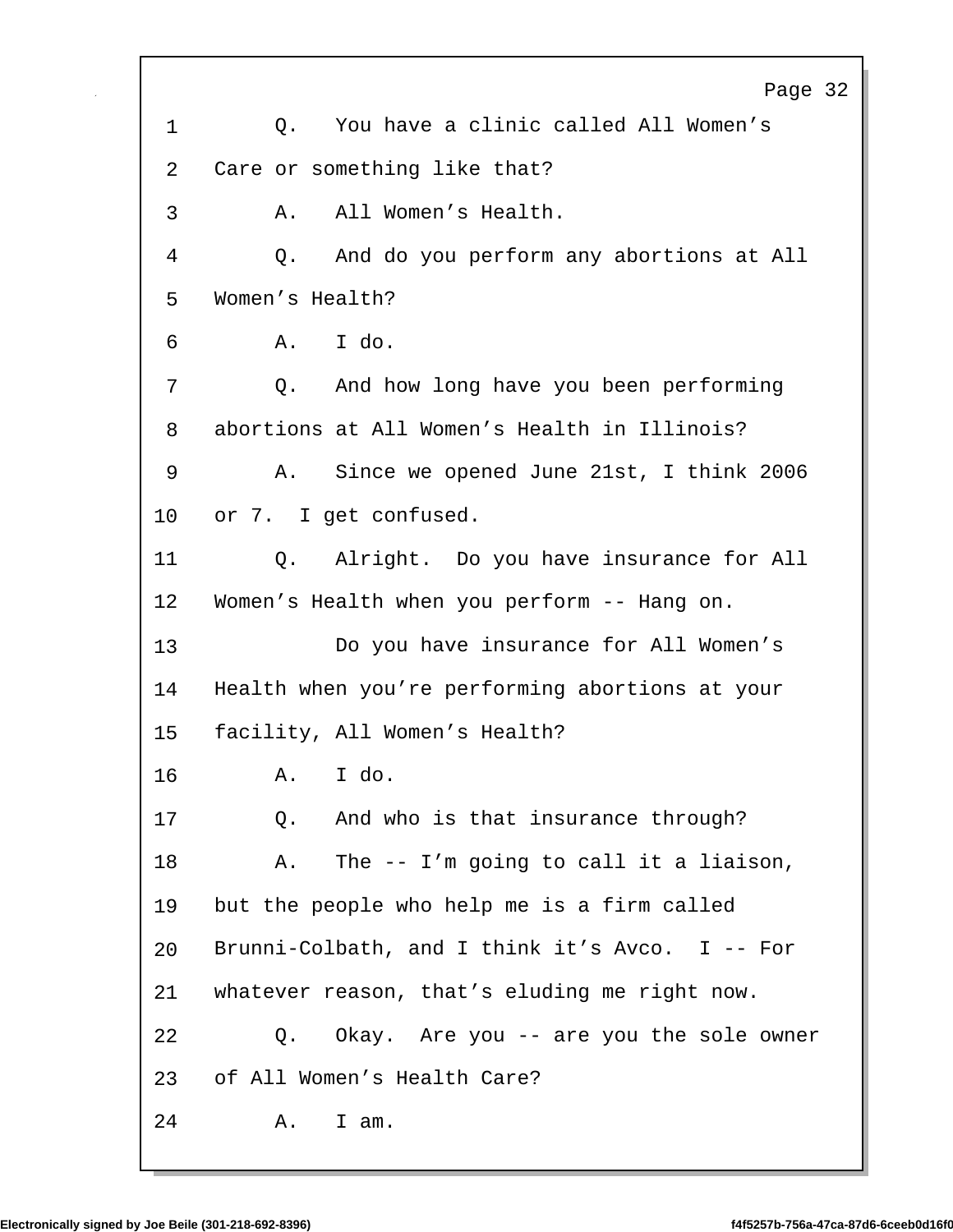| Page 32                                         |  |
|-------------------------------------------------|--|
| You have a clinic called All Women's<br>Q.      |  |
| Care or something like that?                    |  |
| All Women's Health.<br>Α.                       |  |
| And do you perform any abortions at All<br>Q.   |  |
| Women's Health?                                 |  |
| I do.<br>A.                                     |  |
| And how long have you been performing<br>Q.     |  |
| abortions at All Women's Health in Illinois?    |  |
| Since we opened June 21st, I think 2006<br>Α.   |  |
| or 7. I get confused.                           |  |
| Alright. Do you have insurance for All<br>$Q$ . |  |
| Women's Health when you perform -- Hang on.     |  |
| Do you have insurance for All Women's           |  |
| Health when you're performing abortions at your |  |
| facility, All Women's Health?                   |  |
| I do.<br>Α.                                     |  |
| And who is that insurance through?<br>Q.        |  |
| The $-$ I'm going to call it a liaison,<br>Α.   |  |
| but the people who help me is a firm called     |  |
| Brunni-Colbath, and I think it's Avco. I -- For |  |
| whatever reason, that's eluding me right now.   |  |
| Okay. Are you -- are you the sole owner<br>Q.   |  |
| of All Women's Health Care?                     |  |
| Α.<br>I am.                                     |  |
|                                                 |  |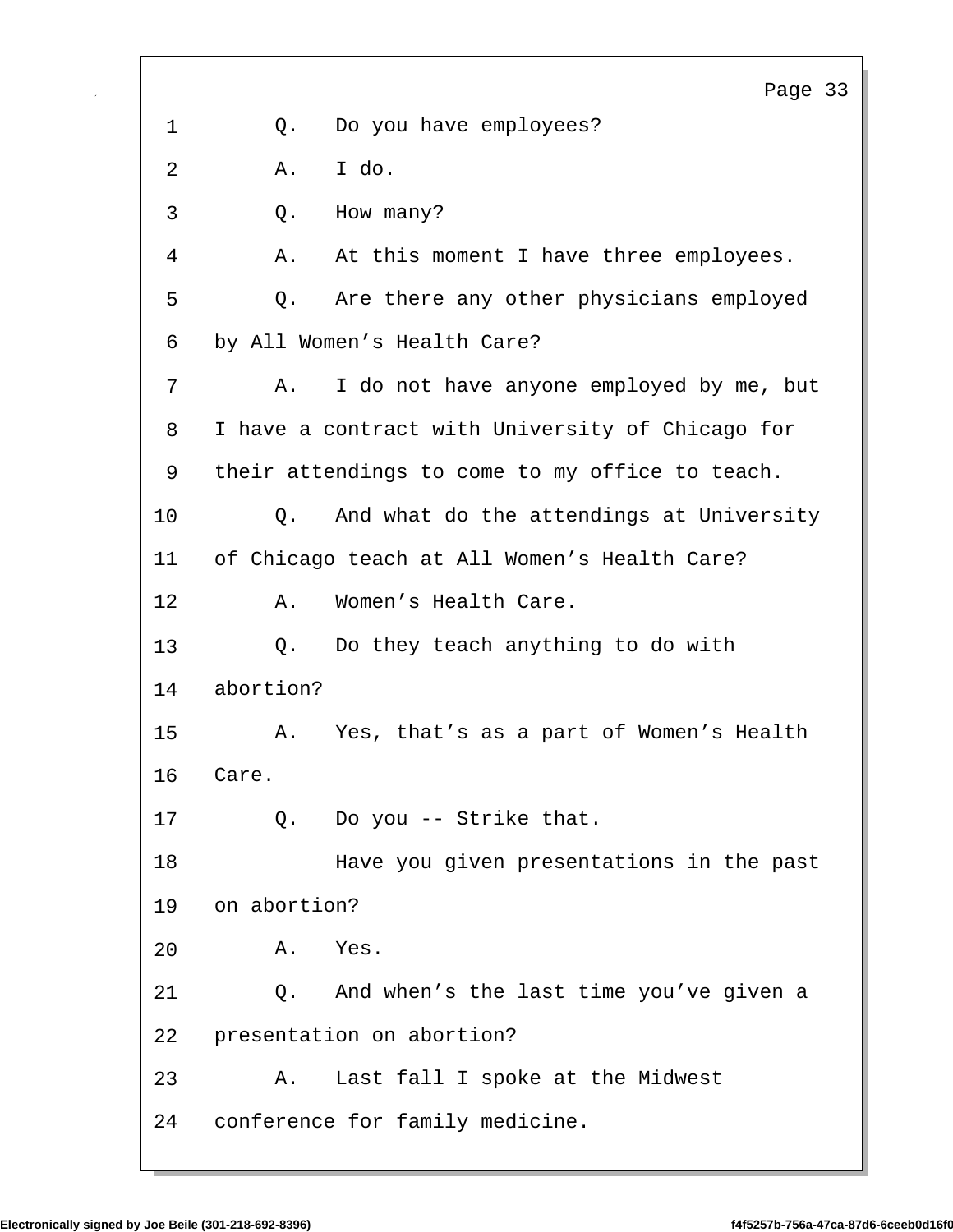Page 33 1 Q. Do you have employees? 2 A. I do. 3 Q. How many? 4 A. At this moment I have three employees. 5 Q. Are there any other physicians employed 6 by All Women's Health Care? 7 A. I do not have anyone employed by me, but 8 I have a contract with University of Chicago for 9 their attendings to come to my office to teach. 10 Q. And what do the attendings at University 11 of Chicago teach at All Women's Health Care? 12 A. Women's Health Care. 13 Q. Do they teach anything to do with 14 abortion? 15 A. Yes, that's as a part of Women's Health 16 Care. 17 Q. Do you -- Strike that. 18 Have you given presentations in the past 19 on abortion? 20 A. Yes. 21 Q. And when's the last time you've given a 22 presentation on abortion? 23 A. Last fall I spoke at the Midwest 24 conference for family medicine.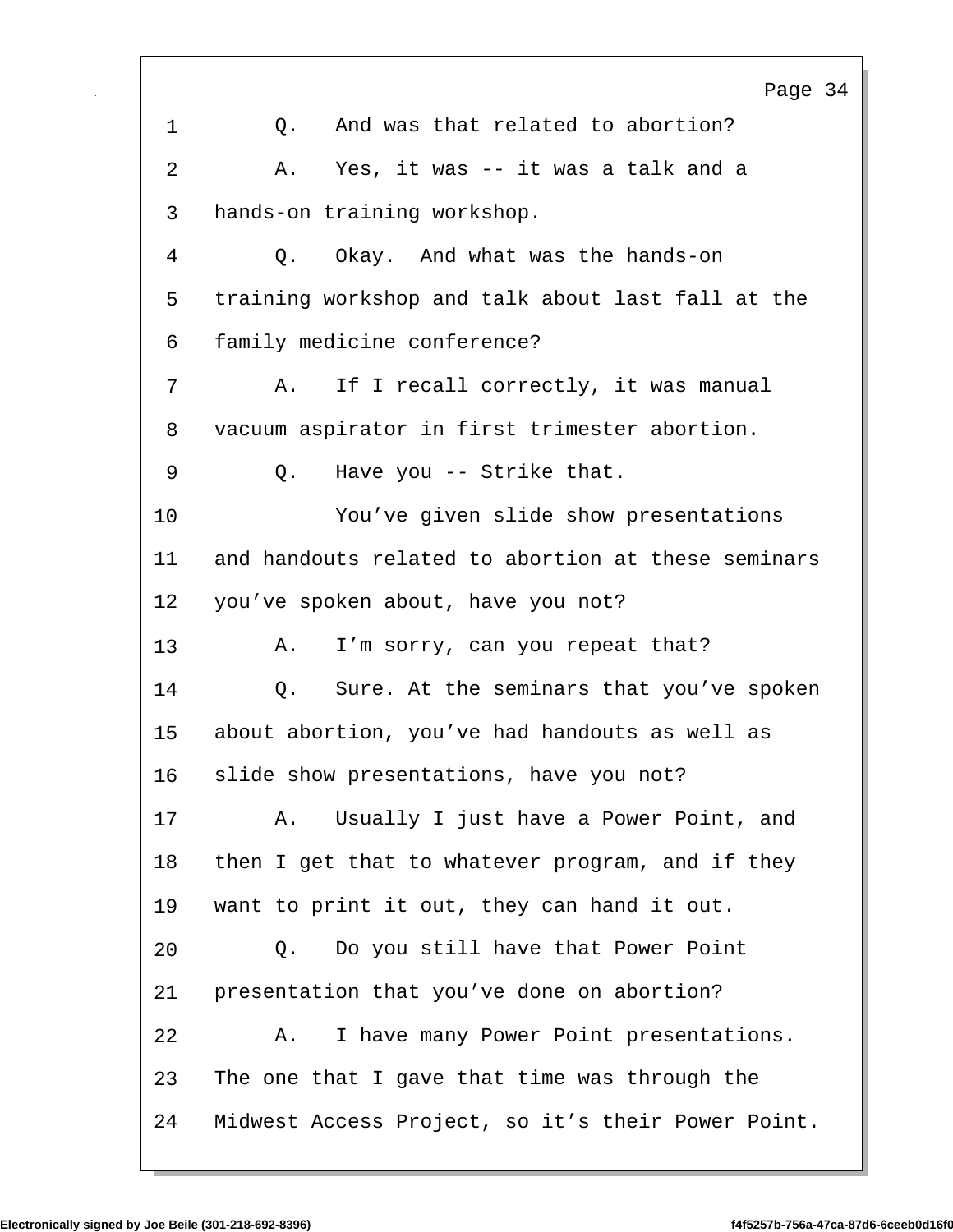Page 34 1 0. And was that related to abortion? 2 A. Yes, it was -- it was a talk and a hands-on training workshop. 4 Q. Okay. And what was the hands-on training workshop and talk about last fall at the family medicine conference? 7 A. If I recall correctly, it was manual vacuum aspirator in first trimester abortion. 9 Q. Have you -- Strike that. You've given slide show presentations and handouts related to abortion at these seminars you've spoken about, have you not? A. I'm sorry, can you repeat that? Q. Sure. At the seminars that you've spoken about abortion, you've had handouts as well as slide show presentations, have you not? 17 A. Usually I just have a Power Point, and then I get that to whatever program, and if they want to print it out, they can hand it out. 20 Q. Do you still have that Power Point presentation that you've done on abortion? 22 A. I have many Power Point presentations. The one that I gave that time was through the Midwest Access Project, so it's their Power Point.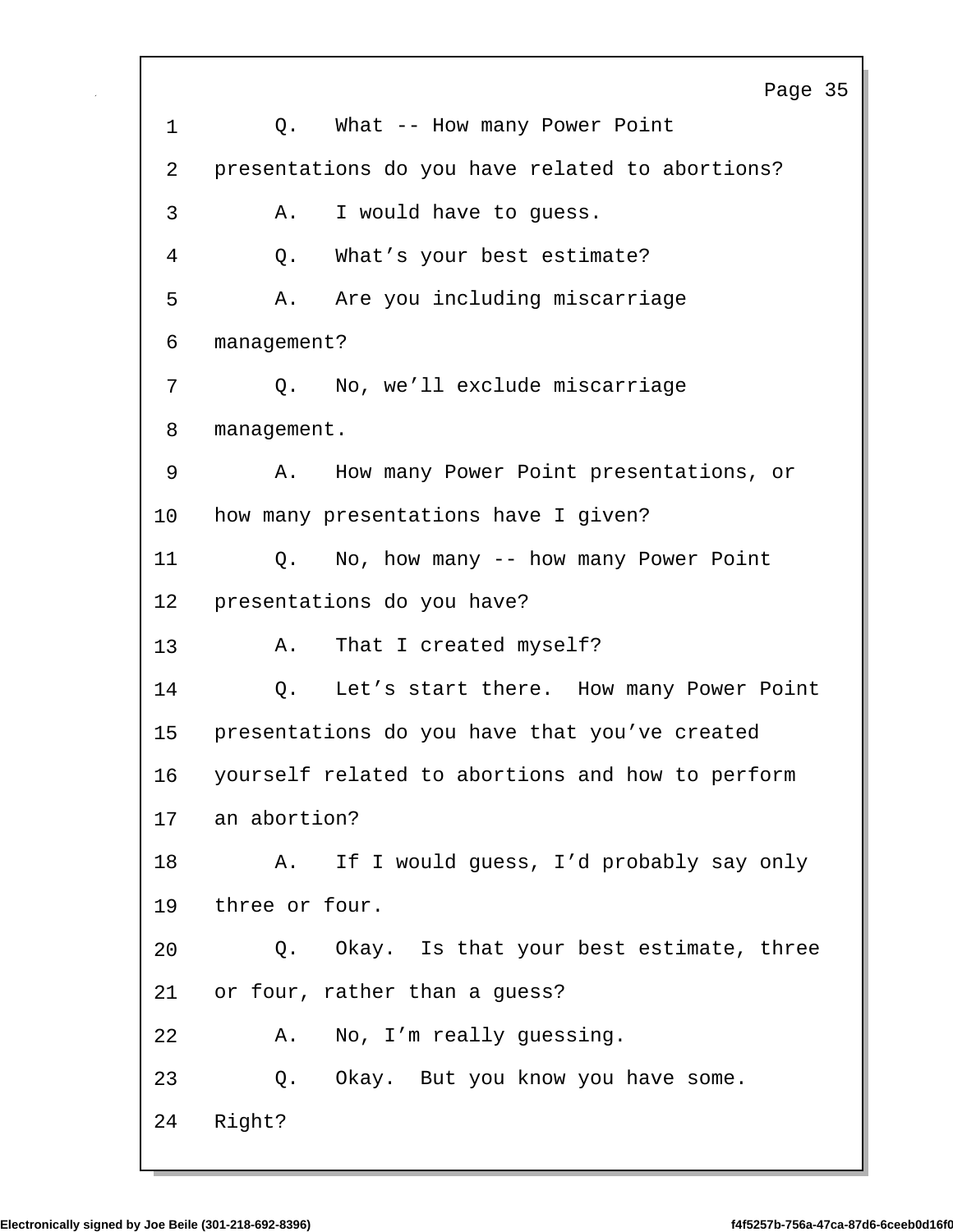Page 35 1 Q. What -- How many Power Point 2 presentations do you have related to abortions? 3 A. I would have to guess. 4 Q. What's your best estimate? 5 A. Are you including miscarriage 6 management? 7 Q. No, we'll exclude miscarriage 8 management. 9 A. How many Power Point presentations, or 10 how many presentations have I given? 11 Q. No, how many -- how many Power Point 12 presentations do you have? 13 A. That I created myself? 14 Q. Let's start there. How many Power Point 15 presentations do you have that you've created 16 yourself related to abortions and how to perform 17 an abortion? 18 A. If I would guess, I'd probably say only 19 three or four. 20 Q. Okay. Is that your best estimate, three 21 or four, rather than a guess? 22 A. No, I'm really guessing. 23 Q. Okay. But you know you have some. 24 Right?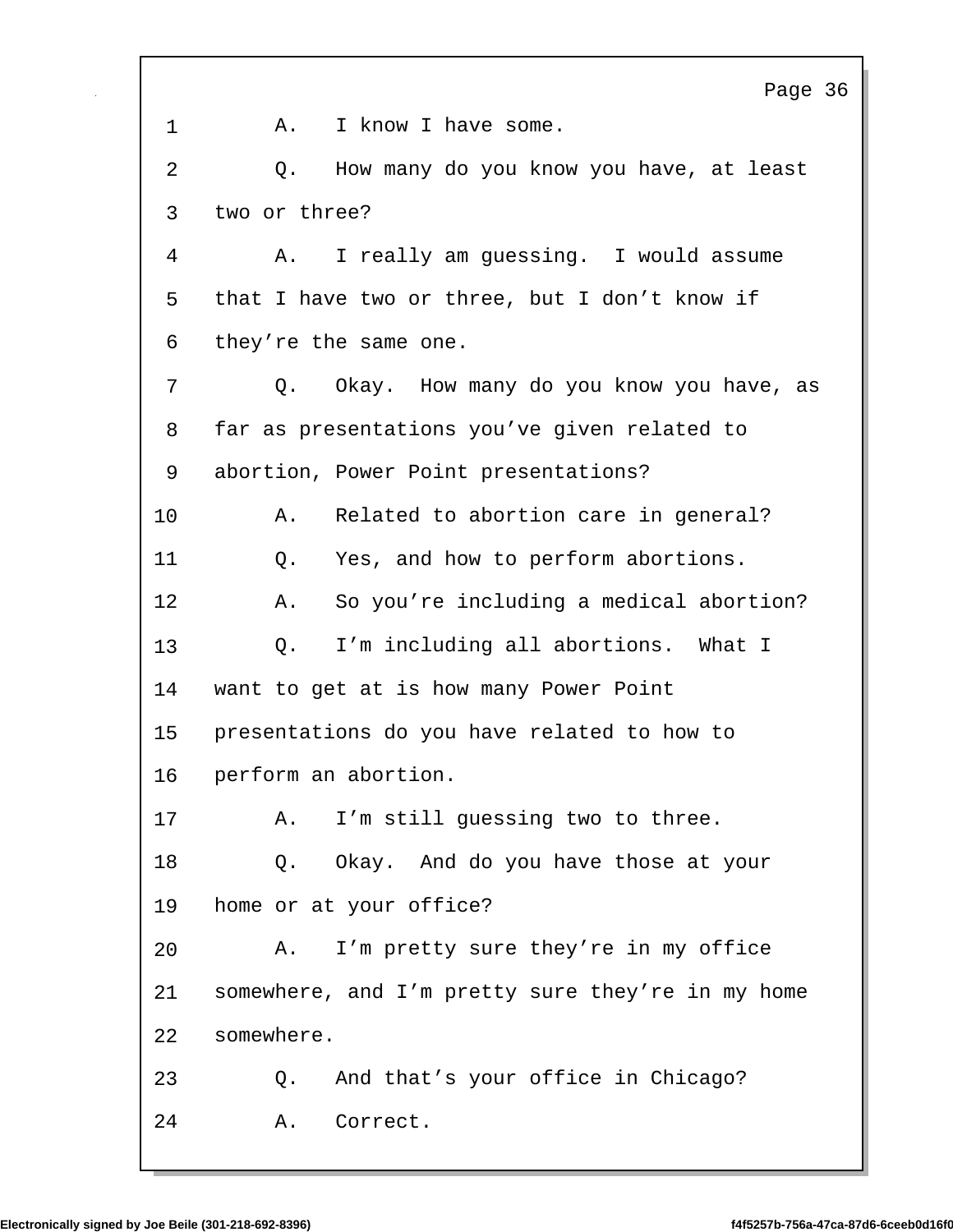Page 36 1 A. I know I have some. 2 Q. How many do you know you have, at least 3 two or three? 4 A. I really am guessing. I would assume 5 that I have two or three, but I don't know if 6 they're the same one. 7 Q. Okay. How many do you know you have, as 8 far as presentations you've given related to 9 abortion, Power Point presentations? 10 A. Related to abortion care in general? 11 Q. Yes, and how to perform abortions. 12 A. So you're including a medical abortion? 13 Q. I'm including all abortions. What I 14 want to get at is how many Power Point 15 presentations do you have related to how to 16 perform an abortion. 17 A. I'm still guessing two to three. 18 Q. Okay. And do you have those at your 19 home or at your office? 20 A. I'm pretty sure they're in my office 21 somewhere, and I'm pretty sure they're in my home 22 somewhere. 23 Q. And that's your office in Chicago? 24 A. Correct.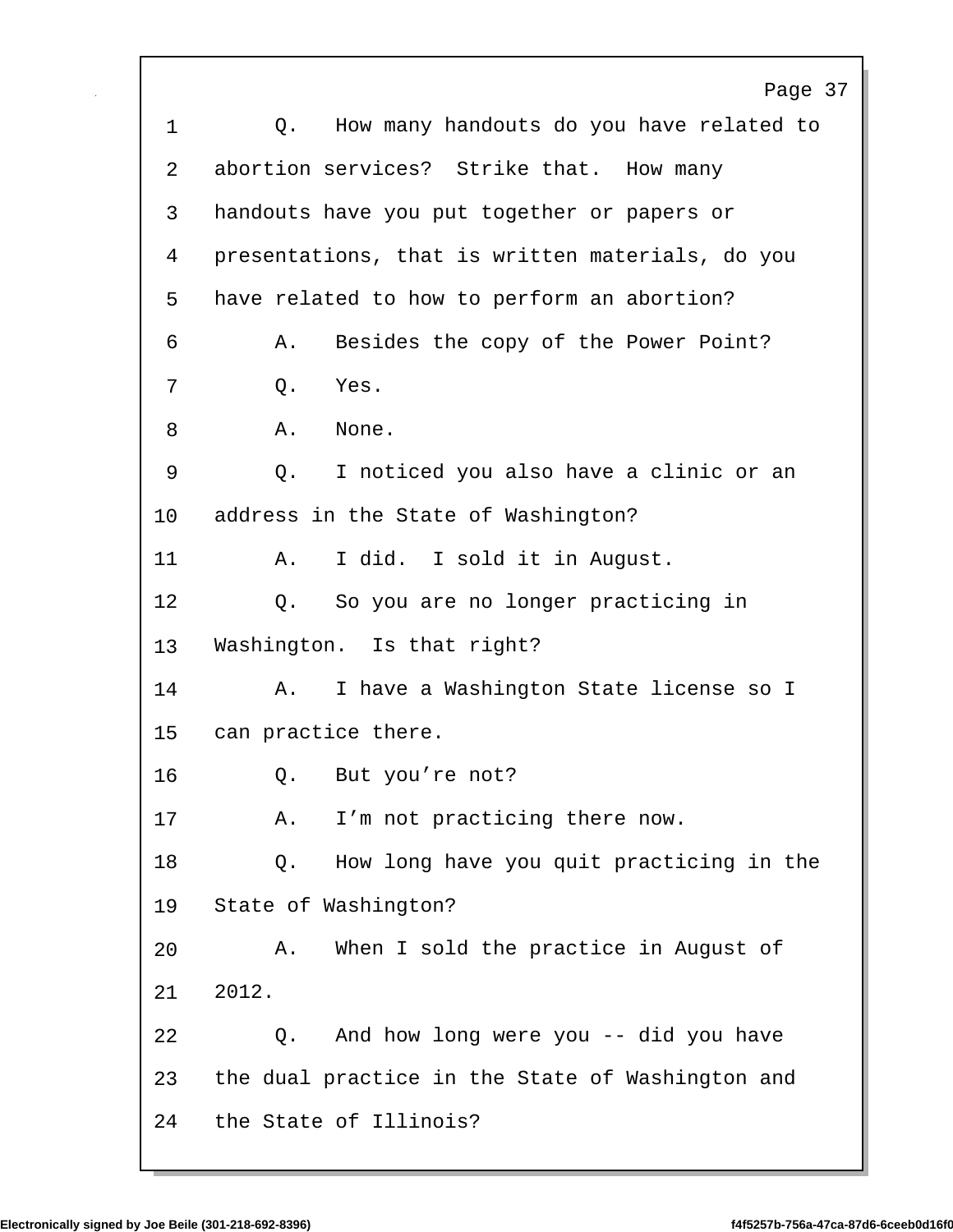Page 37 1 Q. How many handouts do you have related to 2 abortion services? Strike that. How many 3 handouts have you put together or papers or 4 presentations, that is written materials, do you 5 have related to how to perform an abortion? 6 A. Besides the copy of the Power Point? 7 Q. Yes. 8 A. None. 9 Q. I noticed you also have a clinic or an 10 address in the State of Washington? 11 A. I did. I sold it in August. 12 Q. So you are no longer practicing in 13 Washington. Is that right? 14 A. I have a Washington State license so I 15 can practice there. 16 Q. But you're not? 17 A. I'm not practicing there now. 18 Q. How long have you quit practicing in the 19 State of Washington? 20 A. When I sold the practice in August of 21 2012. 22 Q. And how long were you -- did you have 23 the dual practice in the State of Washington and 24 the State of Illinois?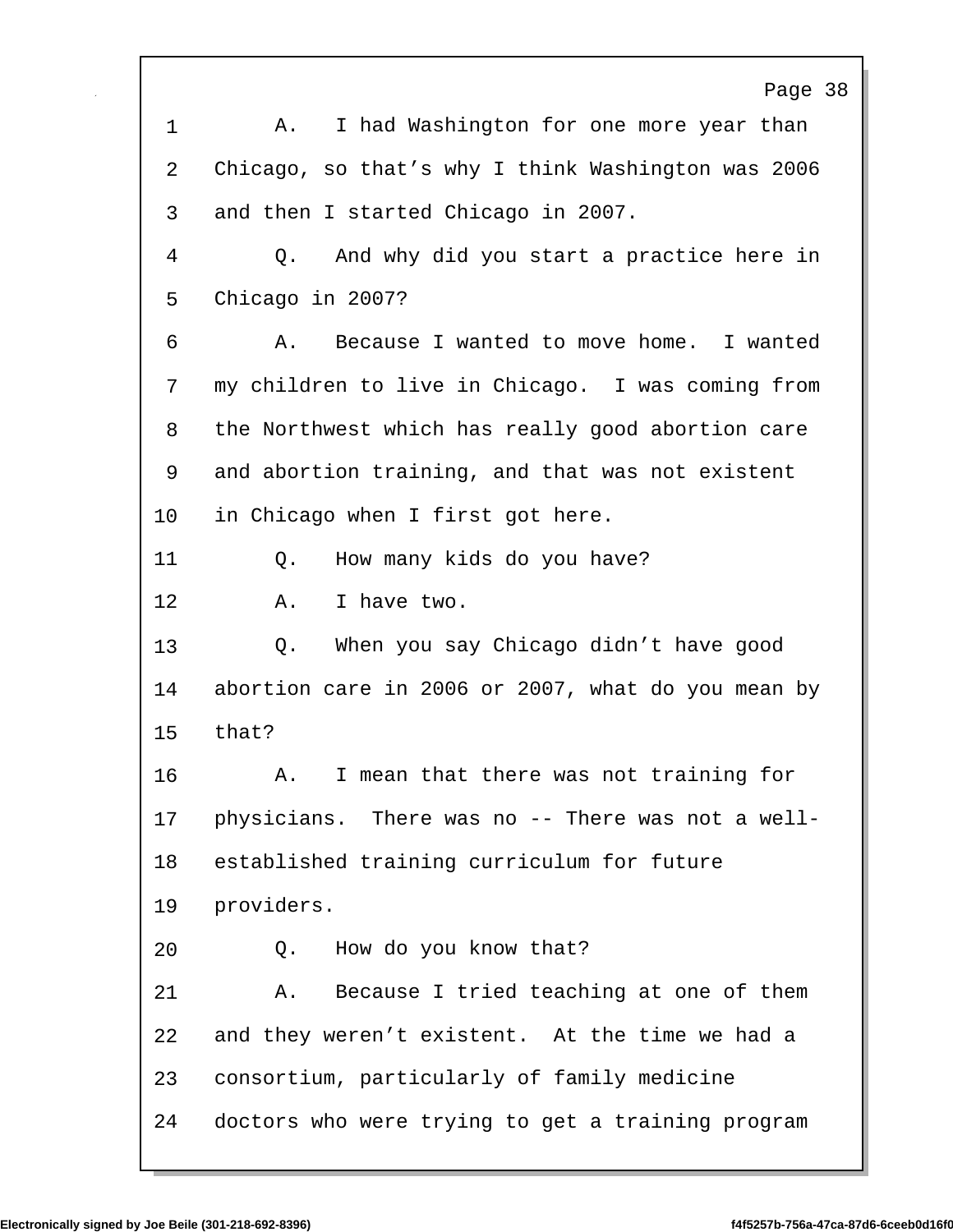Page 38 1 A. I had Washington for one more year than Chicago, so that's why I think Washington was 2006 and then I started Chicago in 2007. 4 Q. And why did you start a practice here in Chicago in 2007? 6 A. Because I wanted to move home. I wanted my children to live in Chicago. I was coming from the Northwest which has really good abortion care and abortion training, and that was not existent in Chicago when I first got here. 11 Q. How many kids do you have? 12 A. I have two. Q. When you say Chicago didn't have good abortion care in 2006 or 2007, what do you mean by that? 16 A. I mean that there was not training for physicians. There was no -- There was not a well- established training curriculum for future providers. 20 Q. How do you know that? 21 A. Because I tried teaching at one of them and they weren't existent. At the time we had a consortium, particularly of family medicine doctors who were trying to get a training program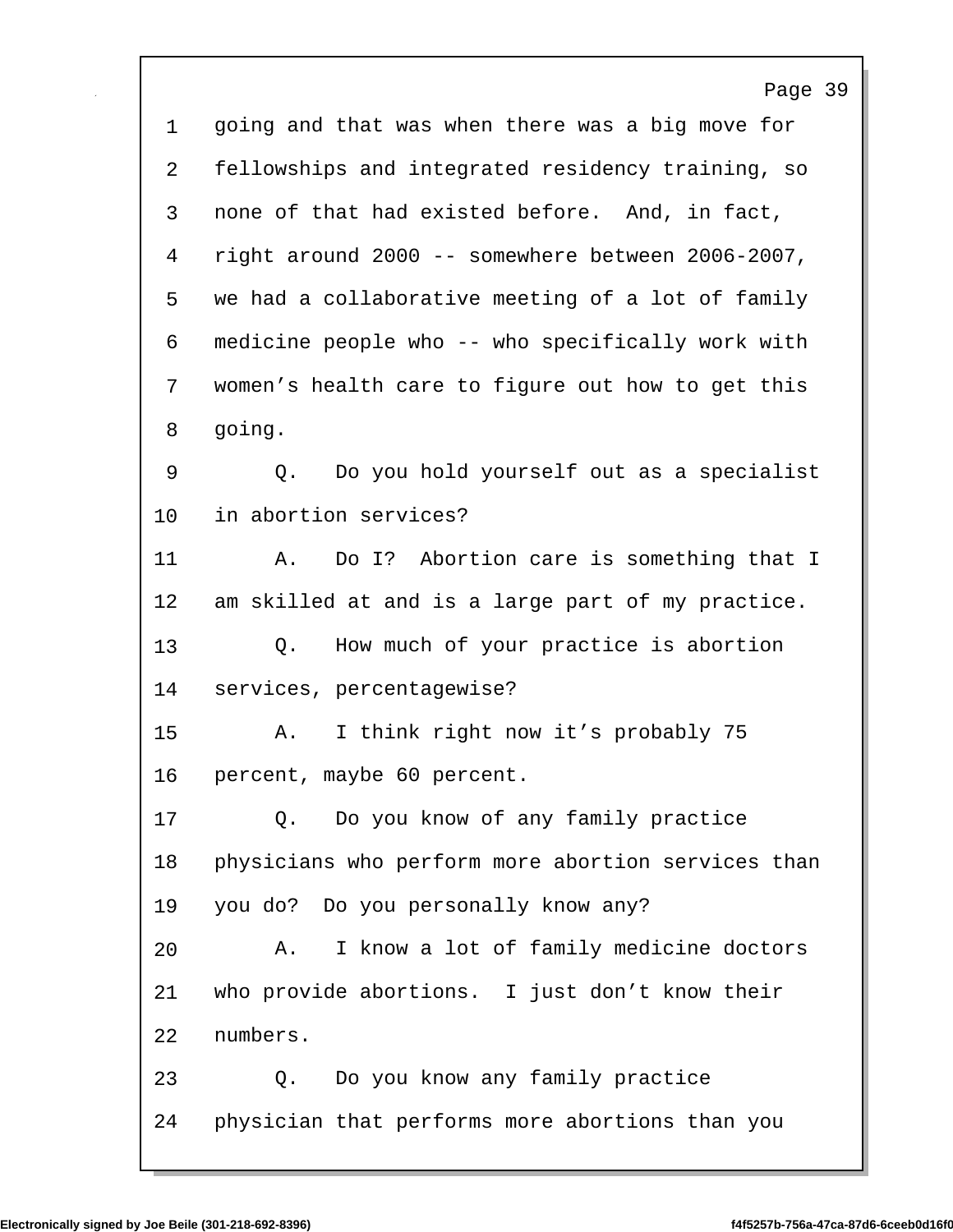Page 39 going and that was when there was a big move for fellowships and integrated residency training, so none of that had existed before. And, in fact, right around 2000 -- somewhere between 2006-2007, we had a collaborative meeting of a lot of family medicine people who -- who specifically work with women's health care to figure out how to get this going. 9 Q. Do you hold yourself out as a specialist in abortion services? 11 A. Do I? Abortion care is something that I am skilled at and is a large part of my practice. 13 Q. How much of your practice is abortion services, percentagewise? A. I think right now it's probably 75 percent, maybe 60 percent. 17 Q. Do you know of any family practice physicians who perform more abortion services than you do? Do you personally know any? 20 A. I know a lot of family medicine doctors who provide abortions. I just don't know their numbers. 23 Q. Do you know any family practice physician that performs more abortions than you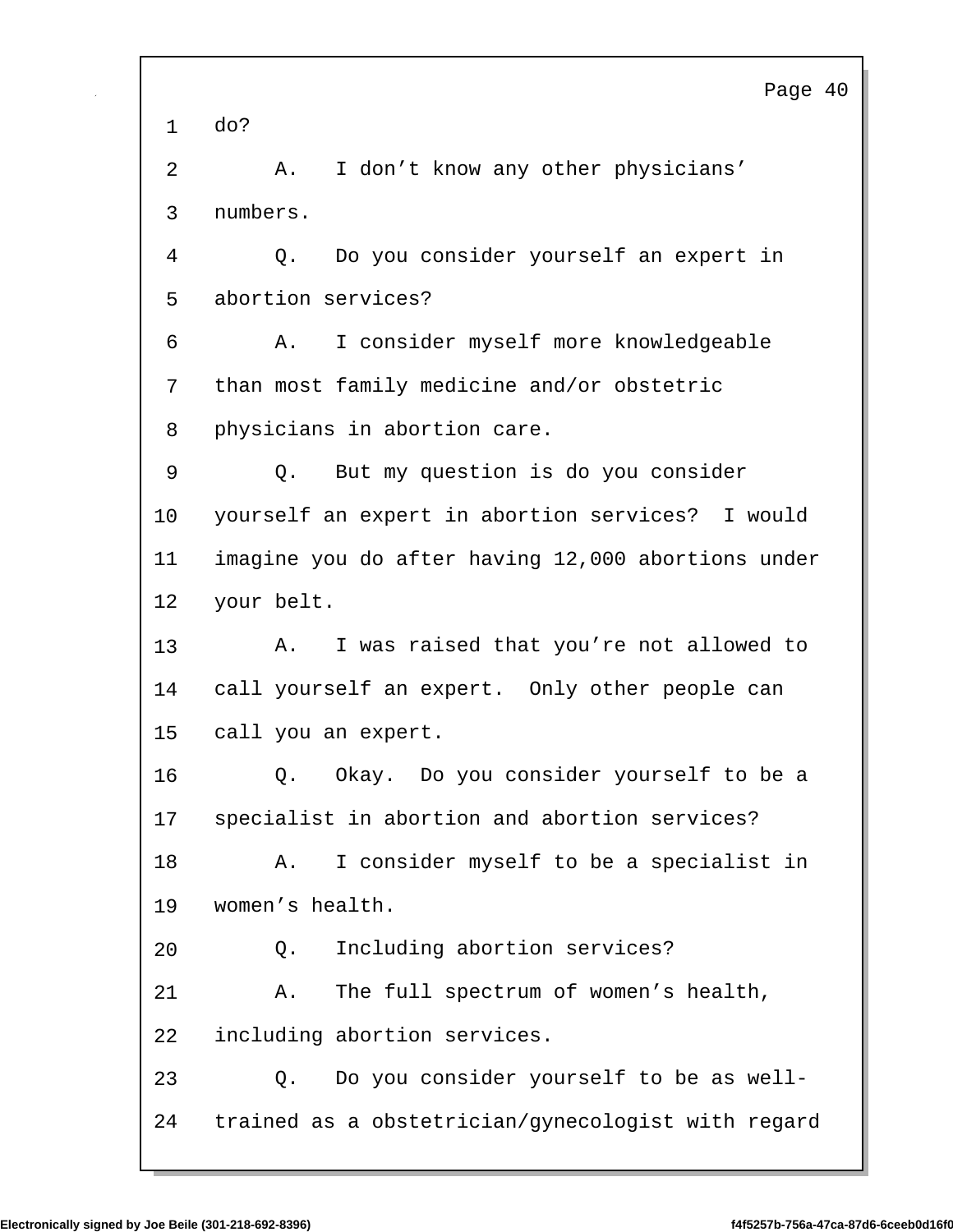do?

 A. I don't know any other physicians' numbers.

4 Q. Do you consider yourself an expert in abortion services?

6 A. I consider myself more knowledgeable than most family medicine and/or obstetric physicians in abortion care.

9 Q. But my question is do you consider yourself an expert in abortion services? I would imagine you do after having 12,000 abortions under your belt.

 A. I was raised that you're not allowed to call yourself an expert. Only other people can call you an expert.

16 Q. Okay. Do you consider yourself to be a specialist in abortion and abortion services?

18 A. I consider myself to be a specialist in women's health.

20 Q. Including abortion services?

 A. The full spectrum of women's health, including abortion services.

23 Q. Do you consider yourself to be as well-trained as a obstetrician/gynecologist with regard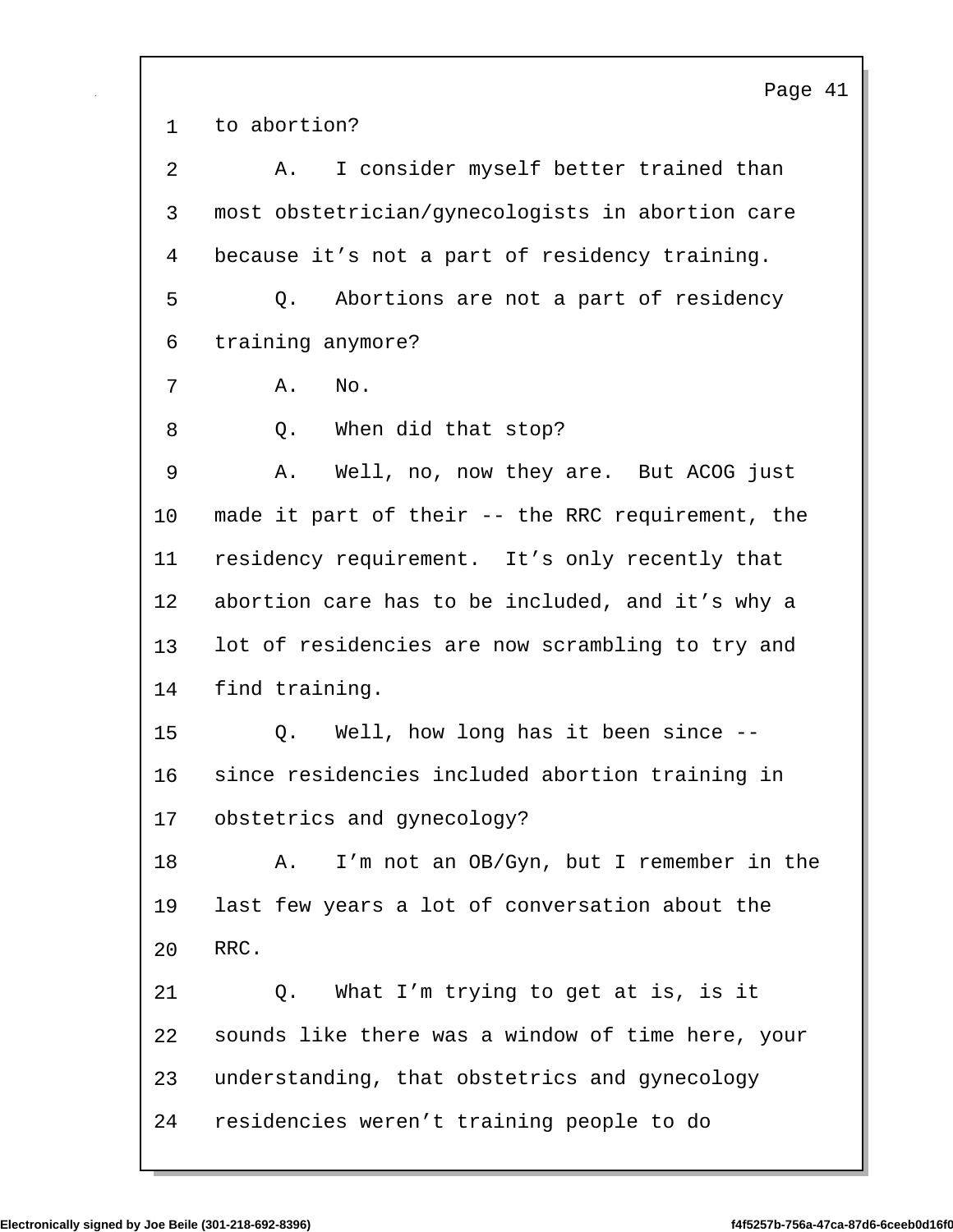Page 41 to abortion? 2 A. I consider myself better trained than most obstetrician/gynecologists in abortion care because it's not a part of residency training. 5 Q. Abortions are not a part of residency training anymore? 7 A. No. 8 Q. When did that stop? 9 A. Well, no, now they are. But ACOG just made it part of their -- the RRC requirement, the residency requirement. It's only recently that abortion care has to be included, and it's why a lot of residencies are now scrambling to try and find training. 15 Q. Well, how long has it been since -- since residencies included abortion training in obstetrics and gynecology? A. I'm not an OB/Gyn, but I remember in the last few years a lot of conversation about the RRC. Q. What I'm trying to get at is, is it sounds like there was a window of time here, your understanding, that obstetrics and gynecology residencies weren't training people to do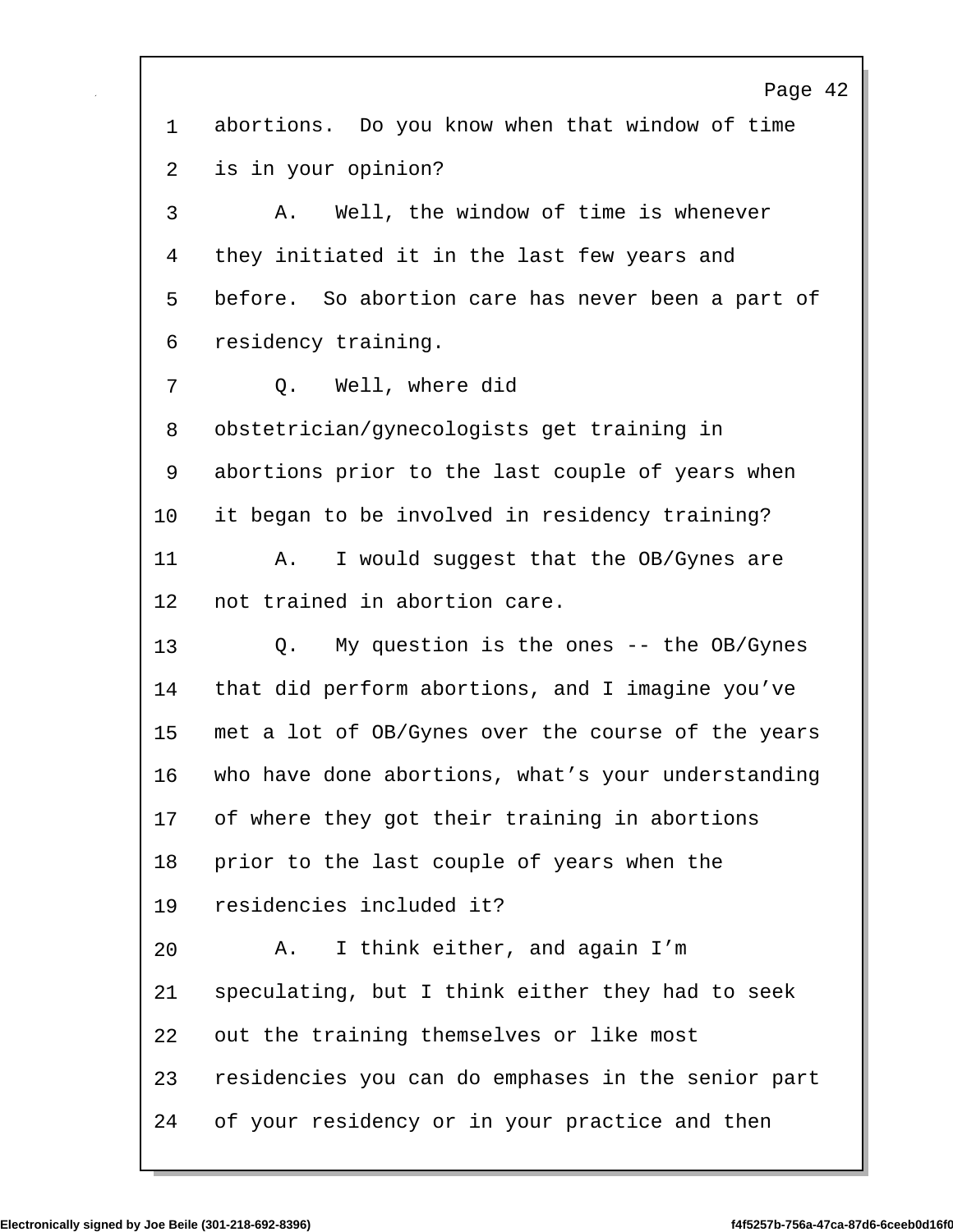is in your opinion? 3 A. Well, the window of time is whenever they initiated it in the last few years and before. So abortion care has never been a part of residency training. 7 Q. Well, where did obstetrician/gynecologists get training in abortions prior to the last couple of years when it began to be involved in residency training? 11 A. I would suggest that the OB/Gynes are not trained in abortion care. 13 Q. My question is the ones -- the OB/Gynes that did perform abortions, and I imagine you've met a lot of OB/Gynes over the course of the years who have done abortions, what's your understanding of where they got their training in abortions prior to the last couple of years when the residencies included it? A. I think either, and again I'm speculating, but I think either they had to seek out the training themselves or like most residencies you can do emphases in the senior part

abortions. Do you know when that window of time

of your residency or in your practice and then

Page 42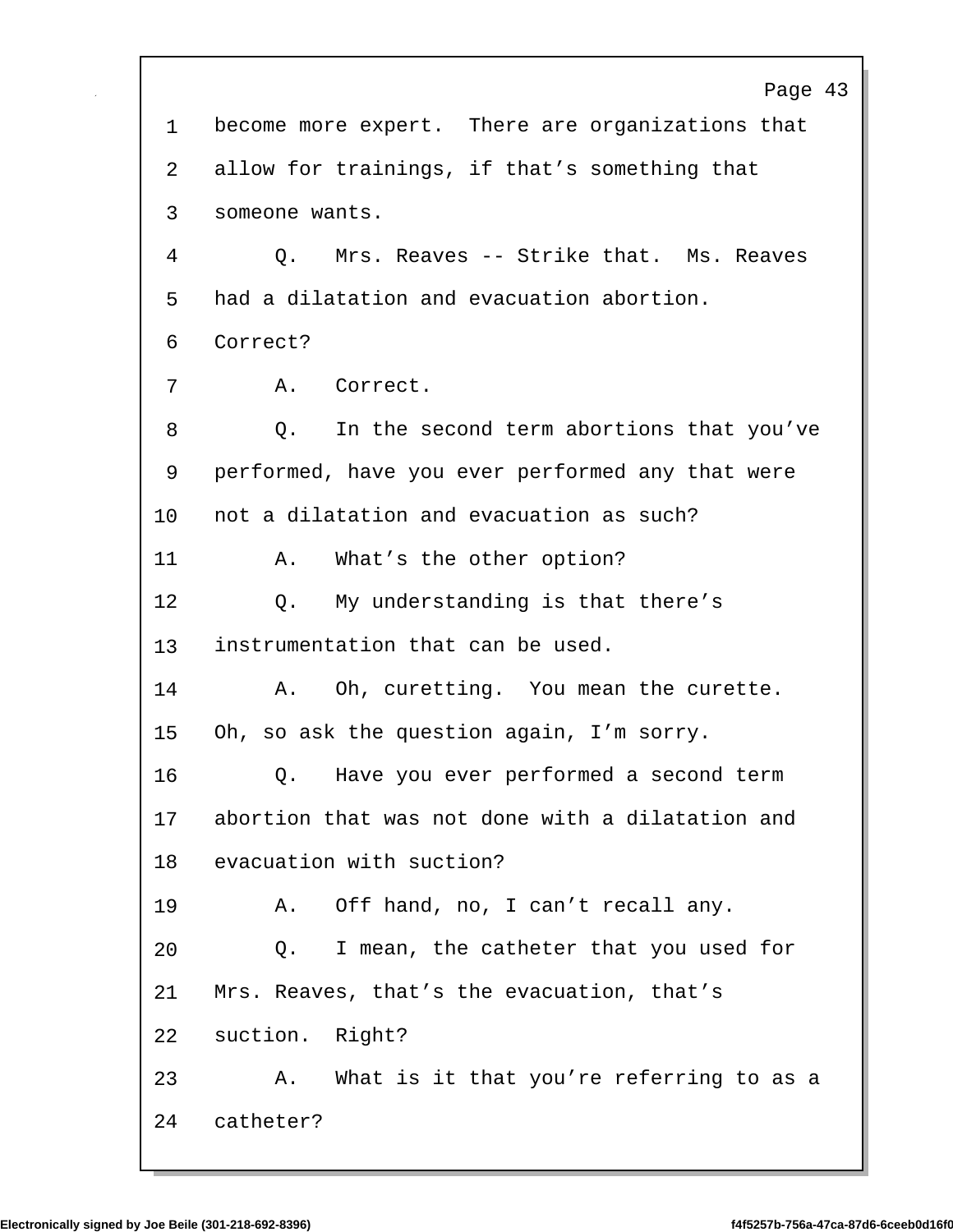Page 43 become more expert. There are organizations that allow for trainings, if that's something that someone wants. 4 Q. Mrs. Reaves -- Strike that. Ms. Reaves had a dilatation and evacuation abortion. Correct? 7 A. Correct. Q. In the second term abortions that you've performed, have you ever performed any that were not a dilatation and evacuation as such? A. What's the other option? Q. My understanding is that there's instrumentation that can be used. 14 A. Oh, curetting. You mean the curette. Oh, so ask the question again, I'm sorry. 16 Q. Have you ever performed a second term abortion that was not done with a dilatation and evacuation with suction? A. Off hand, no, I can't recall any. 20 Q. I mean, the catheter that you used for Mrs. Reaves, that's the evacuation, that's suction. Right? A. What is it that you're referring to as a catheter?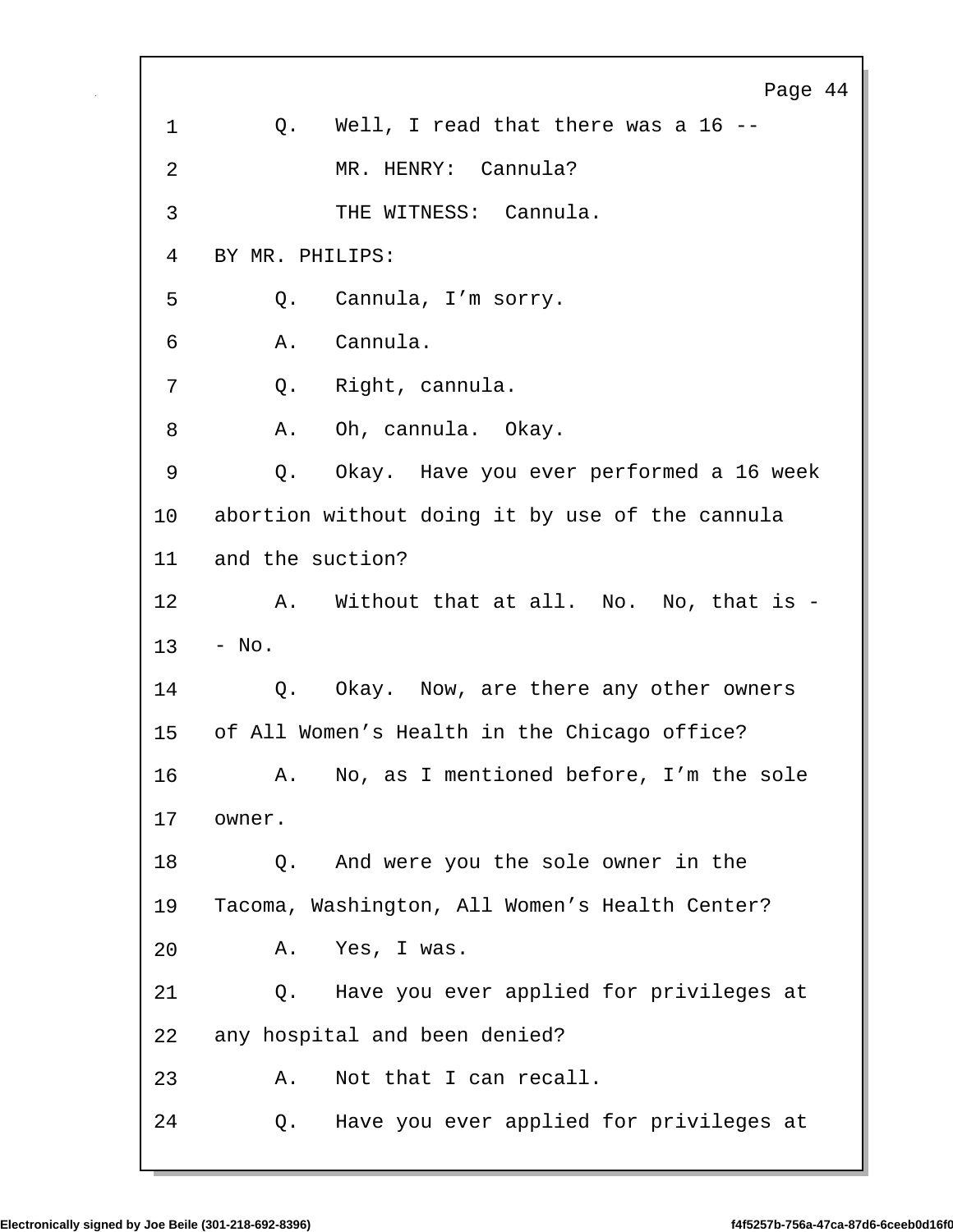Page 44 1 Q. Well, I read that there was a 16 -- 2 MR. HENRY: Cannula? 3 THE WITNESS: Cannula. 4 BY MR. PHILIPS: 5 Q. Cannula, I'm sorry. 6 A. Cannula. 7 Q. Right, cannula. 8 A. Oh, cannula. Okay. 9 Q. Okay. Have you ever performed a 16 week 10 abortion without doing it by use of the cannula 11 and the suction? 12 A. Without that at all. No. No, that is -  $13 - N$ o. 14 Q. Okay. Now, are there any other owners 15 of All Women's Health in the Chicago office? 16 A. No, as I mentioned before, I'm the sole 17 owner. 18 Q. And were you the sole owner in the 19 Tacoma, Washington, All Women's Health Center? 20 A. Yes, I was. 21 Q. Have you ever applied for privileges at 22 any hospital and been denied? 23 A. Not that I can recall. 24 Q. Have you ever applied for privileges at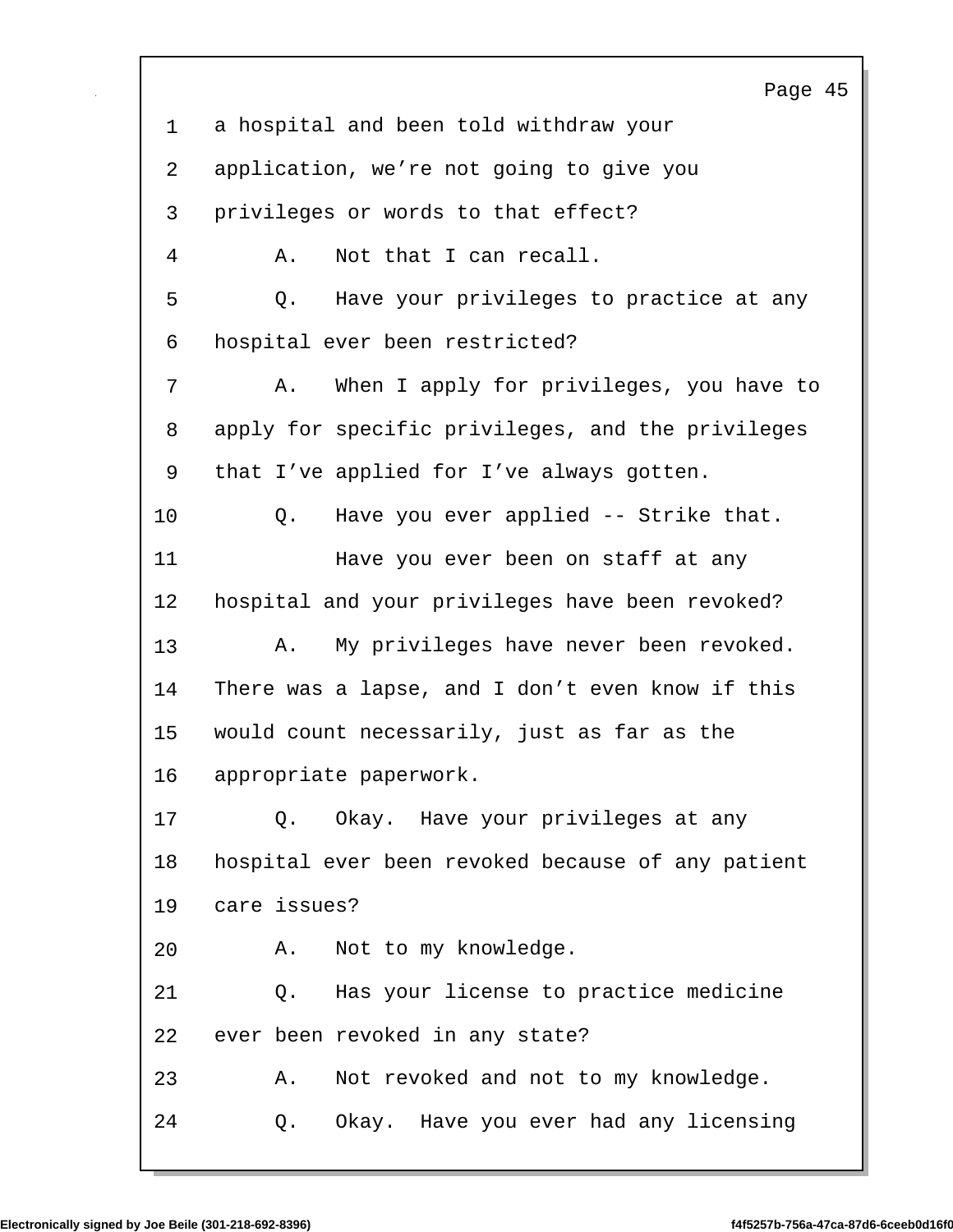Page 45 1 a hospital and been told withdraw your 2 application, we're not going to give you 3 privileges or words to that effect? 4 A. Not that I can recall. 5 Q. Have your privileges to practice at any 6 hospital ever been restricted? 7 A. When I apply for privileges, you have to 8 apply for specific privileges, and the privileges 9 that I've applied for I've always gotten. 10 Q. Have you ever applied -- Strike that. 11 Have you ever been on staff at any 12 hospital and your privileges have been revoked? 13 A. My privileges have never been revoked. 14 There was a lapse, and I don't even know if this 15 would count necessarily, just as far as the 16 appropriate paperwork. 17 Q. Okay. Have your privileges at any 18 hospital ever been revoked because of any patient 19 care issues? 20 A. Not to my knowledge. 21 Q. Has your license to practice medicine 22 ever been revoked in any state? 23 A. Not revoked and not to my knowledge. 24 Q. Okay. Have you ever had any licensing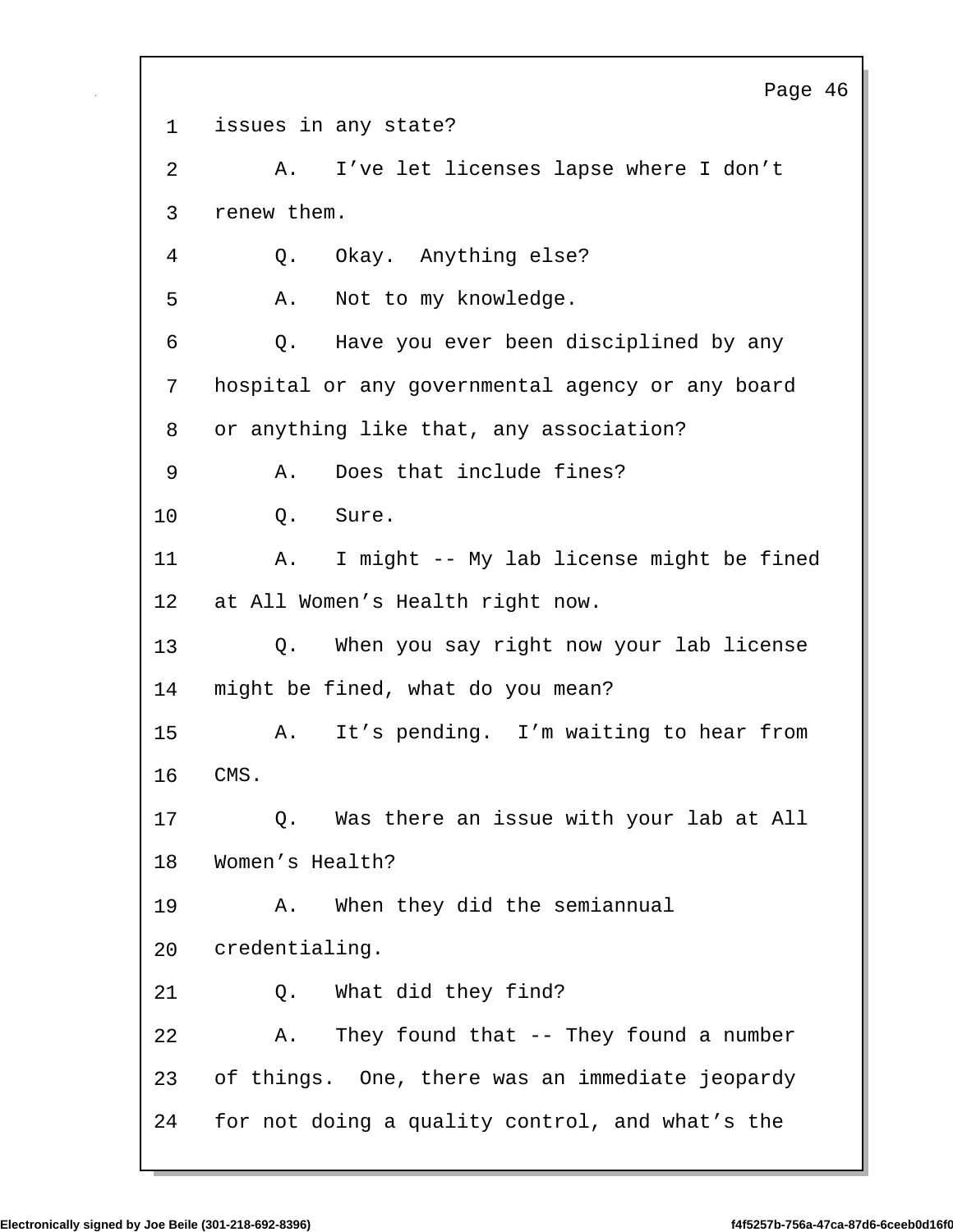Page 46 1 issues in any state? 2 A. I've let licenses lapse where I don't 3 renew them. 4 Q. Okay. Anything else? 5 A. Not to my knowledge. 6 Q. Have you ever been disciplined by any 7 hospital or any governmental agency or any board 8 or anything like that, any association? 9 A. Does that include fines? 10 Q. Sure. 11 A. I might -- My lab license might be fined 12 at All Women's Health right now. 13 Q. When you say right now your lab license 14 might be fined, what do you mean? 15 A. It's pending. I'm waiting to hear from 16 CMS. 17 Q. Was there an issue with your lab at All 18 Women's Health? 19 A. When they did the semiannual 20 credentialing. 21 Q. What did they find? 22 A. They found that -- They found a number 23 of things. One, there was an immediate jeopardy 24 for not doing a quality control, and what's the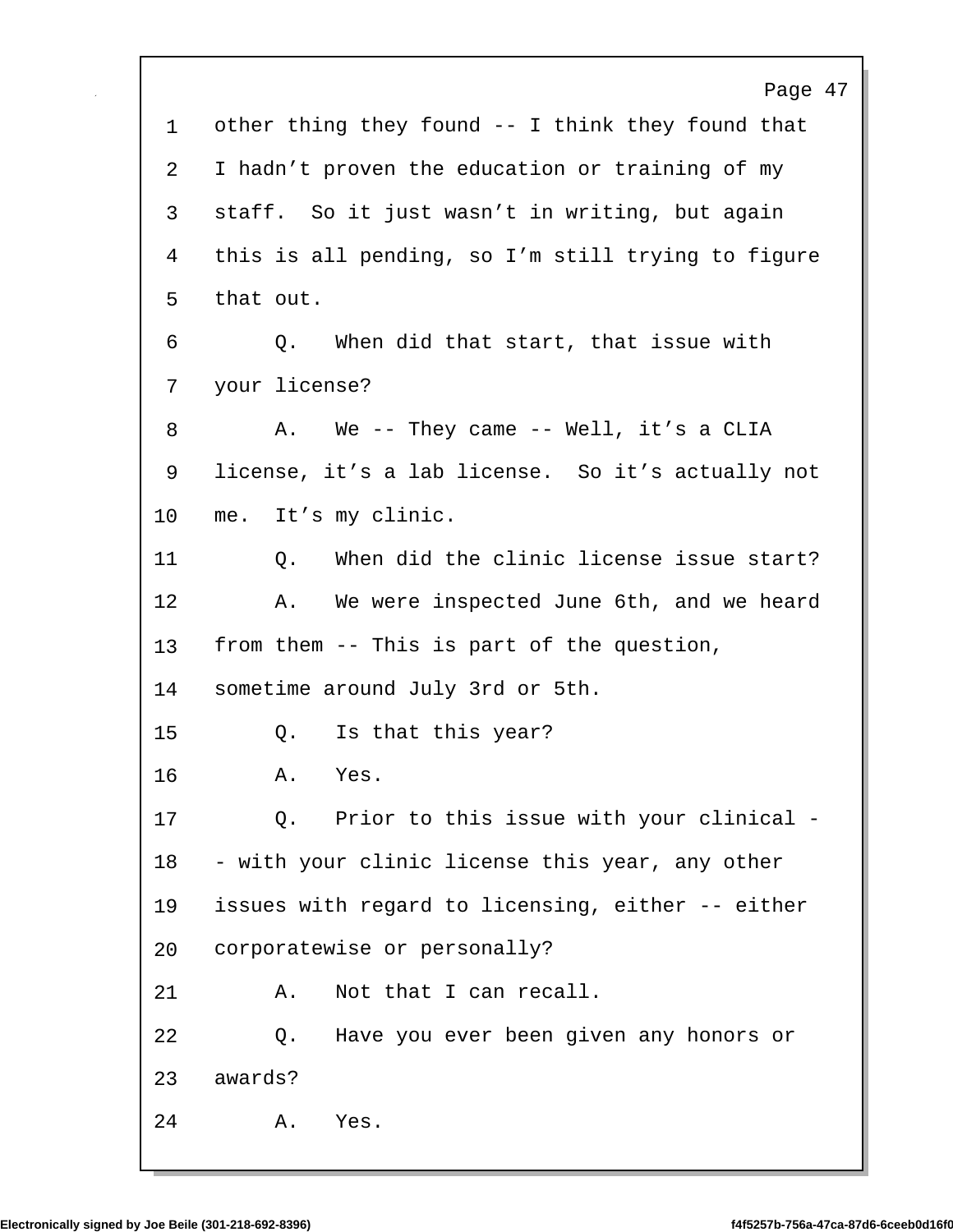|                | Page 47                                            |  |
|----------------|----------------------------------------------------|--|
| $\mathbf{1}$   | other thing they found -- I think they found that  |  |
| $\overline{2}$ | I hadn't proven the education or training of my    |  |
| $\mathsf{3}$   | staff. So it just wasn't in writing, but again     |  |
| 4              | this is all pending, so I'm still trying to figure |  |
| 5              | that out.                                          |  |
| 6              | When did that start, that issue with<br>Q.         |  |
| 7              | your license?                                      |  |
| 8              | We -- They came -- Well, it's a CLIA<br>Α.         |  |
| 9              | license, it's a lab license. So it's actually not  |  |
| 10             | me. It's my clinic.                                |  |
| 11             | When did the clinic license issue start?<br>Q.     |  |
| 12             | We were inspected June 6th, and we heard<br>Α.     |  |
| 13             | from them -- This is part of the question,         |  |
| 14             | sometime around July 3rd or 5th.                   |  |
| 15             | Is that this year?<br>Q.                           |  |
| 16             | Α.<br>Yes.                                         |  |
| 17             | Q. Prior to this issue with your clinical -        |  |
| 18             | - with your clinic license this year, any other    |  |
| 19             | issues with regard to licensing, either -- either  |  |
| 20             | corporatewise or personally?                       |  |
| 21             | Not that I can recall.<br>Α.                       |  |
| 22             | Have you ever been given any honors or<br>Q.       |  |
| 23             | awards?                                            |  |
| 24             | Yes.<br>Α.                                         |  |
|                |                                                    |  |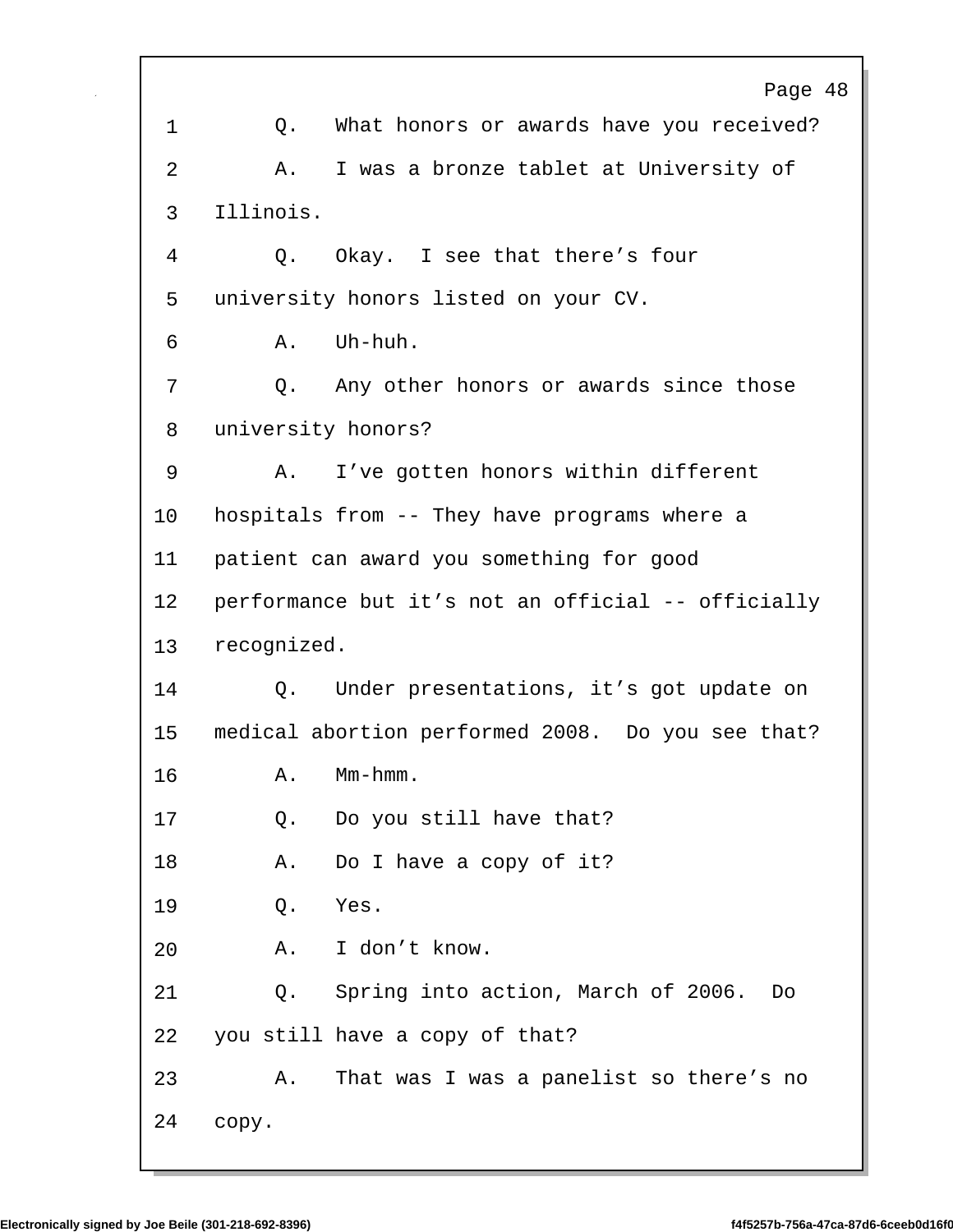Page 48 1 Q. What honors or awards have you received? 2 A. I was a bronze tablet at University of 3 Illinois. 4 Q. Okay. I see that there's four 5 university honors listed on your CV. 6 A. Uh-huh. 7 Q. Any other honors or awards since those 8 university honors? 9 A. I've gotten honors within different 10 hospitals from -- They have programs where a 11 patient can award you something for good 12 performance but it's not an official -- officially 13 recognized. 14 Q. Under presentations, it's got update on 15 medical abortion performed 2008. Do you see that? 16 A. Mm-hmm. 17 Q. Do you still have that? 18 A. Do I have a copy of it? 19 Q. Yes. 20 A. I don't know. 21 Q. Spring into action, March of 2006. Do 22 you still have a copy of that? 23 A. That was I was a panelist so there's no 24 copy.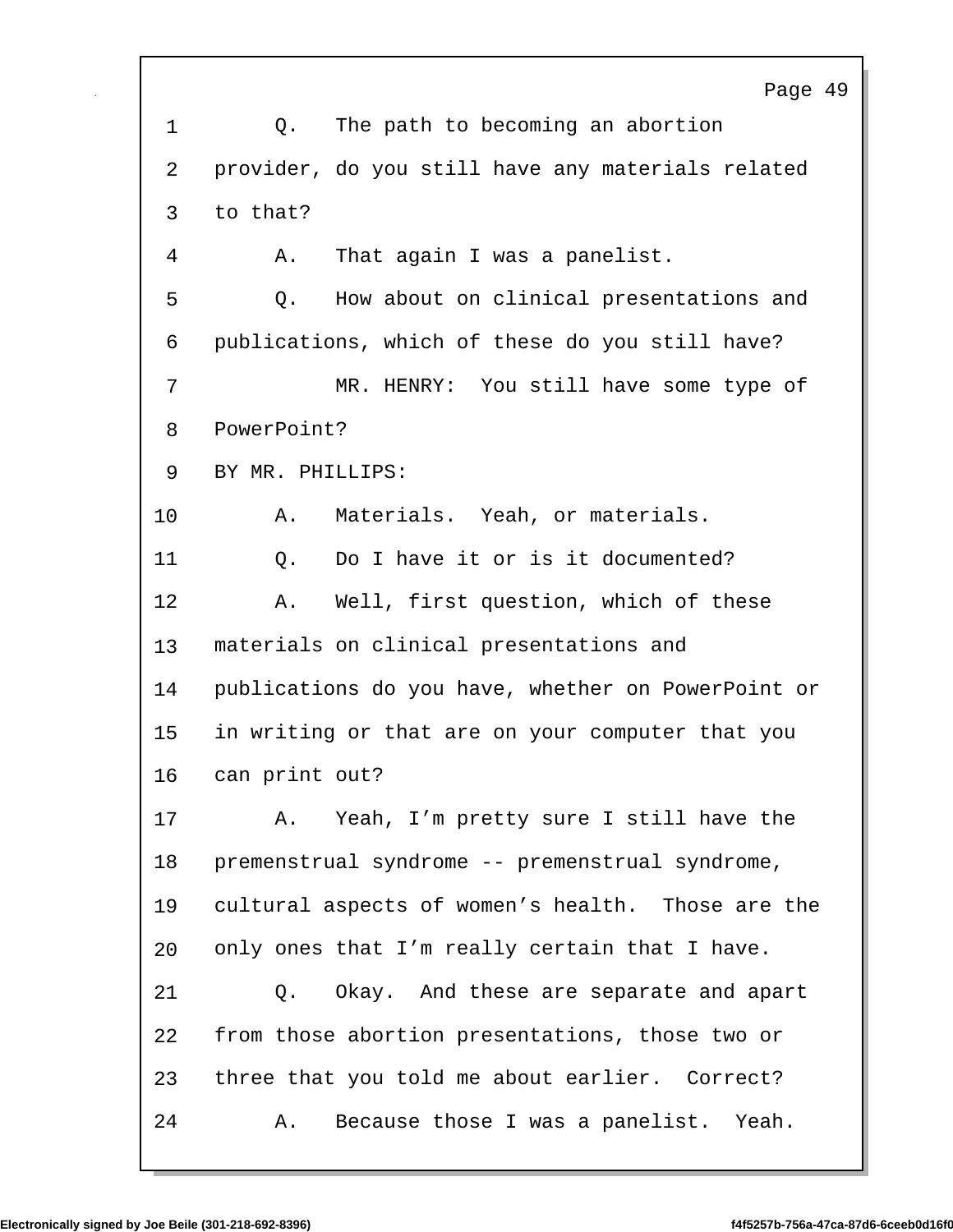Page 49 1 Q. The path to becoming an abortion 2 provider, do you still have any materials related 3 to that? 4 A. That again I was a panelist. 5 Q. How about on clinical presentations and 6 publications, which of these do you still have? 7 MR. HENRY: You still have some type of 8 PowerPoint? 9 BY MR. PHILLIPS: 10 A. Materials. Yeah, or materials. 11 0. Do I have it or is it documented? 12 A. Well, first question, which of these 13 materials on clinical presentations and 14 publications do you have, whether on PowerPoint or 15 in writing or that are on your computer that you 16 can print out? 17 A. Yeah, I'm pretty sure I still have the 18 premenstrual syndrome -- premenstrual syndrome, 19 cultural aspects of women's health. Those are the 20 only ones that I'm really certain that I have. 21 Q. Okay. And these are separate and apart 22 from those abortion presentations, those two or 23 three that you told me about earlier. Correct? 24 A. Because those I was a panelist. Yeah.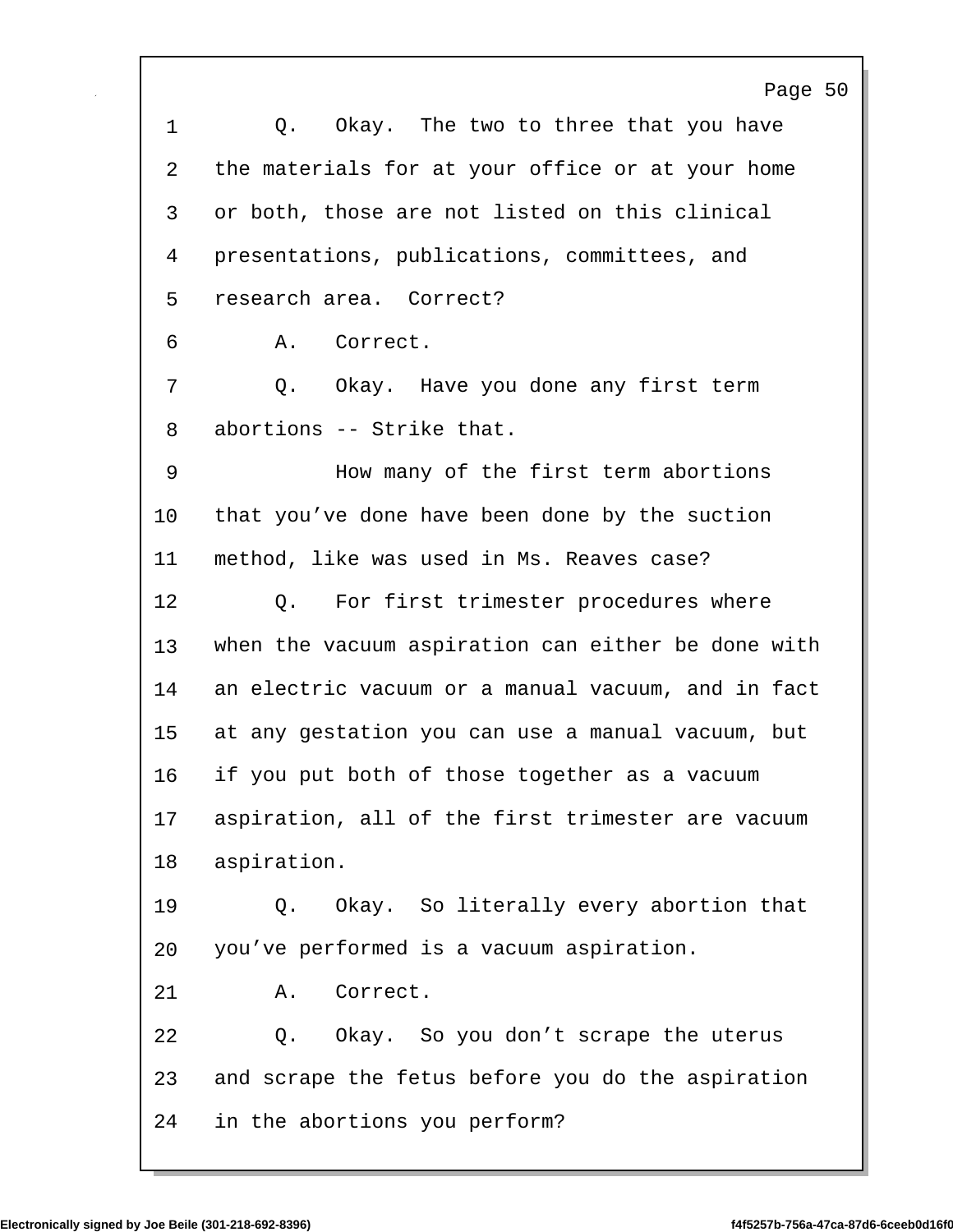Page 50 1 Q. Okay. The two to three that you have the materials for at your office or at your home or both, those are not listed on this clinical presentations, publications, committees, and research area. Correct? 6 A. Correct. 7 Q. Okay. Have you done any first term abortions -- Strike that. 9 How many of the first term abortions that you've done have been done by the suction method, like was used in Ms. Reaves case? 12 Q. For first trimester procedures where when the vacuum aspiration can either be done with an electric vacuum or a manual vacuum, and in fact at any gestation you can use a manual vacuum, but if you put both of those together as a vacuum aspiration, all of the first trimester are vacuum aspiration. 19 Q. Okay. So literally every abortion that you've performed is a vacuum aspiration. 21 A. Correct. Q. Okay. So you don't scrape the uterus and scrape the fetus before you do the aspiration in the abortions you perform?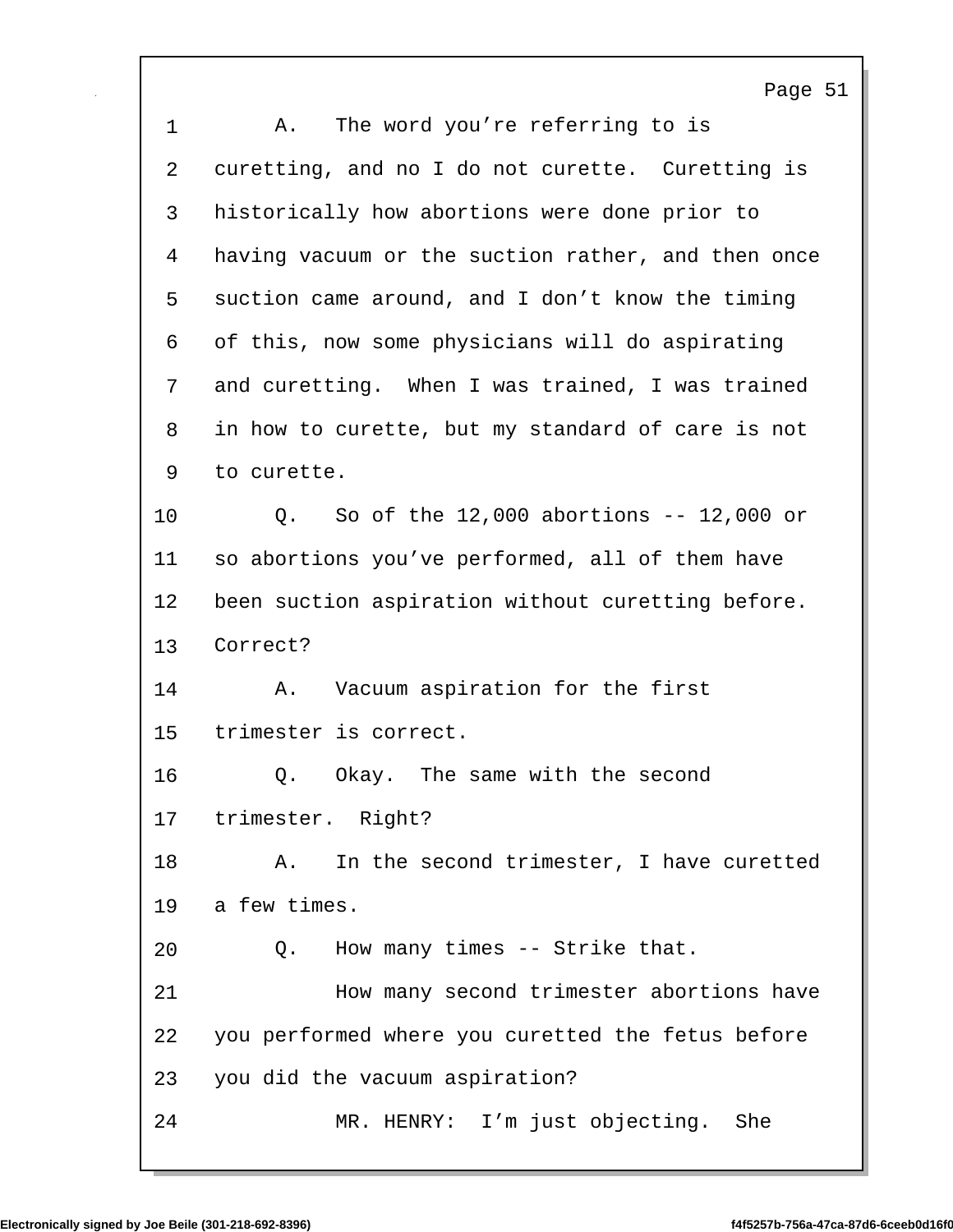Page 51 A. The word you're referring to is curetting, and no I do not curette. Curetting is historically how abortions were done prior to having vacuum or the suction rather, and then once suction came around, and I don't know the timing of this, now some physicians will do aspirating and curetting. When I was trained, I was trained in how to curette, but my standard of care is not to curette. 10 Q. So of the 12,000 abortions -- 12,000 or so abortions you've performed, all of them have been suction aspiration without curetting before. Correct? 14 A. Vacuum aspiration for the first trimester is correct. 16 Q. Okay. The same with the second trimester. Right? 18 A. In the second trimester, I have curetted a few times. 20 Q. How many times -- Strike that. 21 How many second trimester abortions have you performed where you curetted the fetus before you did the vacuum aspiration? MR. HENRY: I'm just objecting. She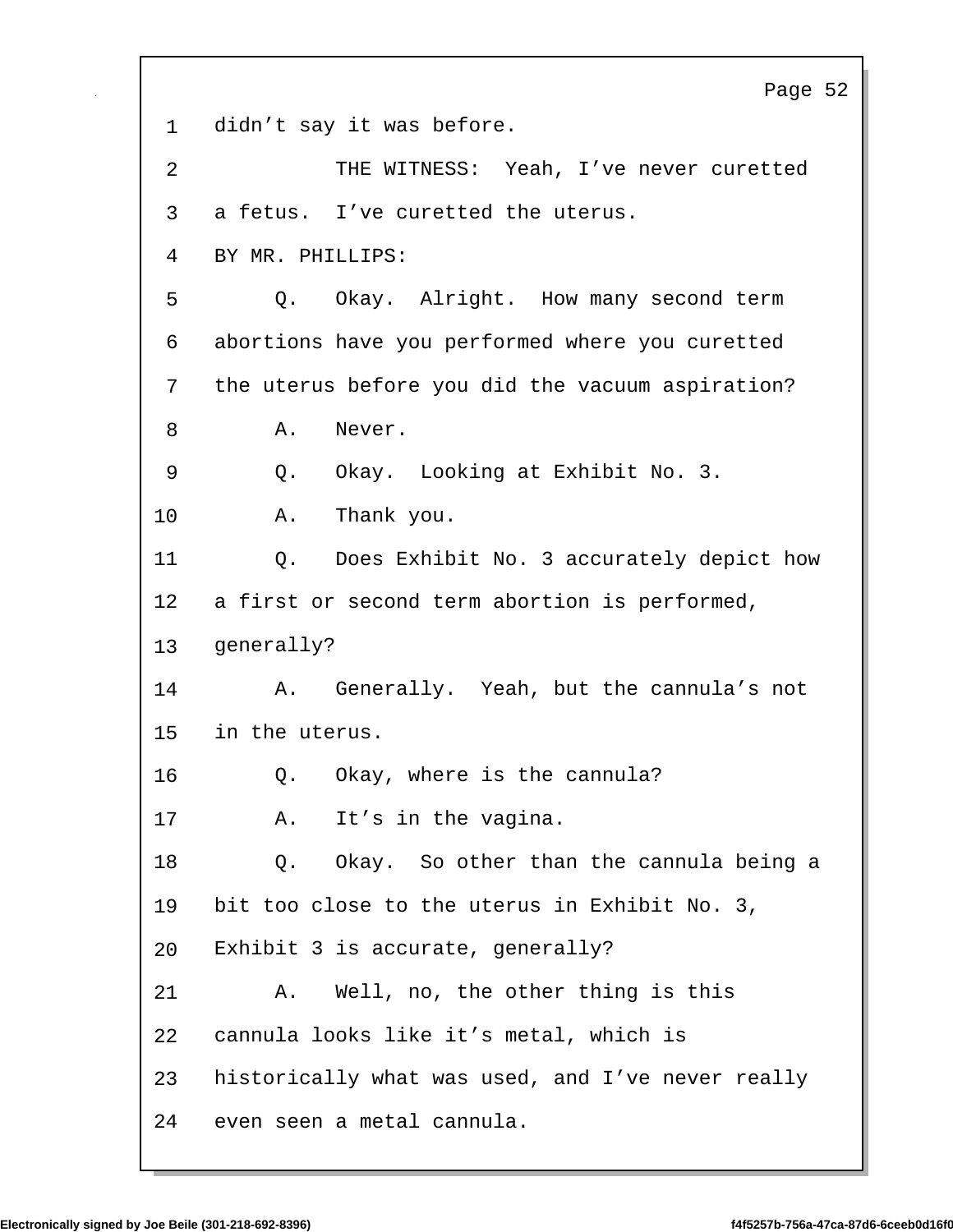|                | Page 52                                           |
|----------------|---------------------------------------------------|
| $\mathbf{1}$   | didn't say it was before.                         |
| $\overline{2}$ | THE WITNESS: Yeah, I've never curetted            |
| $\mathsf{3}$   | a fetus. I've curetted the uterus.                |
| 4              | BY MR. PHILLIPS:                                  |
| 5              | Q. Okay. Alright. How many second term            |
| 6              | abortions have you performed where you curetted   |
| 7              | the uterus before you did the vacuum aspiration?  |
| 8              | Never.<br>Α.                                      |
| 9              | Q. Okay. Looking at Exhibit No. 3.                |
| 10             | Thank you.<br>Α.                                  |
| 11             | Does Exhibit No. 3 accurately depict how<br>Q.    |
| 12             | a first or second term abortion is performed,     |
| 13             | generally?                                        |
| 14             | Generally. Yeah, but the cannula's not<br>A.      |
| 15             | in the uterus.                                    |
| 16             | Okay, where is the cannula?<br>Q.                 |
| 17             | It's in the vagina.<br>A.                         |
| 18             | Q. Okay. So other than the cannula being a        |
| 19             | bit too close to the uterus in Exhibit No. 3,     |
| 20             | Exhibit 3 is accurate, generally?                 |
| 21             | Well, no, the other thing is this<br>Α.           |
| 22             | cannula looks like it's metal, which is           |
| 23             | historically what was used, and I've never really |
| 24             | even seen a metal cannula.                        |
|                |                                                   |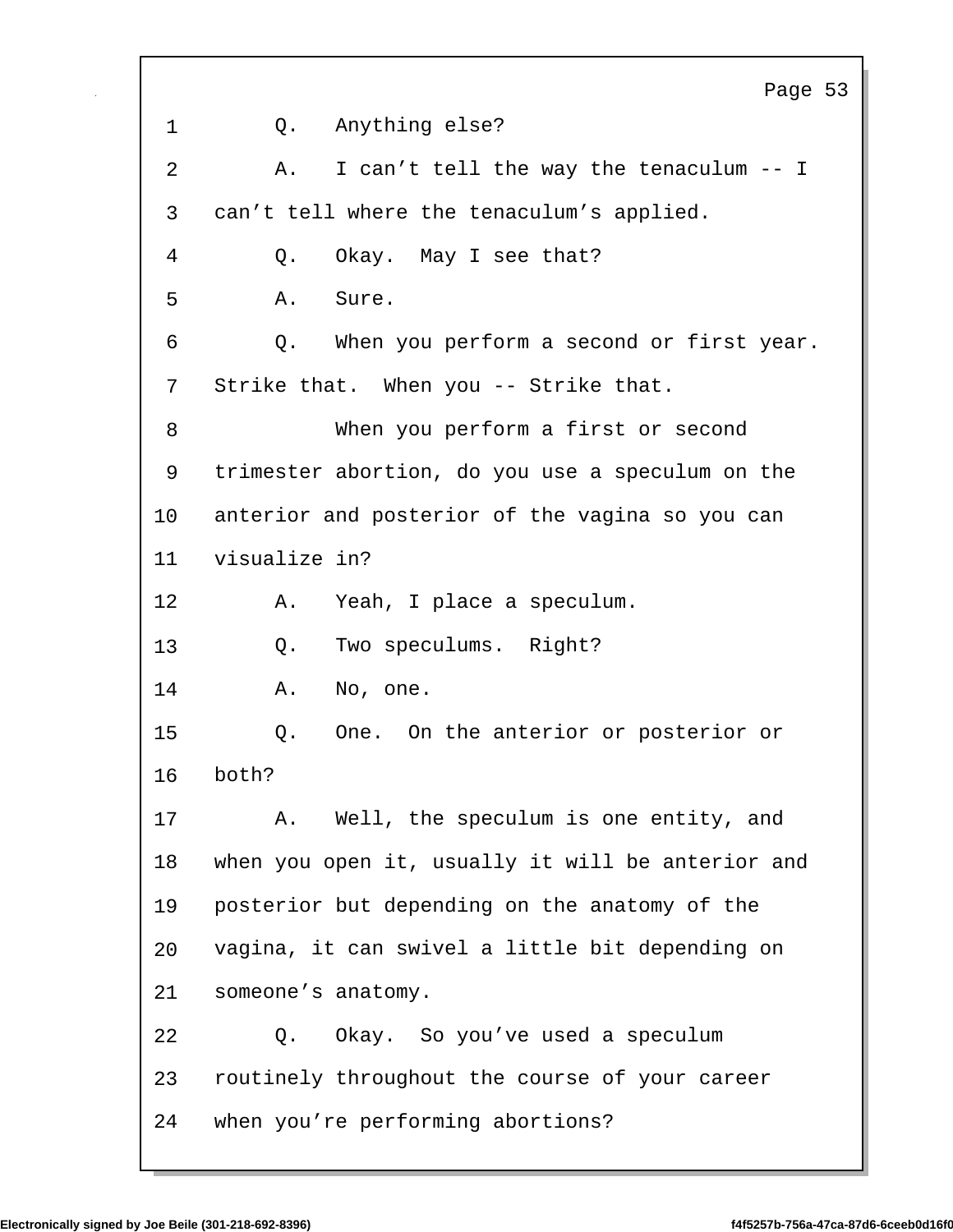Page 53 1 Q. Anything else? 2 A. I can't tell the way the tenaculum -- I 3 can't tell where the tenaculum's applied. 4 Q. Okay. May I see that? 5 A. Sure. 6 Q. When you perform a second or first year. 7 Strike that. When you -- Strike that. 8 When you perform a first or second 9 trimester abortion, do you use a speculum on the 10 anterior and posterior of the vagina so you can 11 visualize in? 12 A. Yeah, I place a speculum. 13 Q. Two speculums. Right? 14 A. No, one. 15 Q. One. On the anterior or posterior or 16 both? 17 A. Well, the speculum is one entity, and 18 when you open it, usually it will be anterior and 19 posterior but depending on the anatomy of the 20 vagina, it can swivel a little bit depending on 21 someone's anatomy. 22 Q. Okay. So you've used a speculum 23 routinely throughout the course of your career 24 when you're performing abortions?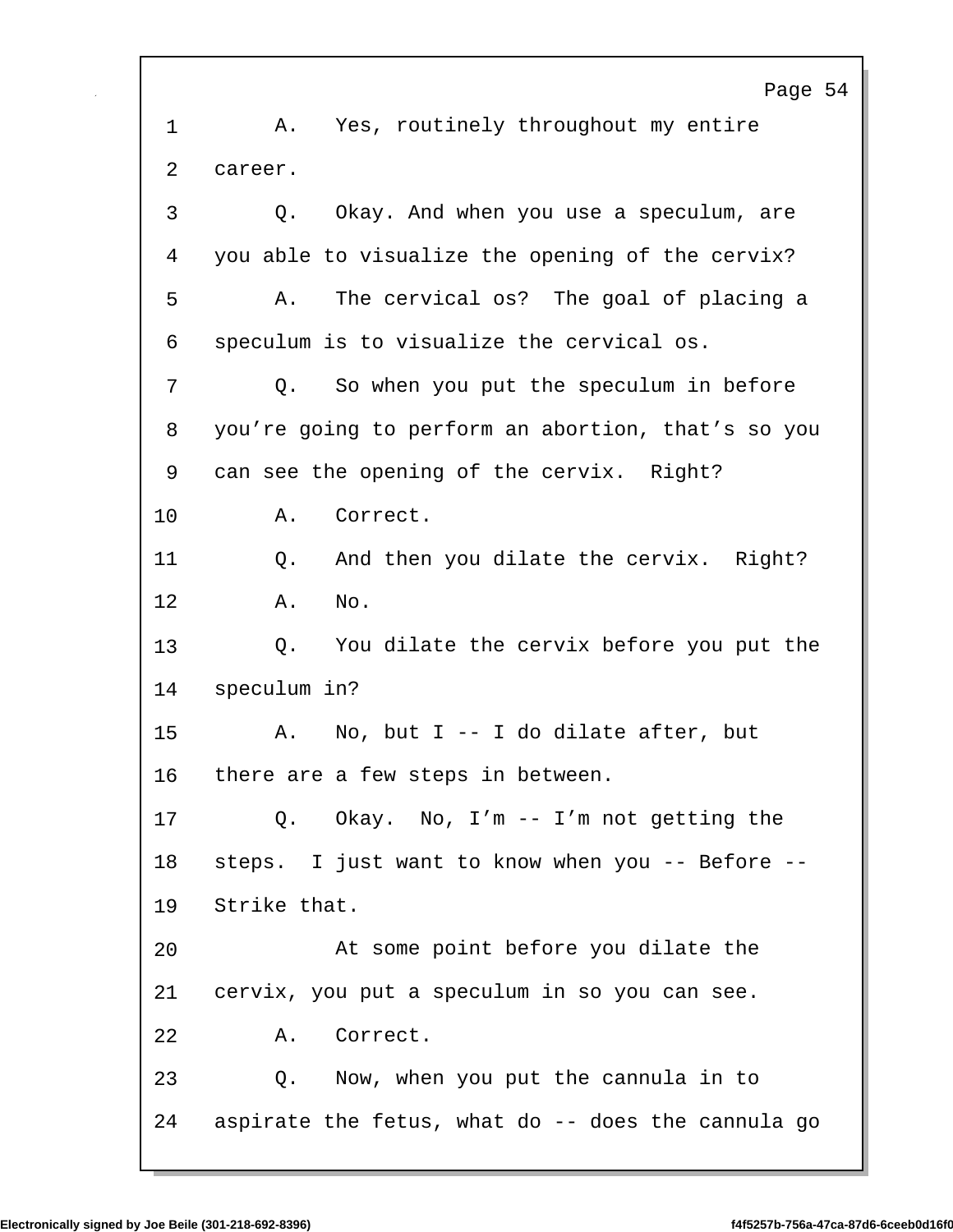Page 54 1 A. Yes, routinely throughout my entire 2 career. 3 Q. Okay. And when you use a speculum, are 4 you able to visualize the opening of the cervix? 5 A. The cervical os? The goal of placing a 6 speculum is to visualize the cervical os. 7 Q. So when you put the speculum in before 8 you're going to perform an abortion, that's so you 9 can see the opening of the cervix. Right? 10 A. Correct. 11 Q. And then you dilate the cervix. Right? 12 A. No. 13 Q. You dilate the cervix before you put the 14 speculum in? 15 A. No, but I -- I do dilate after, but 16 there are a few steps in between. 17 Q. Okay. No, I'm -- I'm not getting the 18 steps. I just want to know when you -- Before -- 19 Strike that. 20 At some point before you dilate the 21 cervix, you put a speculum in so you can see. 22 A. Correct. 23 Q. Now, when you put the cannula in to 24 aspirate the fetus, what do -- does the cannula go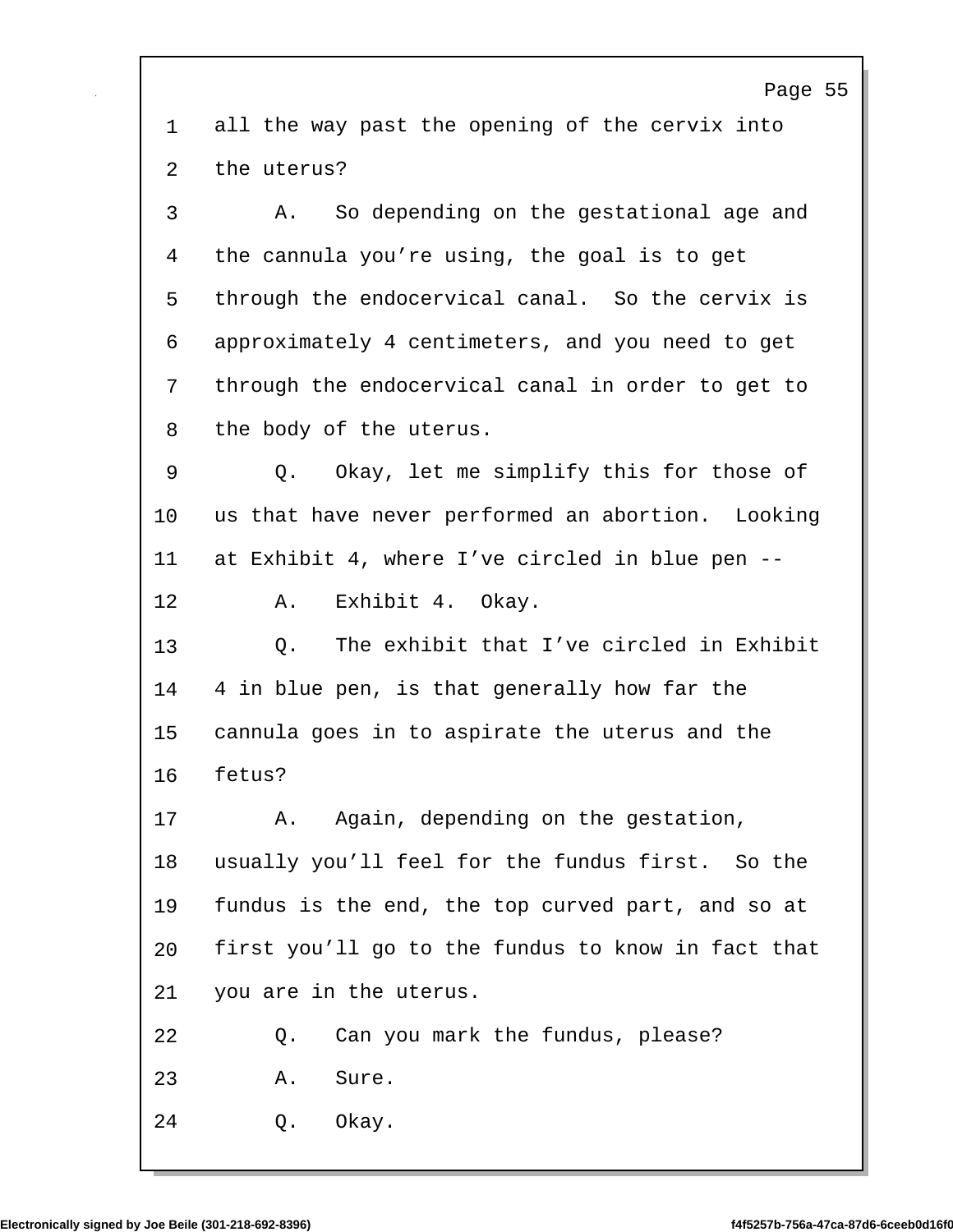all the way past the opening of the cervix into the uterus?

3 A. So depending on the gestational age and the cannula you're using, the goal is to get through the endocervical canal. So the cervix is approximately 4 centimeters, and you need to get through the endocervical canal in order to get to the body of the uterus.

9 Q. Okay, let me simplify this for those of us that have never performed an abortion. Looking at Exhibit 4, where I've circled in blue pen --

12 A. Exhibit 4. Okay.

 Q. The exhibit that I've circled in Exhibit 4 in blue pen, is that generally how far the cannula goes in to aspirate the uterus and the fetus?

17 A. Again, depending on the gestation, usually you'll feel for the fundus first. So the fundus is the end, the top curved part, and so at first you'll go to the fundus to know in fact that you are in the uterus.

22 Q. Can you mark the fundus, please?

23 A. Sure.

24 Q. Okay.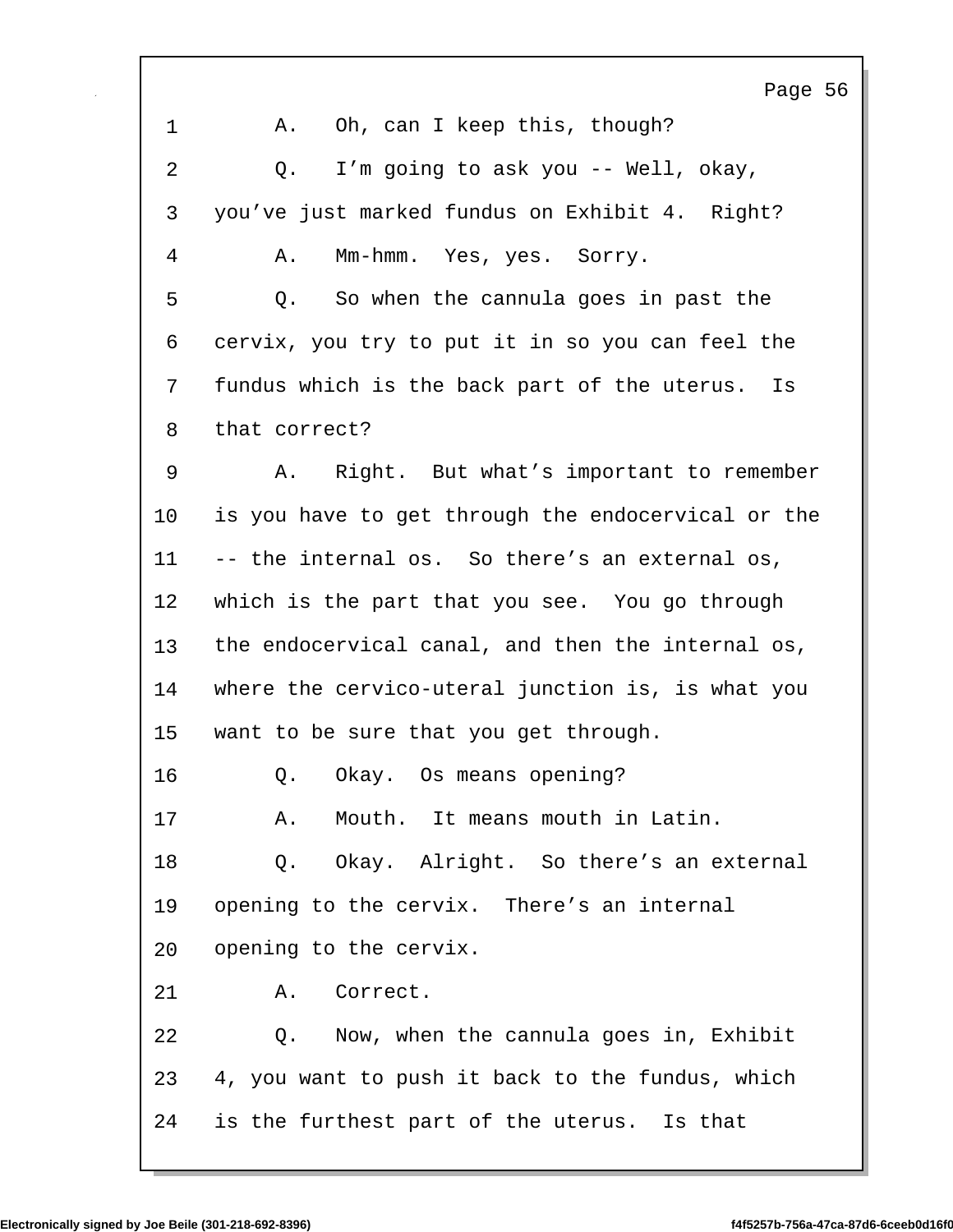Page 56 1 A. Oh, can I keep this, though? Q. I'm going to ask you -- Well, okay, you've just marked fundus on Exhibit 4. Right? 4 A. Mm-hmm. Yes, yes. Sorry. 5 Q. So when the cannula goes in past the cervix, you try to put it in so you can feel the fundus which is the back part of the uterus. Is that correct? A. Right. But what's important to remember is you have to get through the endocervical or the -- the internal os. So there's an external os, which is the part that you see. You go through the endocervical canal, and then the internal os, where the cervico-uteral junction is, is what you want to be sure that you get through. 16 Q. Okay. Os means opening? 17 A. Mouth. It means mouth in Latin. Q. Okay. Alright. So there's an external opening to the cervix. There's an internal opening to the cervix. 21 A. Correct. 22 Q. Now, when the cannula goes in, Exhibit 4, you want to push it back to the fundus, which is the furthest part of the uterus. Is that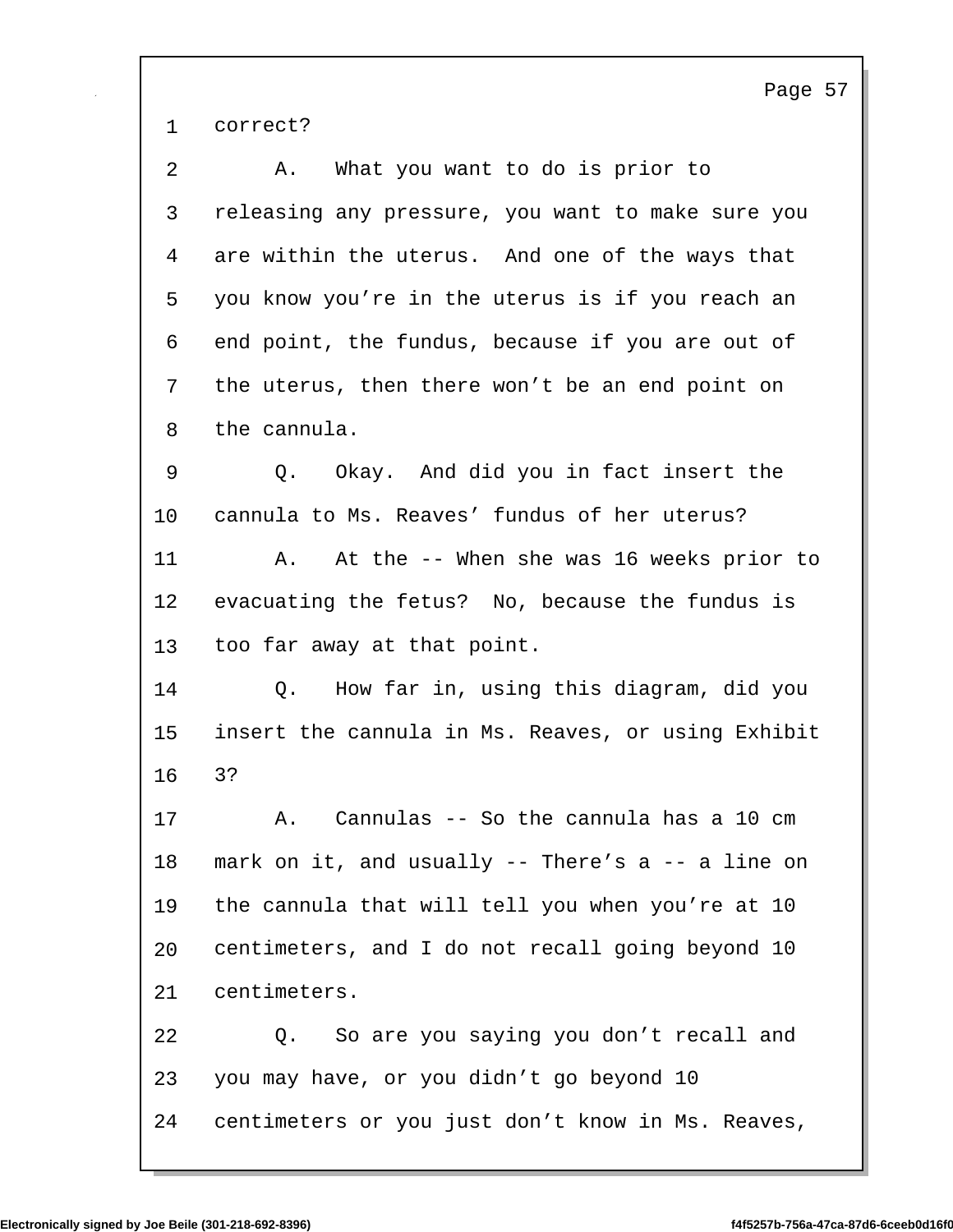correct?

| $\overline{2}$ | What you want to do is prior to<br>Α.                   |
|----------------|---------------------------------------------------------|
| 3              | releasing any pressure, you want to make sure you       |
| 4              | are within the uterus. And one of the ways that         |
| 5              | you know you're in the uterus is if you reach an        |
| 6              | end point, the fundus, because if you are out of        |
| 7              | the uterus, then there won't be an end point on         |
| 8              | the cannula.                                            |
| 9              | Okay. And did you in fact insert the<br>Q.              |
| $10 \,$        | cannula to Ms. Reaves' fundus of her uterus?            |
| 11             | At the -- When she was 16 weeks prior to<br>Α.          |
| 12             | evacuating the fetus? No, because the fundus is         |
| 13             | too far away at that point.                             |
| 14             | Q. How far in, using this diagram, did you              |
| 15             | insert the cannula in Ms. Reaves, or using Exhibit      |
| 16             | 3?                                                      |
| 17             | Cannulas -- So the cannula has a 10 cm<br>Α.            |
| 18             | mark on it, and usually $-$ - There's a $-$ - a line on |
| 19             | the cannula that will tell you when you're at 10        |
| 20             | centimeters, and I do not recall going beyond 10        |
| 21             | centimeters.                                            |
| 22             | So are you saying you don't recall and<br>Q.            |
| 23             | you may have, or you didn't go beyond 10                |
| 24             | centimeters or you just don't know in Ms. Reaves,       |
|                |                                                         |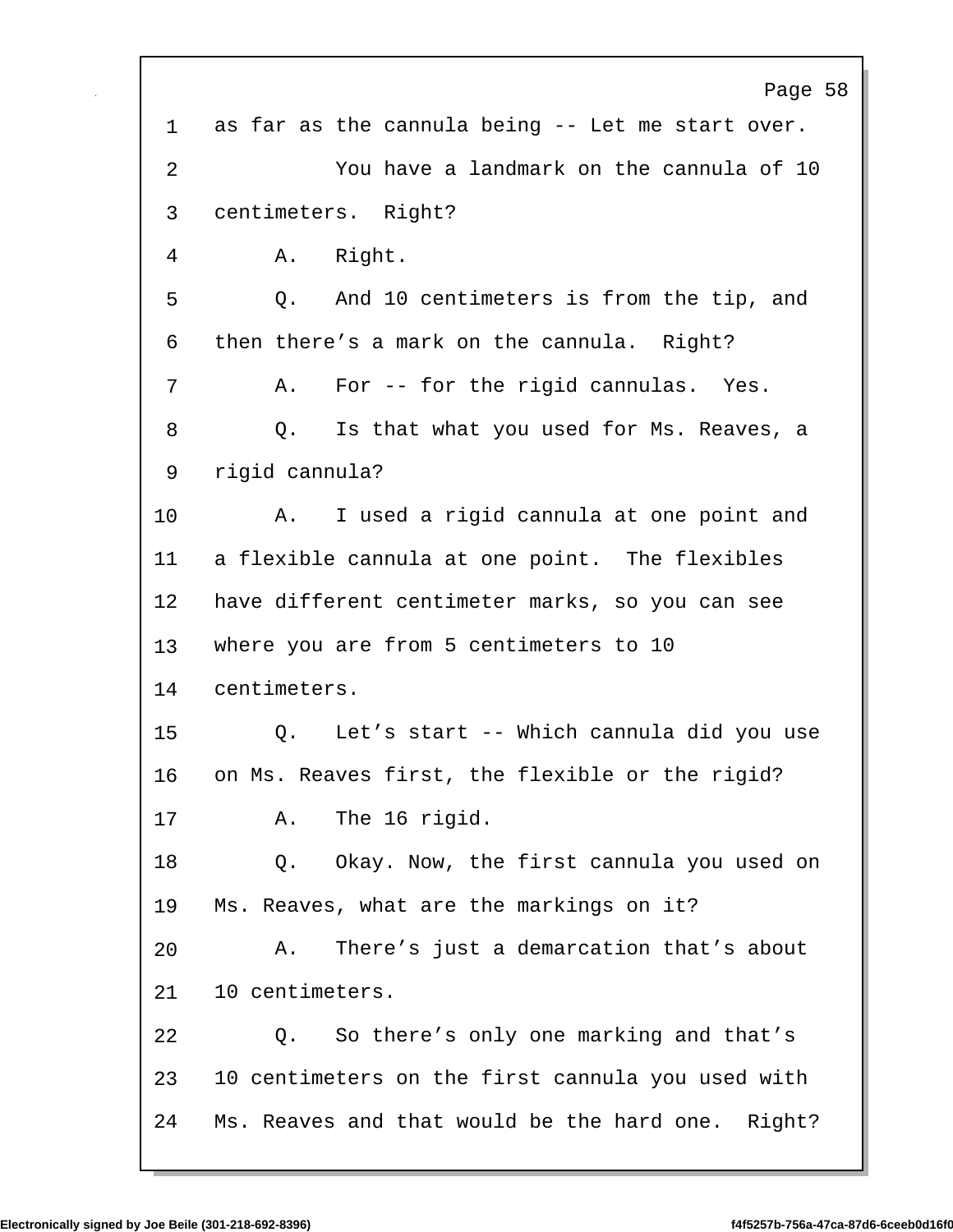Page 58 as far as the cannula being -- Let me start over. 2 You have a landmark on the cannula of 10 centimeters. Right? 4 A. Right. 5 Q. And 10 centimeters is from the tip, and then there's a mark on the cannula. Right? 7 A. For -- for the rigid cannulas. Yes. 8 Q. Is that what you used for Ms. Reaves, a rigid cannula? 10 A. I used a rigid cannula at one point and a flexible cannula at one point. The flexibles have different centimeter marks, so you can see where you are from 5 centimeters to 10 centimeters. Q. Let's start -- Which cannula did you use on Ms. Reaves first, the flexible or the rigid? 17 A. The 16 rigid. 18 Q. Okay. Now, the first cannula you used on Ms. Reaves, what are the markings on it? A. There's just a demarcation that's about 10 centimeters. Q. So there's only one marking and that's 10 centimeters on the first cannula you used with Ms. Reaves and that would be the hard one. Right?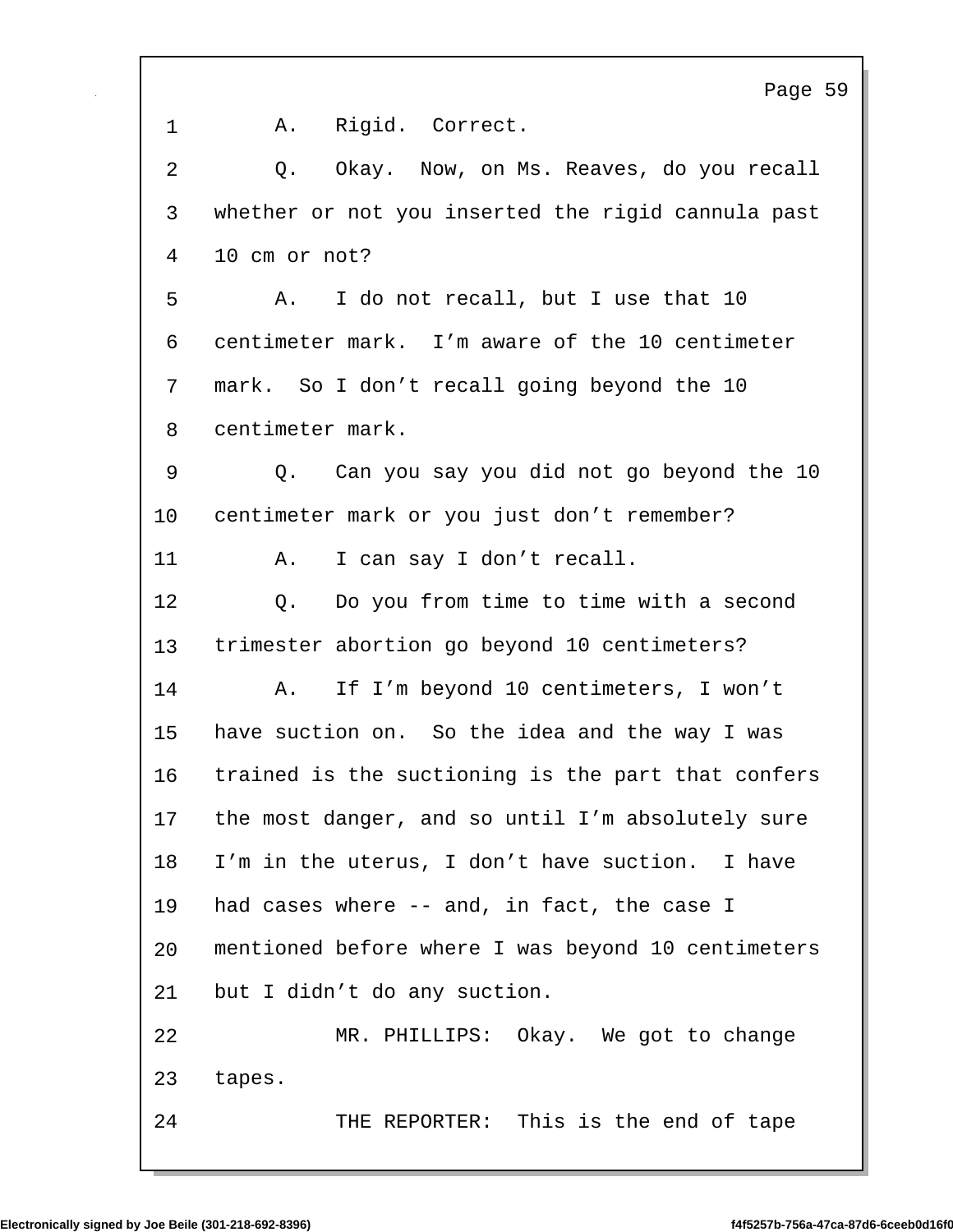1 A. Rigid. Correct.

2 Q. Okay. Now, on Ms. Reaves, do you recall whether or not you inserted the rigid cannula past 10 cm or not? 5 A. I do not recall, but I use that 10 centimeter mark. I'm aware of the 10 centimeter mark. So I don't recall going beyond the 10 centimeter mark. 9 Q. Can you say you did not go beyond the 10 centimeter mark or you just don't remember? A. I can say I don't recall. 12 Q. Do you from time to time with a second trimester abortion go beyond 10 centimeters? A. If I'm beyond 10 centimeters, I won't have suction on. So the idea and the way I was trained is the suctioning is the part that confers the most danger, and so until I'm absolutely sure I'm in the uterus, I don't have suction. I have had cases where -- and, in fact, the case I mentioned before where I was beyond 10 centimeters but I didn't do any suction. 22 MR. PHILLIPS: Okay. We got to change tapes. 24 THE REPORTER: This is the end of tape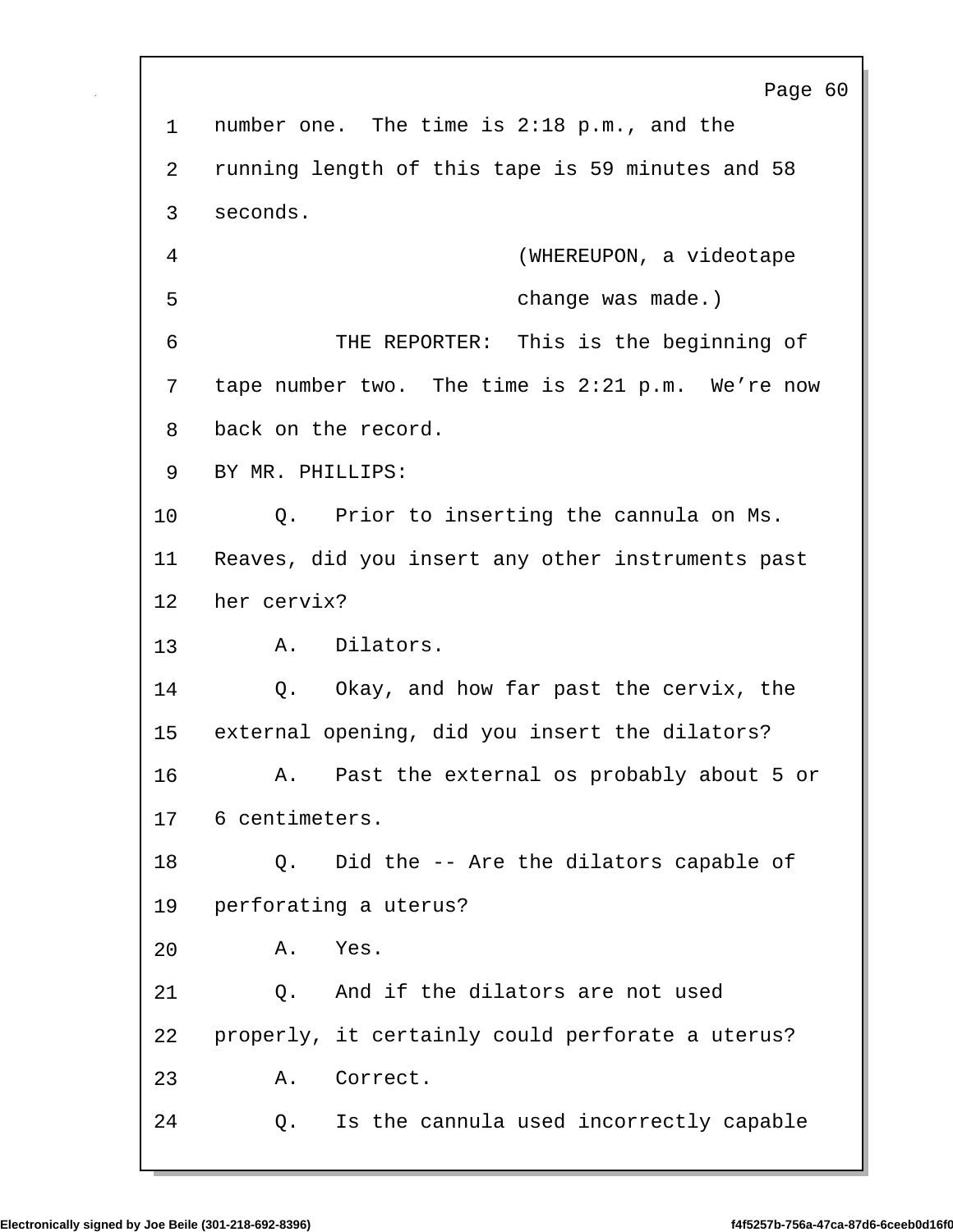Page 60 1 number one. The time is 2:18 p.m., and the 2 running length of this tape is 59 minutes and 58 3 seconds. 4 (WHEREUPON, a videotape 5 change was made.) 6 THE REPORTER: This is the beginning of 7 tape number two. The time is 2:21 p.m. We're now 8 back on the record. 9 BY MR. PHILLIPS: 10 Q. Prior to inserting the cannula on Ms. 11 Reaves, did you insert any other instruments past 12 her cervix? 13 A. Dilators. 14 Q. Okay, and how far past the cervix, the 15 external opening, did you insert the dilators? 16 A. Past the external os probably about 5 or 17 6 centimeters. 18 Q. Did the -- Are the dilators capable of 19 perforating a uterus? 20 A. Yes. 21 Q. And if the dilators are not used 22 properly, it certainly could perforate a uterus? 23 A. Correct. 24 Q. Is the cannula used incorrectly capable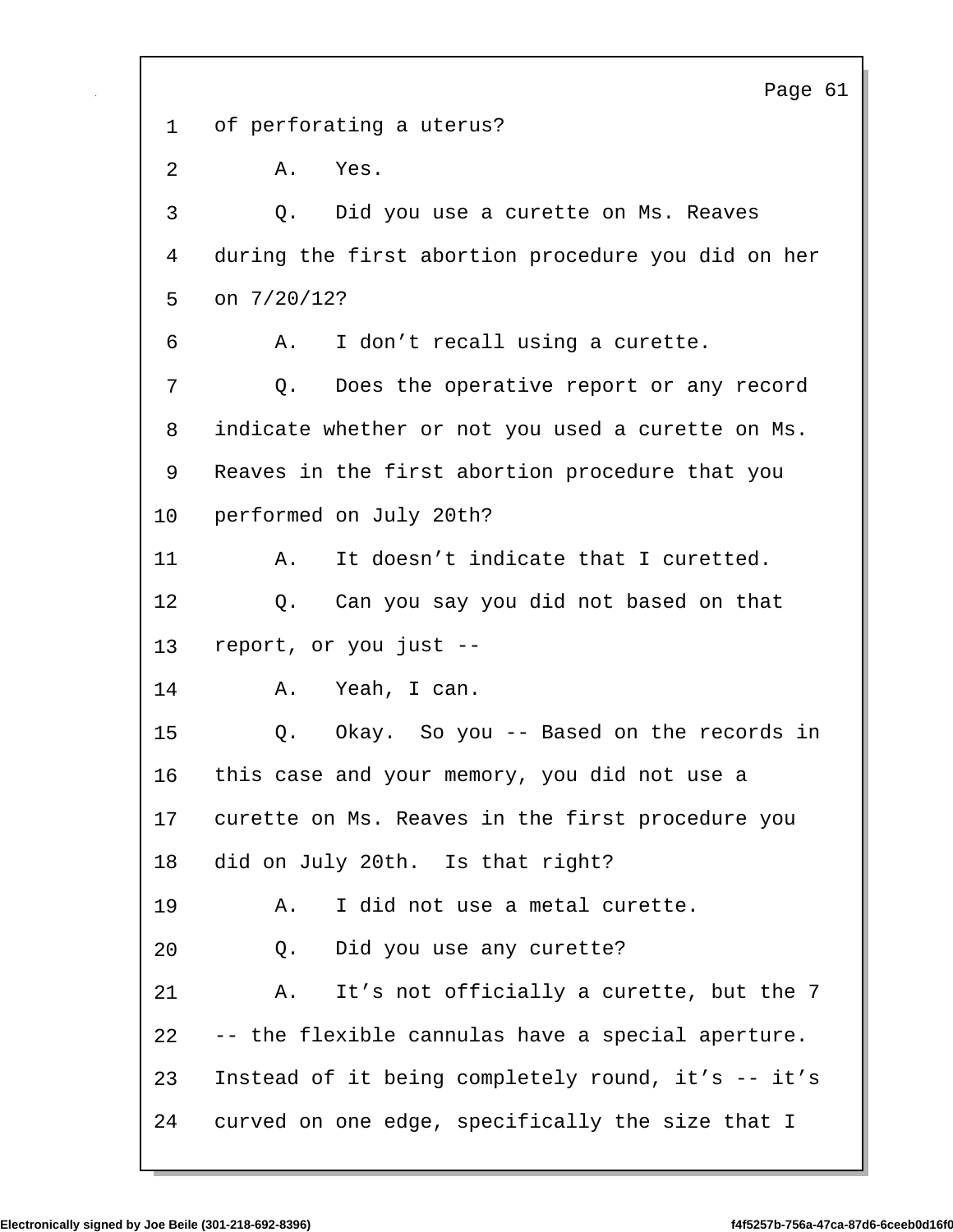Page 61 of perforating a uterus? 2 A. Yes. 3 Q. Did you use a curette on Ms. Reaves during the first abortion procedure you did on her on 7/20/12? A. I don't recall using a curette. 7 Q. Does the operative report or any record indicate whether or not you used a curette on Ms. Reaves in the first abortion procedure that you performed on July 20th? A. It doesn't indicate that I curetted. 12 Q. Can you say you did not based on that report, or you just -- 14 A. Yeah, I can. 15 Q. Okay. So you -- Based on the records in this case and your memory, you did not use a curette on Ms. Reaves in the first procedure you did on July 20th. Is that right? 19 A. I did not use a metal curette. 20 Q. Did you use any curette? A. It's not officially a curette, but the 7 -- the flexible cannulas have a special aperture. Instead of it being completely round, it's -- it's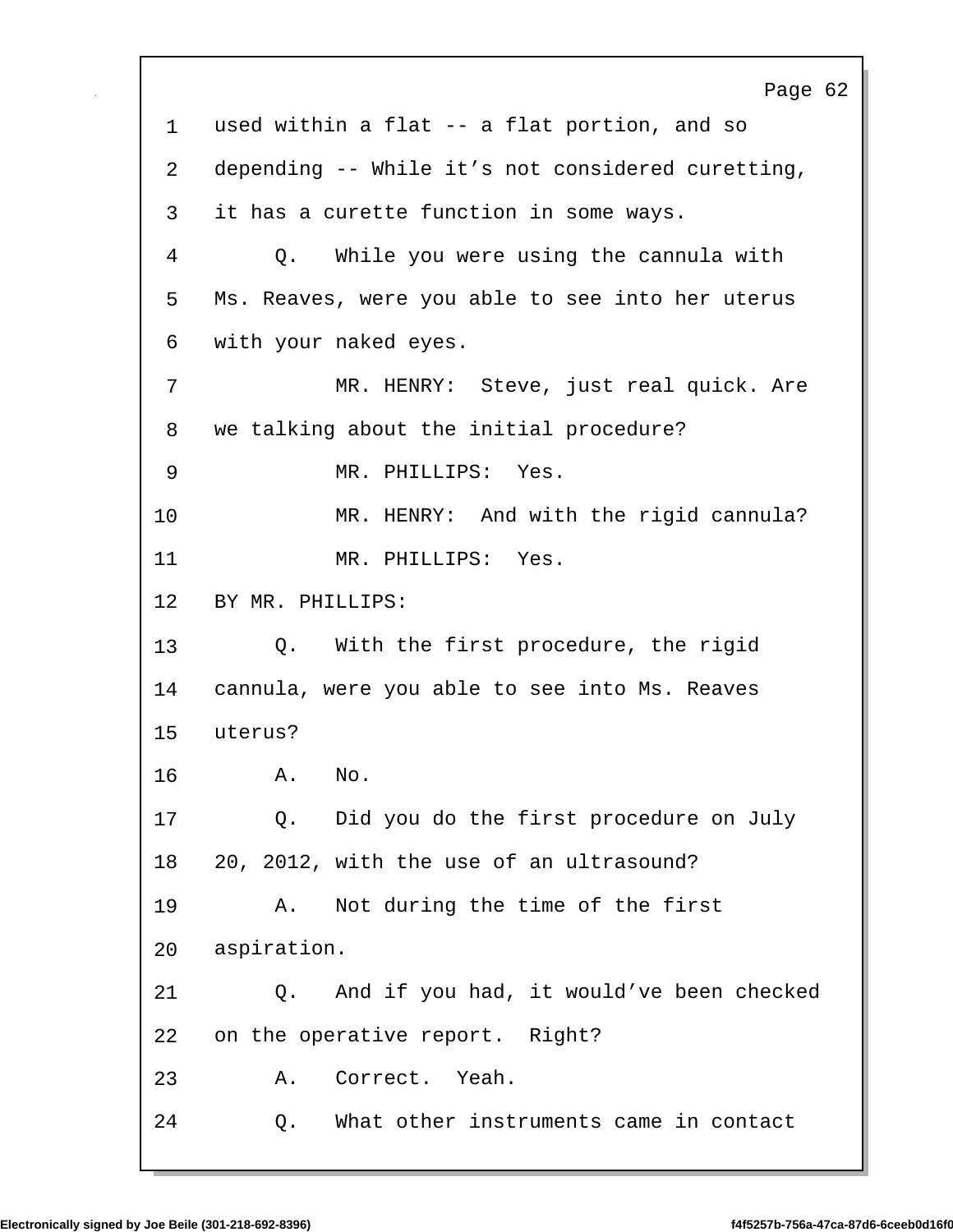Page 62 1 used within a flat -- a flat portion, and so 2 depending -- While it's not considered curetting, 3 it has a curette function in some ways. 4 Q. While you were using the cannula with 5 Ms. Reaves, were you able to see into her uterus 6 with your naked eyes. 7 MR. HENRY: Steve, just real quick. Are 8 we talking about the initial procedure? 9 MR. PHILLIPS: Yes. 10 MR. HENRY: And with the rigid cannula? 11 MR. PHILLIPS: Yes. 12 BY MR. PHILLIPS: 13 Q. With the first procedure, the rigid 14 cannula, were you able to see into Ms. Reaves 15 uterus? 16 A. No. 17 Q. Did you do the first procedure on July 18 20, 2012, with the use of an ultrasound? 19 A. Not during the time of the first 20 aspiration. 21 Q. And if you had, it would've been checked 22 on the operative report. Right? 23 A. Correct. Yeah. 24 Q. What other instruments came in contact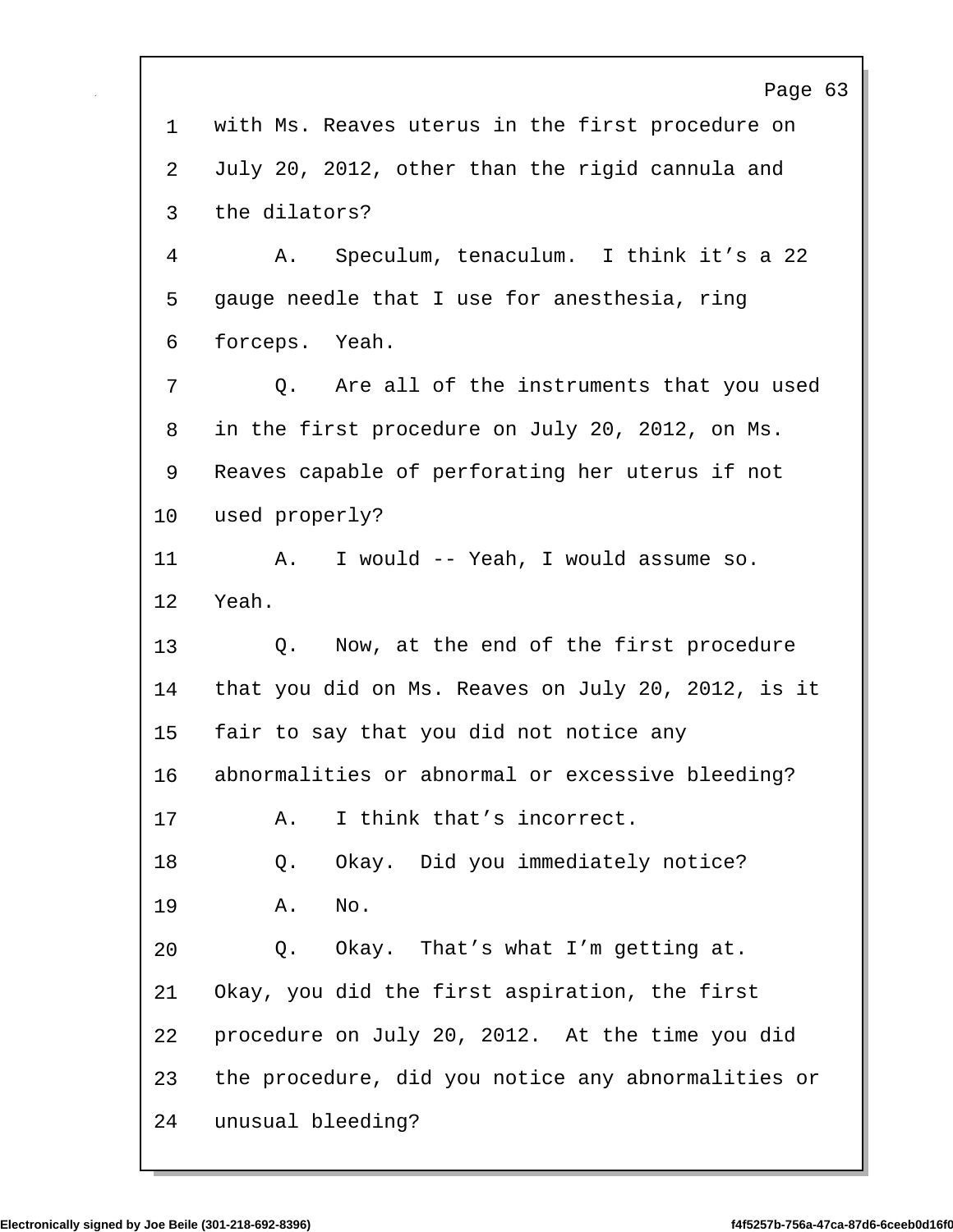Page 63 with Ms. Reaves uterus in the first procedure on July 20, 2012, other than the rigid cannula and the dilators? A. Speculum, tenaculum. I think it's a 22 gauge needle that I use for anesthesia, ring forceps. Yeah. 7 Q. Are all of the instruments that you used in the first procedure on July 20, 2012, on Ms. Reaves capable of perforating her uterus if not used properly? 11 A. I would -- Yeah, I would assume so. Yeah. 13 Q. Now, at the end of the first procedure that you did on Ms. Reaves on July 20, 2012, is it fair to say that you did not notice any abnormalities or abnormal or excessive bleeding? A. I think that's incorrect. 18 Q. Okay. Did you immediately notice? 19 A. No. Q. Okay. That's what I'm getting at. Okay, you did the first aspiration, the first procedure on July 20, 2012. At the time you did the procedure, did you notice any abnormalities or unusual bleeding?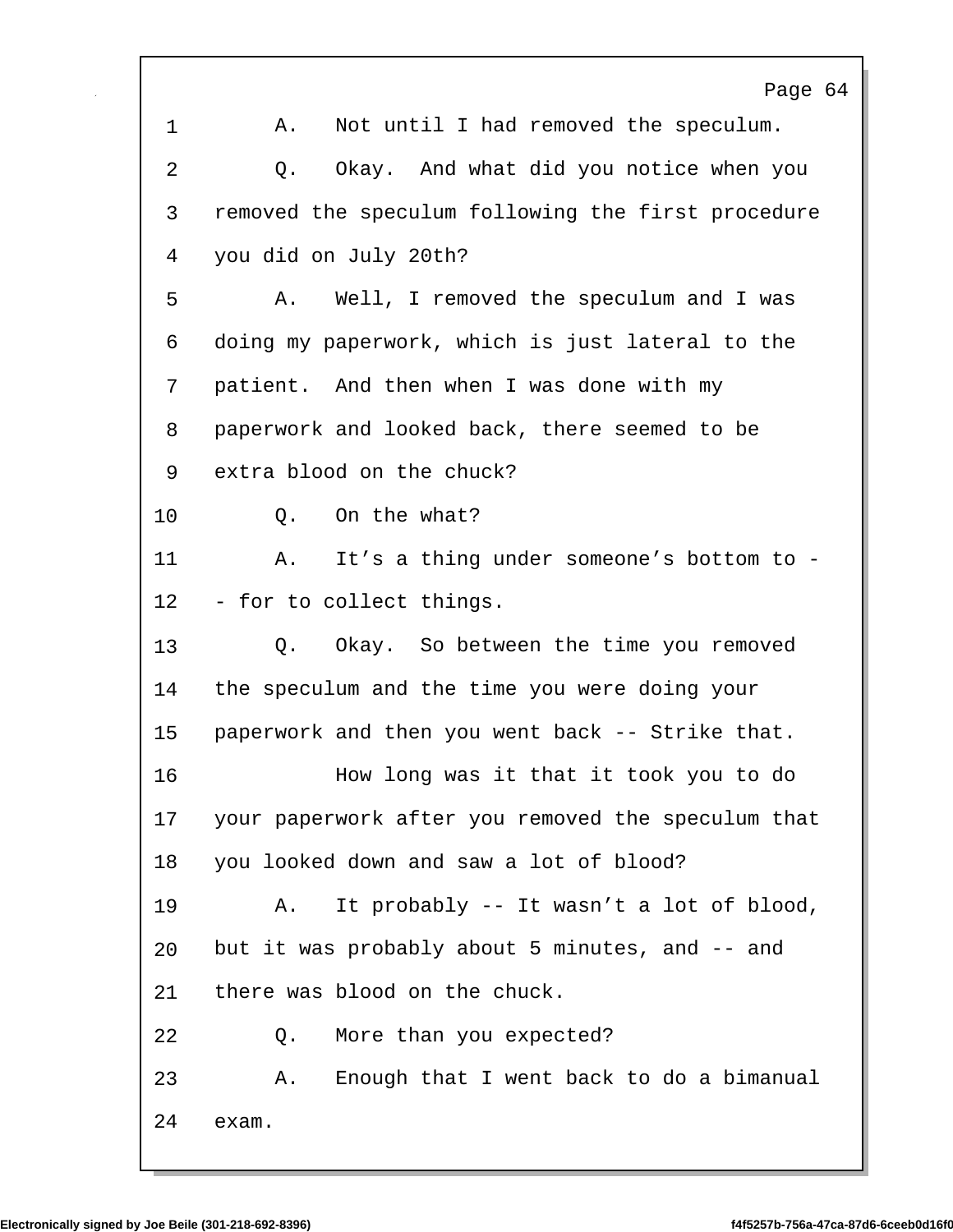Page 64 1 A. Not until I had removed the speculum. 2 Q. Okay. And what did you notice when you removed the speculum following the first procedure you did on July 20th? 5 A. Well, I removed the speculum and I was doing my paperwork, which is just lateral to the patient. And then when I was done with my paperwork and looked back, there seemed to be extra blood on the chuck? 10 0. On the what? A. It's a thing under someone's bottom to - - for to collect things. 13 Q. Okay. So between the time you removed the speculum and the time you were doing your paperwork and then you went back -- Strike that. 16 How long was it that it took you to do your paperwork after you removed the speculum that you looked down and saw a lot of blood? A. It probably -- It wasn't a lot of blood, but it was probably about 5 minutes, and -- and there was blood on the chuck. 22 Q. More than you expected? 23 A. Enough that I went back to do a bimanual exam.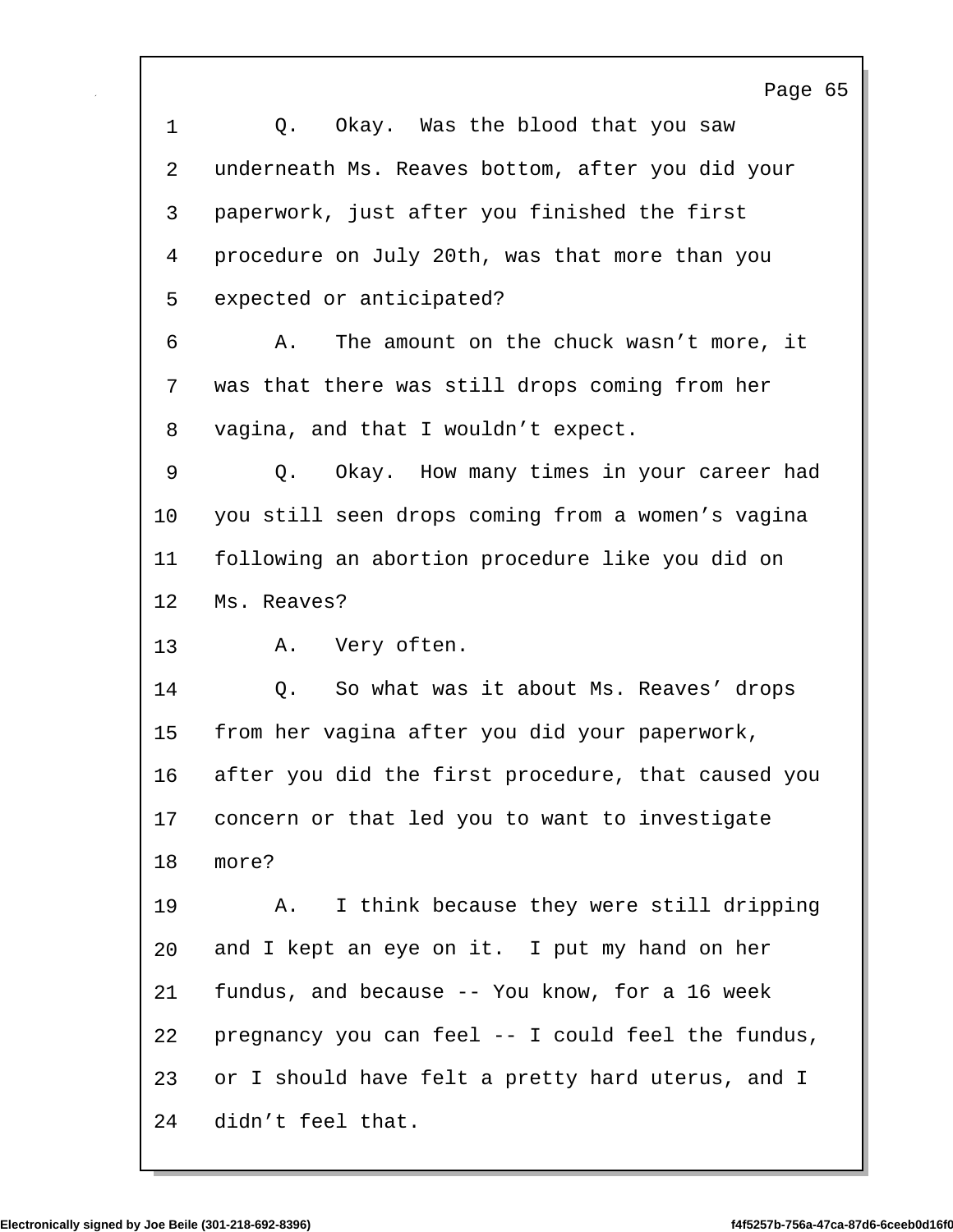Page 65 1 0. Okay. Was the blood that you saw underneath Ms. Reaves bottom, after you did your paperwork, just after you finished the first procedure on July 20th, was that more than you expected or anticipated? A. The amount on the chuck wasn't more, it was that there was still drops coming from her vagina, and that I wouldn't expect. 9 Q. Okay. How many times in your career had you still seen drops coming from a women's vagina following an abortion procedure like you did on Ms. Reaves? 13 A. Very often. Q. So what was it about Ms. Reaves' drops from her vagina after you did your paperwork, after you did the first procedure, that caused you concern or that led you to want to investigate more? 19 A. I think because they were still dripping and I kept an eye on it. I put my hand on her fundus, and because -- You know, for a 16 week pregnancy you can feel -- I could feel the fundus, or I should have felt a pretty hard uterus, and I didn't feel that.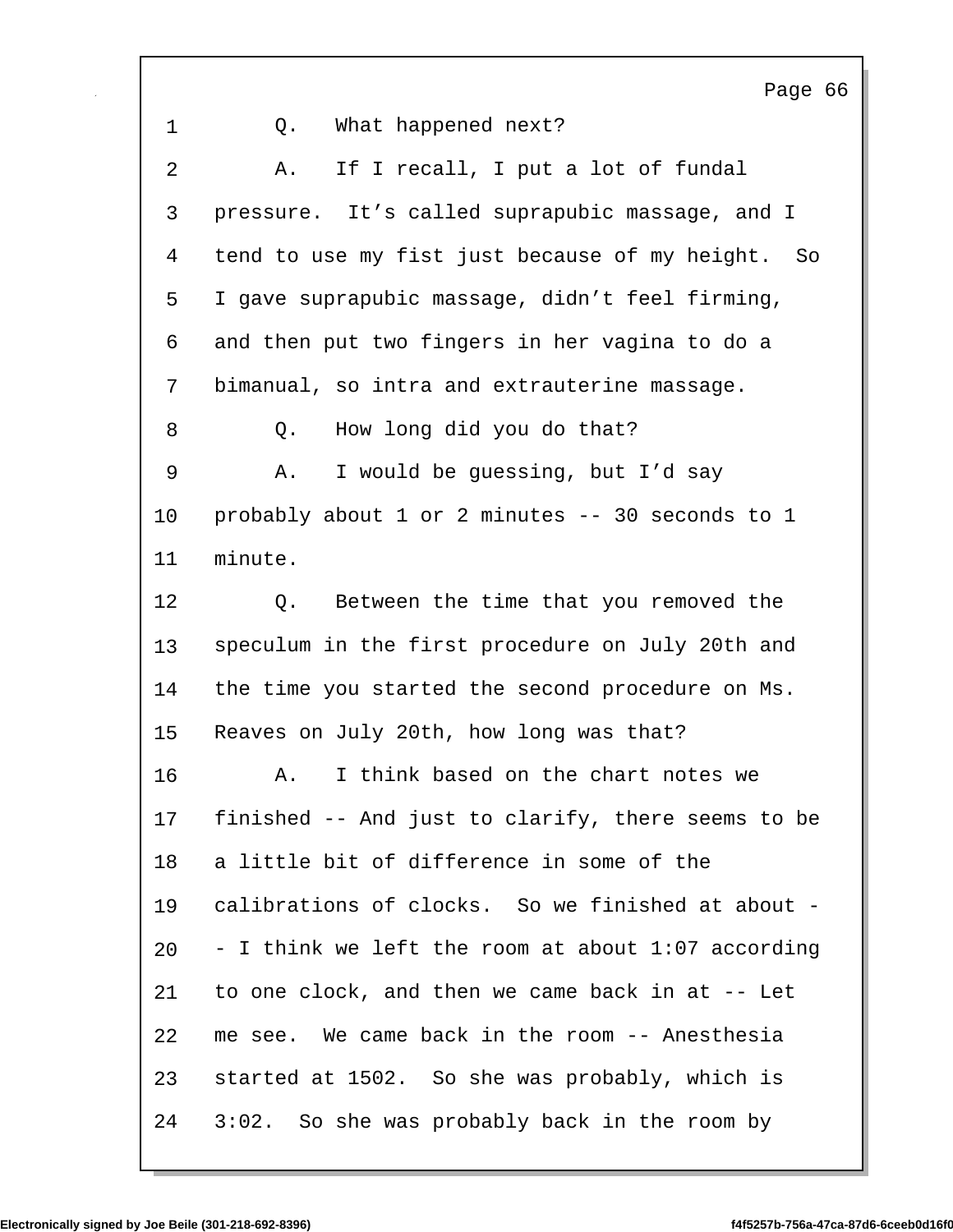Page 66 1 Q. What happened next? 2 A. If I recall, I put a lot of fundal pressure. It's called suprapubic massage, and I tend to use my fist just because of my height. So I gave suprapubic massage, didn't feel firming, and then put two fingers in her vagina to do a bimanual, so intra and extrauterine massage. 8 Q. How long did you do that? A. I would be guessing, but I'd say probably about 1 or 2 minutes -- 30 seconds to 1 minute. 12 Q. Between the time that you removed the speculum in the first procedure on July 20th and the time you started the second procedure on Ms. Reaves on July 20th, how long was that? 16 A. I think based on the chart notes we finished -- And just to clarify, there seems to be a little bit of difference in some of the calibrations of clocks. So we finished at about - - I think we left the room at about 1:07 according to one clock, and then we came back in at -- Let me see. We came back in the room -- Anesthesia started at 1502. So she was probably, which is 3:02. So she was probably back in the room by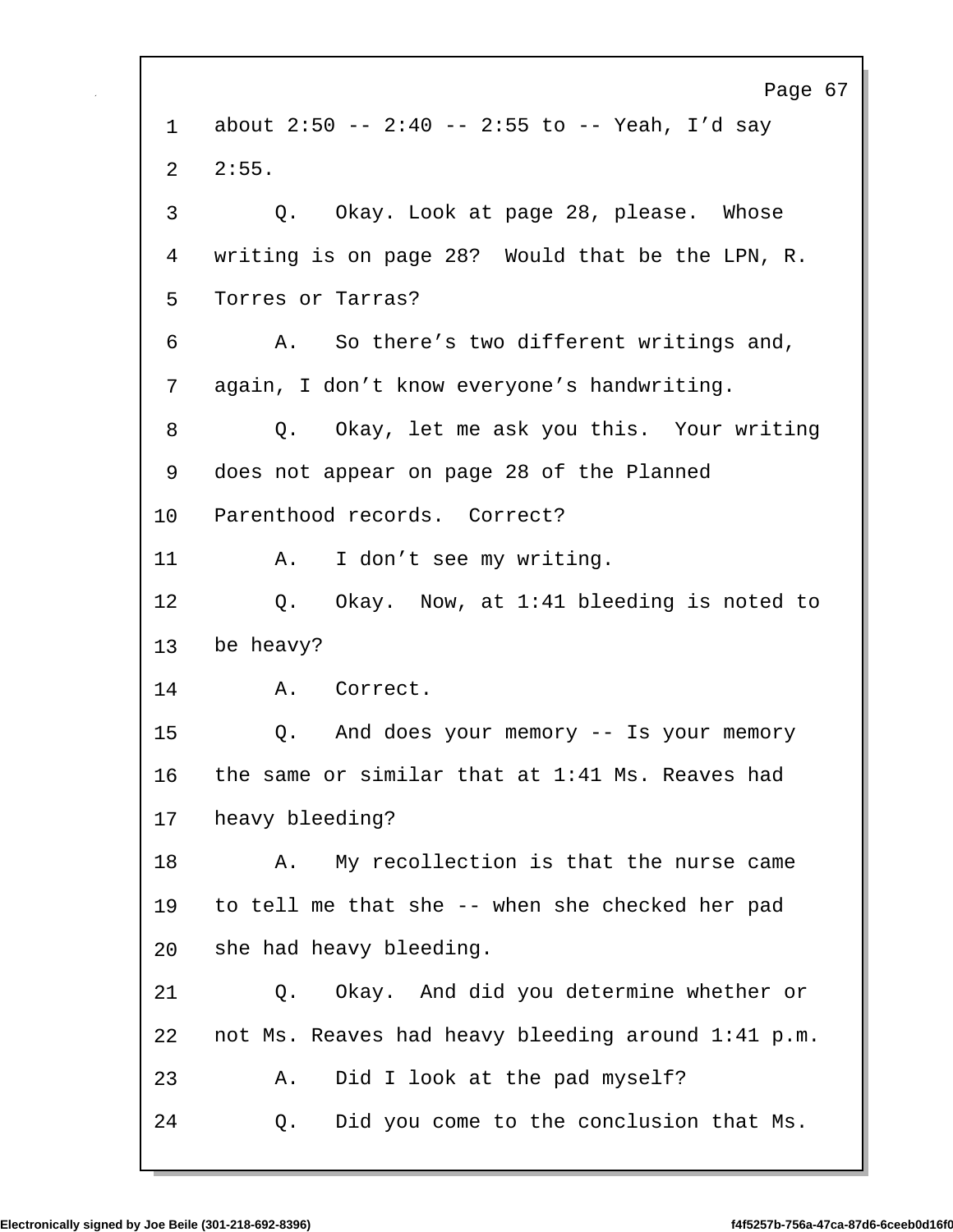Page 67 1 about 2:50 -- 2:40 -- 2:55 to -- Yeah, I'd say  $2:55.$ 3 Q. Okay. Look at page 28, please. Whose 4 writing is on page 28? Would that be the LPN, R. 5 Torres or Tarras? 6 A. So there's two different writings and, 7 again, I don't know everyone's handwriting. 8 Q. Okay, let me ask you this. Your writing 9 does not appear on page 28 of the Planned 10 Parenthood records. Correct? 11 A. I don't see my writing. 12 Q. Okay. Now, at 1:41 bleeding is noted to 13 be heavy? 14 A. Correct. 15 Q. And does your memory -- Is your memory 16 the same or similar that at 1:41 Ms. Reaves had 17 heavy bleeding? 18 A. My recollection is that the nurse came 19 to tell me that she -- when she checked her pad 20 she had heavy bleeding. 21 Q. Okay. And did you determine whether or 22 not Ms. Reaves had heavy bleeding around 1:41 p.m. 23 A. Did I look at the pad myself? 24 Q. Did you come to the conclusion that Ms.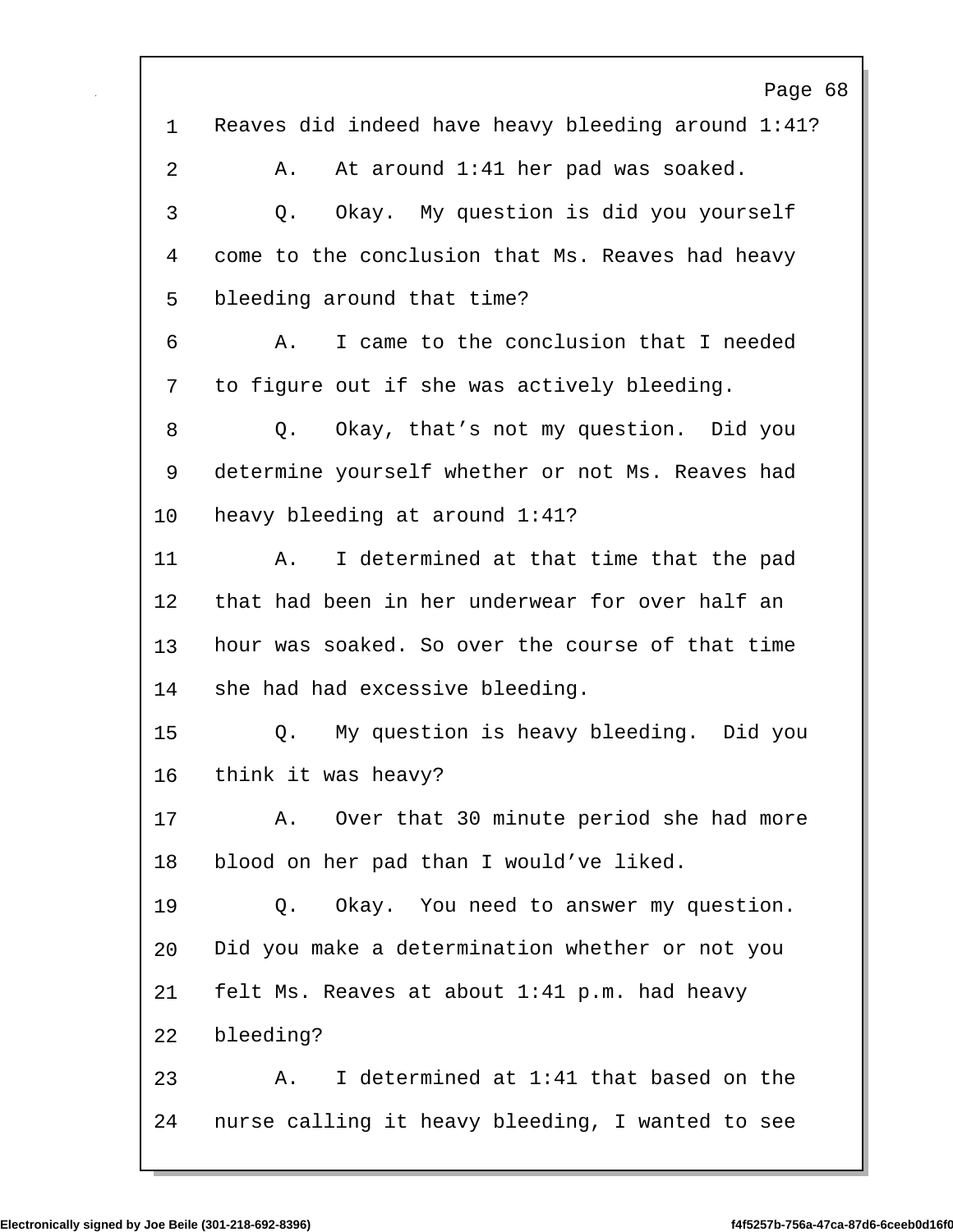Page 68 Reaves did indeed have heavy bleeding around 1:41? 2 A. At around 1:41 her pad was soaked. 3 Q. Okay. My question is did you yourself come to the conclusion that Ms. Reaves had heavy bleeding around that time? 6 A. I came to the conclusion that I needed to figure out if she was actively bleeding. Q. Okay, that's not my question. Did you determine yourself whether or not Ms. Reaves had heavy bleeding at around 1:41? 11 A. I determined at that time that the pad that had been in her underwear for over half an hour was soaked. So over the course of that time she had had excessive bleeding. 15 Q. My question is heavy bleeding. Did you think it was heavy? 17 A. Over that 30 minute period she had more blood on her pad than I would've liked. 19 Q. Okay. You need to answer my question. Did you make a determination whether or not you felt Ms. Reaves at about 1:41 p.m. had heavy bleeding? 23 A. I determined at 1:41 that based on the nurse calling it heavy bleeding, I wanted to see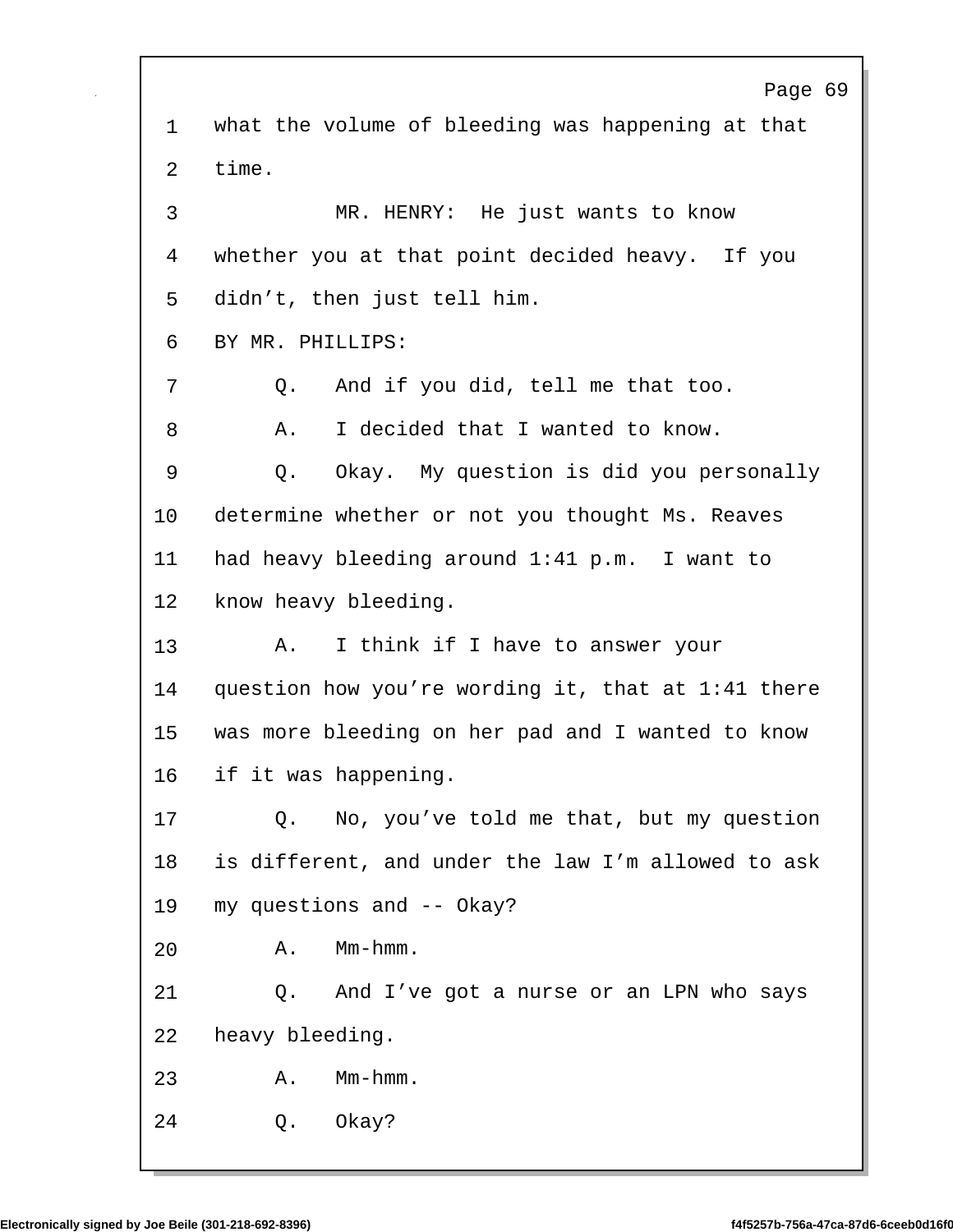Page 69 what the volume of bleeding was happening at that time. 3 MR. HENRY: He just wants to know whether you at that point decided heavy. If you didn't, then just tell him. BY MR. PHILLIPS: 7 Q. And if you did, tell me that too. 8 A. I decided that I wanted to know. 9 Q. Okay. My question is did you personally determine whether or not you thought Ms. Reaves had heavy bleeding around 1:41 p.m. I want to know heavy bleeding. 13 A. I think if I have to answer your question how you're wording it, that at 1:41 there was more bleeding on her pad and I wanted to know if it was happening. Q. No, you've told me that, but my question is different, and under the law I'm allowed to ask my questions and -- Okay? 20 A. Mm-hmm. Q. And I've got a nurse or an LPN who says heavy bleeding. 23 A. Mm-hmm. 24 Q. Okay?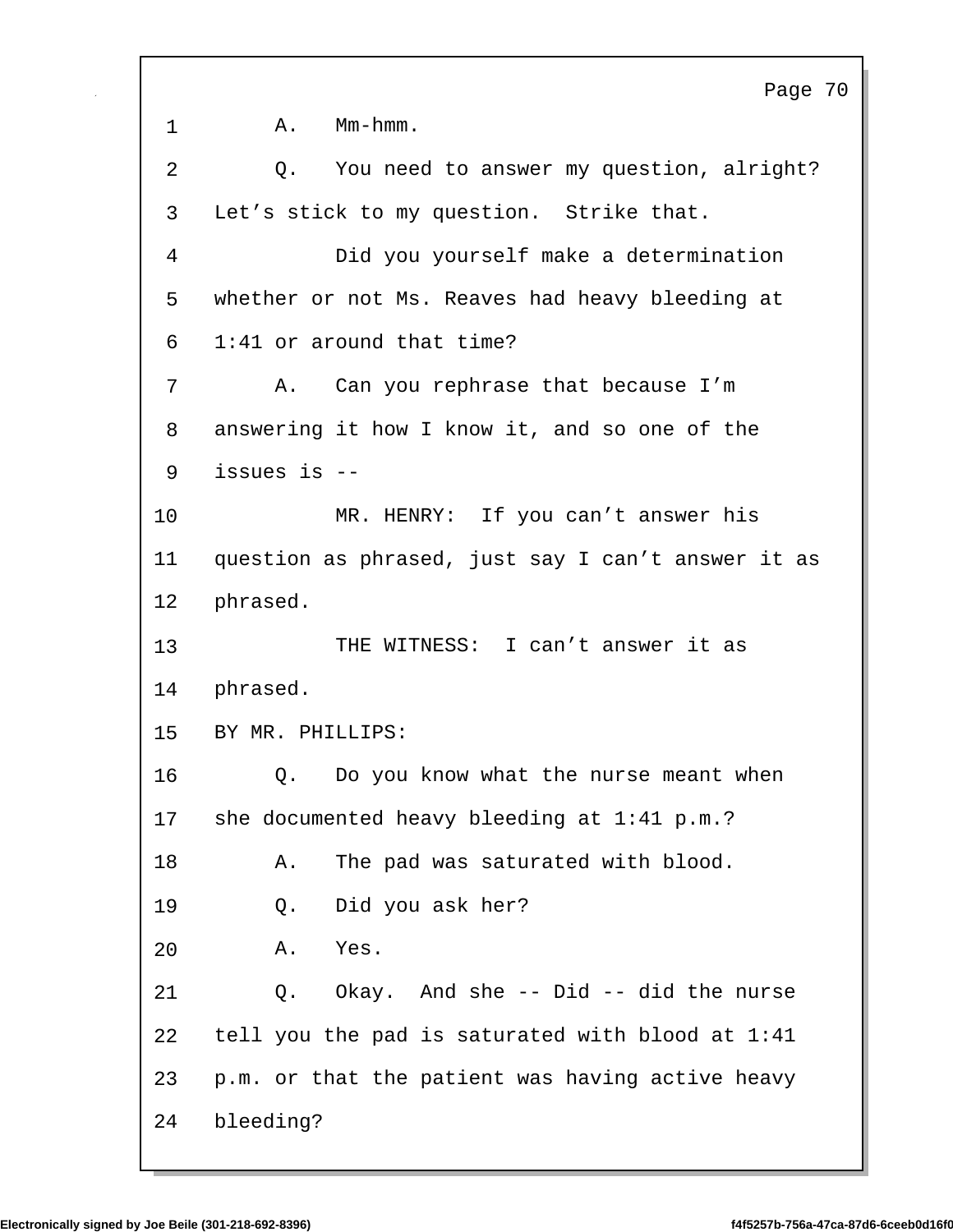Page 70 1 A. Mm-hmm. 2 Q. You need to answer my question, alright? Let's stick to my question. Strike that. 4 Did you yourself make a determination whether or not Ms. Reaves had heavy bleeding at 1:41 or around that time? A. Can you rephrase that because I'm answering it how I know it, and so one of the issues is -- MR. HENRY: If you can't answer his question as phrased, just say I can't answer it as phrased. THE WITNESS: I can't answer it as phrased. BY MR. PHILLIPS: 16 Q. Do you know what the nurse meant when she documented heavy bleeding at 1:41 p.m.? 18 A. The pad was saturated with blood. 19 Q. Did you ask her? 20 A. Yes. 21 Q. Okay. And she -- Did -- did the nurse tell you the pad is saturated with blood at 1:41 p.m. or that the patient was having active heavy bleeding?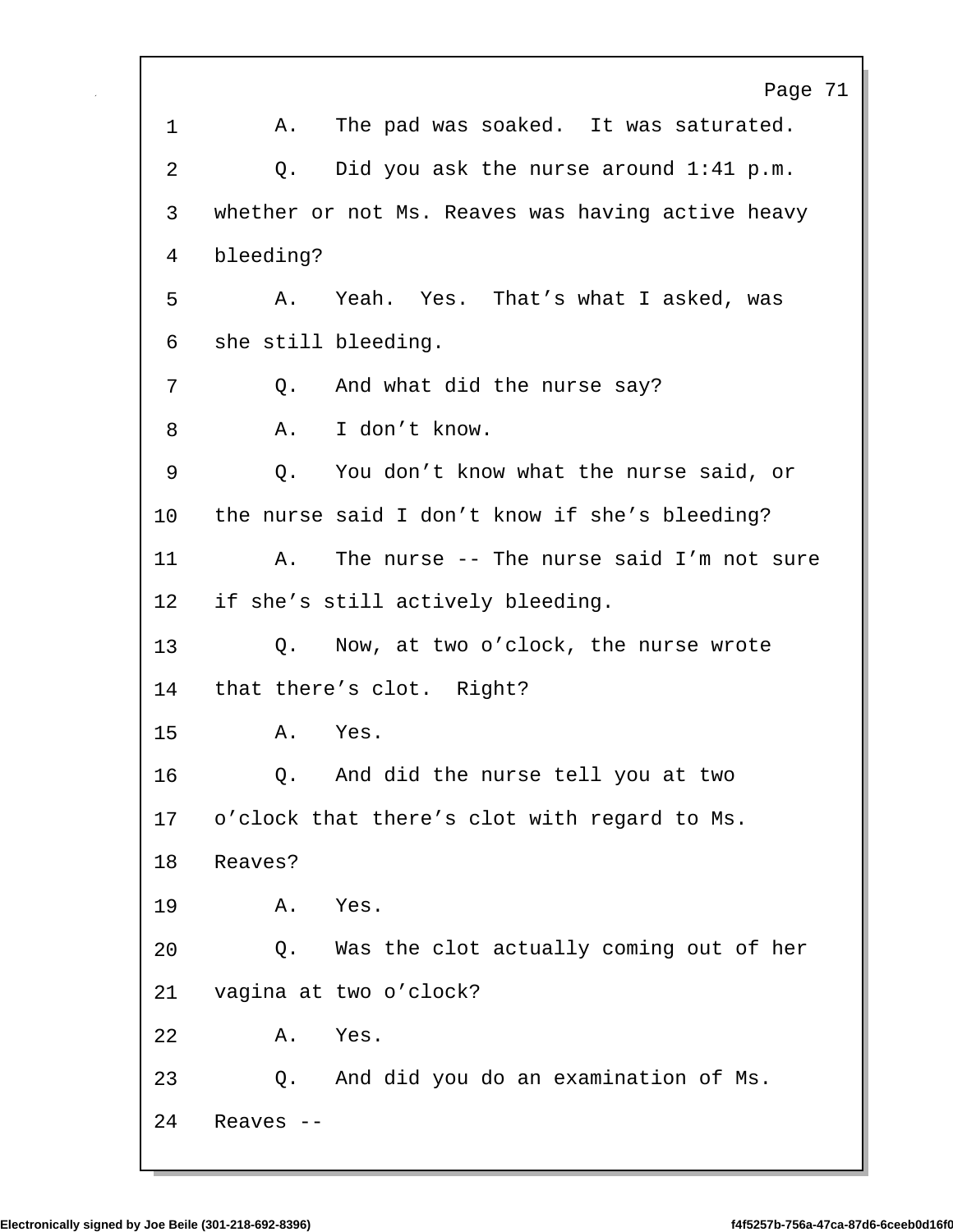Page 71 1 A. The pad was soaked. It was saturated. 2 Q. Did you ask the nurse around 1:41 p.m. 3 whether or not Ms. Reaves was having active heavy 4 bleeding? 5 A. Yeah. Yes. That's what I asked, was 6 she still bleeding. 7 Q. And what did the nurse say? 8 A. I don't know. 9 Q. You don't know what the nurse said, or 10 the nurse said I don't know if she's bleeding? 11 A. The nurse -- The nurse said I'm not sure 12 if she's still actively bleeding. 13 Q. Now, at two o'clock, the nurse wrote 14 that there's clot. Right? 15 A. Yes. 16 Q. And did the nurse tell you at two 17 o'clock that there's clot with regard to Ms. 18 Reaves? 19 A. Yes. 20 Q. Was the clot actually coming out of her 21 vagina at two o'clock? 22 A. Yes. 23 Q. And did you do an examination of Ms. 24 Reaves --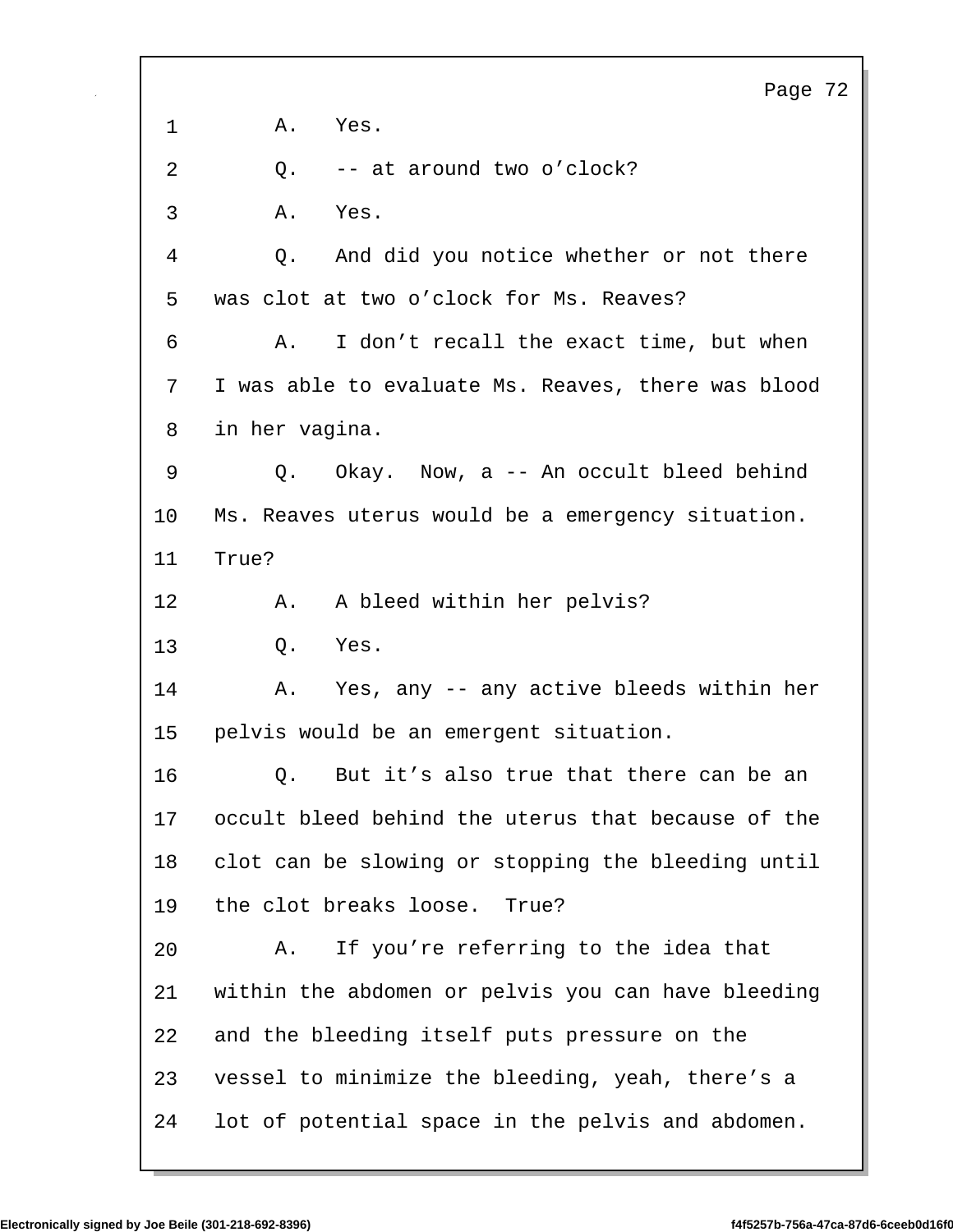Page 72 1 A. Yes. Q. -- at around two o'clock? 3 A. Yes. 4 Q. And did you notice whether or not there was clot at two o'clock for Ms. Reaves? A. I don't recall the exact time, but when I was able to evaluate Ms. Reaves, there was blood in her vagina. 9 Q. Okay. Now, a -- An occult bleed behind Ms. Reaves uterus would be a emergency situation. True? 12 A. A bleed within her pelvis? 13 Q. Yes. 14 A. Yes, any -- any active bleeds within her pelvis would be an emergent situation. Q. But it's also true that there can be an occult bleed behind the uterus that because of the clot can be slowing or stopping the bleeding until the clot breaks loose. True? A. If you're referring to the idea that within the abdomen or pelvis you can have bleeding and the bleeding itself puts pressure on the vessel to minimize the bleeding, yeah, there's a lot of potential space in the pelvis and abdomen.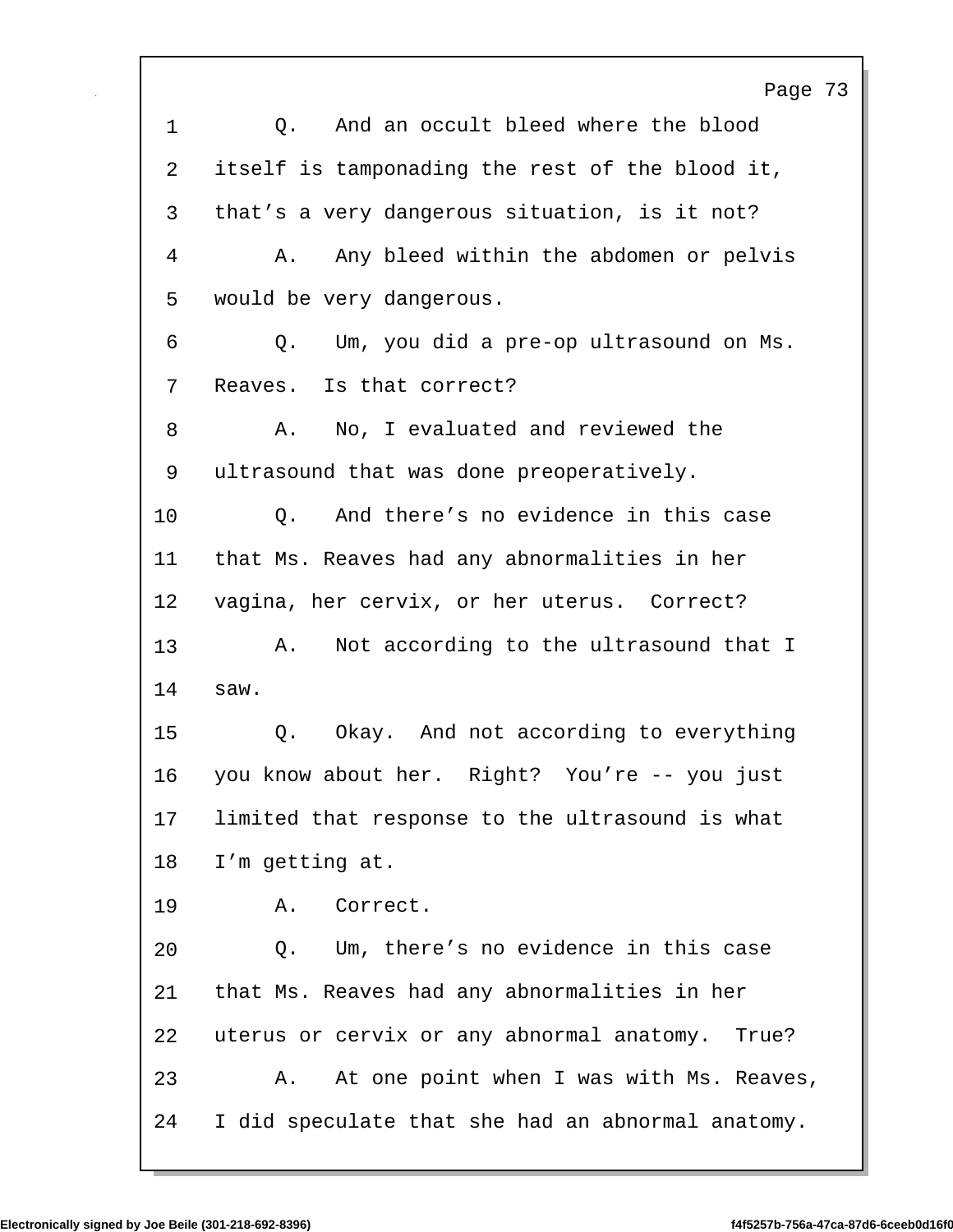Page 73 1 Q. And an occult bleed where the blood itself is tamponading the rest of the blood it, that's a very dangerous situation, is it not? 4 A. Any bleed within the abdomen or pelvis would be very dangerous. 6 Q. Um, you did a pre-op ultrasound on Ms. Reaves. Is that correct? 8 A. No, I evaluated and reviewed the ultrasound that was done preoperatively. Q. And there's no evidence in this case that Ms. Reaves had any abnormalities in her vagina, her cervix, or her uterus. Correct? 13 A. Not according to the ultrasound that I saw. 15 Q. Okay. And not according to everything you know about her. Right? You're -- you just limited that response to the ultrasound is what I'm getting at. 19 A. Correct. Q. Um, there's no evidence in this case that Ms. Reaves had any abnormalities in her uterus or cervix or any abnormal anatomy. True? 23 A. At one point when I was with Ms. Reaves, I did speculate that she had an abnormal anatomy.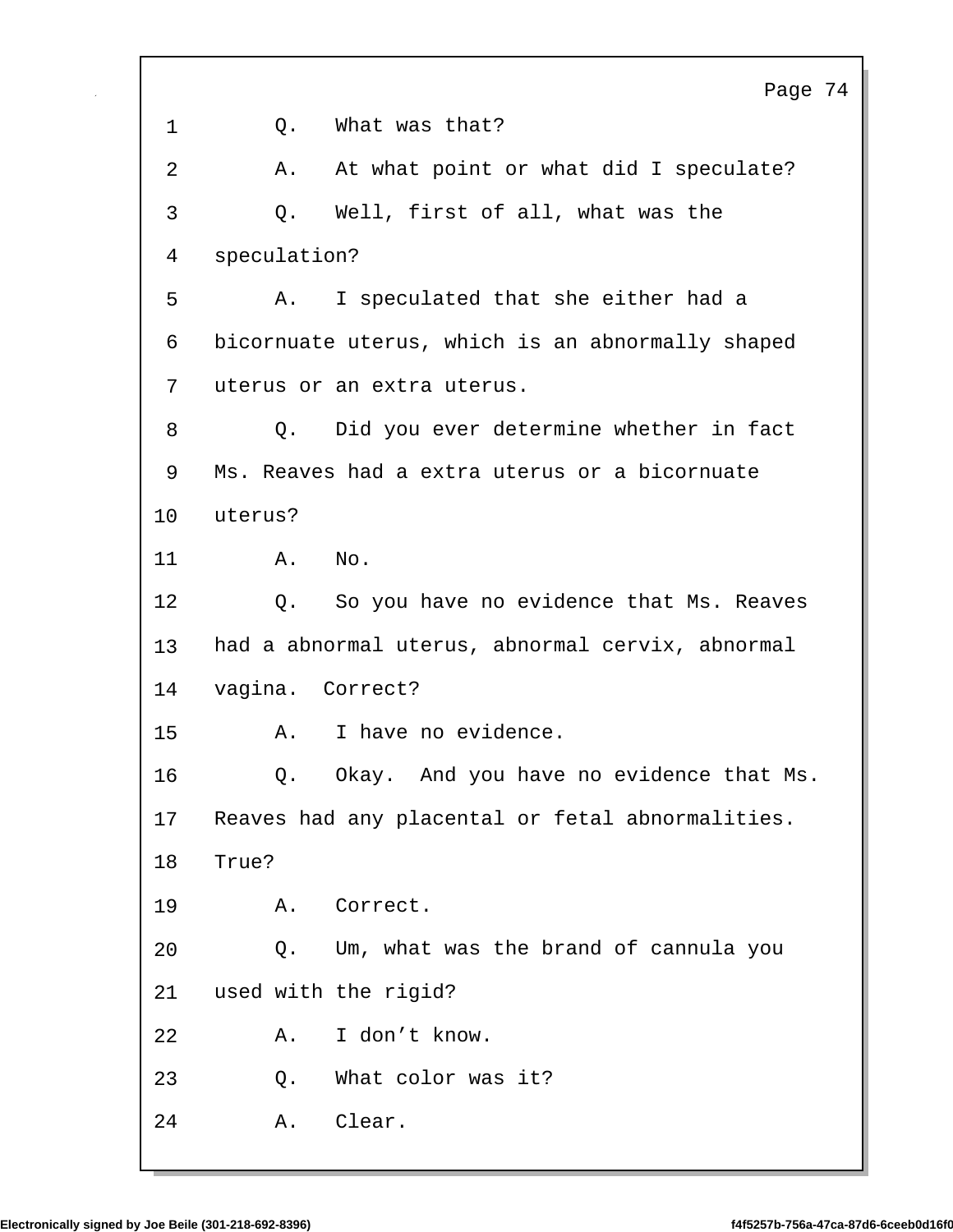Page 74 1 0. What was that? 2 A. At what point or what did I speculate? 3 Q. Well, first of all, what was the 4 speculation? 5 A. I speculated that she either had a 6 bicornuate uterus, which is an abnormally shaped 7 uterus or an extra uterus. 8 Q. Did you ever determine whether in fact 9 Ms. Reaves had a extra uterus or a bicornuate 10 uterus? 11 A. No. 12 Q. So you have no evidence that Ms. Reaves 13 had a abnormal uterus, abnormal cervix, abnormal 14 vagina. Correct? 15 A. I have no evidence. 16 Q. Okay. And you have no evidence that Ms. 17 Reaves had any placental or fetal abnormalities. 18 True? 19 A. Correct. 20 Q. Um, what was the brand of cannula you 21 used with the rigid? 22 A. I don't know. 23 Q. What color was it? 24 A. Clear.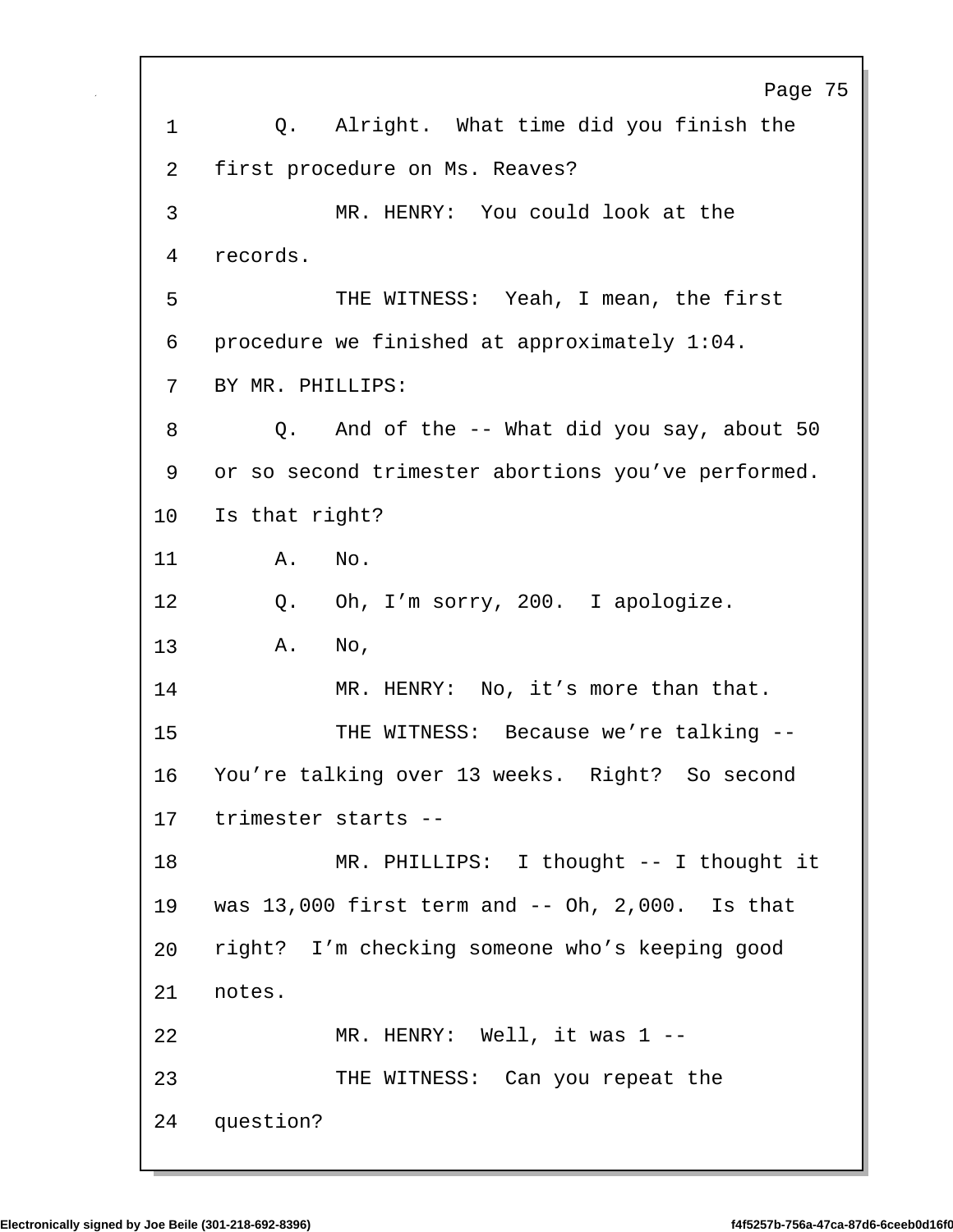Page 75 1 Q. Alright. What time did you finish the 2 first procedure on Ms. Reaves? 3 MR. HENRY: You could look at the 4 records. 5 THE WITNESS: Yeah, I mean, the first 6 procedure we finished at approximately 1:04. 7 BY MR. PHILLIPS: 8 Q. And of the -- What did you say, about 50 9 or so second trimester abortions you've performed. 10 Is that right? 11 A. No. 12 Q. Oh, I'm sorry, 200. I apologize. 13 A. No, 14 MR. HENRY: No, it's more than that. 15 THE WITNESS: Because we're talking -- 16 You're talking over 13 weeks. Right? So second 17 trimester starts -- 18 MR. PHILLIPS: I thought -- I thought it 19 was 13,000 first term and -- Oh, 2,000. Is that 20 right? I'm checking someone who's keeping good 21 notes. 22 MR. HENRY: Well, it was 1 -- 23 THE WITNESS: Can you repeat the 24 question?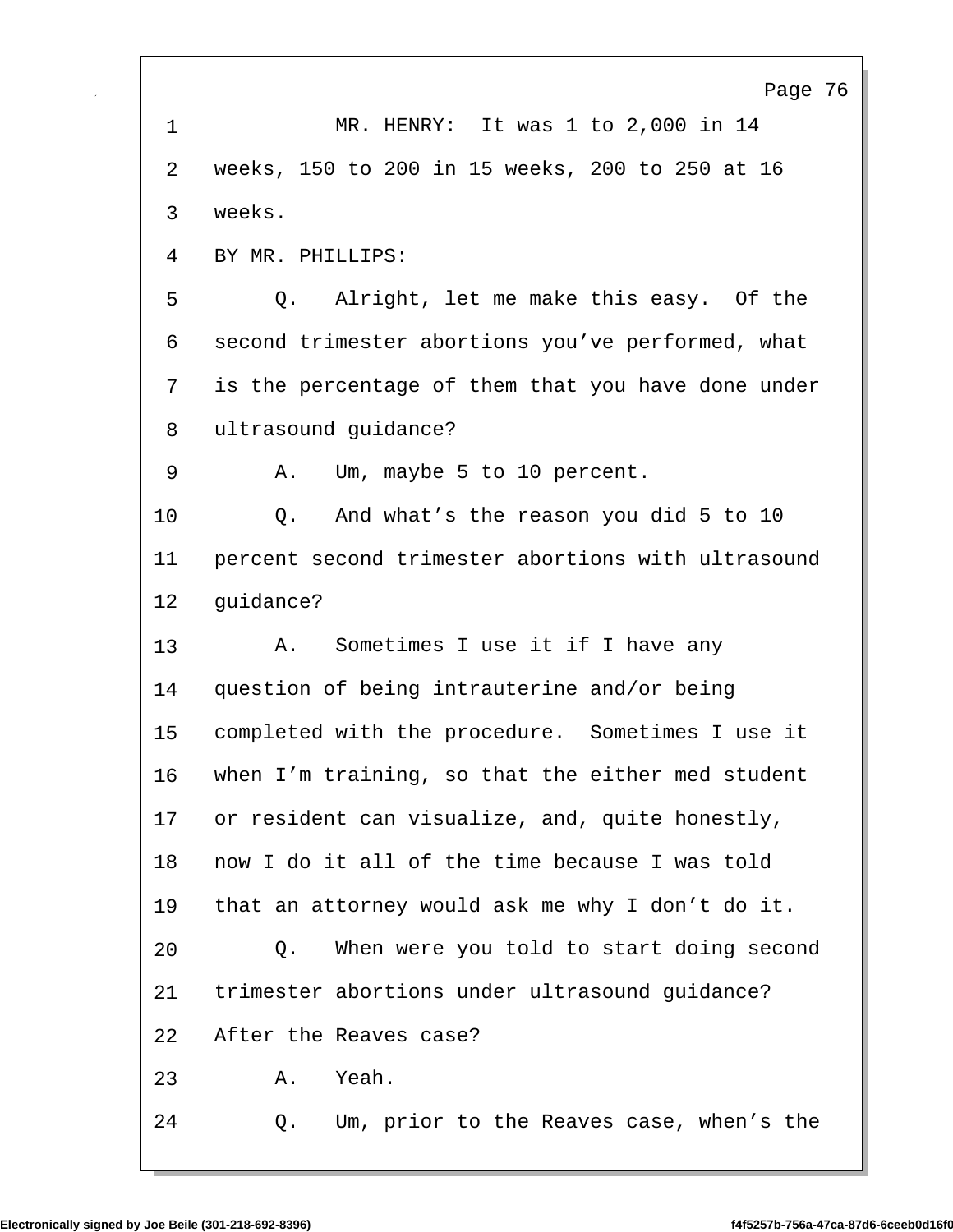Page 76 1 MR. HENRY: It was 1 to 2,000 in 14 weeks, 150 to 200 in 15 weeks, 200 to 250 at 16 weeks. BY MR. PHILLIPS: 5 Q. Alright, let me make this easy. Of the second trimester abortions you've performed, what is the percentage of them that you have done under ultrasound guidance? 9 A. Um, maybe 5 to 10 percent. Q. And what's the reason you did 5 to 10 percent second trimester abortions with ultrasound guidance? 13 A. Sometimes I use it if I have any question of being intrauterine and/or being completed with the procedure. Sometimes I use it when I'm training, so that the either med student or resident can visualize, and, quite honestly, now I do it all of the time because I was told that an attorney would ask me why I don't do it. 20 Q. When were you told to start doing second trimester abortions under ultrasound guidance? After the Reaves case? 23 A. Yeah. Q. Um, prior to the Reaves case, when's the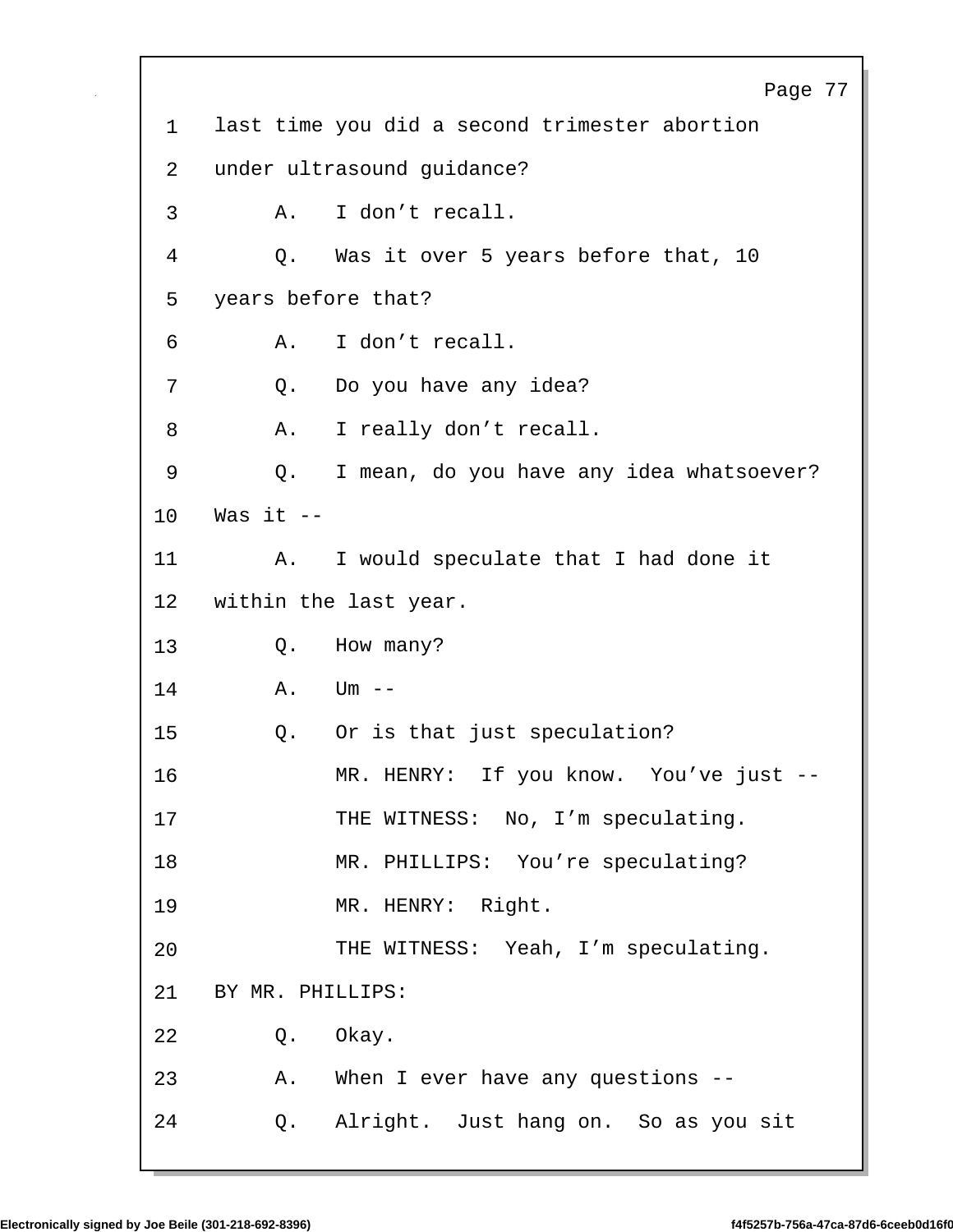Page 77 1 last time you did a second trimester abortion 2 under ultrasound guidance? 3 A. I don't recall. 4 Q. Was it over 5 years before that, 10 5 years before that? 6 A. I don't recall. 7 Q. Do you have any idea? 8 A. I really don't recall. 9 Q. I mean, do you have any idea whatsoever? 10 Was it -- 11 A. I would speculate that I had done it 12 within the last year. 13 Q. How many? 14 A. Um -- 15 Q. Or is that just speculation? 16 MR. HENRY: If you know. You've just -- 17 THE WITNESS: No, I'm speculating. 18 MR. PHILLIPS: You're speculating? 19 MR. HENRY: Right. 20 THE WITNESS: Yeah, I'm speculating. 21 BY MR. PHILLIPS: 22 Q. Okay. 23 A. When I ever have any questions -- 24 Q. Alright. Just hang on. So as you sit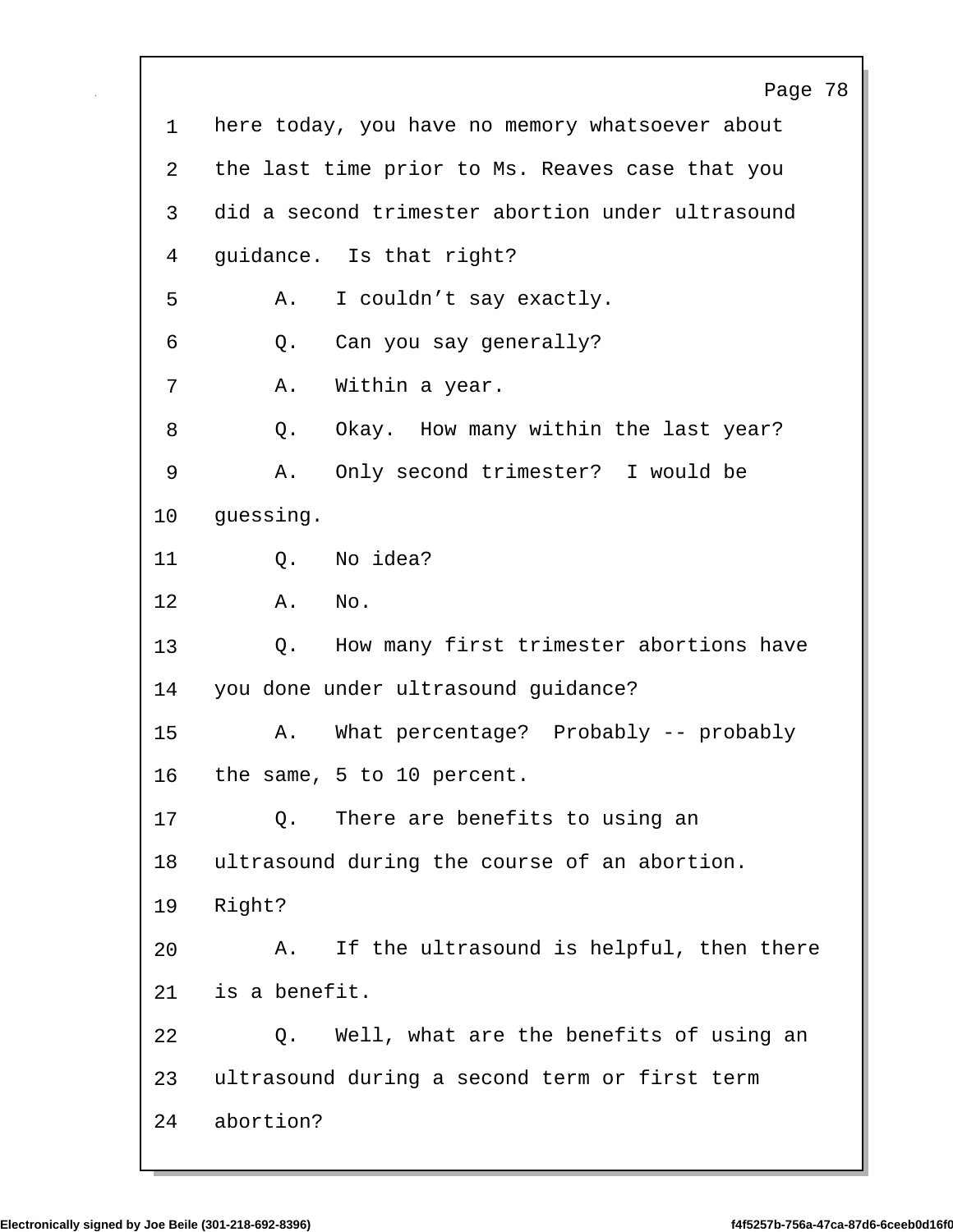Page 78 1 here today, you have no memory whatsoever about 2 the last time prior to Ms. Reaves case that you 3 did a second trimester abortion under ultrasound 4 guidance. Is that right? 5 A. I couldn't say exactly. 6 Q. Can you say generally? 7 A. Within a year. 8 Q. Okay. How many within the last year? 9 A. Only second trimester? I would be 10 guessing. 11 0. No idea? 12 A. No. 13 Q. How many first trimester abortions have 14 you done under ultrasound guidance? 15 A. What percentage? Probably -- probably 16 the same, 5 to 10 percent. 17 Q. There are benefits to using an 18 ultrasound during the course of an abortion. 19 Right? 20 A. If the ultrasound is helpful, then there 21 is a benefit. 22 Q. Well, what are the benefits of using an 23 ultrasound during a second term or first term 24 abortion?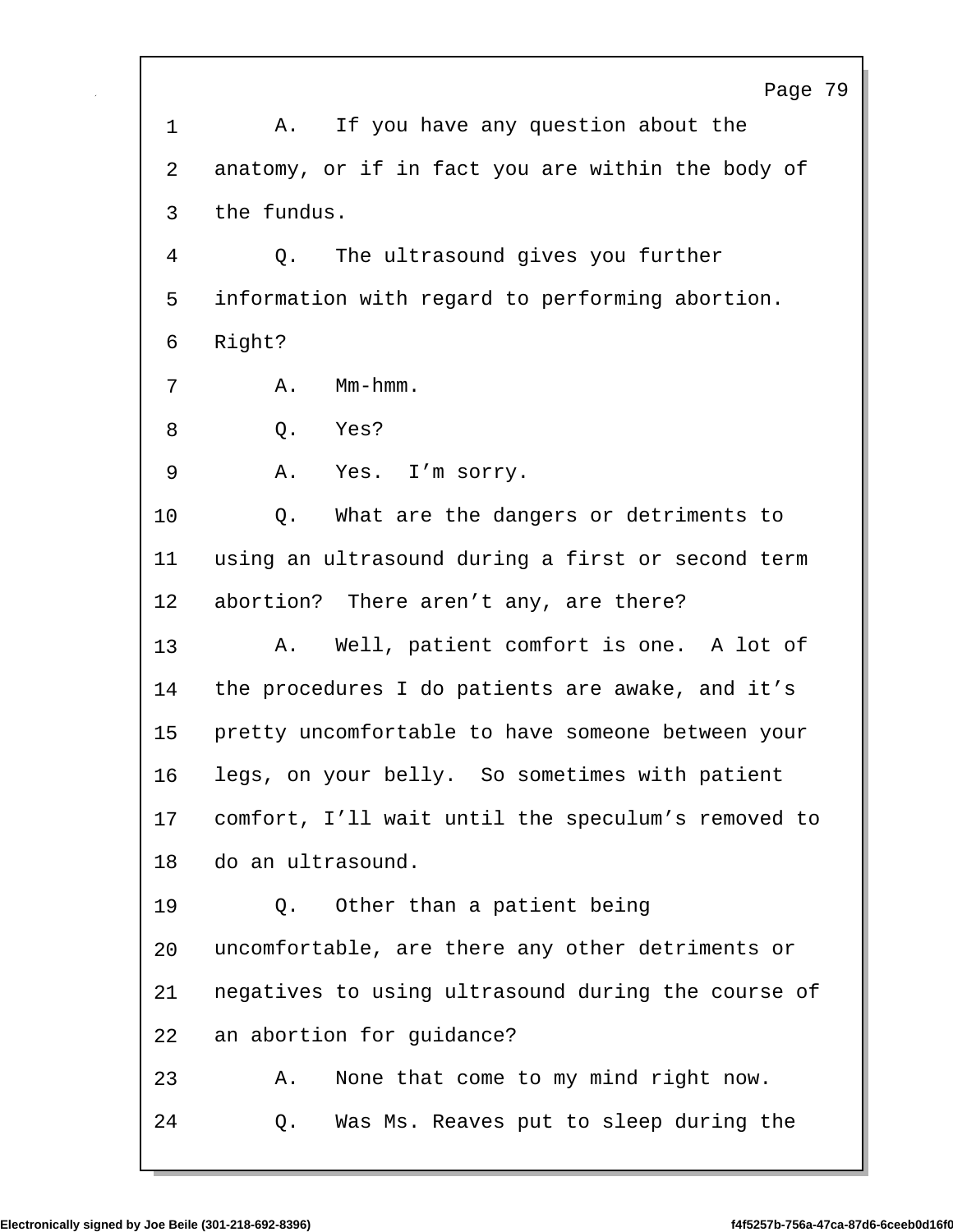Page 79 1 A. If you have any question about the 2 anatomy, or if in fact you are within the body of 3 the fundus. 4 Q. The ultrasound gives you further 5 information with regard to performing abortion. 6 Right? 7 A. Mm-hmm. 8 Q. Yes? 9 A. Yes. I'm sorry. 10 Q. What are the dangers or detriments to 11 using an ultrasound during a first or second term 12 abortion? There aren't any, are there? 13 A. Well, patient comfort is one. A lot of 14 the procedures I do patients are awake, and it's 15 pretty uncomfortable to have someone between your 16 legs, on your belly. So sometimes with patient 17 comfort, I'll wait until the speculum's removed to 18 do an ultrasound. 19 Q. Other than a patient being 20 uncomfortable, are there any other detriments or 21 negatives to using ultrasound during the course of 22 an abortion for guidance? 23 A. None that come to my mind right now. 24 Q. Was Ms. Reaves put to sleep during the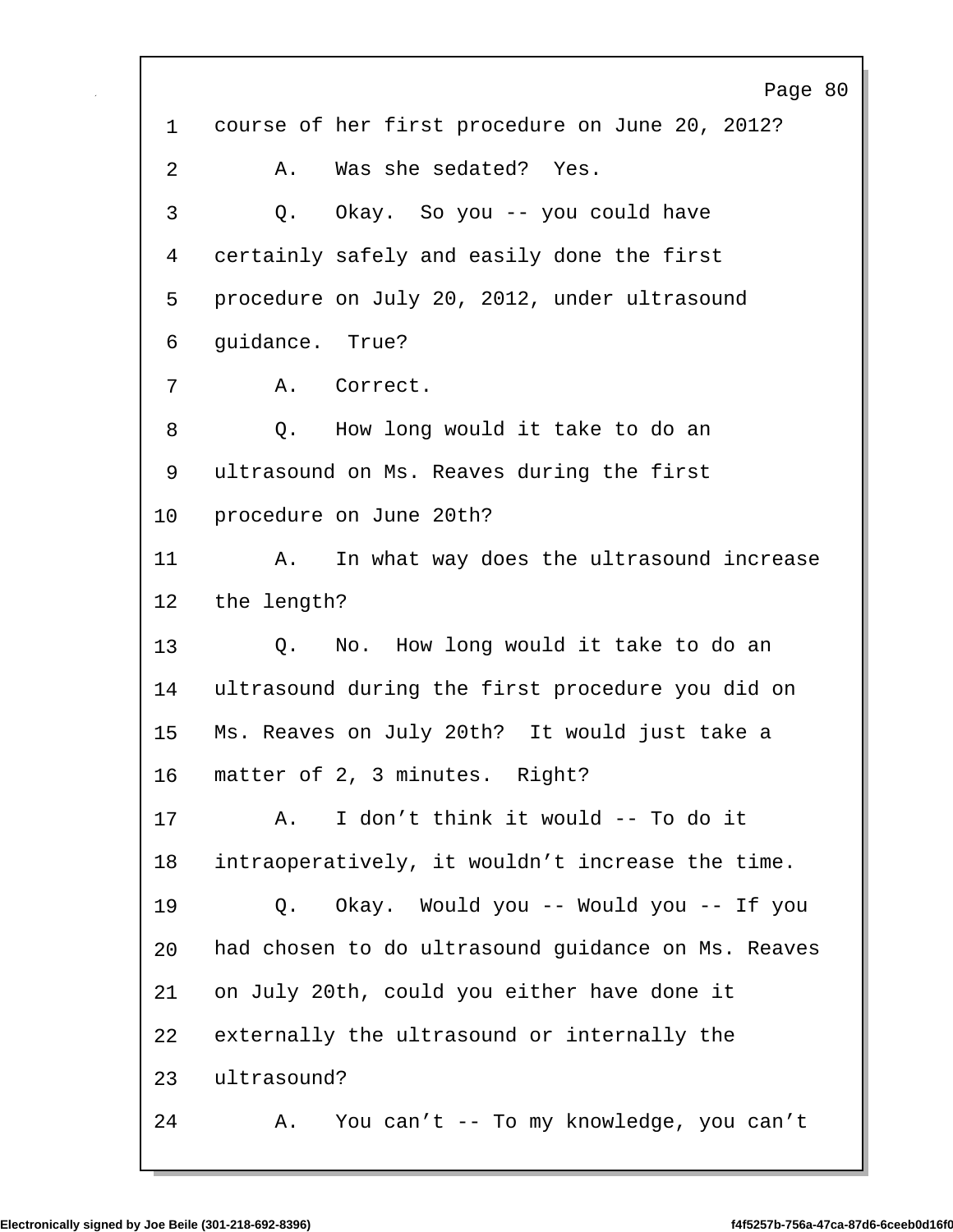Page 80 course of her first procedure on June 20, 2012? 2 A. Was she sedated? Yes. 3 Q. Okay. So you -- you could have certainly safely and easily done the first procedure on July 20, 2012, under ultrasound guidance. True? 7 A. Correct. 8 Q. How long would it take to do an ultrasound on Ms. Reaves during the first procedure on June 20th? 11 A. In what way does the ultrasound increase the length? 13 Q. No. How long would it take to do an ultrasound during the first procedure you did on Ms. Reaves on July 20th? It would just take a matter of 2, 3 minutes. Right? A. I don't think it would -- To do it intraoperatively, it wouldn't increase the time. 19 Q. Okay. Would you -- Would you -- If you had chosen to do ultrasound guidance on Ms. Reaves on July 20th, could you either have done it externally the ultrasound or internally the ultrasound? A. You can't -- To my knowledge, you can't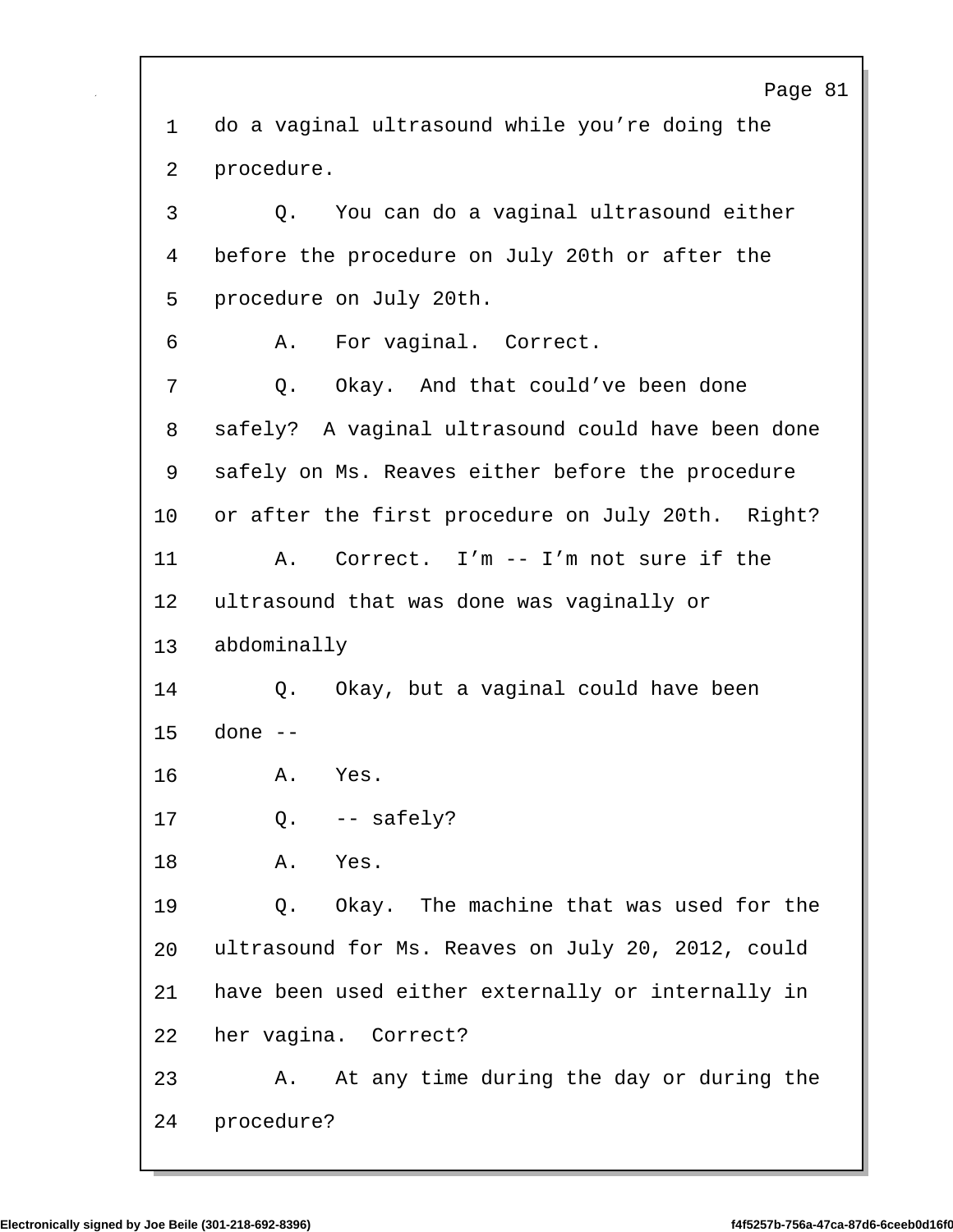Page 81 do a vaginal ultrasound while you're doing the procedure. 3 Q. You can do a vaginal ultrasound either before the procedure on July 20th or after the procedure on July 20th. 6 A. For vaginal. Correct. Q. Okay. And that could've been done safely? A vaginal ultrasound could have been done safely on Ms. Reaves either before the procedure or after the first procedure on July 20th. Right? A. Correct. I'm -- I'm not sure if the ultrasound that was done was vaginally or abdominally 14 Q. Okay, but a vaginal could have been done -- 16 A. Yes. 17 Q. -- safely? 18 A. Yes. 19 Q. Okay. The machine that was used for the ultrasound for Ms. Reaves on July 20, 2012, could have been used either externally or internally in her vagina. Correct? 23 A. At any time during the day or during the procedure?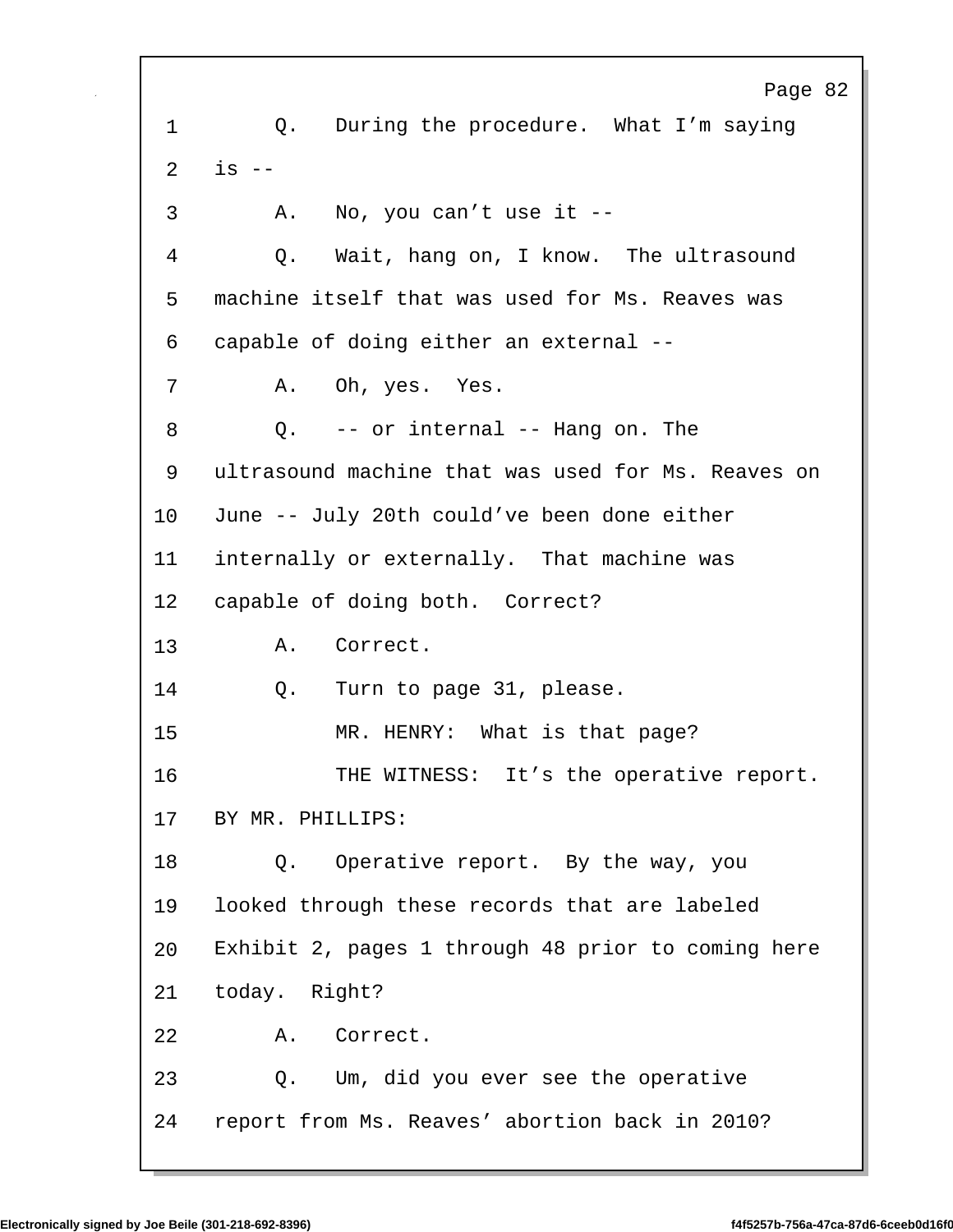Page 82 1 Q. During the procedure. What I'm saying  $2 \text{ is } -$ 3 A. No, you can't use it -- 4 Q. Wait, hang on, I know. The ultrasound 5 machine itself that was used for Ms. Reaves was 6 capable of doing either an external -- 7 A. Oh, yes. Yes. 8 Q. -- or internal -- Hang on. The 9 ultrasound machine that was used for Ms. Reaves on 10 June -- July 20th could've been done either 11 internally or externally. That machine was 12 capable of doing both. Correct? 13 A. Correct. 14 Q. Turn to page 31, please. 15 MR. HENRY: What is that page? 16 THE WITNESS: It's the operative report. 17 BY MR. PHILLIPS: 18 Q. Operative report. By the way, you 19 looked through these records that are labeled 20 Exhibit 2, pages 1 through 48 prior to coming here 21 today. Right? 22 A. Correct. 23 Q. Um, did you ever see the operative 24 report from Ms. Reaves' abortion back in 2010?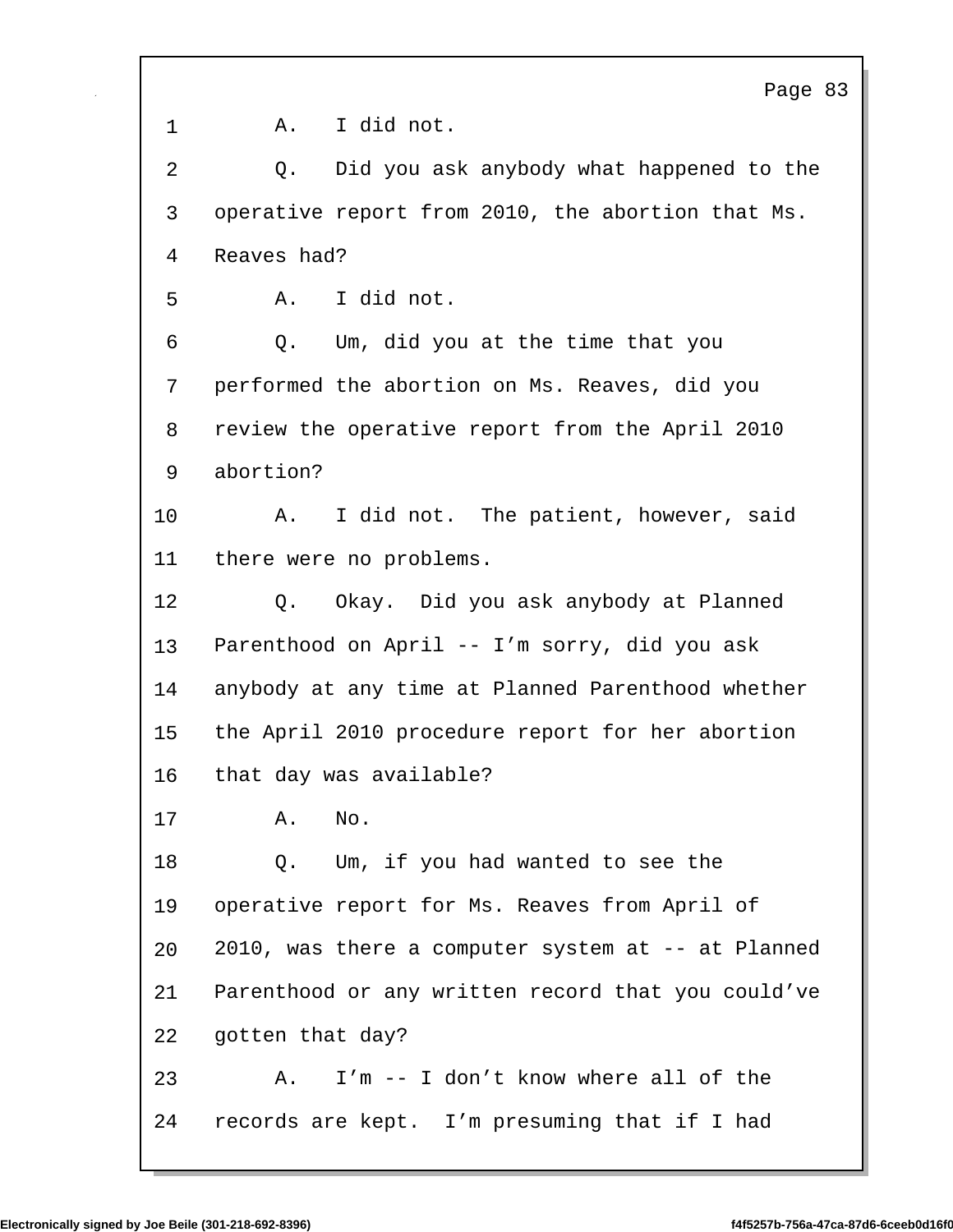Page 83 1 A. I did not. 2 Q. Did you ask anybody what happened to the operative report from 2010, the abortion that Ms. Reaves had? 5 A. I did not. 6 Q. Um, did you at the time that you performed the abortion on Ms. Reaves, did you review the operative report from the April 2010 abortion? 10 A. I did not. The patient, however, said there were no problems. 12 Q. Okay. Did you ask anybody at Planned Parenthood on April -- I'm sorry, did you ask anybody at any time at Planned Parenthood whether the April 2010 procedure report for her abortion that day was available? 17 A. No. 18 Q. Um, if you had wanted to see the operative report for Ms. Reaves from April of 2010, was there a computer system at -- at Planned Parenthood or any written record that you could've gotten that day? A. I'm -- I don't know where all of the records are kept. I'm presuming that if I had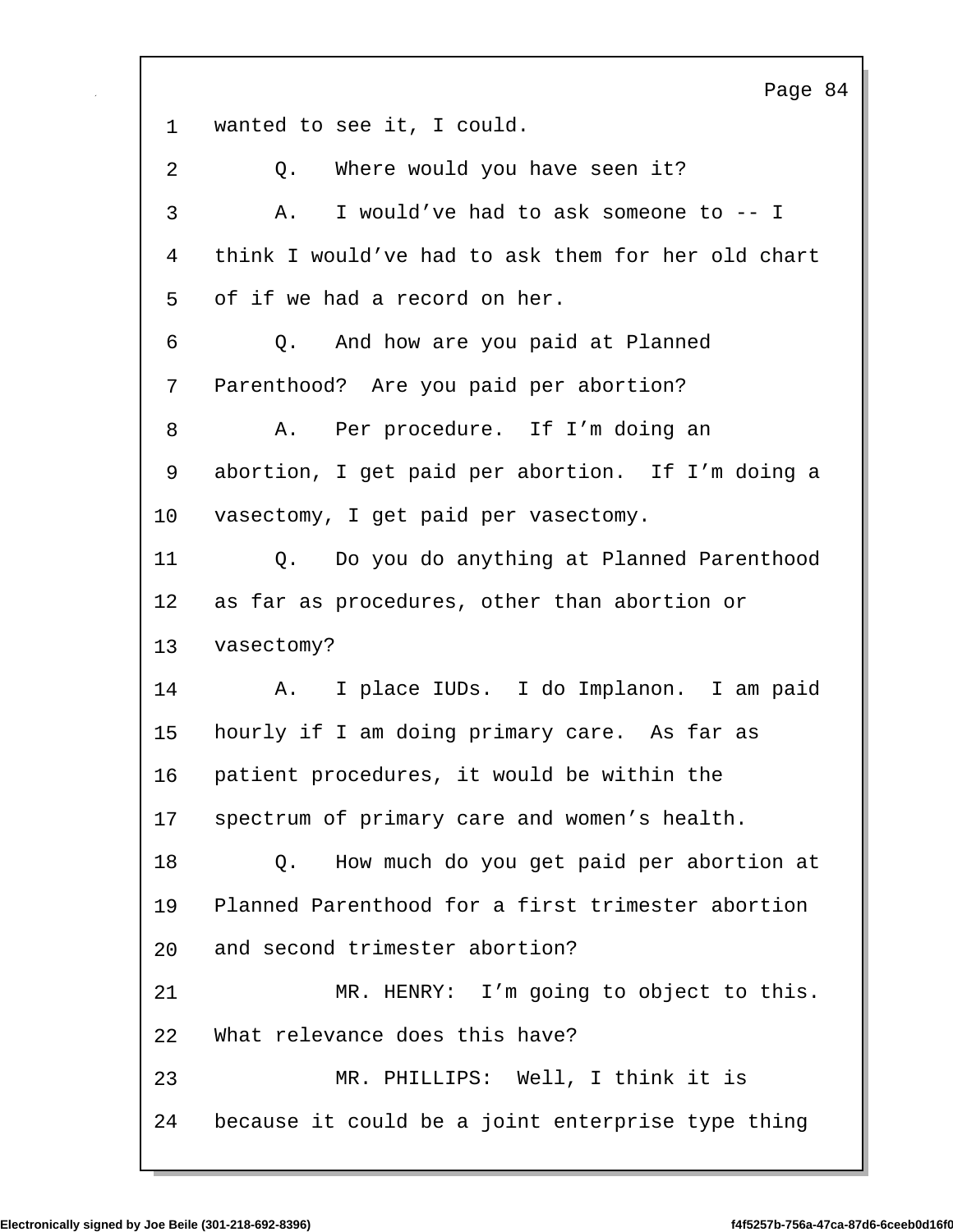Page 84 wanted to see it, I could. 2 Q. Where would you have seen it? A. I would've had to ask someone to -- I think I would've had to ask them for her old chart of if we had a record on her. 6 Q. And how are you paid at Planned Parenthood? Are you paid per abortion? A. Per procedure. If I'm doing an abortion, I get paid per abortion. If I'm doing a vasectomy, I get paid per vasectomy. 11 Q. Do you do anything at Planned Parenthood as far as procedures, other than abortion or vasectomy? 14 A. I place IUDs. I do Implanon. I am paid hourly if I am doing primary care. As far as patient procedures, it would be within the spectrum of primary care and women's health. 18 Q. How much do you get paid per abortion at Planned Parenthood for a first trimester abortion and second trimester abortion? MR. HENRY: I'm going to object to this. What relevance does this have? 23 MR. PHILLIPS: Well, I think it is because it could be a joint enterprise type thing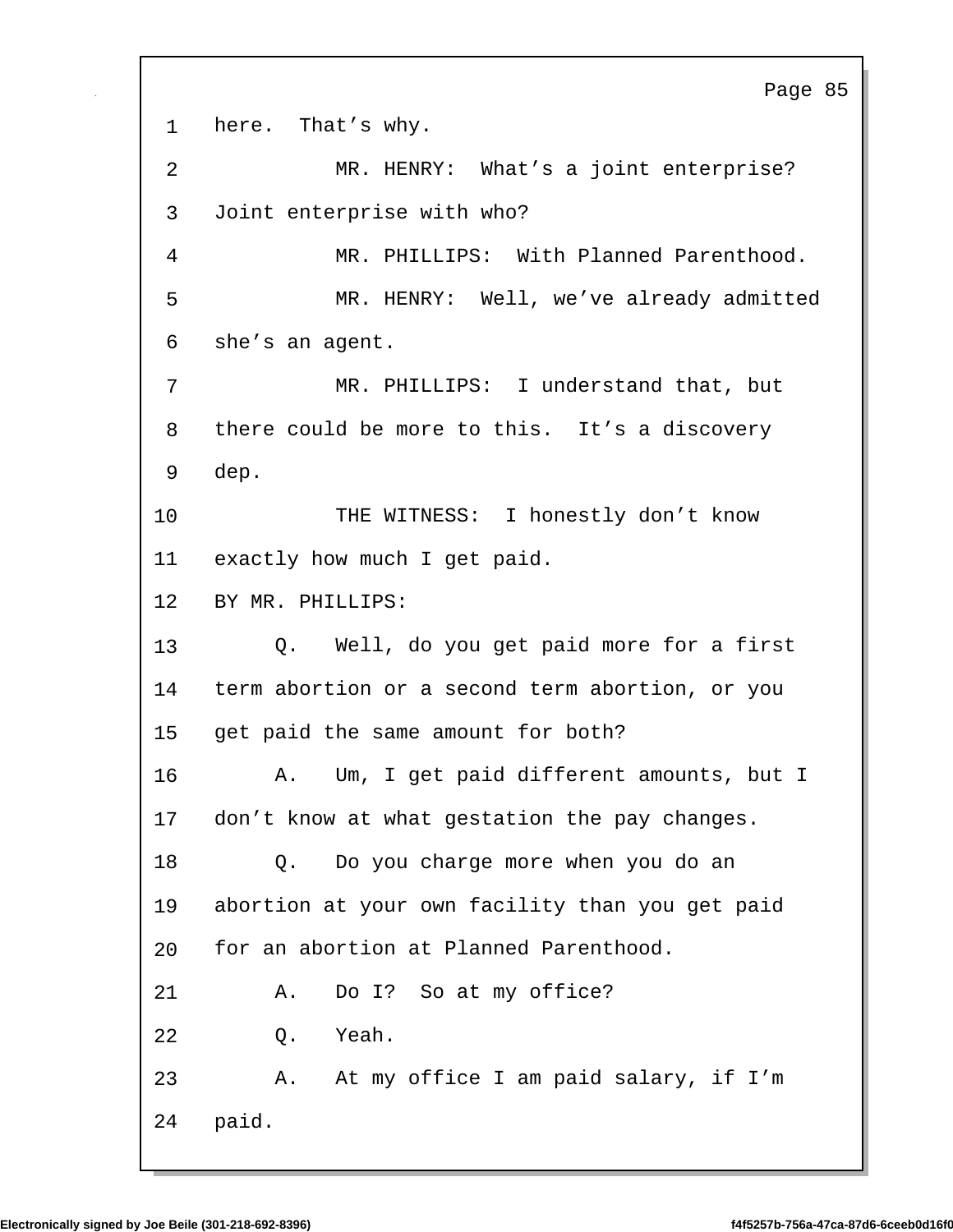Page 85 here. That's why. MR. HENRY: What's a joint enterprise? Joint enterprise with who? 4 MR. PHILLIPS: With Planned Parenthood. MR. HENRY: Well, we've already admitted she's an agent. 7 MR. PHILLIPS: I understand that, but there could be more to this. It's a discovery dep. 10 THE WITNESS: I honestly don't know exactly how much I get paid. BY MR. PHILLIPS: 13 Q. Well, do you get paid more for a first term abortion or a second term abortion, or you get paid the same amount for both? 16 A. Um, I get paid different amounts, but I don't know at what gestation the pay changes. 18 Q. Do you charge more when you do an abortion at your own facility than you get paid for an abortion at Planned Parenthood. 21 A. Do I? So at my office? 22 Q. Yeah. A. At my office I am paid salary, if I'm paid.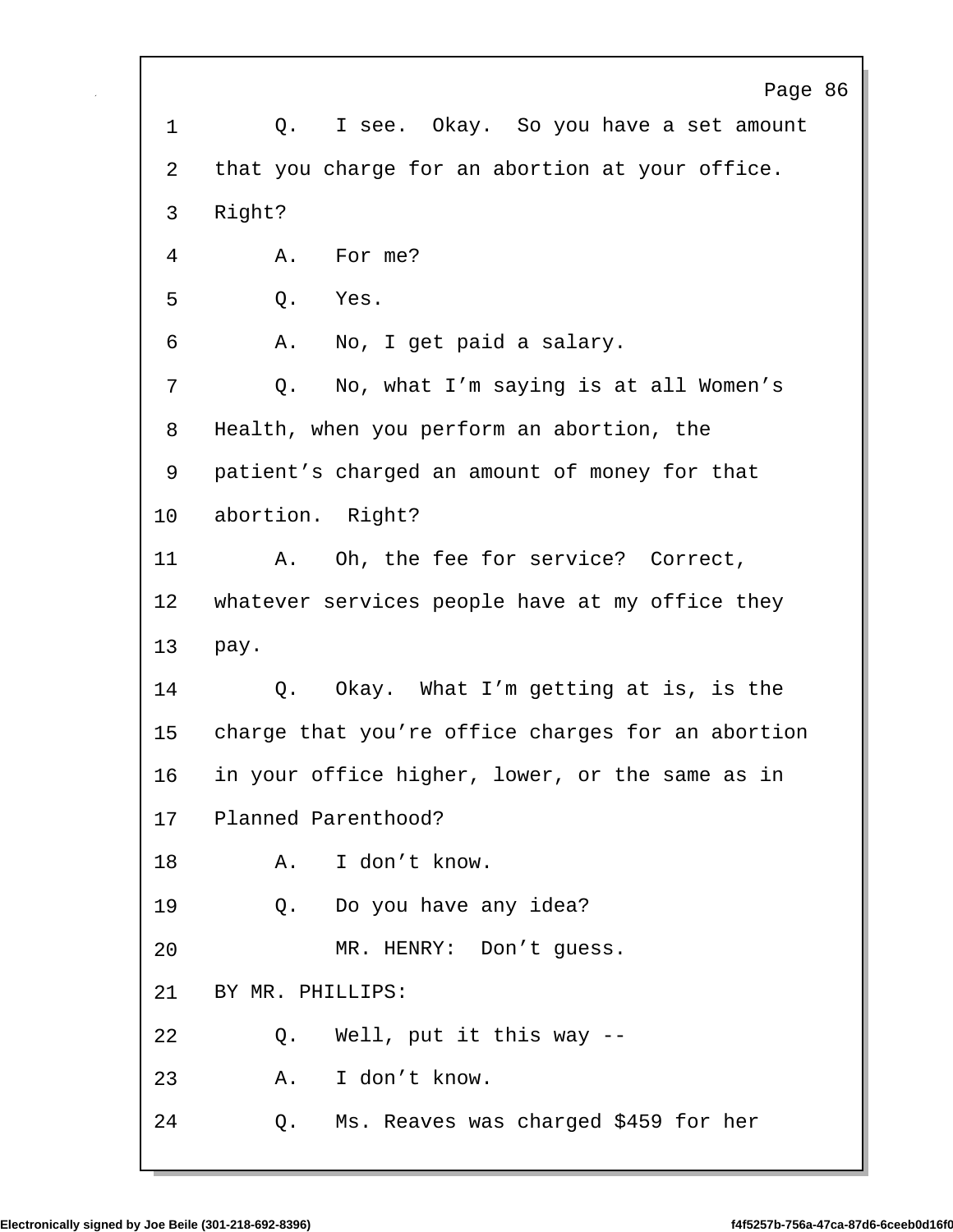Page 86 1 Q. I see. Okay. So you have a set amount that you charge for an abortion at your office. Right? 4 A. For me? 5 Q. Yes. 6 A. No, I get paid a salary. Q. No, what I'm saying is at all Women's Health, when you perform an abortion, the patient's charged an amount of money for that abortion. Right? 11 A. Oh, the fee for service? Correct, whatever services people have at my office they pay. Q. Okay. What I'm getting at is, is the charge that you're office charges for an abortion in your office higher, lower, or the same as in Planned Parenthood? A. I don't know. 19 Q. Do you have any idea? MR. HENRY: Don't guess. BY MR. PHILLIPS: 22 Q. Well, put it this way -- A. I don't know. 24 Q. Ms. Reaves was charged \$459 for her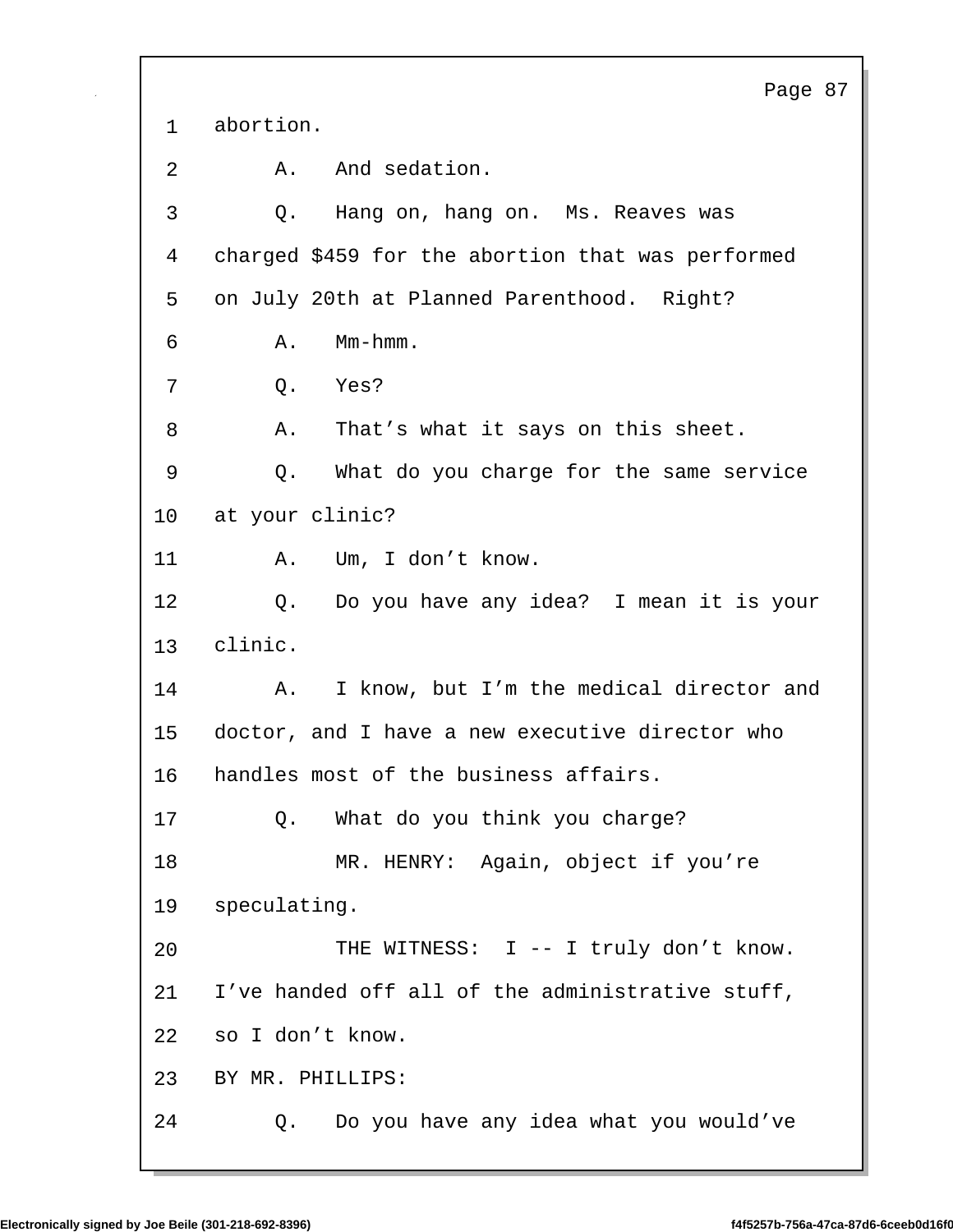Page 87 abortion. 2 A. And sedation. 3 Q. Hang on, hang on. Ms. Reaves was charged \$459 for the abortion that was performed on July 20th at Planned Parenthood. Right? 6 A. Mm-hmm. 7 Q. Yes? A. That's what it says on this sheet. 9 Q. What do you charge for the same service at your clinic? A. Um, I don't know. 12 Q. Do you have any idea? I mean it is your clinic. A. I know, but I'm the medical director and doctor, and I have a new executive director who handles most of the business affairs. 17 Q. What do you think you charge? MR. HENRY: Again, object if you're speculating. THE WITNESS: I -- I truly don't know. I've handed off all of the administrative stuff, so I don't know. BY MR. PHILLIPS: Q. Do you have any idea what you would've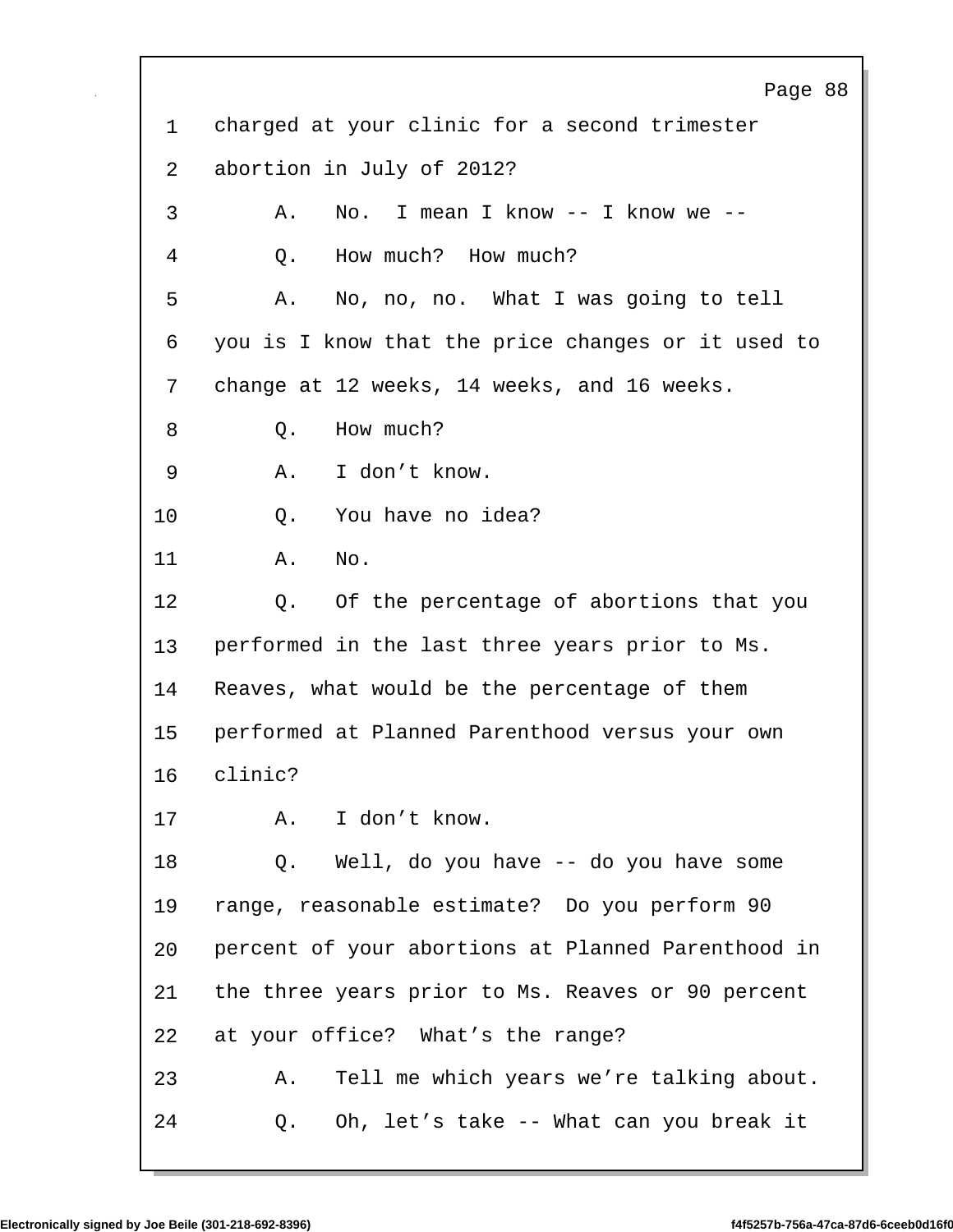|             | Page 88                                            |
|-------------|----------------------------------------------------|
| $\mathbf 1$ | charged at your clinic for a second trimester      |
| 2           | abortion in July of 2012?                          |
| 3           | I mean I know -- I know we --<br>Α.<br>No.         |
| 4           | How much? How much?<br>Q.                          |
| 5           | No, no, no. What I was going to tell<br>Α.         |
| 6           | you is I know that the price changes or it used to |
| 7           | change at 12 weeks, 14 weeks, and 16 weeks.        |
| 8           | How much?<br>Q.                                    |
| 9           | Α.<br>I don't know.                                |
| 10          | You have no idea?<br>Q.                            |
| 11          | Α.<br>No.                                          |
| 12          | Q.<br>Of the percentage of abortions that you      |
| 13          | performed in the last three years prior to Ms.     |
| 14          | Reaves, what would be the percentage of them       |
| 15          | performed at Planned Parenthood versus your own    |
| 16          | clinic?                                            |
| 17          | A. I don't know.                                   |
| 18          | Q. Well, do you have -- do you have some           |
| 19          | range, reasonable estimate? Do you perform 90      |
| 20          | percent of your abortions at Planned Parenthood in |
| 21          | the three years prior to Ms. Reaves or 90 percent  |
| 22          | at your office? What's the range?                  |
| 23          | Tell me which years we're talking about.<br>Α.     |
| 24          | Oh, let's take -- What can you break it<br>Q.      |
|             |                                                    |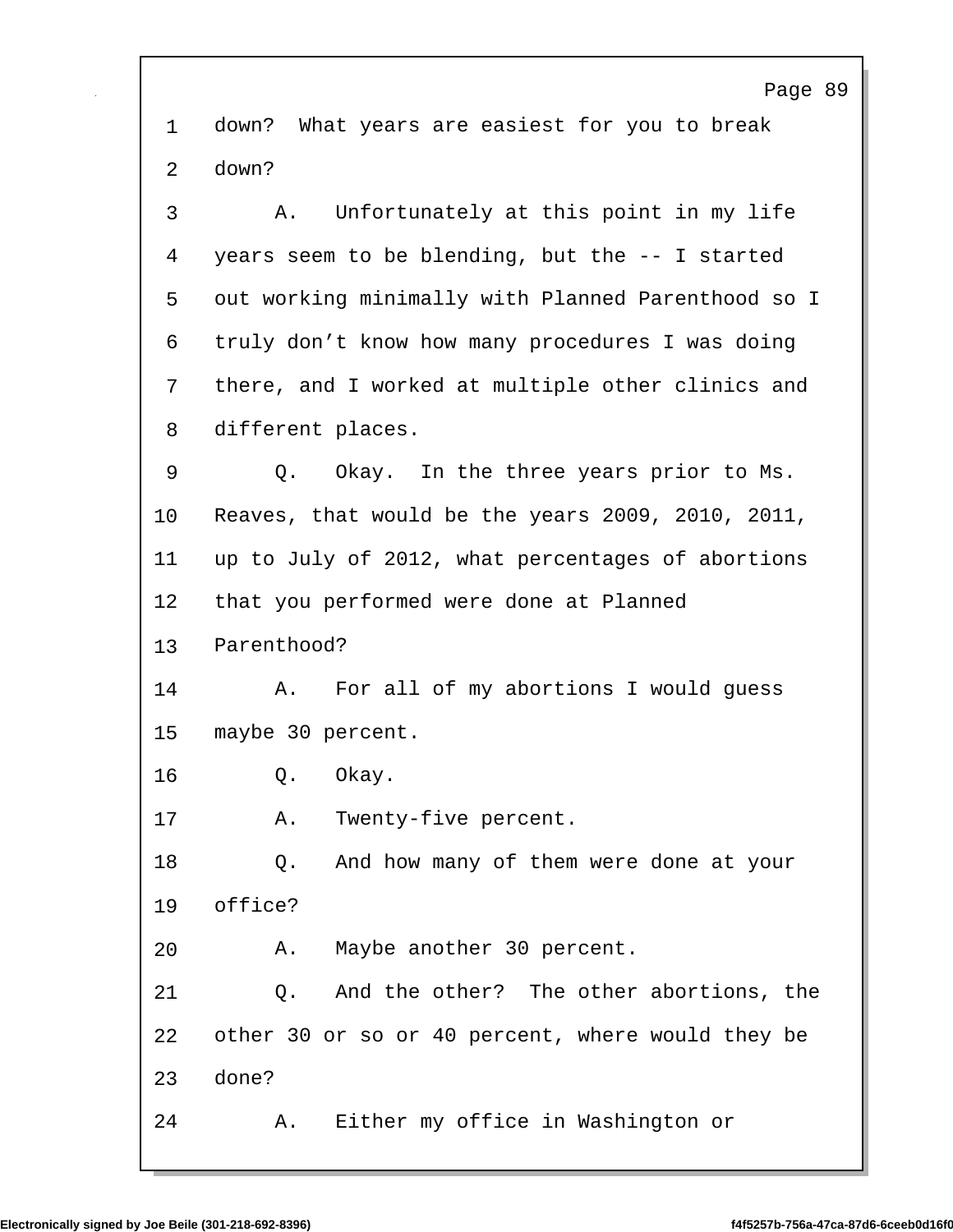1 down? What years are easiest for you to break 2 down?

3 A. Unfortunately at this point in my life 4 years seem to be blending, but the -- I started 5 out working minimally with Planned Parenthood so I 6 truly don't know how many procedures I was doing 7 there, and I worked at multiple other clinics and 8 different places. 9 Q. Okay. In the three years prior to Ms. 10 Reaves, that would be the years 2009, 2010, 2011, 11 up to July of 2012, what percentages of abortions 12 that you performed were done at Planned 13 Parenthood? 14 A. For all of my abortions I would guess 15 maybe 30 percent. 16 Q. Okay. 17 A. Twenty-five percent. 18 Q. And how many of them were done at your 19 office? 20 A. Maybe another 30 percent. 21 Q. And the other? The other abortions, the 22 other 30 or so or 40 percent, where would they be 23 done? 24 A. Either my office in Washington or

**Electronically signed by Joe Beile (301-218-692-8396) f4f5257b-756a-47ca-87d6-6ceeb0d16f0b**

Page 89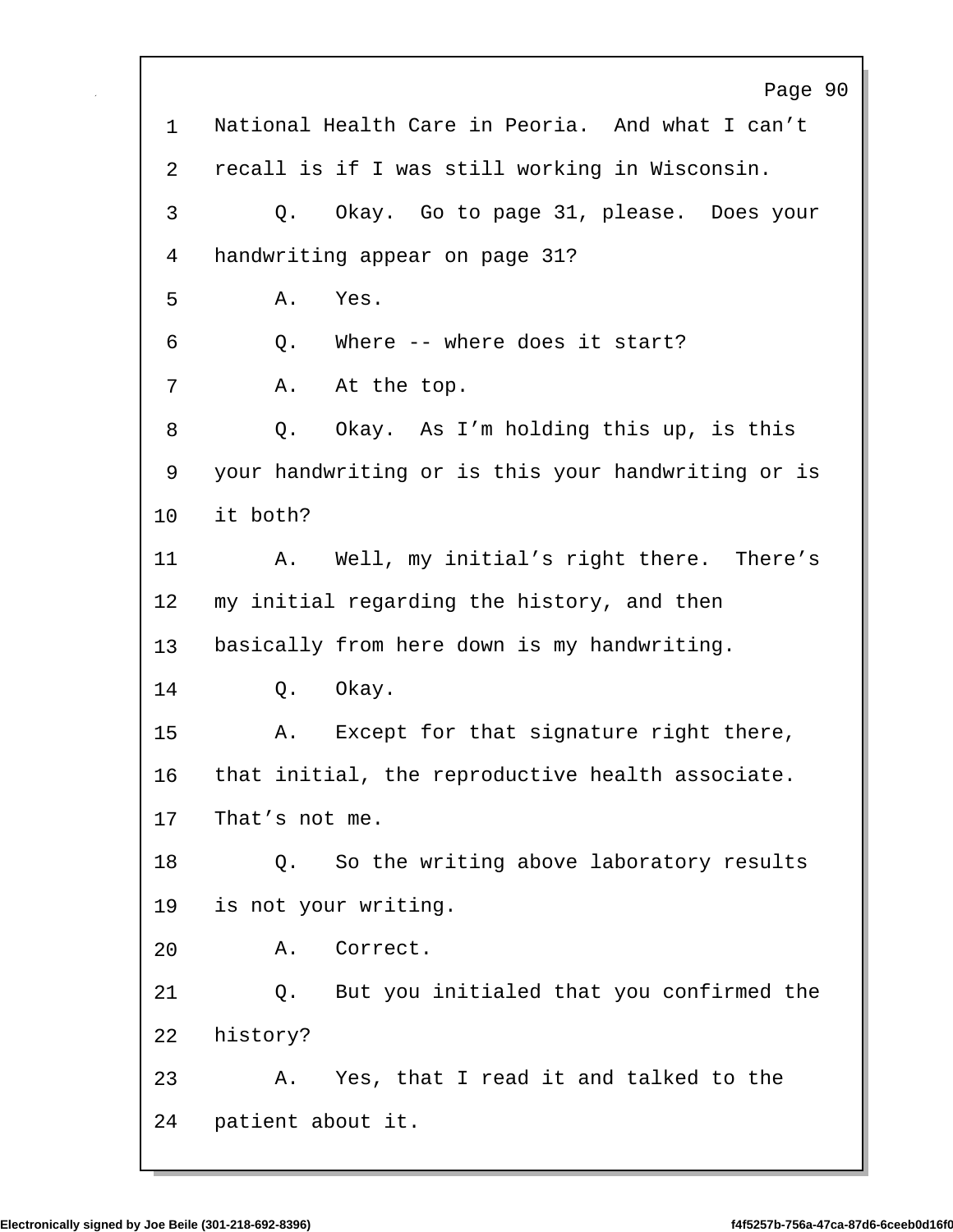Page 90 1 National Health Care in Peoria. And what I can't 2 recall is if I was still working in Wisconsin. 3 Q. Okay. Go to page 31, please. Does your 4 handwriting appear on page 31? 5 A. Yes. 6 Q. Where -- where does it start? 7 A. At the top. 8 Q. Okay. As I'm holding this up, is this 9 your handwriting or is this your handwriting or is 10 it both? 11 A. Well, my initial's right there. There's 12 my initial regarding the history, and then 13 basically from here down is my handwriting. 14 Q. Okay. 15 A. Except for that signature right there, 16 that initial, the reproductive health associate. 17 That's not me. 18 Q. So the writing above laboratory results 19 is not your writing. 20 A. Correct. 21 Q. But you initialed that you confirmed the 22 history? 23 A. Yes, that I read it and talked to the 24 patient about it.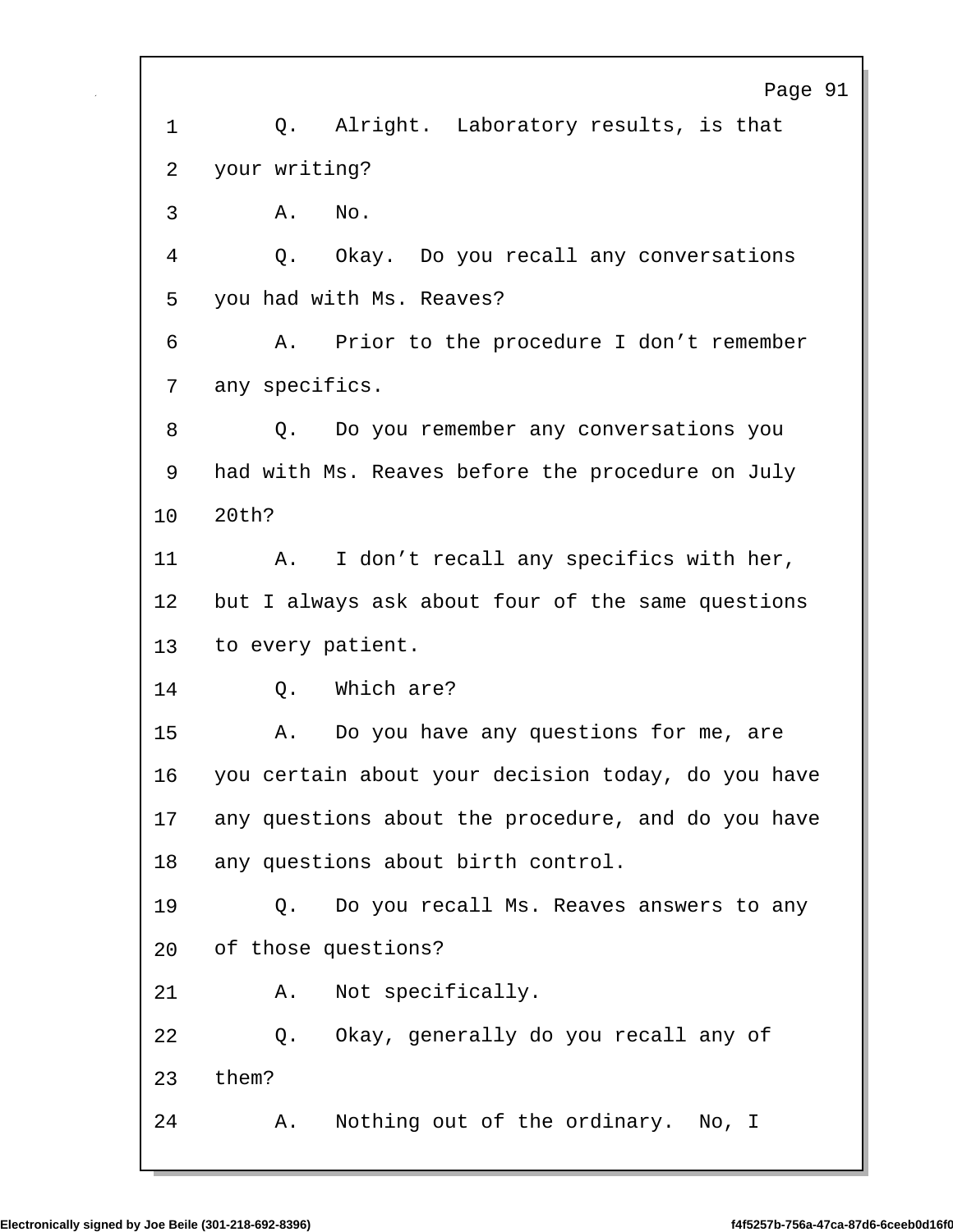Page 91 1 Q. Alright. Laboratory results, is that 2 your writing? 3 A. No. 4 Q. Okay. Do you recall any conversations 5 you had with Ms. Reaves? 6 A. Prior to the procedure I don't remember 7 any specifics. 8 Q. Do you remember any conversations you 9 had with Ms. Reaves before the procedure on July 10 20th? 11 A. I don't recall any specifics with her, 12 but I always ask about four of the same questions 13 to every patient. 14 O. Which are? 15 A. Do you have any questions for me, are 16 you certain about your decision today, do you have 17 any questions about the procedure, and do you have 18 any questions about birth control. 19 Q. Do you recall Ms. Reaves answers to any 20 of those questions? 21 A. Not specifically. 22 Q. Okay, generally do you recall any of 23 them? 24 A. Nothing out of the ordinary. No, I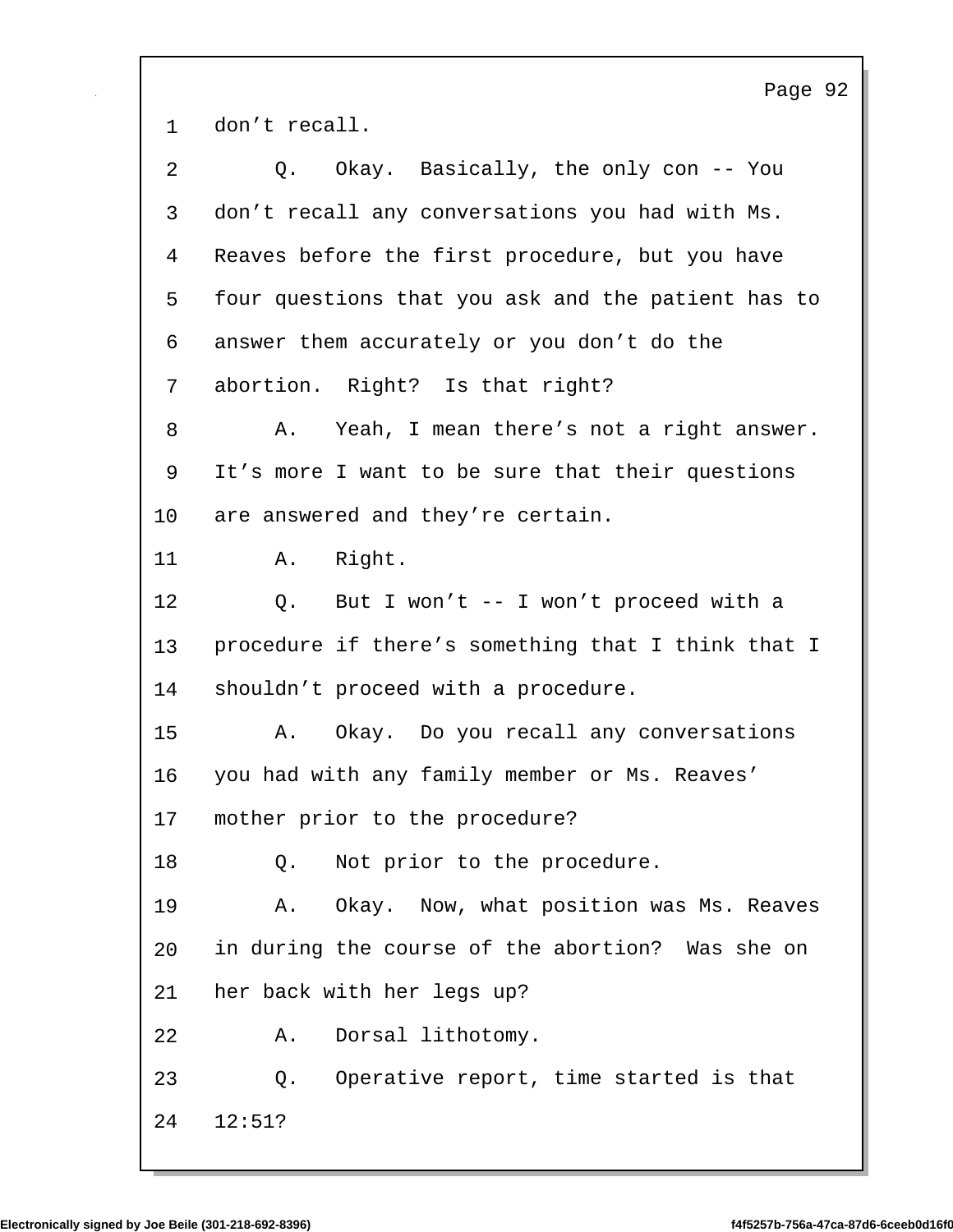Page 92

don't recall.

| $\overline{2}$  | Q.<br>Okay. Basically, the only con -- You         |
|-----------------|----------------------------------------------------|
| 3               | don't recall any conversations you had with Ms.    |
| 4               | Reaves before the first procedure, but you have    |
| 5               | four questions that you ask and the patient has to |
| 6               | answer them accurately or you don't do the         |
| 7               | abortion. Right? Is that right?                    |
| 8               | Yeah, I mean there's not a right answer.<br>Α.     |
| 9               | It's more I want to be sure that their questions   |
| 10 <sub>o</sub> | are answered and they're certain.                  |
| 11              | Right.<br>Α.                                       |
| 12              | But I won't -- I won't proceed with a<br>Q.        |
| 13              | procedure if there's something that I think that I |
| 14              | shouldn't proceed with a procedure.                |
| 15              | Okay. Do you recall any conversations<br>Α.        |
| 16              | you had with any family member or Ms. Reaves'      |
| $17 \,$         | mother prior to the procedure?                     |
| 18              | Not prior to the procedure.<br>Q.                  |
| 19              | Okay. Now, what position was Ms. Reaves<br>Α.      |
| 20              | in during the course of the abortion? Was she on   |
| 21              | her back with her legs up?                         |
| 22              | Dorsal lithotomy.<br>Α.                            |
| 23              | Operative report, time started is that<br>Q.       |
| 24              | 12:51?                                             |
|                 |                                                    |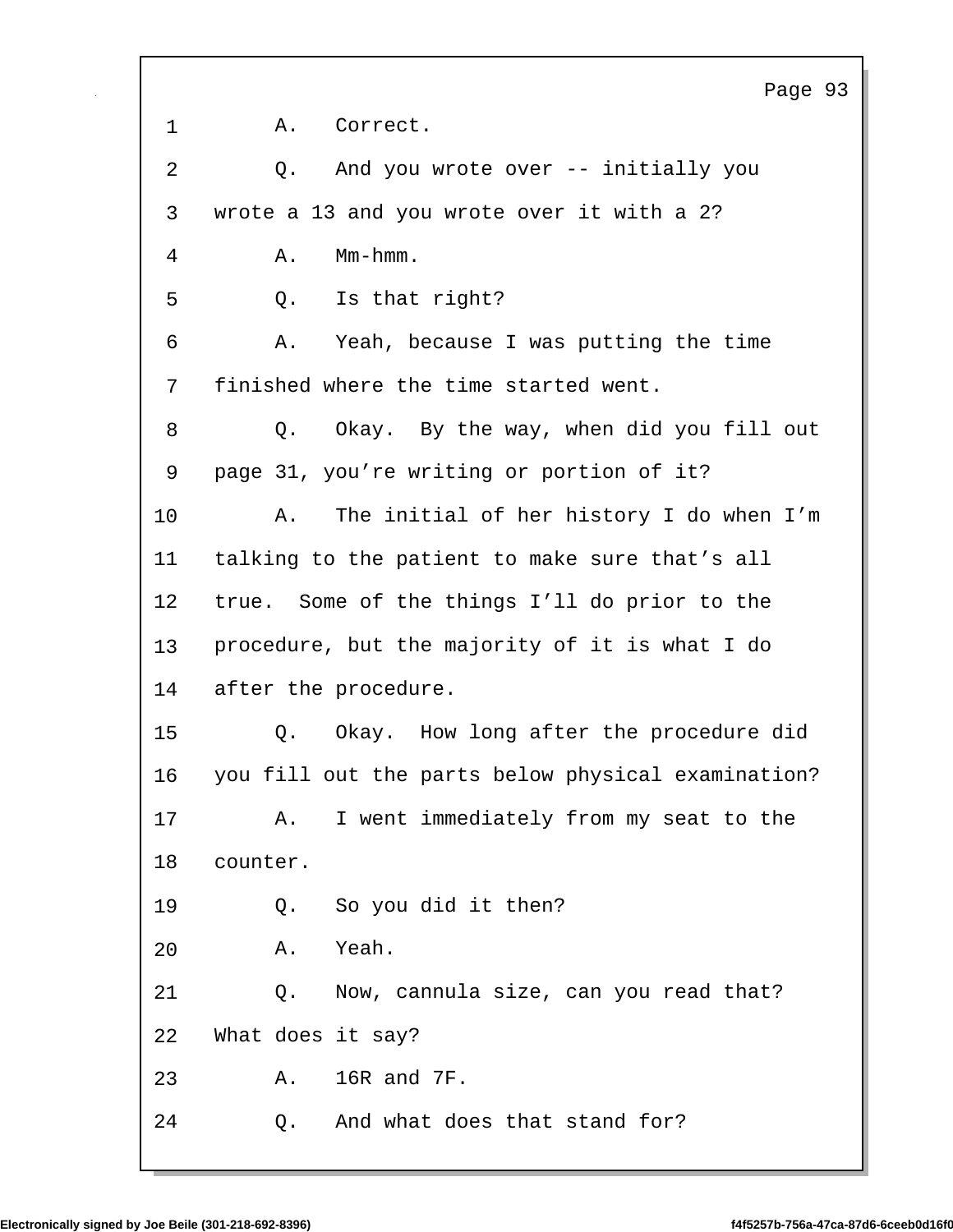Page 93 1 A. Correct. 2 Q. And you wrote over -- initially you 3 wrote a 13 and you wrote over it with a 2? 4 A. Mm-hmm. 5 Q. Is that right? 6 A. Yeah, because I was putting the time 7 finished where the time started went. 8 Q. Okay. By the way, when did you fill out 9 page 31, you're writing or portion of it? 10 A. The initial of her history I do when I'm 11 talking to the patient to make sure that's all 12 true. Some of the things I'll do prior to the 13 procedure, but the majority of it is what I do 14 after the procedure. 15 Q. Okay. How long after the procedure did 16 you fill out the parts below physical examination? 17 A. I went immediately from my seat to the 18 counter. 19 Q. So you did it then? 20 A. Yeah. 21 Q. Now, cannula size, can you read that? 22 What does it say? 23 A. 16R and 7F. 24 Q. And what does that stand for?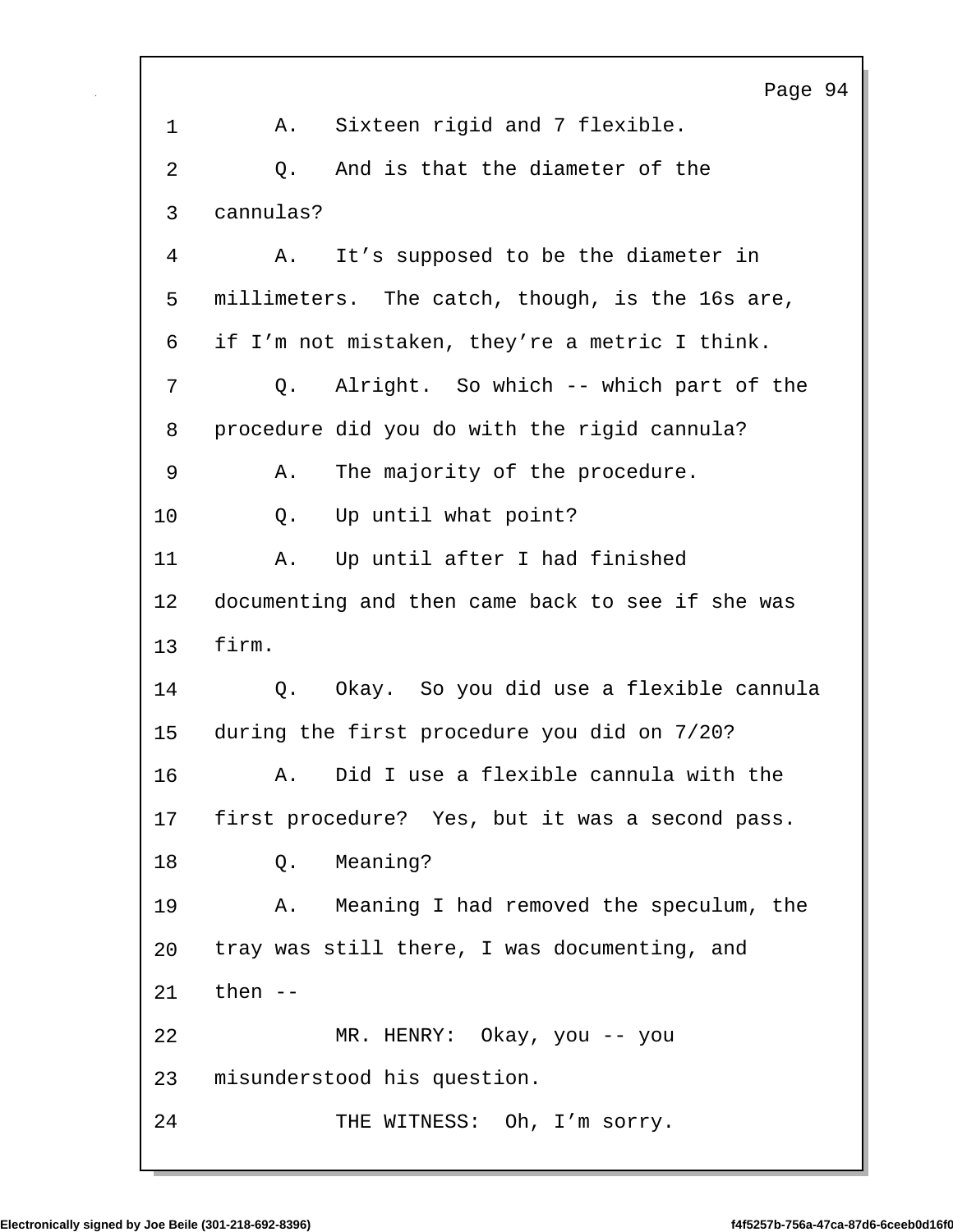Page 94 1 A. Sixteen rigid and 7 flexible. 2 Q. And is that the diameter of the 3 cannulas? 4 A. It's supposed to be the diameter in 5 millimeters. The catch, though, is the 16s are, 6 if I'm not mistaken, they're a metric I think. 7 Q. Alright. So which -- which part of the 8 procedure did you do with the rigid cannula? 9 A. The majority of the procedure. 10 Q. Up until what point? 11 A. Up until after I had finished 12 documenting and then came back to see if she was 13 firm. 14 Q. Okay. So you did use a flexible cannula 15 during the first procedure you did on 7/20? 16 A. Did I use a flexible cannula with the 17 first procedure? Yes, but it was a second pass. 18 Q. Meaning? 19 A. Meaning I had removed the speculum, the 20 tray was still there, I was documenting, and 21 then -- 22 MR. HENRY: Okay, you -- you 23 misunderstood his question. 24 THE WITNESS: Oh, I'm sorry.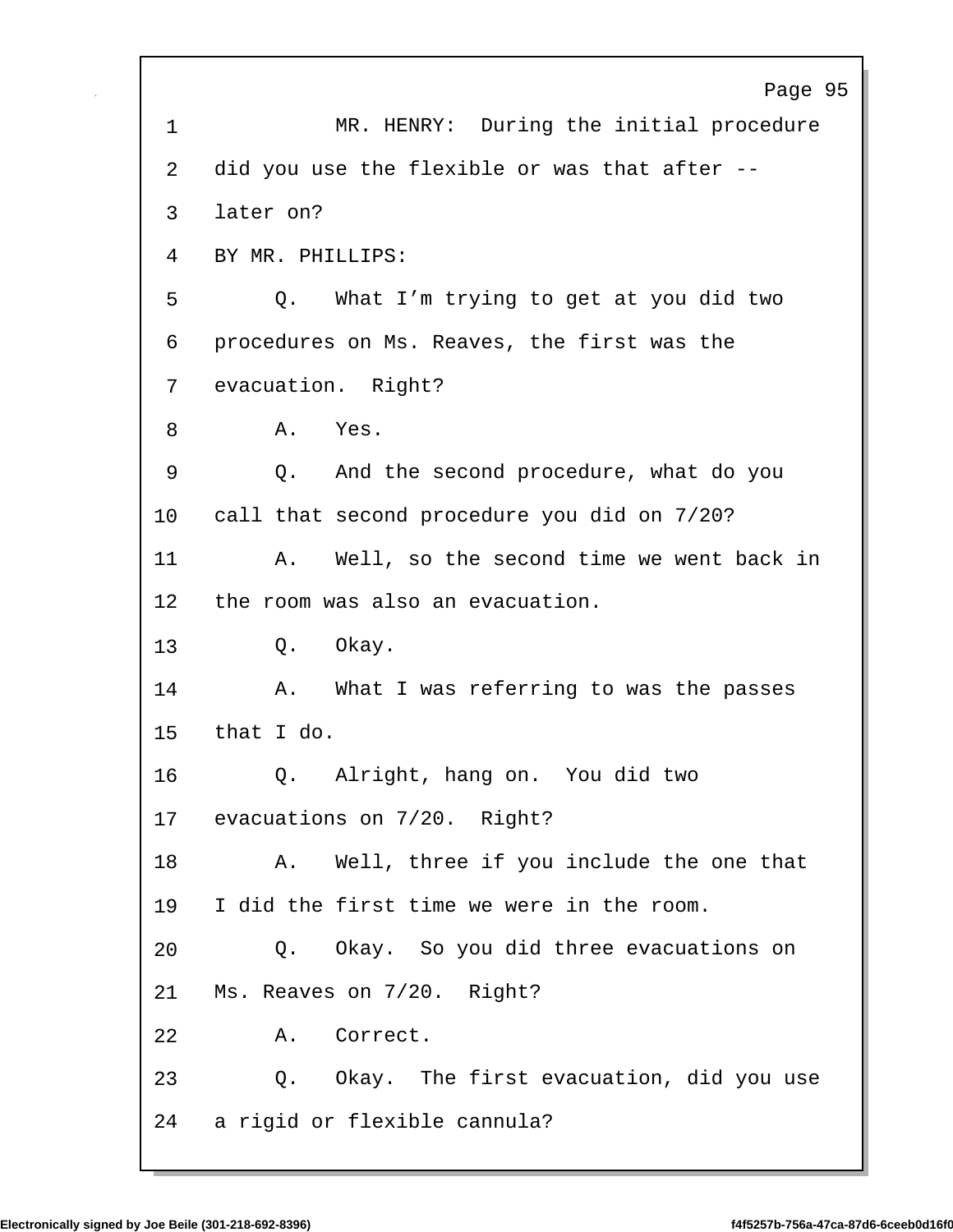Page 95 1 MR. HENRY: During the initial procedure 2 did you use the flexible or was that after -- 3 later on? 4 BY MR. PHILLIPS: 5 Q. What I'm trying to get at you did two 6 procedures on Ms. Reaves, the first was the 7 evacuation. Right? 8 A. Yes. 9 Q. And the second procedure, what do you 10 call that second procedure you did on 7/20? 11 A. Well, so the second time we went back in 12 the room was also an evacuation. 13 Q. Okay. 14 A. What I was referring to was the passes 15 that I do. 16 Q. Alright, hang on. You did two 17 evacuations on 7/20. Right? 18 A. Well, three if you include the one that 19 I did the first time we were in the room. 20 Q. Okay. So you did three evacuations on 21 Ms. Reaves on 7/20. Right? 22 A. Correct. 23 Q. Okay. The first evacuation, did you use 24 a rigid or flexible cannula?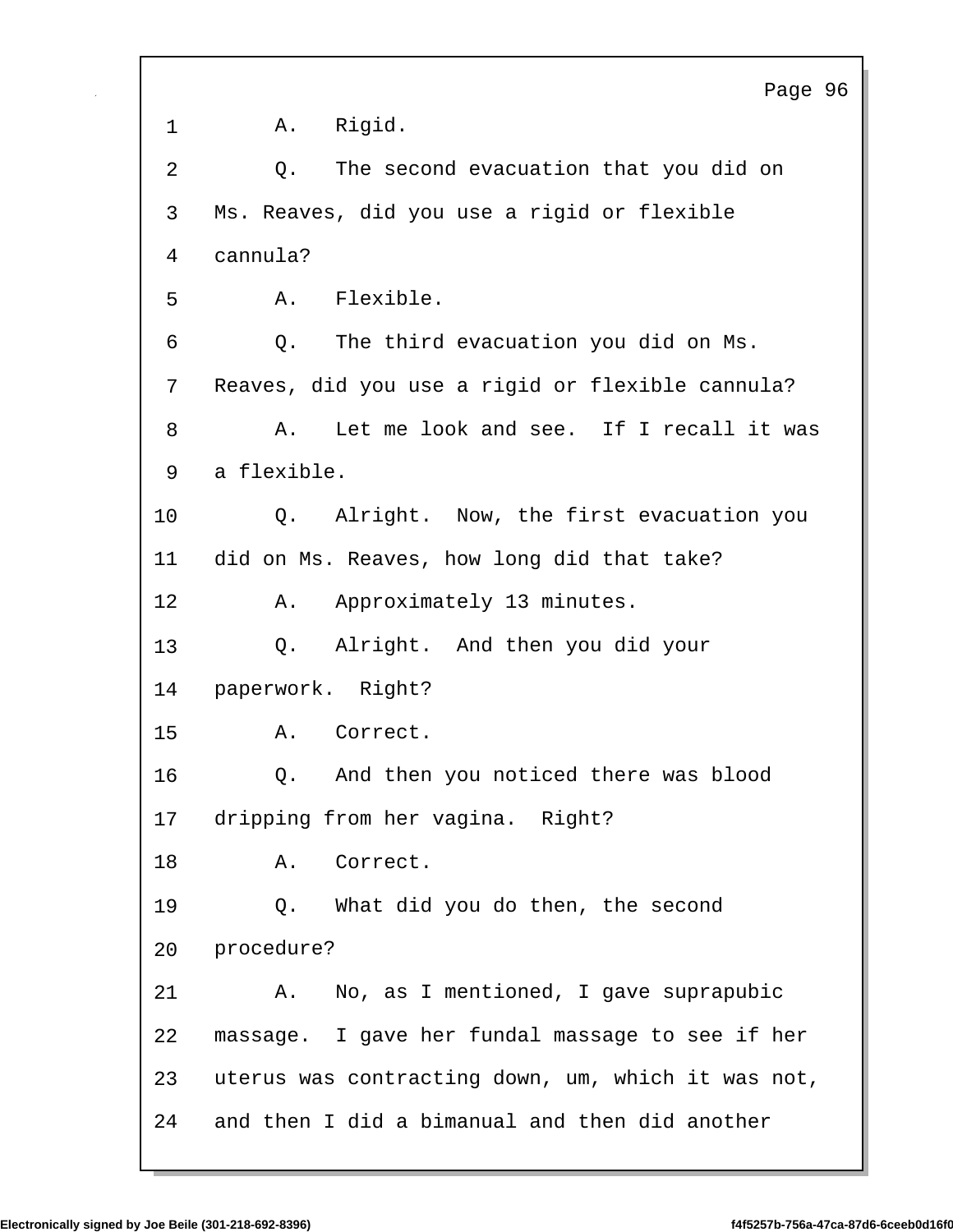Page 96 1 A. Rigid. 2 Q. The second evacuation that you did on 3 Ms. Reaves, did you use a rigid or flexible 4 cannula? 5 A. Flexible. 6 Q. The third evacuation you did on Ms. 7 Reaves, did you use a rigid or flexible cannula? 8 A. Let me look and see. If I recall it was 9 a flexible. 10 Q. Alright. Now, the first evacuation you 11 did on Ms. Reaves, how long did that take? 12 A. Approximately 13 minutes. 13 Q. Alright. And then you did your 14 paperwork. Right? 15 A. Correct. 16 Q. And then you noticed there was blood 17 dripping from her vagina. Right? 18 A. Correct. 19 Q. What did you do then, the second 20 procedure? 21 A. No, as I mentioned, I gave suprapubic 22 massage. I gave her fundal massage to see if her 23 uterus was contracting down, um, which it was not, 24 and then I did a bimanual and then did another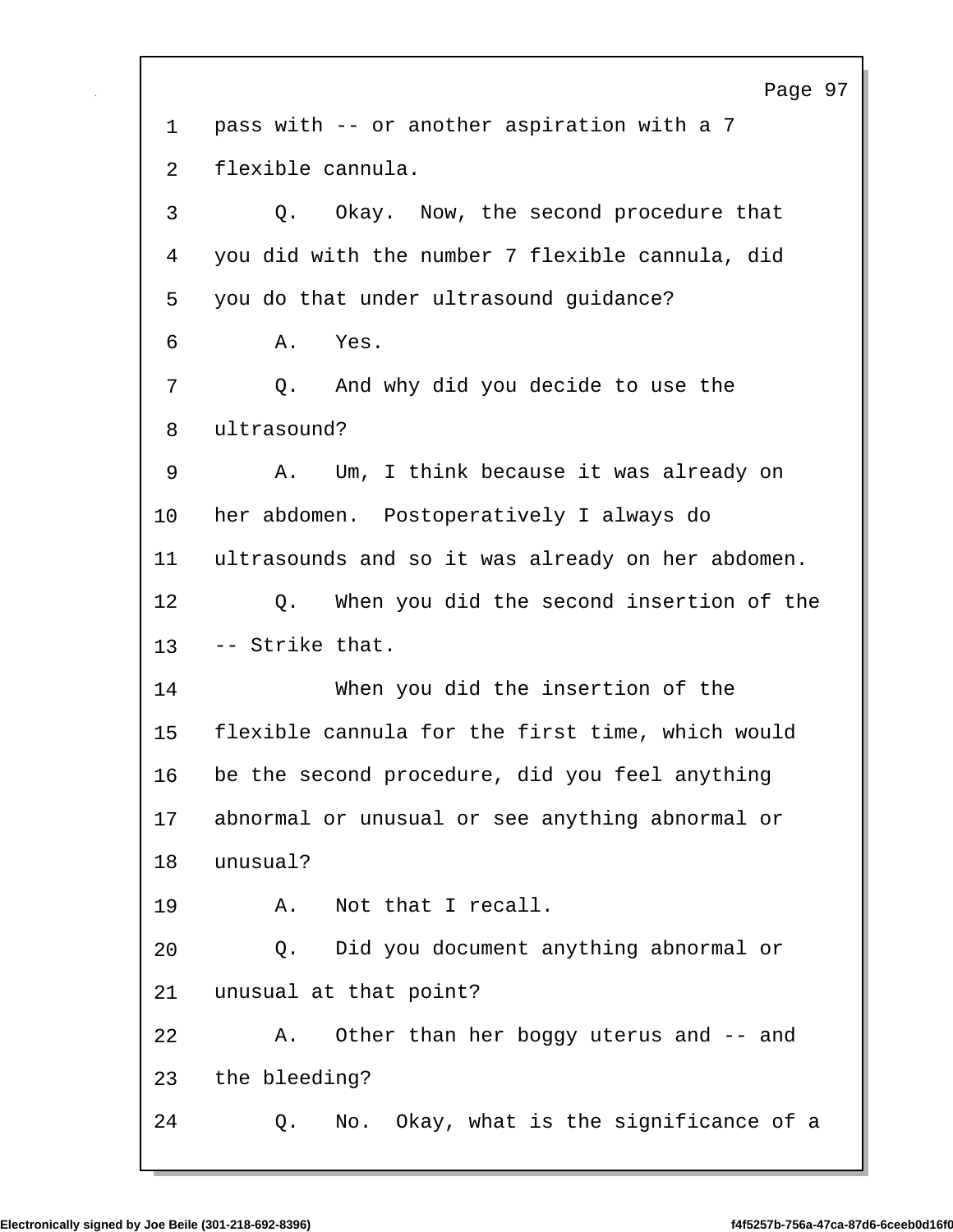Page 97 1 pass with -- or another aspiration with a 7 2 flexible cannula. 3 Q. Okay. Now, the second procedure that 4 you did with the number 7 flexible cannula, did 5 you do that under ultrasound guidance? 6 A. Yes. 7 Q. And why did you decide to use the 8 ultrasound? 9 A. Um, I think because it was already on 10 her abdomen. Postoperatively I always do 11 ultrasounds and so it was already on her abdomen. 12 Q. When you did the second insertion of the 13 -- Strike that. 14 When you did the insertion of the 15 flexible cannula for the first time, which would 16 be the second procedure, did you feel anything 17 abnormal or unusual or see anything abnormal or 18 unusual? 19 A. Not that I recall. 20 Q. Did you document anything abnormal or 21 unusual at that point? 22 A. Other than her boggy uterus and -- and 23 the bleeding? 24 Q. No. Okay, what is the significance of a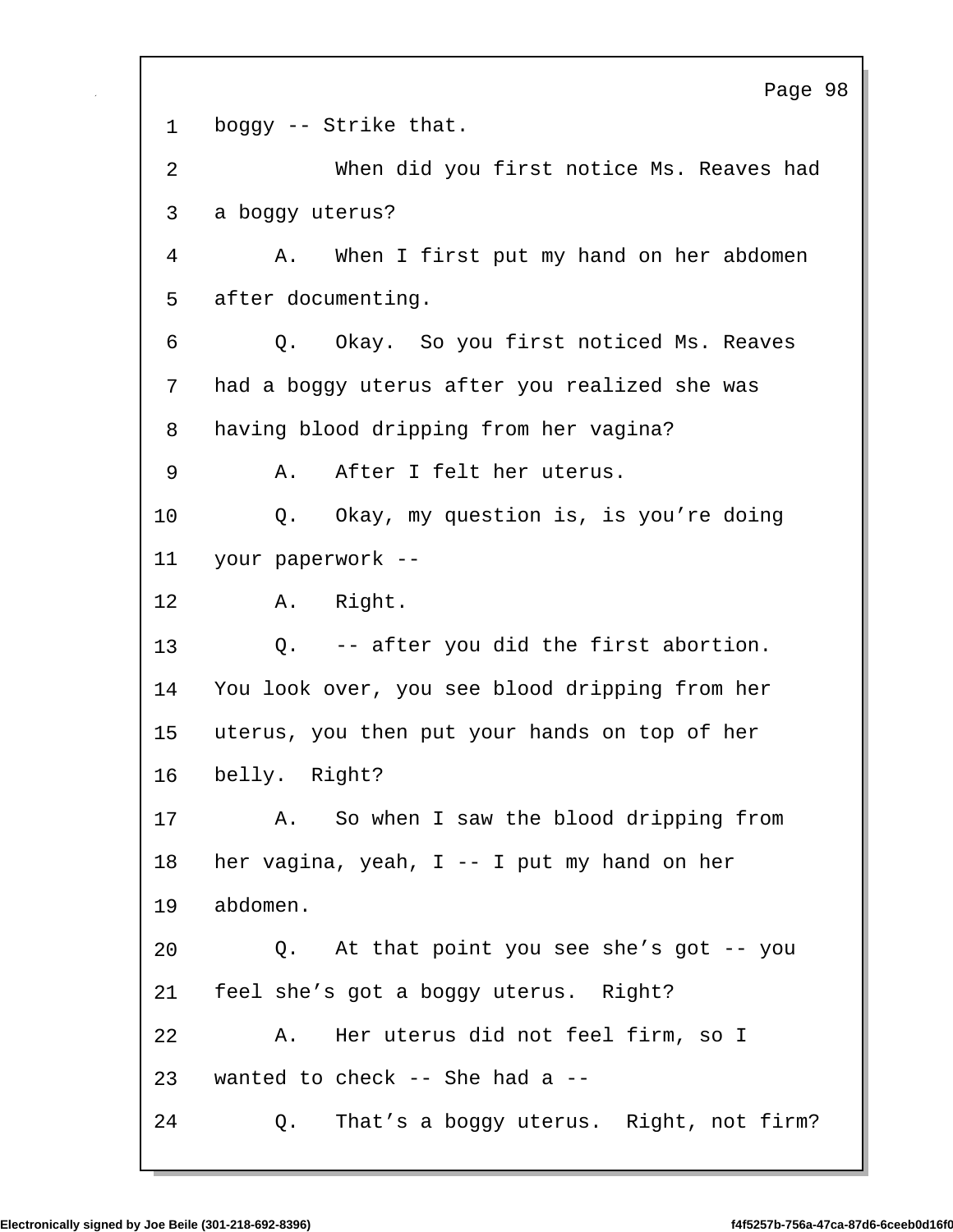Page 98 boggy -- Strike that. 2 When did you first notice Ms. Reaves had a boggy uterus? 4 A. When I first put my hand on her abdomen after documenting. 6 Q. Okay. So you first noticed Ms. Reaves had a boggy uterus after you realized she was having blood dripping from her vagina? 9 A. After I felt her uterus. Q. Okay, my question is, is you're doing your paperwork -- 12 A. Right. 13 Q. -- after you did the first abortion. You look over, you see blood dripping from her uterus, you then put your hands on top of her belly. Right? 17 A. So when I saw the blood dripping from her vagina, yeah, I -- I put my hand on her abdomen. Q. At that point you see she's got -- you feel she's got a boggy uterus. Right? 22 A. Her uterus did not feel firm, so I wanted to check -- She had a -- Q. That's a boggy uterus. Right, not firm?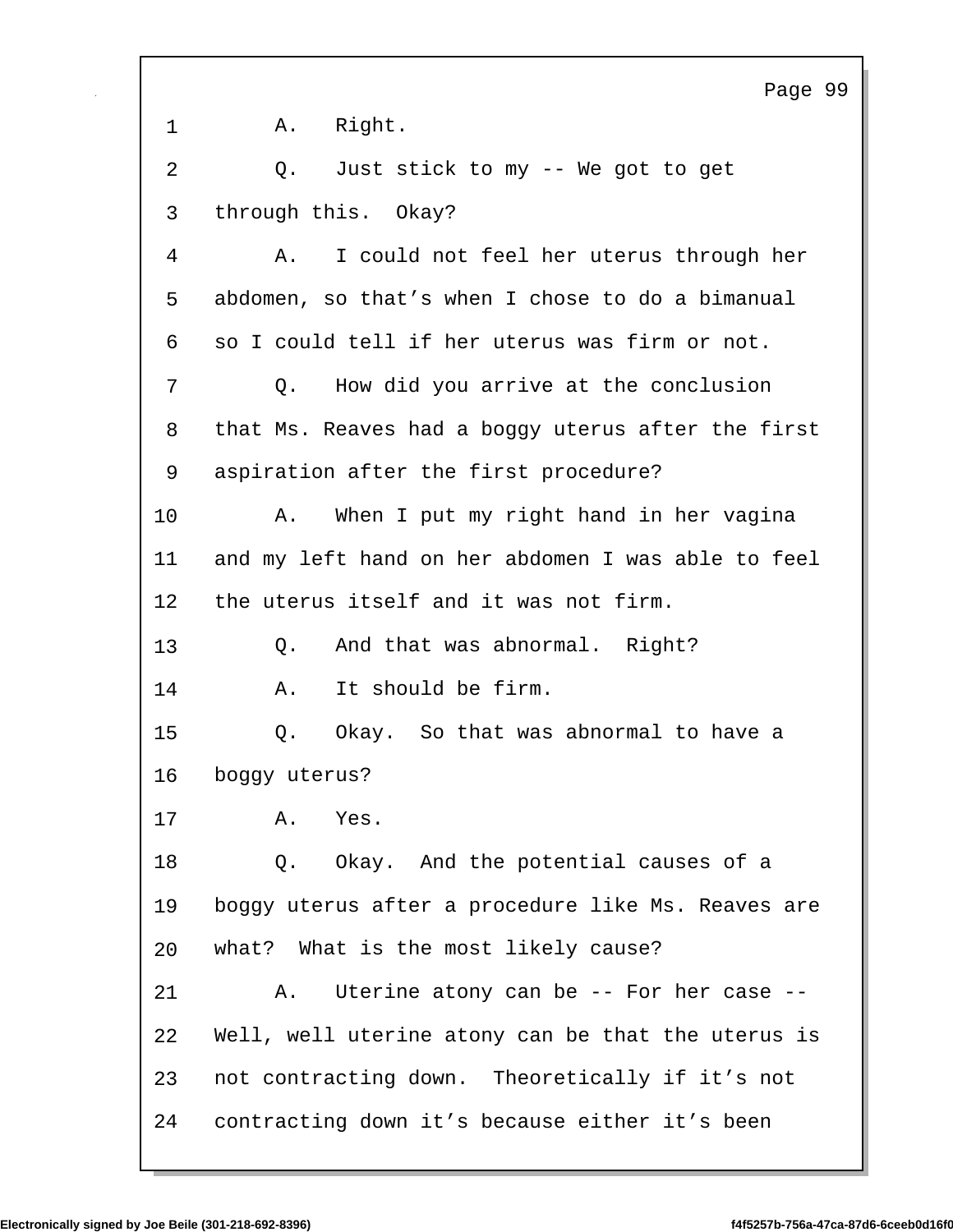Page 99 1 A. Right. 2 Q. Just stick to my -- We got to get 3 through this. Okay? 4 A. I could not feel her uterus through her 5 abdomen, so that's when I chose to do a bimanual 6 so I could tell if her uterus was firm or not. 7 Q. How did you arrive at the conclusion 8 that Ms. Reaves had a boggy uterus after the first 9 aspiration after the first procedure? 10 A. When I put my right hand in her vagina 11 and my left hand on her abdomen I was able to feel 12 the uterus itself and it was not firm. 13 Q. And that was abnormal. Right? 14 A. It should be firm. 15 Q. Okay. So that was abnormal to have a 16 boggy uterus? 17 A. Yes. 18 Q. Okay. And the potential causes of a 19 boggy uterus after a procedure like Ms. Reaves are 20 what? What is the most likely cause? 21 A. Uterine atony can be -- For her case -- 22 Well, well uterine atony can be that the uterus is 23 not contracting down. Theoretically if it's not 24 contracting down it's because either it's been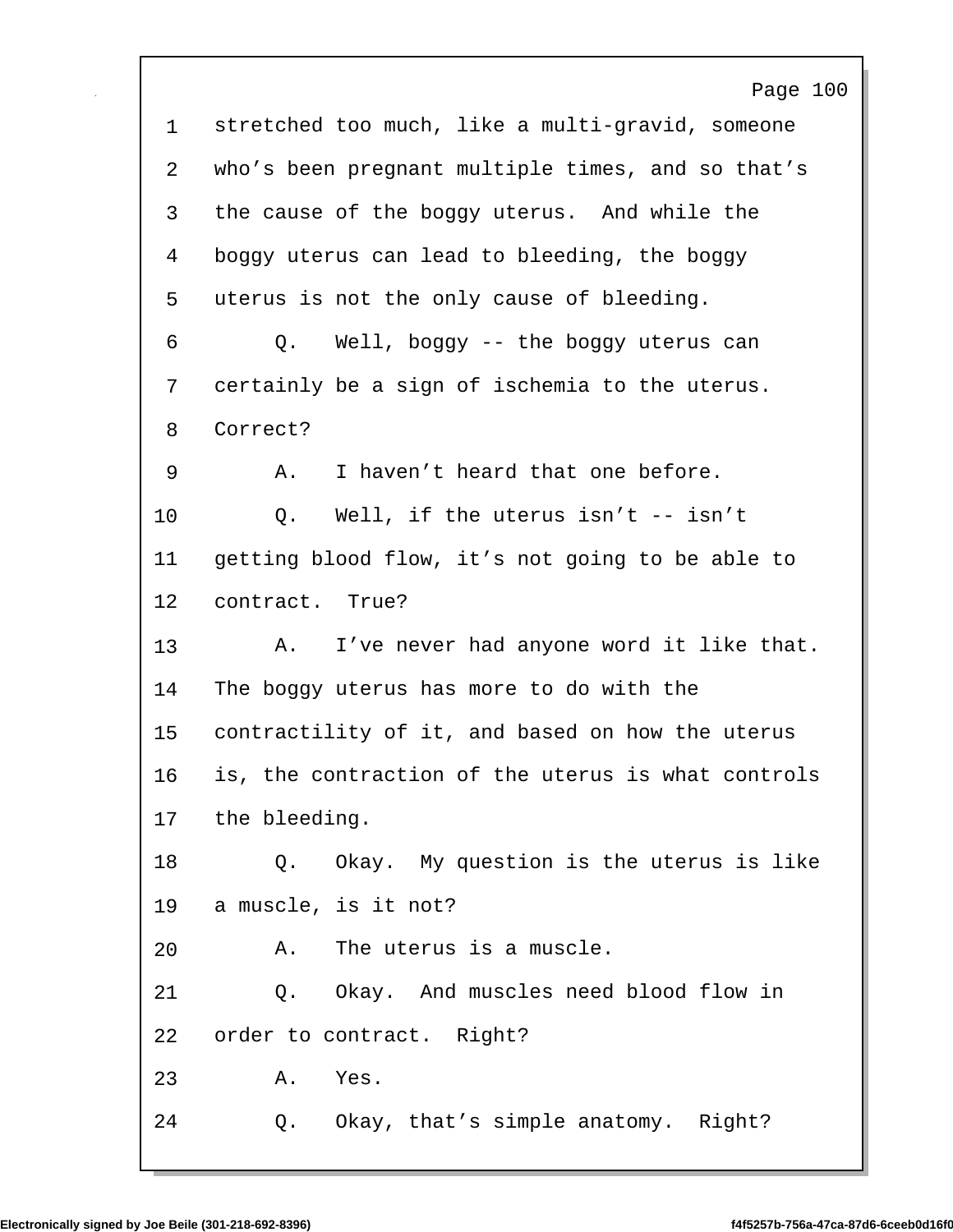Page 100 stretched too much, like a multi-gravid, someone who's been pregnant multiple times, and so that's the cause of the boggy uterus. And while the boggy uterus can lead to bleeding, the boggy uterus is not the only cause of bleeding. 6 Q. Well, boggy -- the boggy uterus can certainly be a sign of ischemia to the uterus. Correct? A. I haven't heard that one before. Q. Well, if the uterus isn't -- isn't getting blood flow, it's not going to be able to contract. True? 13 A. I've never had anyone word it like that. The boggy uterus has more to do with the contractility of it, and based on how the uterus is, the contraction of the uterus is what controls the bleeding. 18 Q. Okay. My question is the uterus is like a muscle, is it not? 20 A. The uterus is a muscle. 21 Q. Okay. And muscles need blood flow in order to contract. Right? 23 A. Yes. Q. Okay, that's simple anatomy. Right?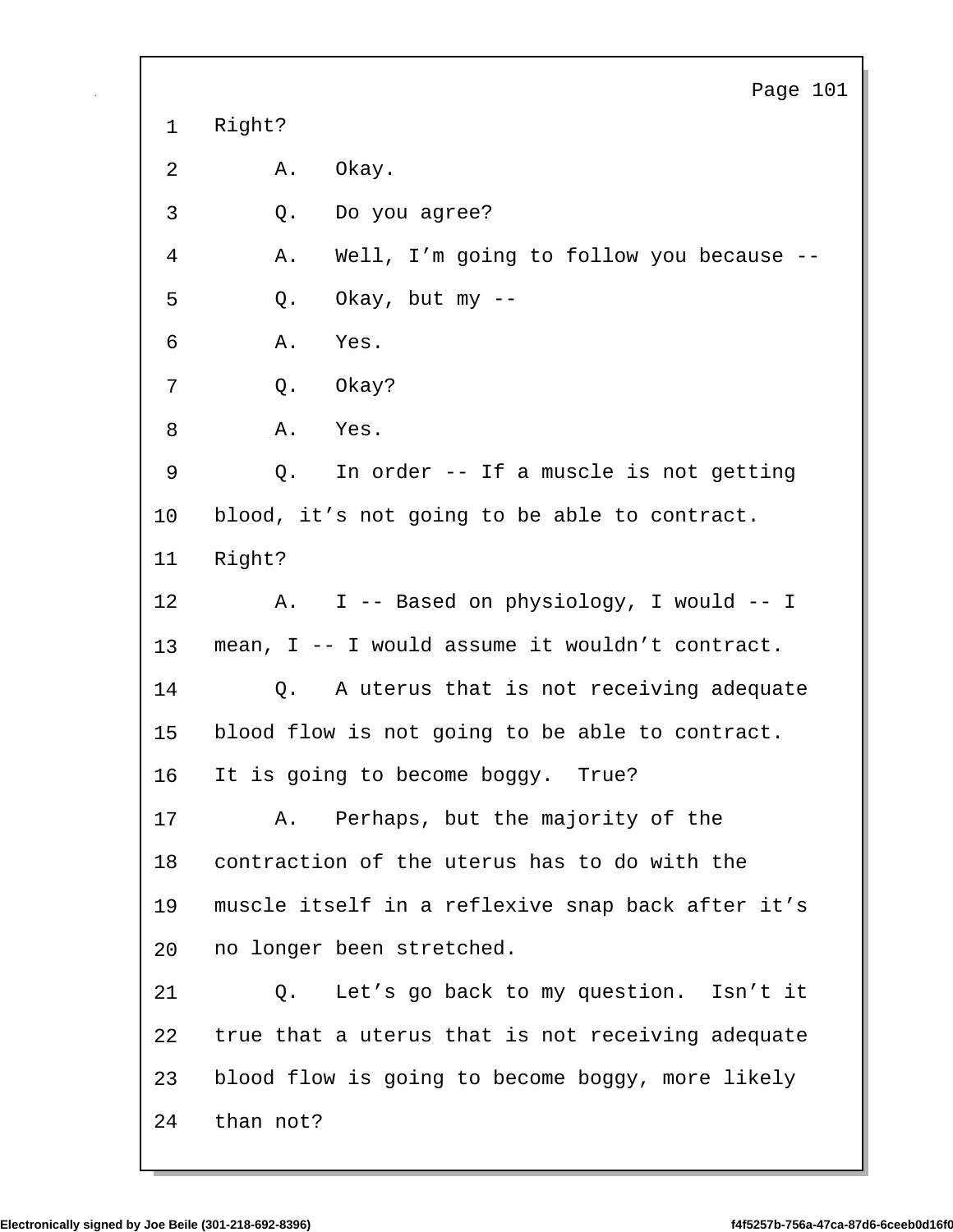Page 101 1 Right? 2 A. Okay. 3 Q. Do you agree? 4 A. Well, I'm going to follow you because -- 5 Q. Okay, but my -- 6 A. Yes. 7 Q. Okay? 8 A. Yes. 9 Q. In order -- If a muscle is not getting 10 blood, it's not going to be able to contract. 11 Right? 12 A. I -- Based on physiology, I would -- I 13 mean, I -- I would assume it wouldn't contract. 14 Q. A uterus that is not receiving adequate 15 blood flow is not going to be able to contract. 16 It is going to become boggy. True? 17 A. Perhaps, but the majority of the 18 contraction of the uterus has to do with the 19 muscle itself in a reflexive snap back after it's 20 no longer been stretched. 21 Q. Let's go back to my question. Isn't it 22 true that a uterus that is not receiving adequate 23 blood flow is going to become boggy, more likely 24 than not?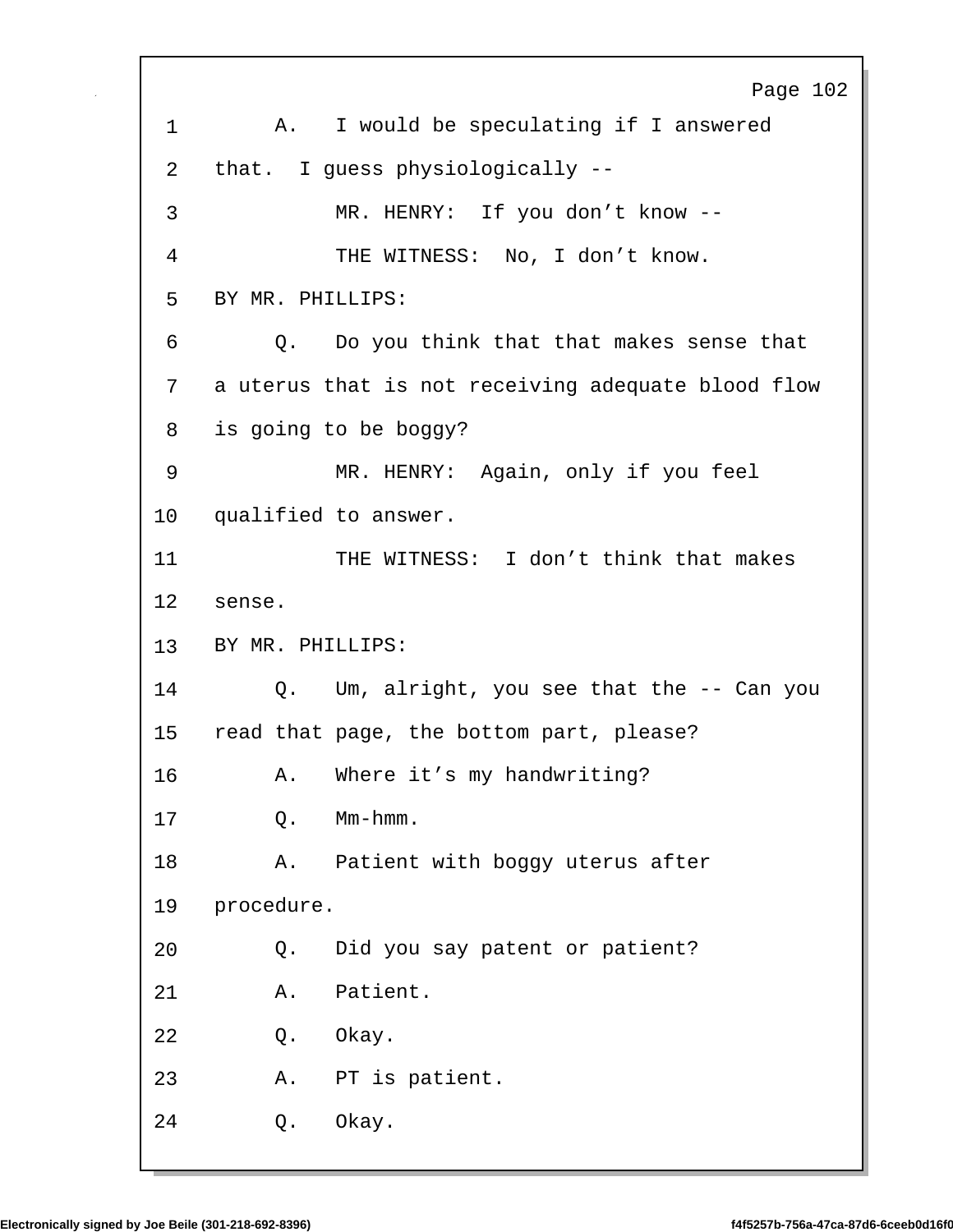Page 102 1 A. I would be speculating if I answered 2 that. I guess physiologically -- 3 MR. HENRY: If you don't know -- 4 THE WITNESS: No, I don't know. 5 BY MR. PHILLIPS: 6 Q. Do you think that that makes sense that 7 a uterus that is not receiving adequate blood flow 8 is going to be boggy? 9 MR. HENRY: Again, only if you feel 10 qualified to answer. 11 THE WITNESS: I don't think that makes 12 sense. 13 BY MR. PHILLIPS: 14 Q. Um, alright, you see that the -- Can you 15 read that page, the bottom part, please? 16 A. Where it's my handwriting? 17 Q. Mm-hmm. 18 A. Patient with boggy uterus after 19 procedure. 20 Q. Did you say patent or patient? 21 A. Patient. 22 Q. Okay. 23 A. PT is patient. 24 Q. Okay.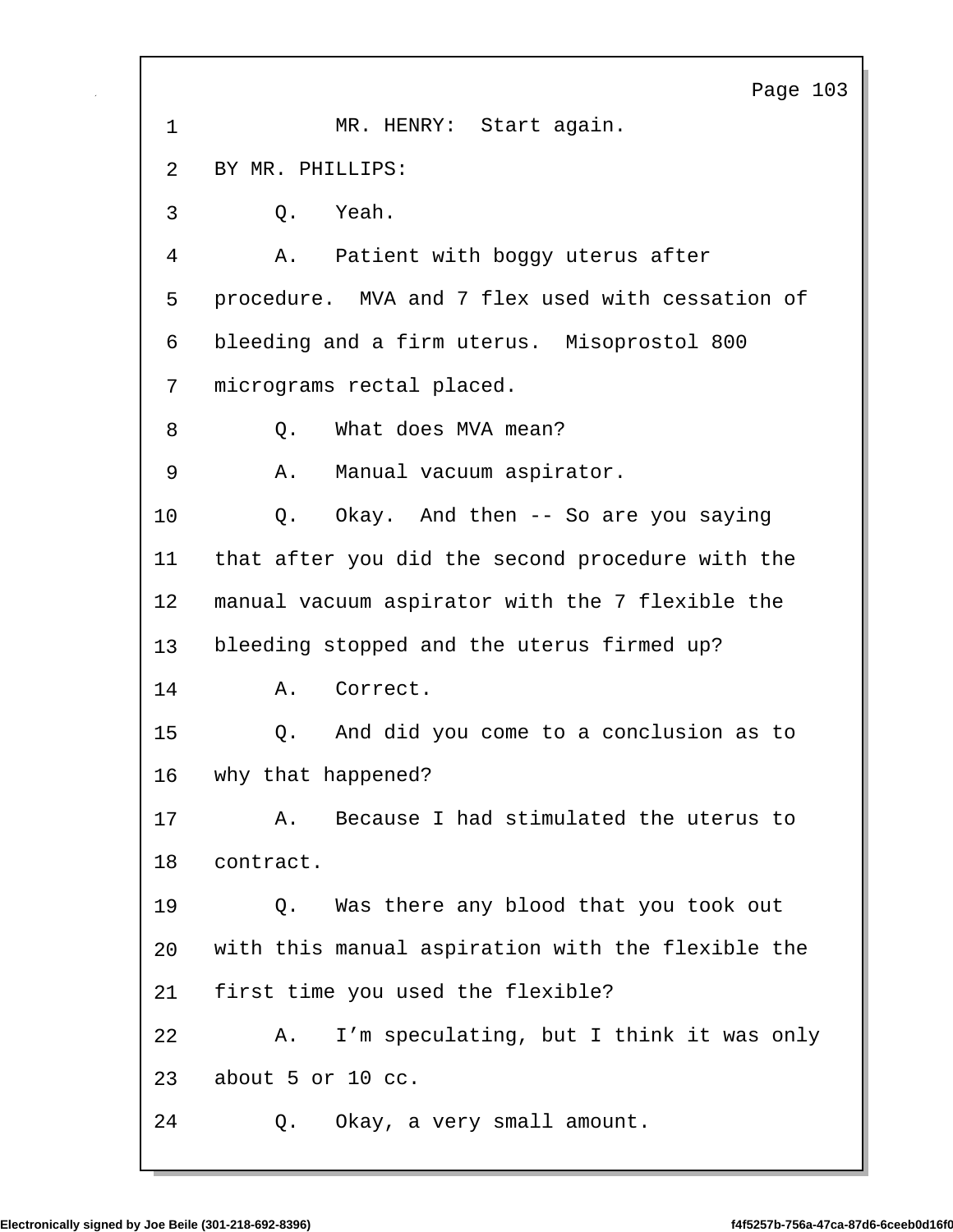Page 103 1 MR. HENRY: Start again. 2 BY MR. PHILLIPS: 3 Q. Yeah. 4 A. Patient with boggy uterus after 5 procedure. MVA and 7 flex used with cessation of 6 bleeding and a firm uterus. Misoprostol 800 7 micrograms rectal placed. 8 0. What does MVA mean? 9 A. Manual vacuum aspirator. 10 Q. Okay. And then -- So are you saying 11 that after you did the second procedure with the 12 manual vacuum aspirator with the 7 flexible the 13 bleeding stopped and the uterus firmed up? 14 A. Correct. 15 Q. And did you come to a conclusion as to 16 why that happened? 17 A. Because I had stimulated the uterus to 18 contract. 19 Q. Was there any blood that you took out 20 with this manual aspiration with the flexible the 21 first time you used the flexible? 22 A. I'm speculating, but I think it was only 23 about 5 or 10 cc. 24 Q. Okay, a very small amount.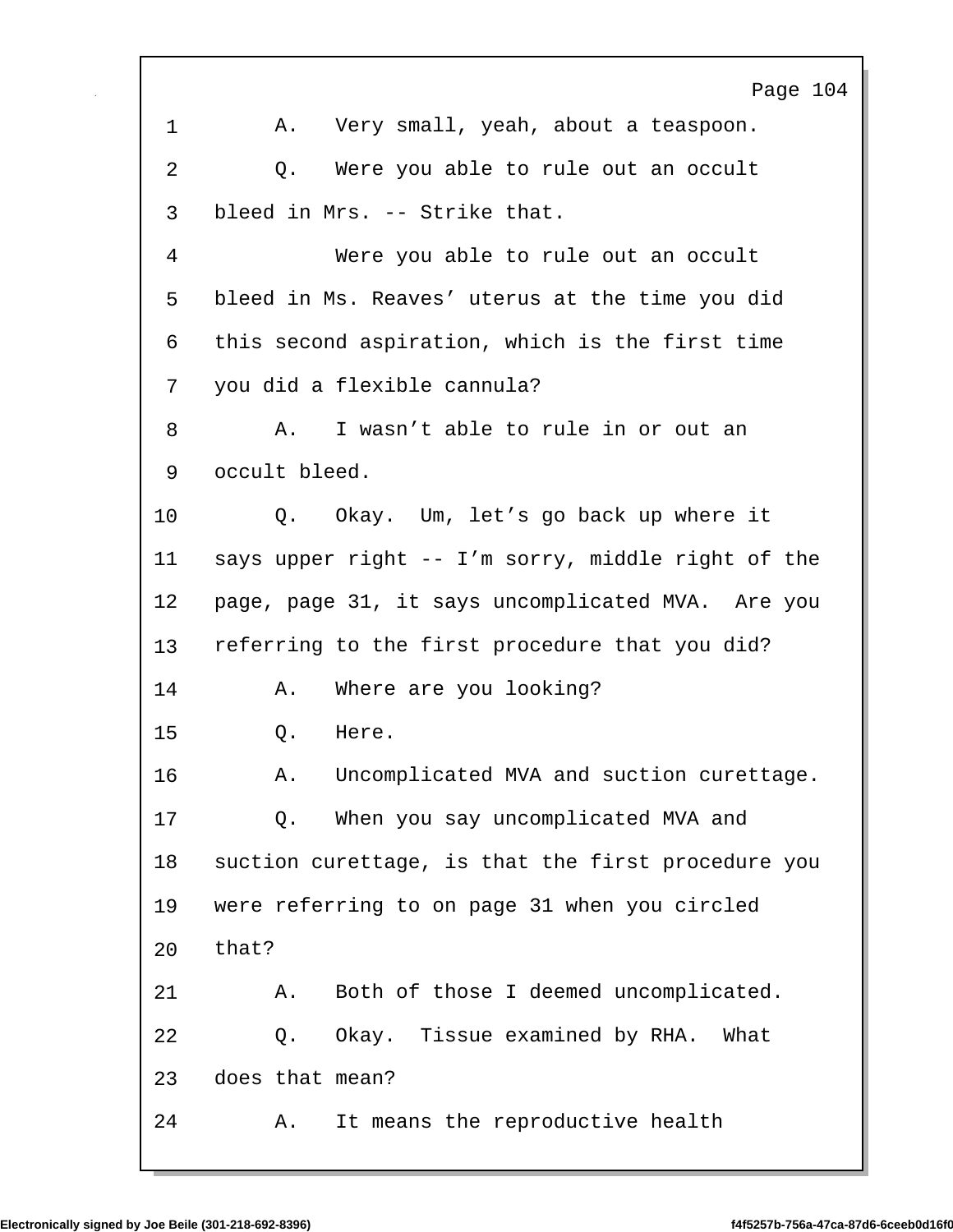Page 104 1 A. Very small, yeah, about a teaspoon. 2 Q. Were you able to rule out an occult 3 bleed in Mrs. -- Strike that. 4 Were you able to rule out an occult 5 bleed in Ms. Reaves' uterus at the time you did 6 this second aspiration, which is the first time 7 you did a flexible cannula? 8 A. I wasn't able to rule in or out an 9 occult bleed. 10 Q. Okay. Um, let's go back up where it 11 says upper right -- I'm sorry, middle right of the 12 page, page 31, it says uncomplicated MVA. Are you 13 referring to the first procedure that you did? 14 A. Where are you looking? 15 Q. Here. 16 A. Uncomplicated MVA and suction curettage. 17 Q. When you say uncomplicated MVA and 18 suction curettage, is that the first procedure you 19 were referring to on page 31 when you circled 20 that? 21 A. Both of those I deemed uncomplicated. 22 Q. Okay. Tissue examined by RHA. What 23 does that mean? 24 A. It means the reproductive health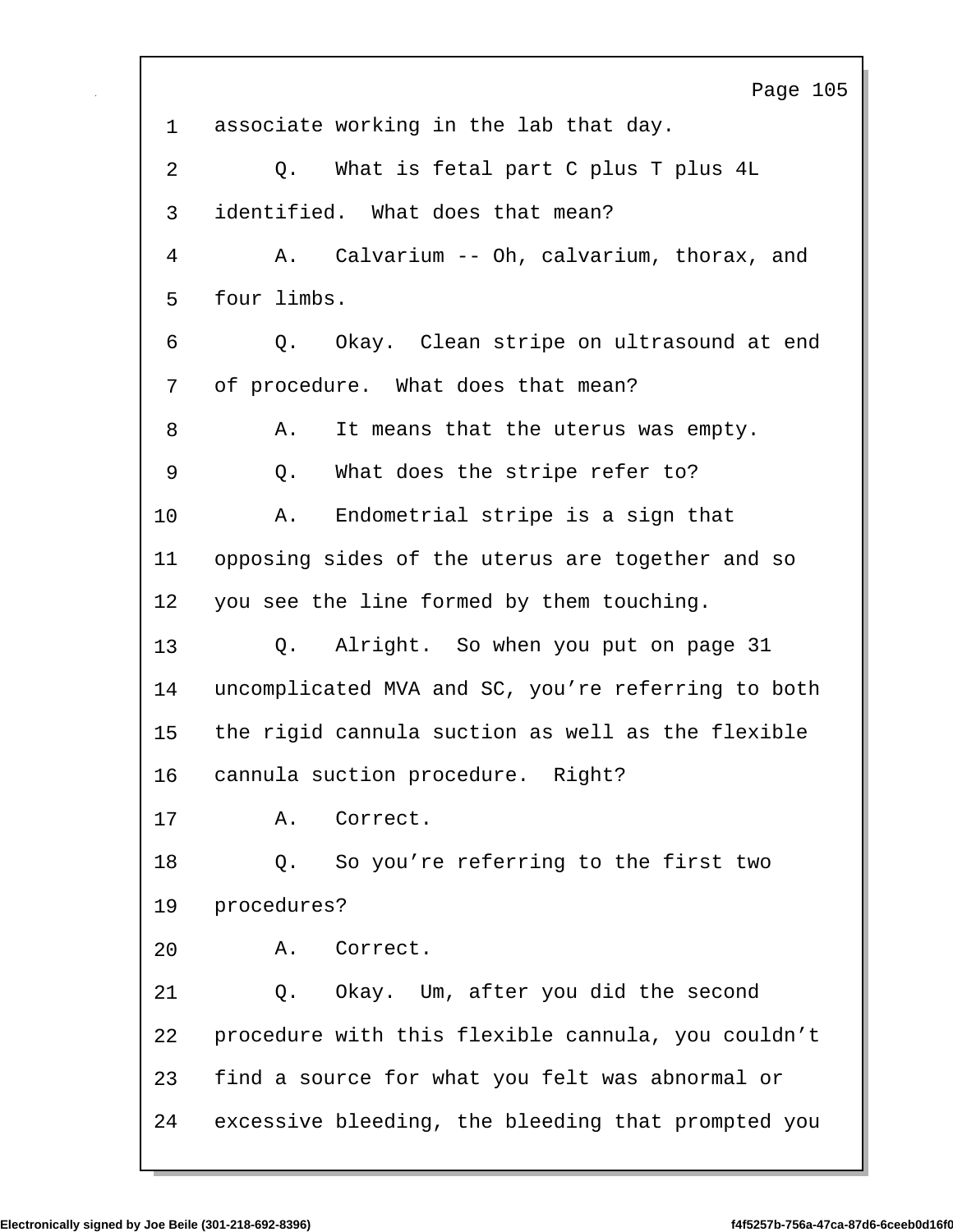Page 105 1 associate working in the lab that day. 2 Q. What is fetal part C plus T plus 4L 3 identified. What does that mean? 4 A. Calvarium -- Oh, calvarium, thorax, and 5 four limbs. 6 Q. Okay. Clean stripe on ultrasound at end 7 of procedure. What does that mean? 8 A. It means that the uterus was empty. 9 Q. What does the stripe refer to? 10 A. Endometrial stripe is a sign that 11 opposing sides of the uterus are together and so 12 you see the line formed by them touching. 13 Q. Alright. So when you put on page 31 14 uncomplicated MVA and SC, you're referring to both 15 the rigid cannula suction as well as the flexible 16 cannula suction procedure. Right? 17 A. Correct. 18 Q. So you're referring to the first two 19 procedures? 20 A. Correct. 21 Q. Okay. Um, after you did the second 22 procedure with this flexible cannula, you couldn't 23 find a source for what you felt was abnormal or 24 excessive bleeding, the bleeding that prompted you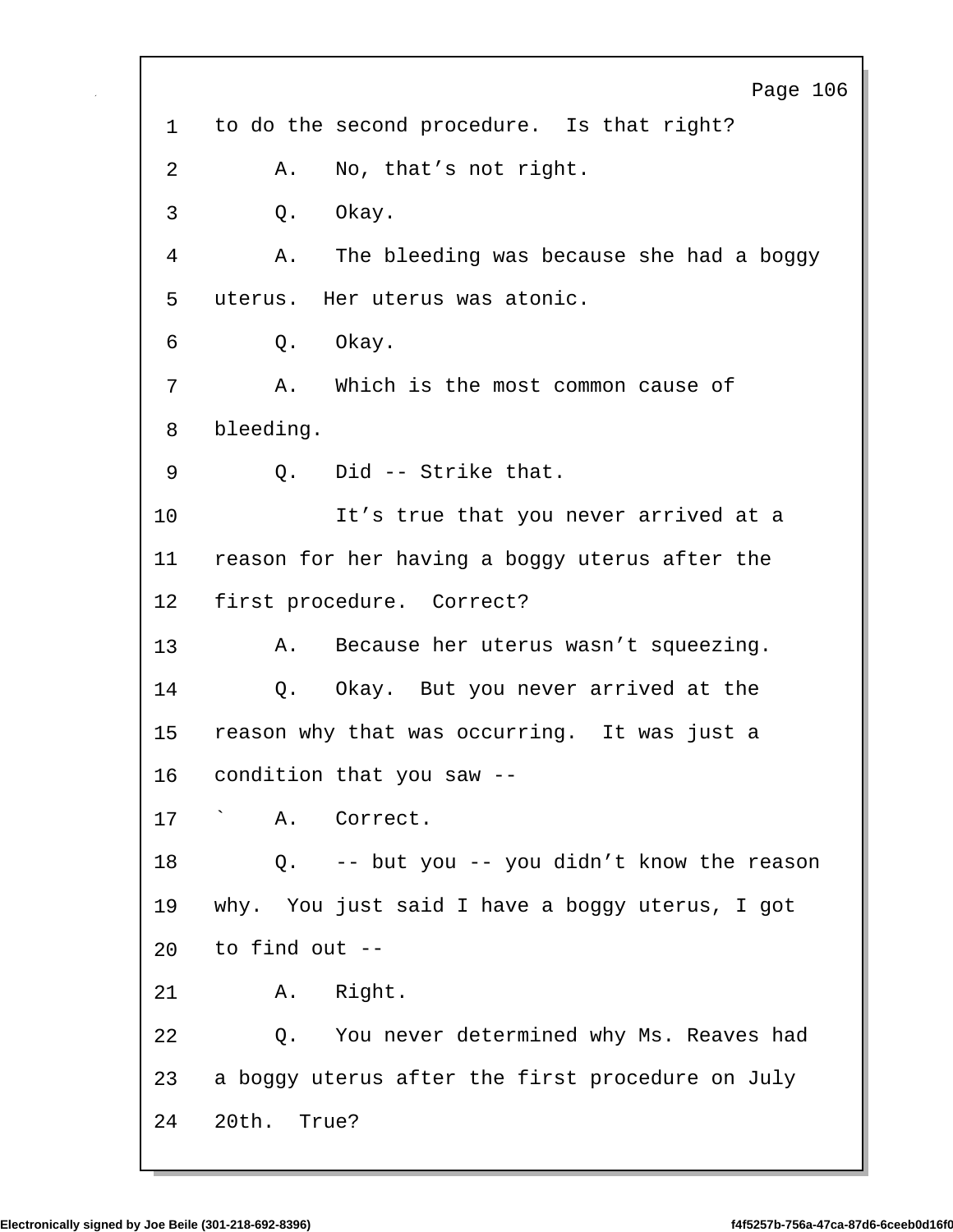Page 106 1 to do the second procedure. Is that right? 2 A. No, that's not right. 3 Q. Okay. 4 A. The bleeding was because she had a boggy 5 uterus. Her uterus was atonic. 6 Q. Okay. 7 A. Which is the most common cause of 8 bleeding. 9 Q. Did -- Strike that. 10 It's true that you never arrived at a 11 reason for her having a boggy uterus after the 12 first procedure. Correct? 13 A. Because her uterus wasn't squeezing. 14 Q. Okay. But you never arrived at the 15 reason why that was occurring. It was just a 16 condition that you saw -- 17 ` A. Correct. 18 Q. -- but you -- you didn't know the reason 19 why. You just said I have a boggy uterus, I got 20 to find out -- 21 A. Right. 22 Q. You never determined why Ms. Reaves had 23 a boggy uterus after the first procedure on July 24 20th. True?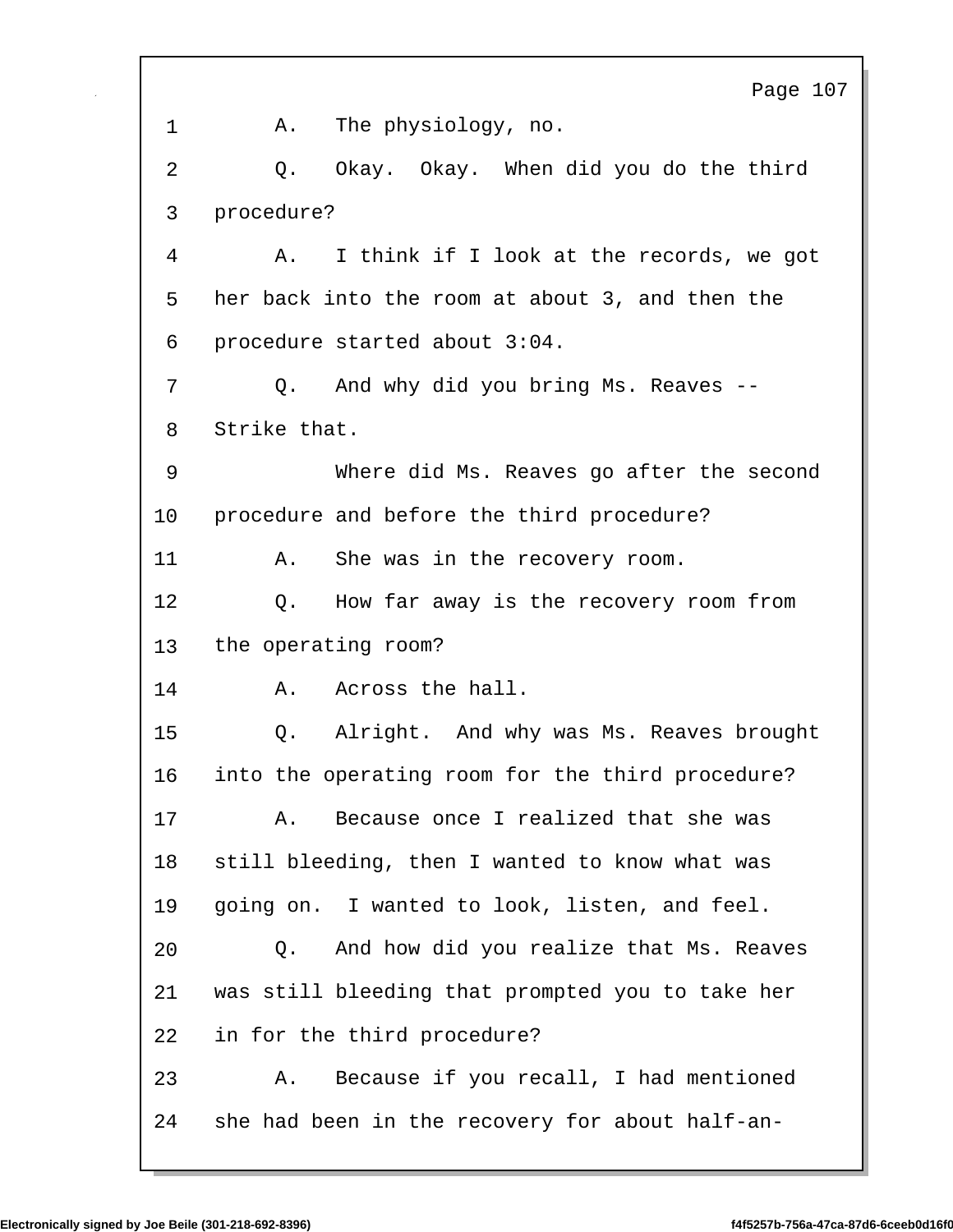Page 107 1 A. The physiology, no. 2 Q. Okay. Okay. When did you do the third 3 procedure? 4 A. I think if I look at the records, we got 5 her back into the room at about 3, and then the 6 procedure started about 3:04. 7 Q. And why did you bring Ms. Reaves -- 8 Strike that. 9 Where did Ms. Reaves go after the second 10 procedure and before the third procedure? 11 A. She was in the recovery room. 12 Q. How far away is the recovery room from 13 the operating room? 14 A. Across the hall. 15 Q. Alright. And why was Ms. Reaves brought 16 into the operating room for the third procedure? 17 A. Because once I realized that she was 18 still bleeding, then I wanted to know what was 19 going on. I wanted to look, listen, and feel. 20 Q. And how did you realize that Ms. Reaves 21 was still bleeding that prompted you to take her 22 in for the third procedure? 23 A. Because if you recall, I had mentioned 24 she had been in the recovery for about half-an-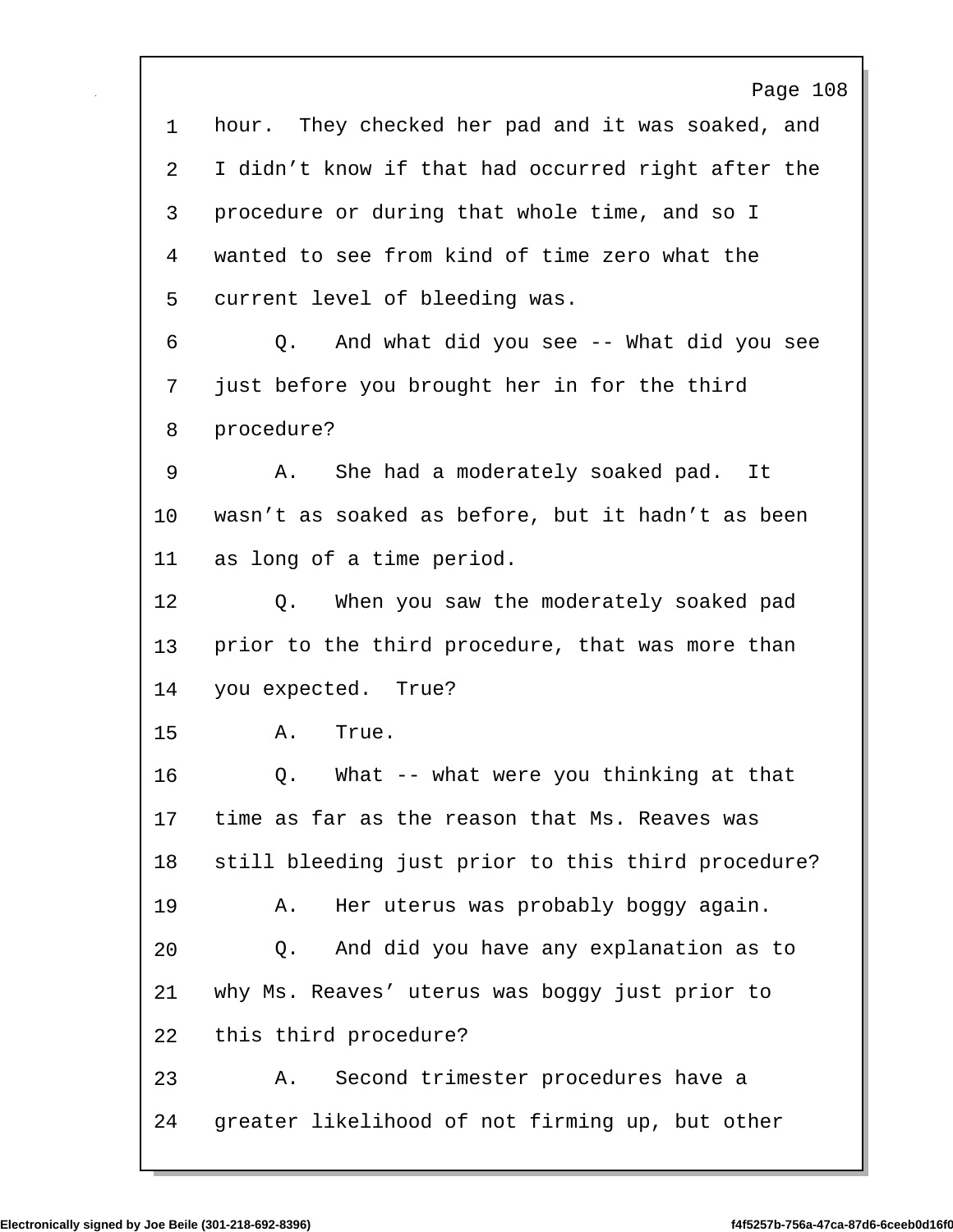Page 108 hour. They checked her pad and it was soaked, and I didn't know if that had occurred right after the procedure or during that whole time, and so I wanted to see from kind of time zero what the current level of bleeding was. 6 Q. And what did you see -- What did you see just before you brought her in for the third procedure? 9 A. She had a moderately soaked pad. It wasn't as soaked as before, but it hadn't as been as long of a time period. 12 Q. When you saw the moderately soaked pad prior to the third procedure, that was more than you expected. True? 15 A. True. 16 Q. What -- what were you thinking at that time as far as the reason that Ms. Reaves was still bleeding just prior to this third procedure? 19 A. Her uterus was probably boggy again. 20 Q. And did you have any explanation as to why Ms. Reaves' uterus was boggy just prior to this third procedure? 23 A. Second trimester procedures have a greater likelihood of not firming up, but other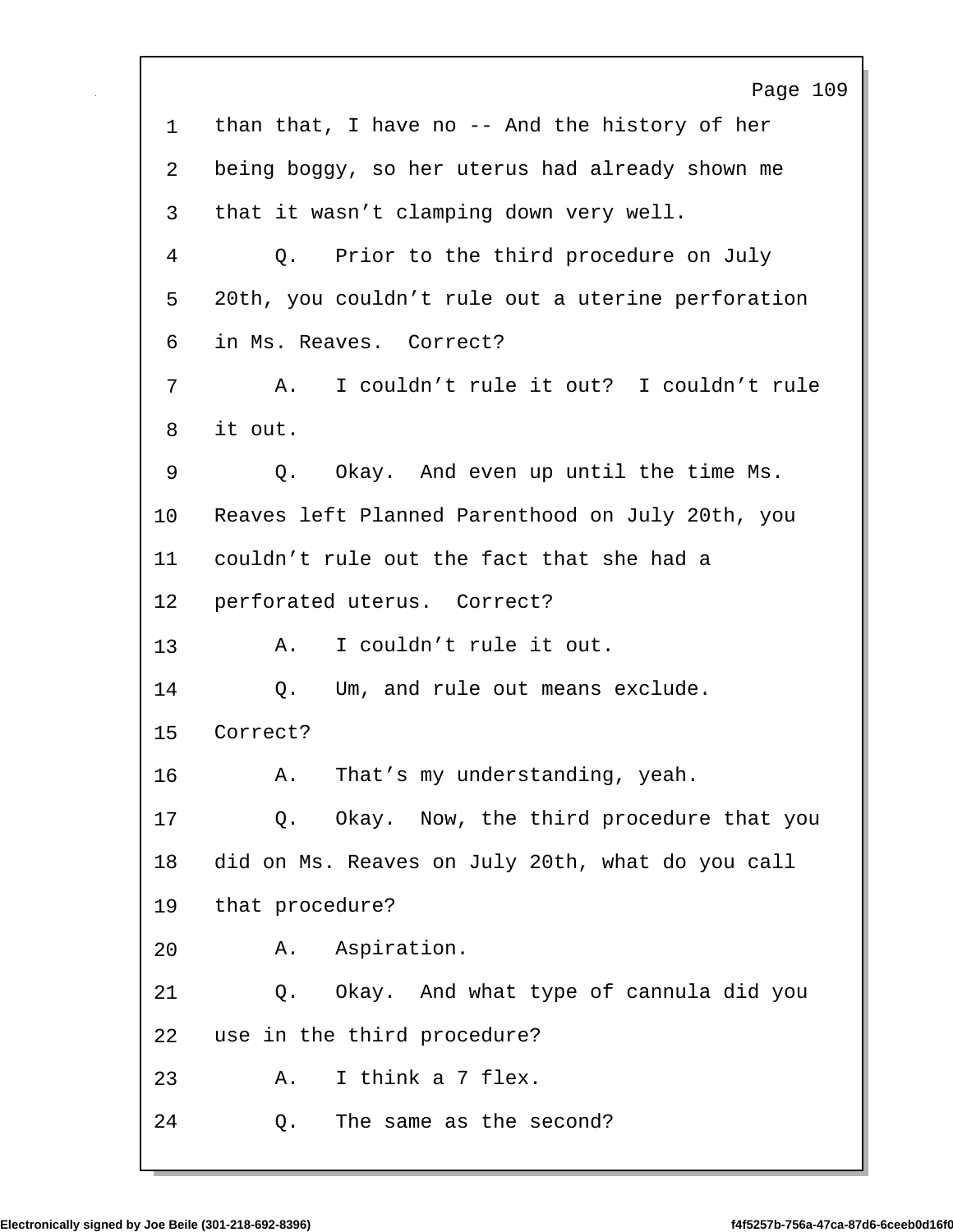Page 109 than that, I have no -- And the history of her being boggy, so her uterus had already shown me that it wasn't clamping down very well. 4 Q. Prior to the third procedure on July 20th, you couldn't rule out a uterine perforation in Ms. Reaves. Correct? A. I couldn't rule it out? I couldn't rule it out. 9 Q. Okay. And even up until the time Ms. Reaves left Planned Parenthood on July 20th, you couldn't rule out the fact that she had a perforated uterus. Correct? A. I couldn't rule it out. 14 Q. Um, and rule out means exclude. Correct? A. That's my understanding, yeah. 17 Q. Okay. Now, the third procedure that you did on Ms. Reaves on July 20th, what do you call that procedure? 20 A. Aspiration. 21 Q. Okay. And what type of cannula did you use in the third procedure? 23 A. I think a 7 flex. 24 Q. The same as the second?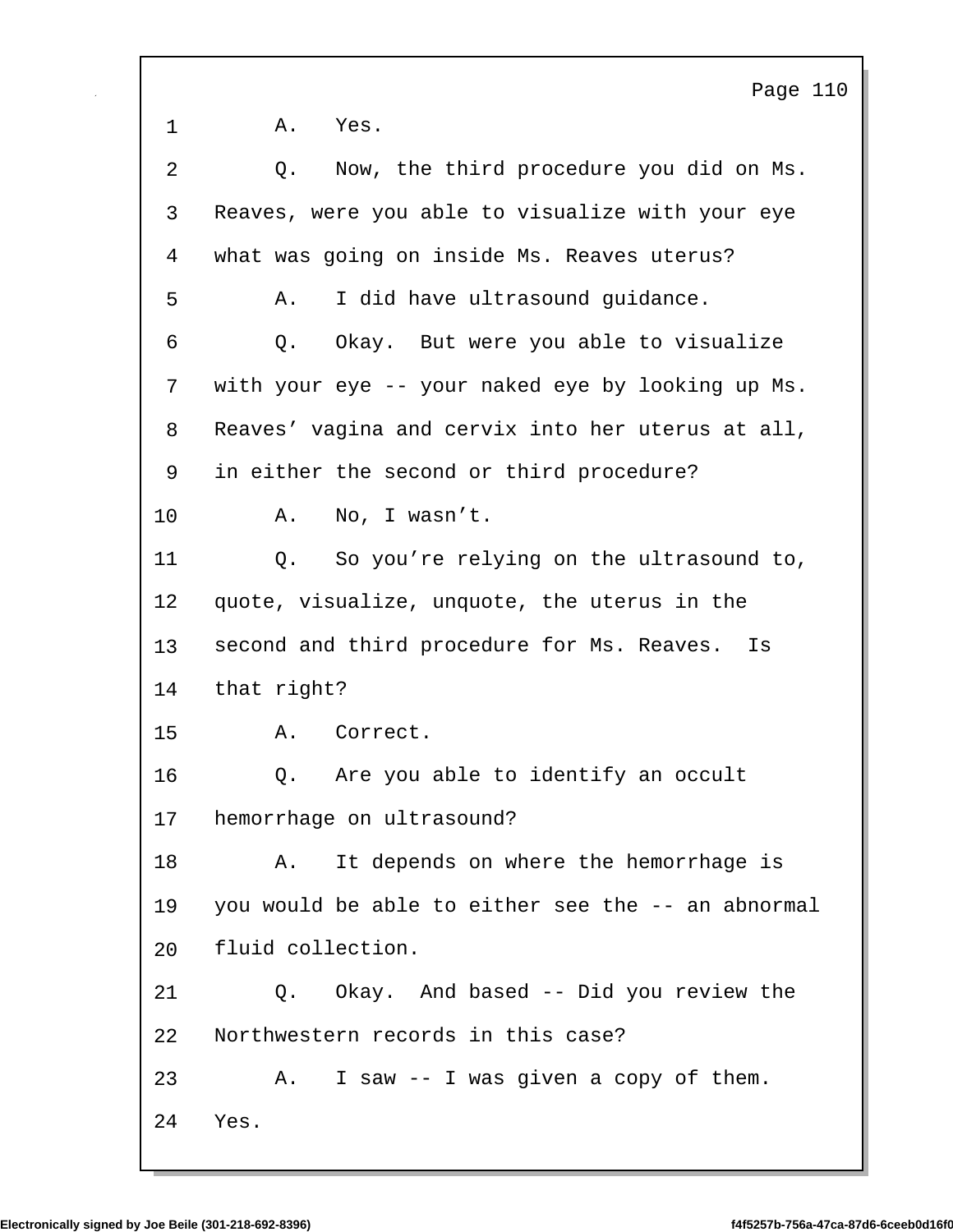Page 110 1 A. Yes. 2 Q. Now, the third procedure you did on Ms. 3 Reaves, were you able to visualize with your eye 4 what was going on inside Ms. Reaves uterus? 5 A. I did have ultrasound guidance. 6 Q. Okay. But were you able to visualize 7 with your eye -- your naked eye by looking up Ms. 8 Reaves' vagina and cervix into her uterus at all, 9 in either the second or third procedure? 10 A. No, I wasn't. 11 Q. So you're relying on the ultrasound to, 12 quote, visualize, unquote, the uterus in the 13 second and third procedure for Ms. Reaves. Is 14 that right? 15 A. Correct. 16 Q. Are you able to identify an occult 17 hemorrhage on ultrasound? 18 A. It depends on where the hemorrhage is 19 you would be able to either see the -- an abnormal 20 fluid collection. 21 Q. Okay. And based -- Did you review the 22 Northwestern records in this case? 23 A. I saw -- I was given a copy of them. 24 Yes.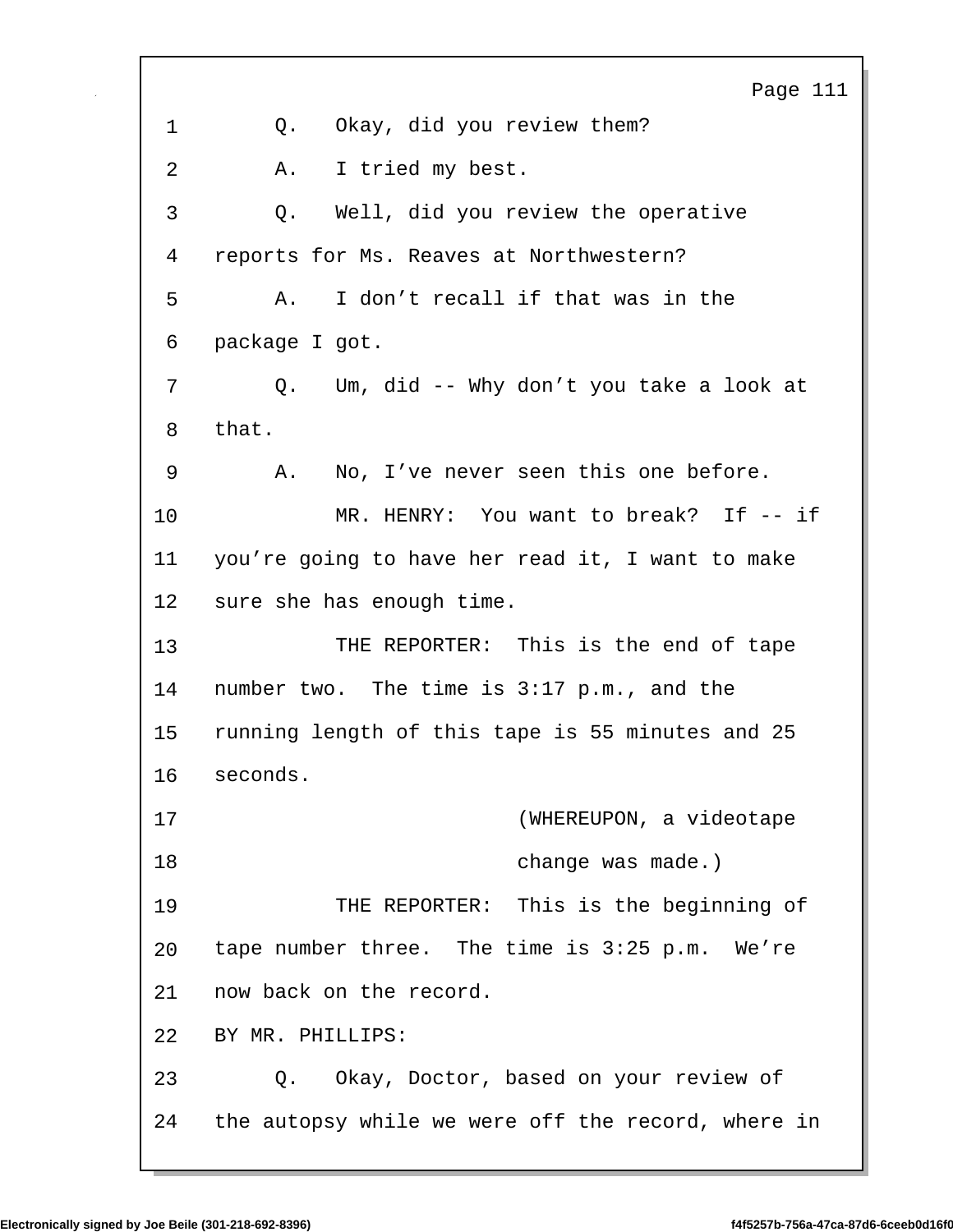Page 111 1 Q. Okay, did you review them? 2 A. I tried my best. 3 Q. Well, did you review the operative 4 reports for Ms. Reaves at Northwestern? 5 A. I don't recall if that was in the 6 package I got. 7 Q. Um, did -- Why don't you take a look at 8 that. 9 A. No, I've never seen this one before. 10 MR. HENRY: You want to break? If -- if 11 you're going to have her read it, I want to make 12 sure she has enough time. 13 THE REPORTER: This is the end of tape 14 number two. The time is 3:17 p.m., and the 15 running length of this tape is 55 minutes and 25 16 seconds. 17 (WHEREUPON, a videotape 18 change was made.) 19 THE REPORTER: This is the beginning of 20 tape number three. The time is 3:25 p.m. We're 21 now back on the record. 22 BY MR. PHILLIPS: 23 Q. Okay, Doctor, based on your review of 24 the autopsy while we were off the record, where in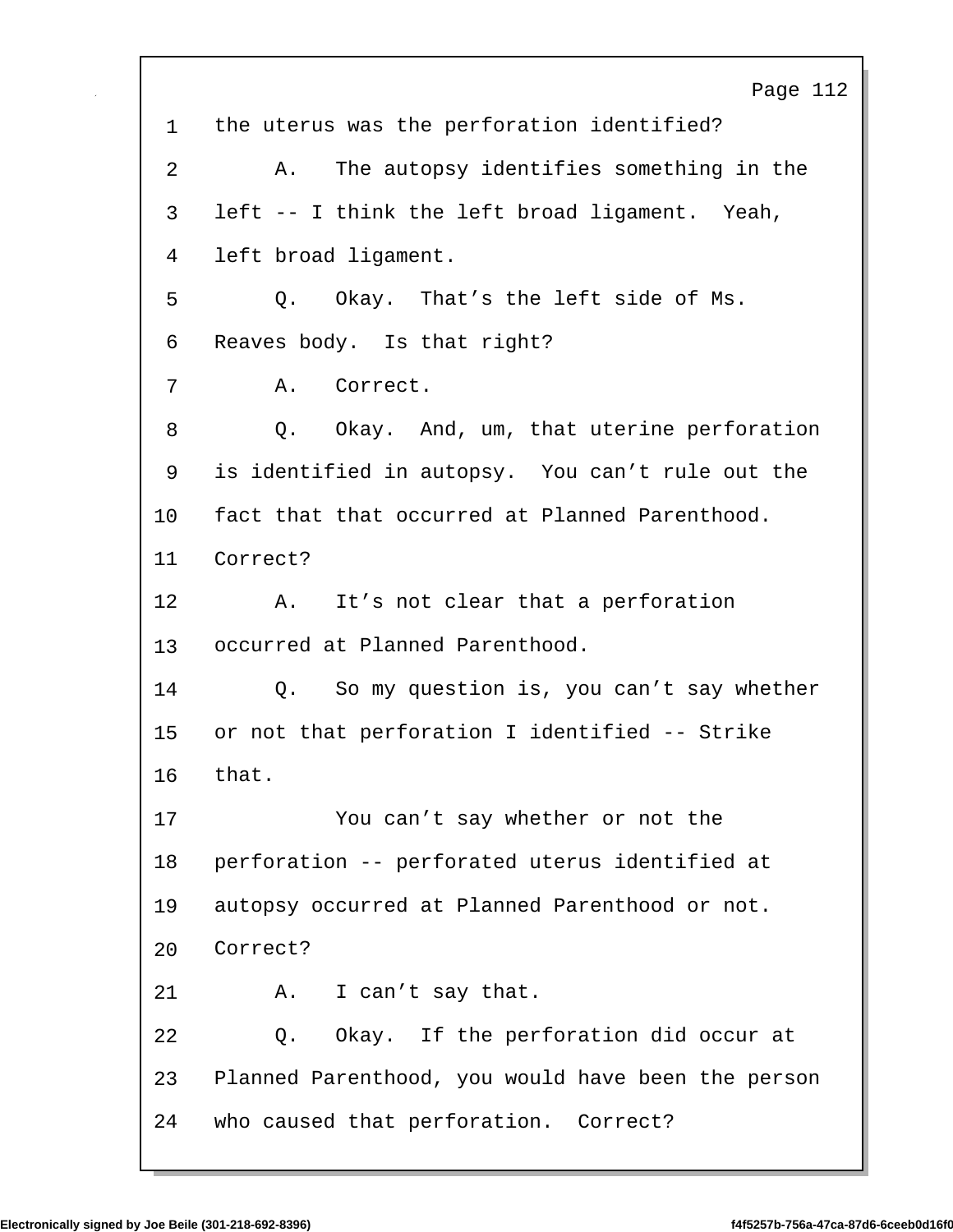Page 112 the uterus was the perforation identified? 2 A. The autopsy identifies something in the left -- I think the left broad ligament. Yeah, left broad ligament. 5 0. Okay. That's the left side of Ms. Reaves body. Is that right? 7 A. Correct. 8 Q. Okay. And, um, that uterine perforation is identified in autopsy. You can't rule out the fact that that occurred at Planned Parenthood. Correct? A. It's not clear that a perforation occurred at Planned Parenthood. Q. So my question is, you can't say whether or not that perforation I identified -- Strike that. You can't say whether or not the perforation -- perforated uterus identified at autopsy occurred at Planned Parenthood or not. Correct? A. I can't say that. 22 Q. Okay. If the perforation did occur at Planned Parenthood, you would have been the person who caused that perforation. Correct?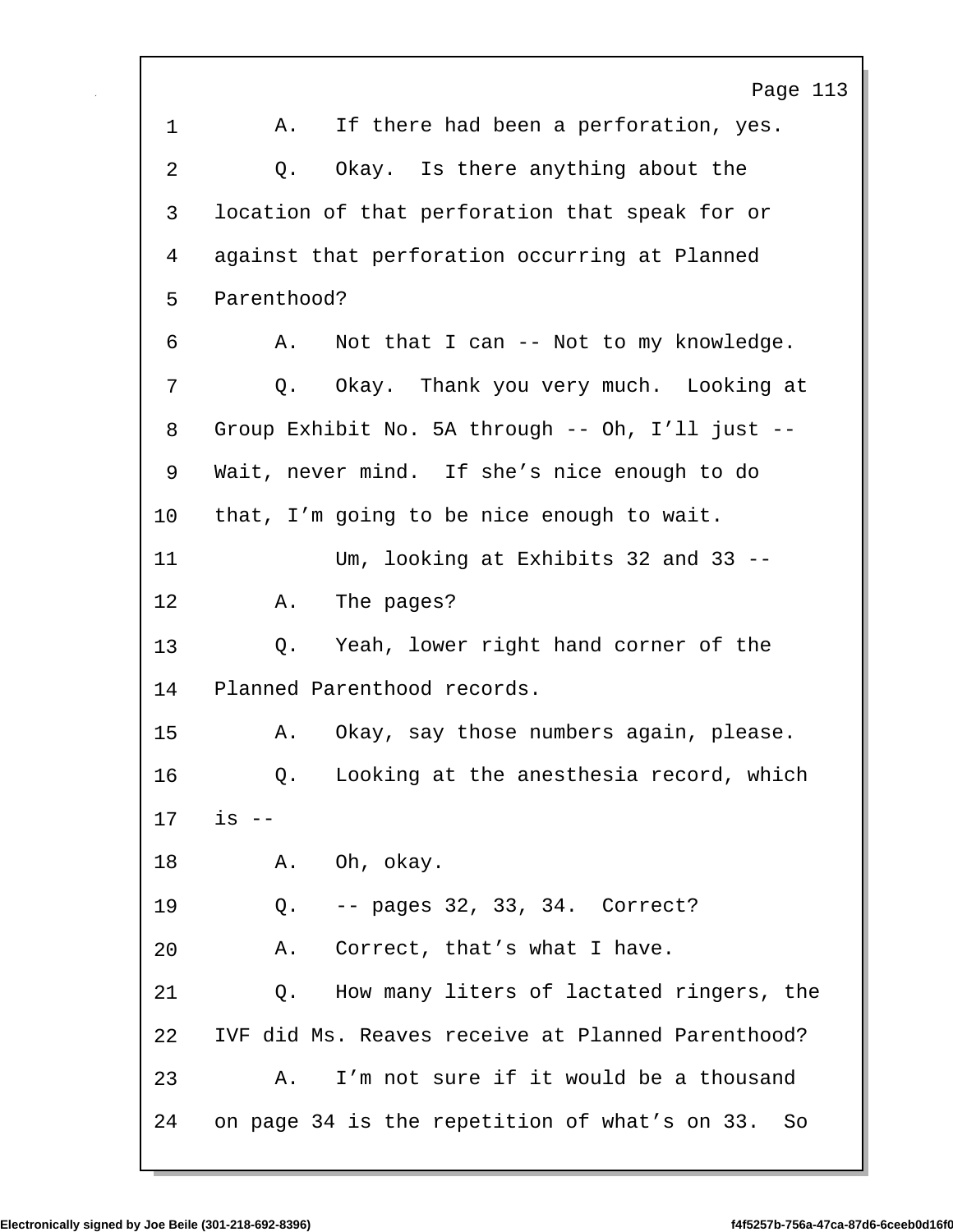Page 113 1 A. If there had been a perforation, yes. 2 Q. Okay. Is there anything about the 3 location of that perforation that speak for or 4 against that perforation occurring at Planned 5 Parenthood? 6 A. Not that I can -- Not to my knowledge. 7 Q. Okay. Thank you very much. Looking at 8 Group Exhibit No. 5A through -- Oh, I'll just -- 9 Wait, never mind. If she's nice enough to do 10 that, I'm going to be nice enough to wait. 11 Um, looking at Exhibits 32 and 33 -- 12 A. The pages? 13 Q. Yeah, lower right hand corner of the 14 Planned Parenthood records. 15 A. Okay, say those numbers again, please. 16 Q. Looking at the anesthesia record, which 17 is -- 18 A. Oh, okay. 19 Q. -- pages 32, 33, 34. Correct? 20 A. Correct, that's what I have. 21 Q. How many liters of lactated ringers, the 22 IVF did Ms. Reaves receive at Planned Parenthood? 23 A. I'm not sure if it would be a thousand 24 on page 34 is the repetition of what's on 33. So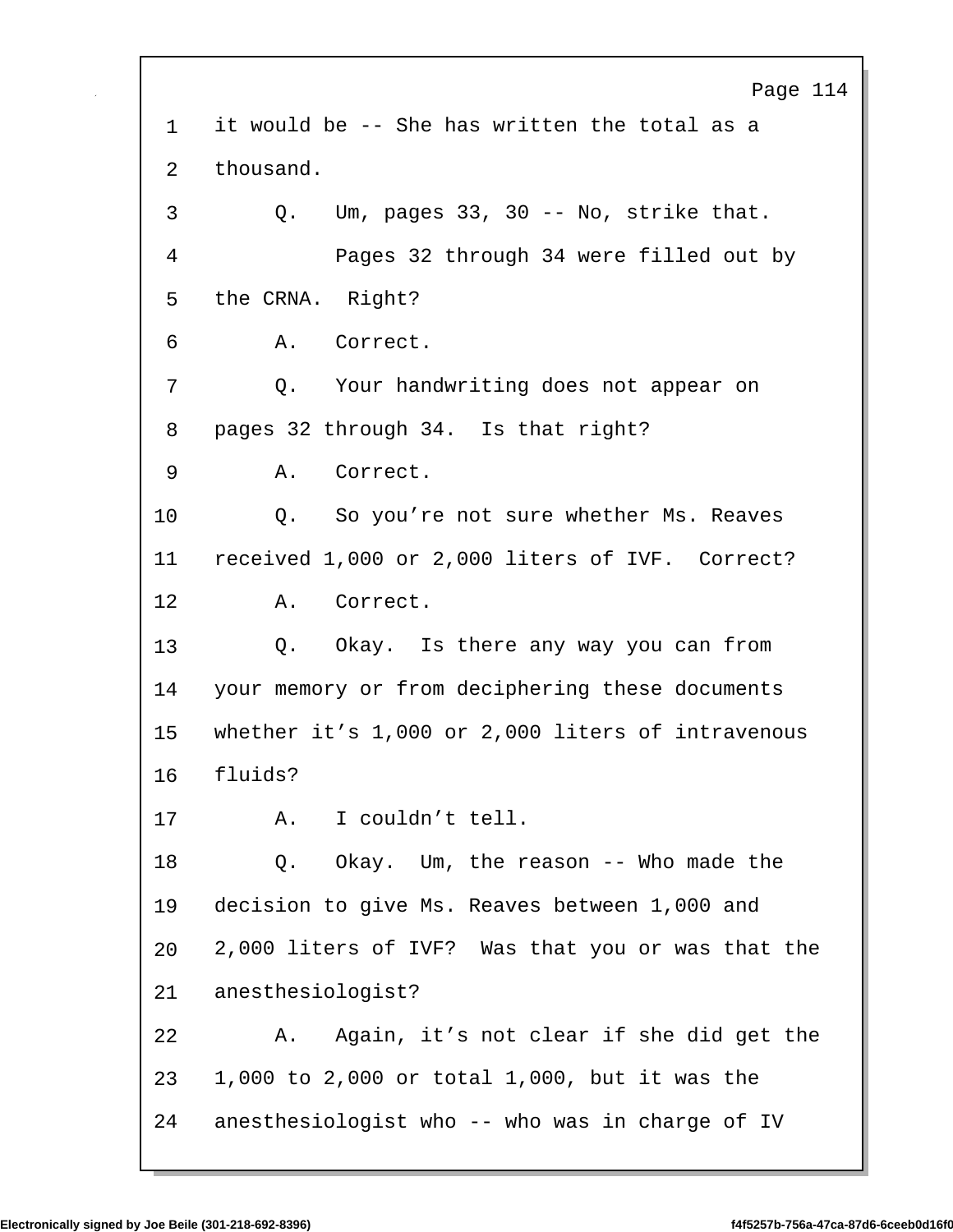Page 114 it would be -- She has written the total as a thousand. 3 Q. Um, pages 33, 30 -- No, strike that. 4 Pages 32 through 34 were filled out by the CRNA. Right? 6 A. Correct. 7 Q. Your handwriting does not appear on pages 32 through 34. Is that right? 9 A. Correct. Q. So you're not sure whether Ms. Reaves received 1,000 or 2,000 liters of IVF. Correct? 12 A. Correct. 13 Q. Okay. Is there any way you can from your memory or from deciphering these documents whether it's 1,000 or 2,000 liters of intravenous fluids? A. I couldn't tell. 18 Q. Okay. Um, the reason -- Who made the decision to give Ms. Reaves between 1,000 and 2,000 liters of IVF? Was that you or was that the anesthesiologist? A. Again, it's not clear if she did get the 1,000 to 2,000 or total 1,000, but it was the anesthesiologist who -- who was in charge of IV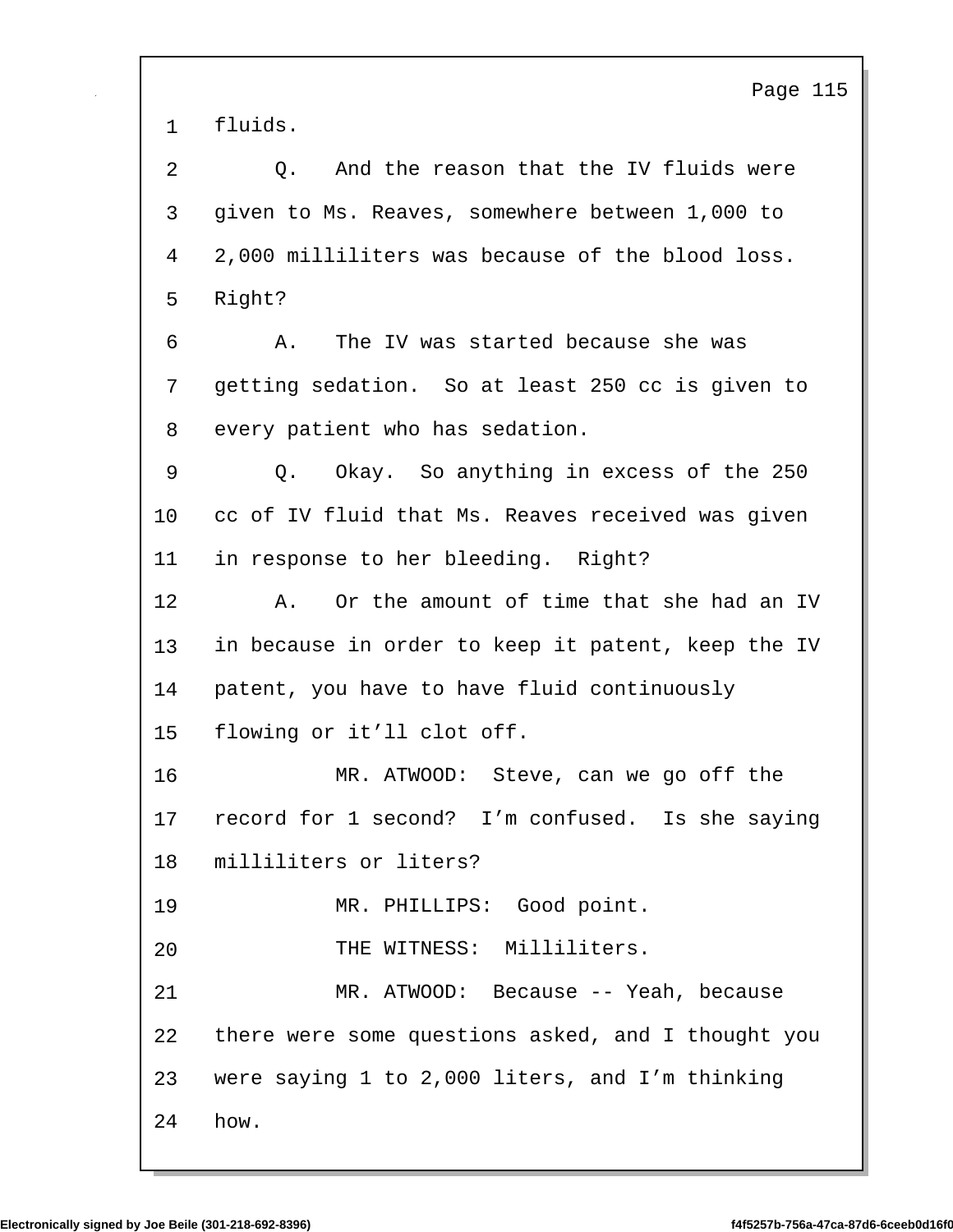Page 115 fluids. 2 Q. And the reason that the IV fluids were given to Ms. Reaves, somewhere between 1,000 to 2,000 milliliters was because of the blood loss. 6 A. The IV was started because she was getting sedation. So at least 250 cc is given to every patient who has sedation. 9 Q. Okay. So anything in excess of the 250 cc of IV fluid that Ms. Reaves received was given in response to her bleeding. Right? 12 A. Or the amount of time that she had an IV in because in order to keep it patent, keep the IV patent, you have to have fluid continuously flowing or it'll clot off. 16 MR. ATWOOD: Steve, can we go off the record for 1 second? I'm confused. Is she saying milliliters or liters? 19 MR. PHILLIPS: Good point. 20 THE WITNESS: Milliliters. 21 MR. ATWOOD: Because -- Yeah, because there were some questions asked, and I thought you were saying 1 to 2,000 liters, and I'm thinking

how.

Right?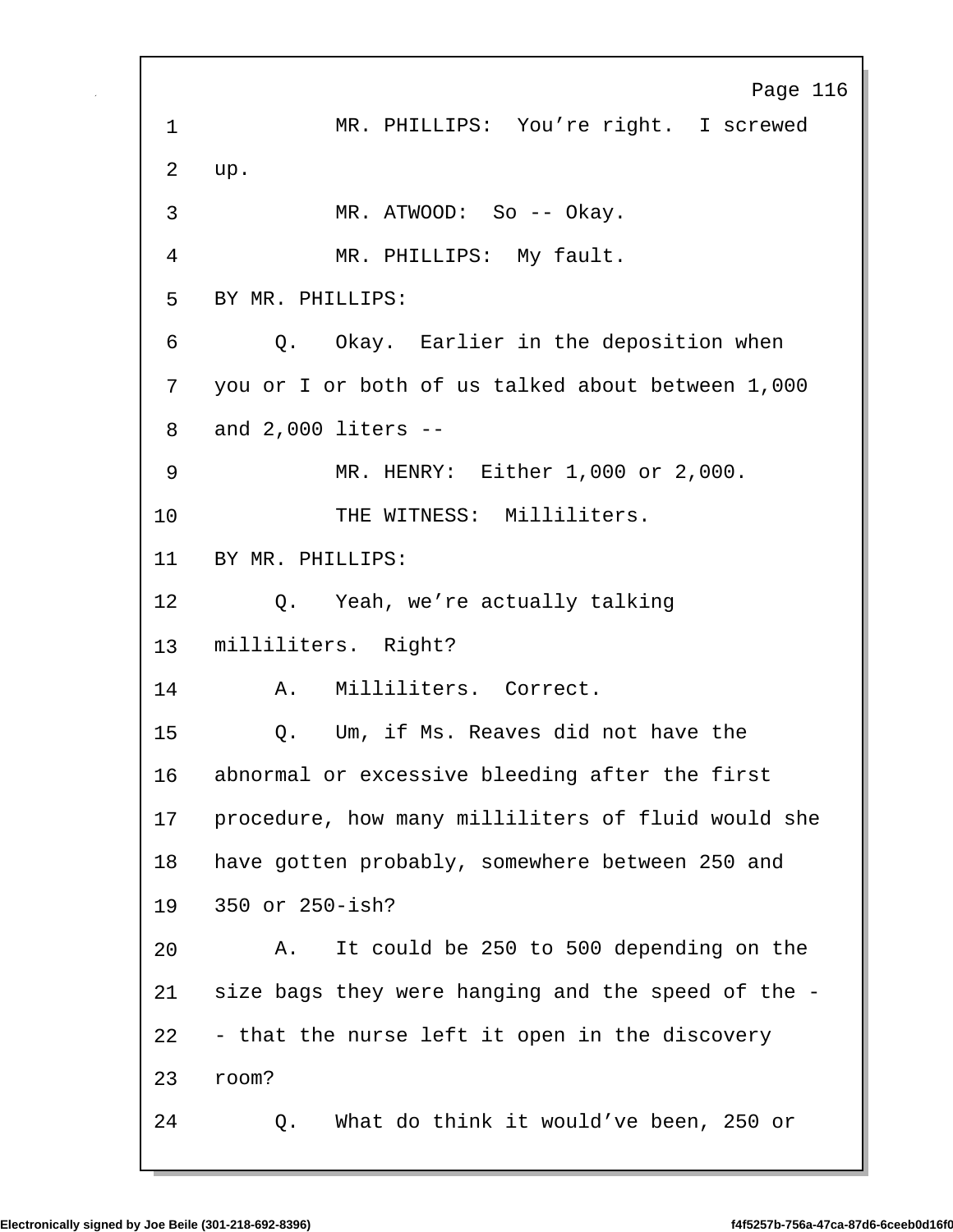Page 116 MR. PHILLIPS: You're right. I screwed up. 3 MR. ATWOOD: So -- Okay. 4 MR. PHILLIPS: My fault. BY MR. PHILLIPS: 6 Q. Okay. Earlier in the deposition when you or I or both of us talked about between 1,000 and 2,000 liters -- 9 MR. HENRY: Either 1,000 or 2,000. 10 THE WITNESS: Milliliters. BY MR. PHILLIPS: Q. Yeah, we're actually talking milliliters. Right? 14 A. Milliliters. Correct. 15 Q. Um, if Ms. Reaves did not have the abnormal or excessive bleeding after the first procedure, how many milliliters of fluid would she have gotten probably, somewhere between 250 and 350 or 250-ish? 20 A. It could be 250 to 500 depending on the size bags they were hanging and the speed of the - - that the nurse left it open in the discovery room? Q. What do think it would've been, 250 or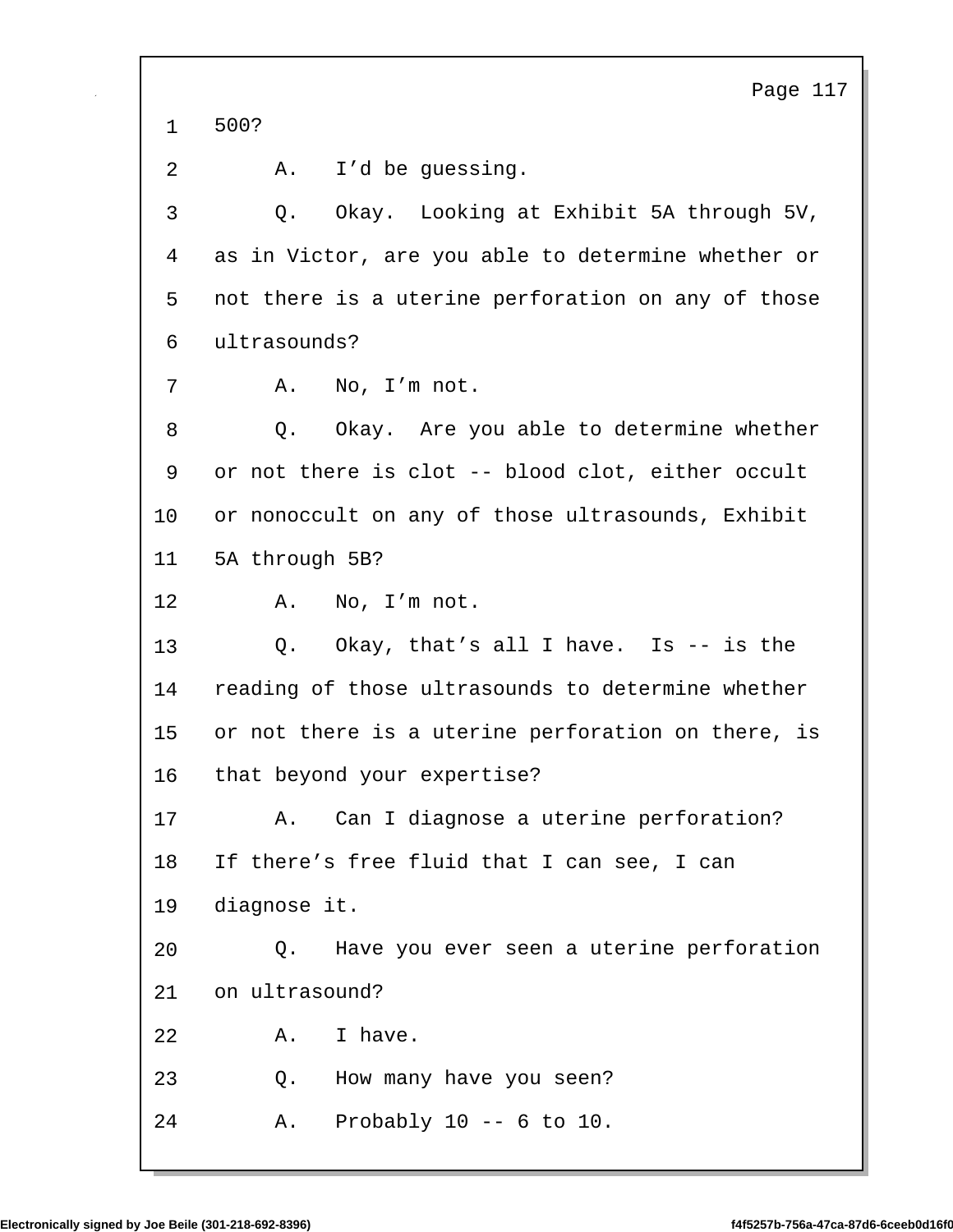Page 117

500?

A. I'd be guessing.

3 Q. Okay. Looking at Exhibit 5A through 5V, as in Victor, are you able to determine whether or not there is a uterine perforation on any of those ultrasounds?

A. No, I'm not.

8 Q. Okay. Are you able to determine whether or not there is clot -- blood clot, either occult or nonoccult on any of those ultrasounds, Exhibit 5A through 5B?

A. No, I'm not.

 Q. Okay, that's all I have. Is -- is the reading of those ultrasounds to determine whether or not there is a uterine perforation on there, is that beyond your expertise?

17 A. Can I diagnose a uterine perforation? If there's free fluid that I can see, I can diagnose it. 20 Q. Have you ever seen a uterine perforation on ultrasound?

22 A. I have.

23 Q. How many have you seen?

24 A. Probably 10 -- 6 to 10.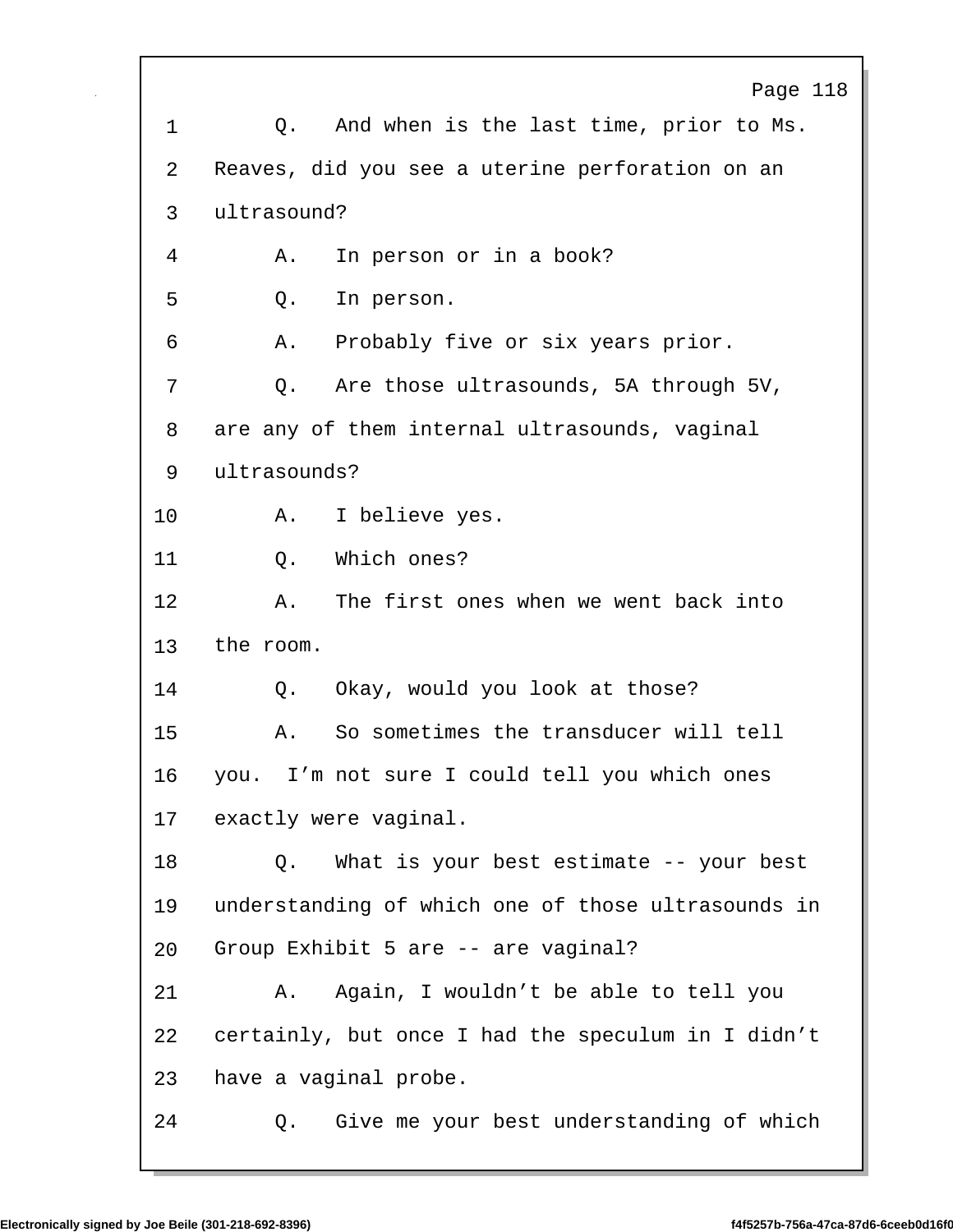Page 118 1 Q. And when is the last time, prior to Ms. 2 Reaves, did you see a uterine perforation on an 3 ultrasound? 4 A. In person or in a book? 5 Q. In person. 6 A. Probably five or six years prior. 7 Q. Are those ultrasounds, 5A through 5V, 8 are any of them internal ultrasounds, vaginal 9 ultrasounds? 10 A. I believe yes. 11 0. Which ones? 12 A. The first ones when we went back into 13 the room. 14 Q. Okay, would you look at those? 15 A. So sometimes the transducer will tell 16 you. I'm not sure I could tell you which ones 17 exactly were vaginal. 18 Q. What is your best estimate -- your best 19 understanding of which one of those ultrasounds in 20 Group Exhibit 5 are -- are vaginal? 21 A. Again, I wouldn't be able to tell you 22 certainly, but once I had the speculum in I didn't 23 have a vaginal probe. 24 Q. Give me your best understanding of which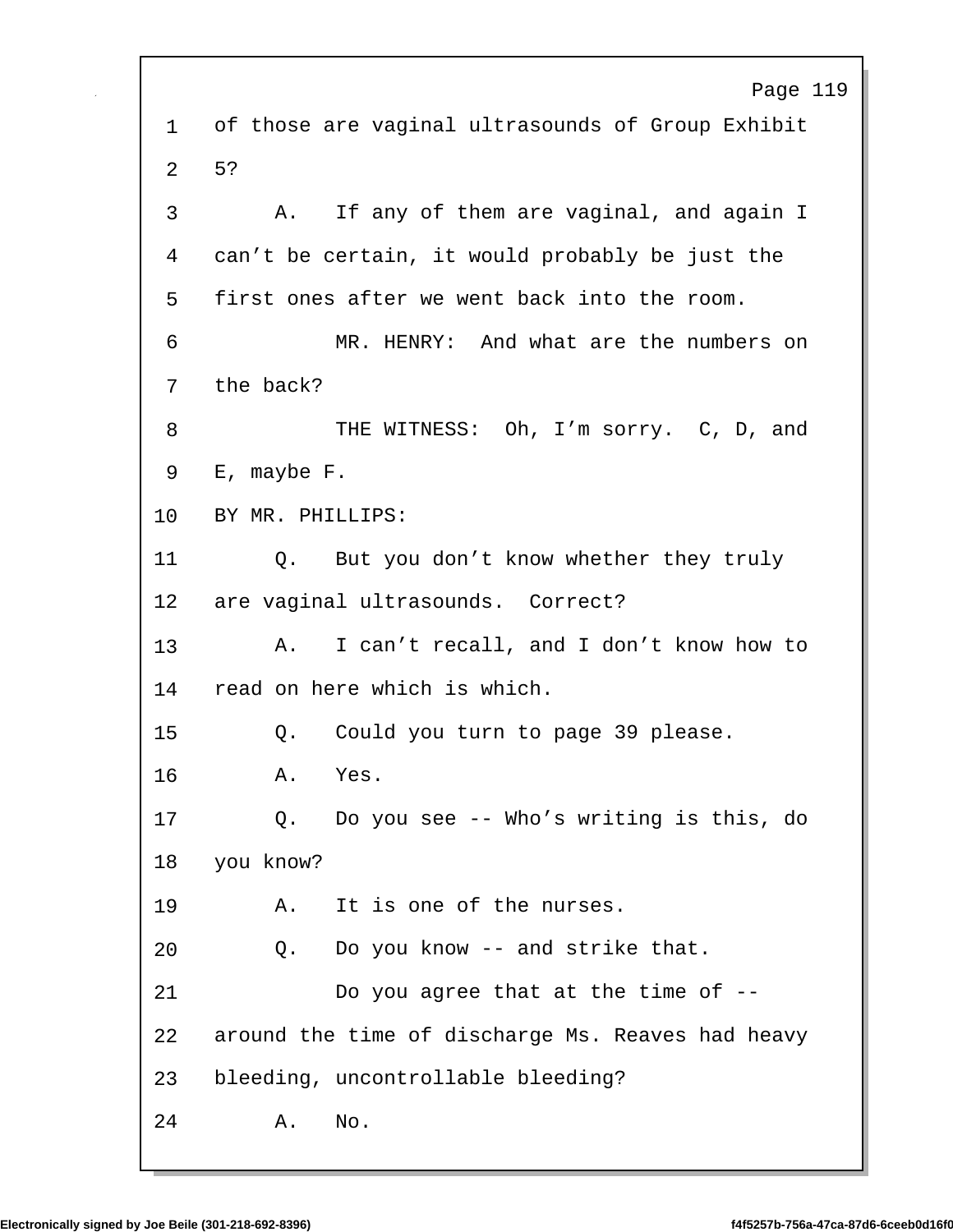Page 119 of those are vaginal ultrasounds of Group Exhibit 5? 3 A. If any of them are vaginal, and again I can't be certain, it would probably be just the first ones after we went back into the room. 6 MR. HENRY: And what are the numbers on the back? THE WITNESS: Oh, I'm sorry. C, D, and E, maybe F. BY MR. PHILLIPS: Q. But you don't know whether they truly are vaginal ultrasounds. Correct? A. I can't recall, and I don't know how to read on here which is which. 15 Q. Could you turn to page 39 please. 16 A. Yes. Q. Do you see -- Who's writing is this, do you know? 19 A. It is one of the nurses. 20 Q. Do you know -- and strike that. 21 Do you agree that at the time of -- around the time of discharge Ms. Reaves had heavy bleeding, uncontrollable bleeding? 24 A. No.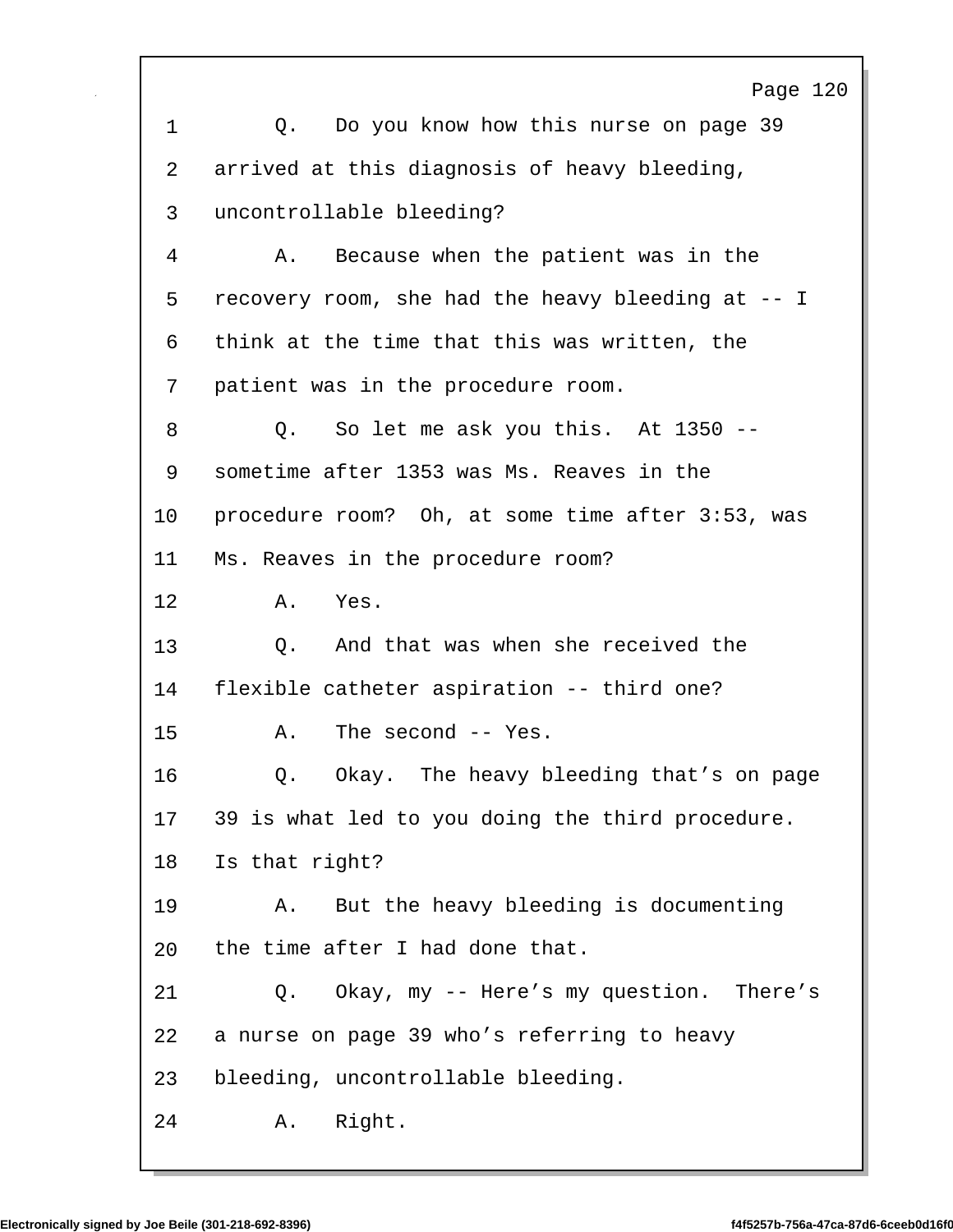Page 120 1 Q. Do you know how this nurse on page 39 arrived at this diagnosis of heavy bleeding, uncontrollable bleeding? 4 A. Because when the patient was in the recovery room, she had the heavy bleeding at -- I think at the time that this was written, the patient was in the procedure room. 8 Q. So let me ask you this. At 1350 -- sometime after 1353 was Ms. Reaves in the procedure room? Oh, at some time after 3:53, was Ms. Reaves in the procedure room? 12 A. Yes. 13 Q. And that was when she received the flexible catheter aspiration -- third one? 15 A. The second -- Yes. Q. Okay. The heavy bleeding that's on page 39 is what led to you doing the third procedure. Is that right? 19 A. But the heavy bleeding is documenting the time after I had done that. Q. Okay, my -- Here's my question. There's a nurse on page 39 who's referring to heavy bleeding, uncontrollable bleeding. 24 A. Right.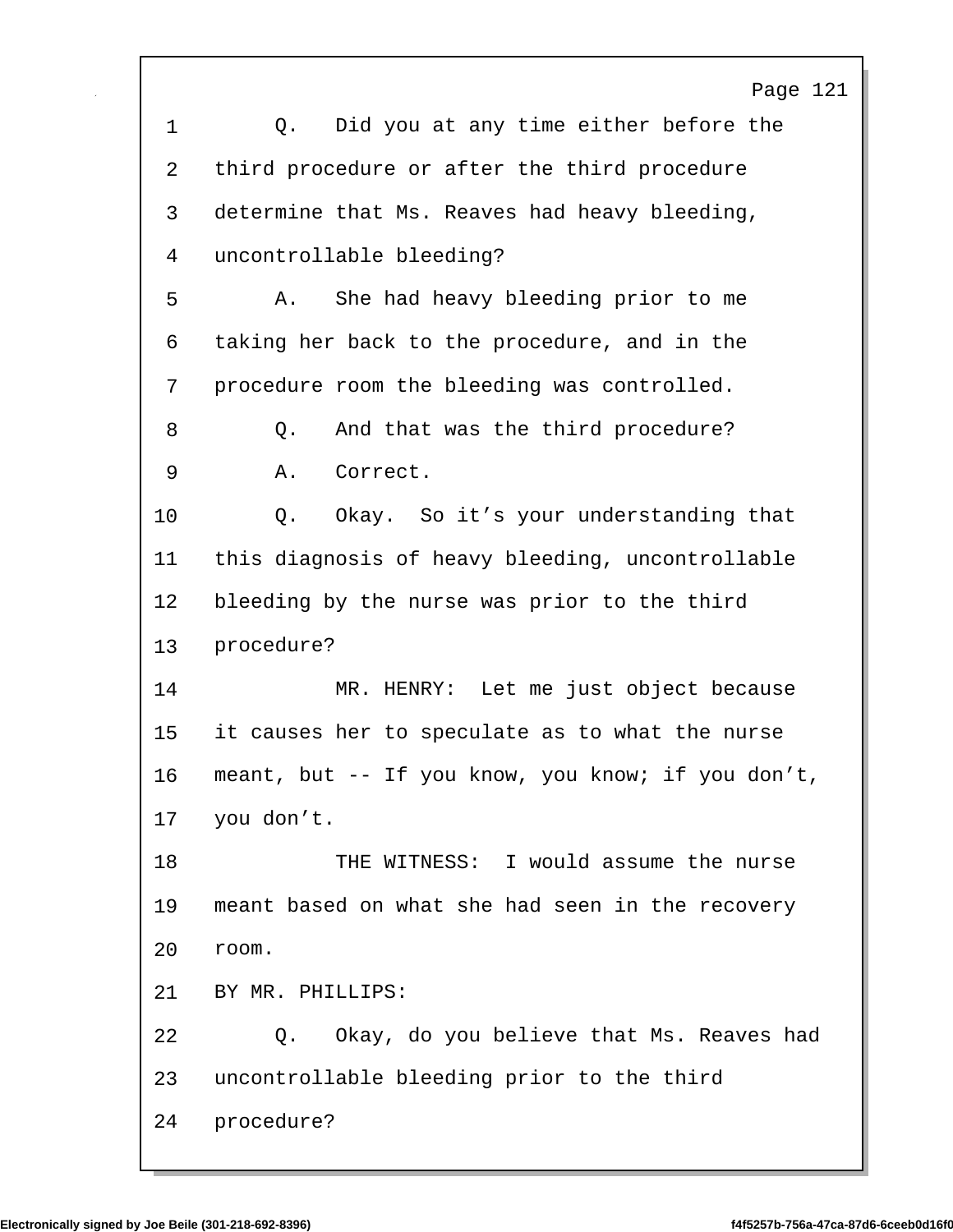Page 121 1 Q. Did you at any time either before the third procedure or after the third procedure determine that Ms. Reaves had heavy bleeding, uncontrollable bleeding? 5 A. She had heavy bleeding prior to me taking her back to the procedure, and in the procedure room the bleeding was controlled. 8 Q. And that was the third procedure? 9 A. Correct. Q. Okay. So it's your understanding that this diagnosis of heavy bleeding, uncontrollable bleeding by the nurse was prior to the third procedure? 14 MR. HENRY: Let me just object because it causes her to speculate as to what the nurse meant, but -- If you know, you know; if you don't, you don't. 18 THE WITNESS: I would assume the nurse meant based on what she had seen in the recovery room. BY MR. PHILLIPS: 22 Q. Okay, do you believe that Ms. Reaves had uncontrollable bleeding prior to the third procedure?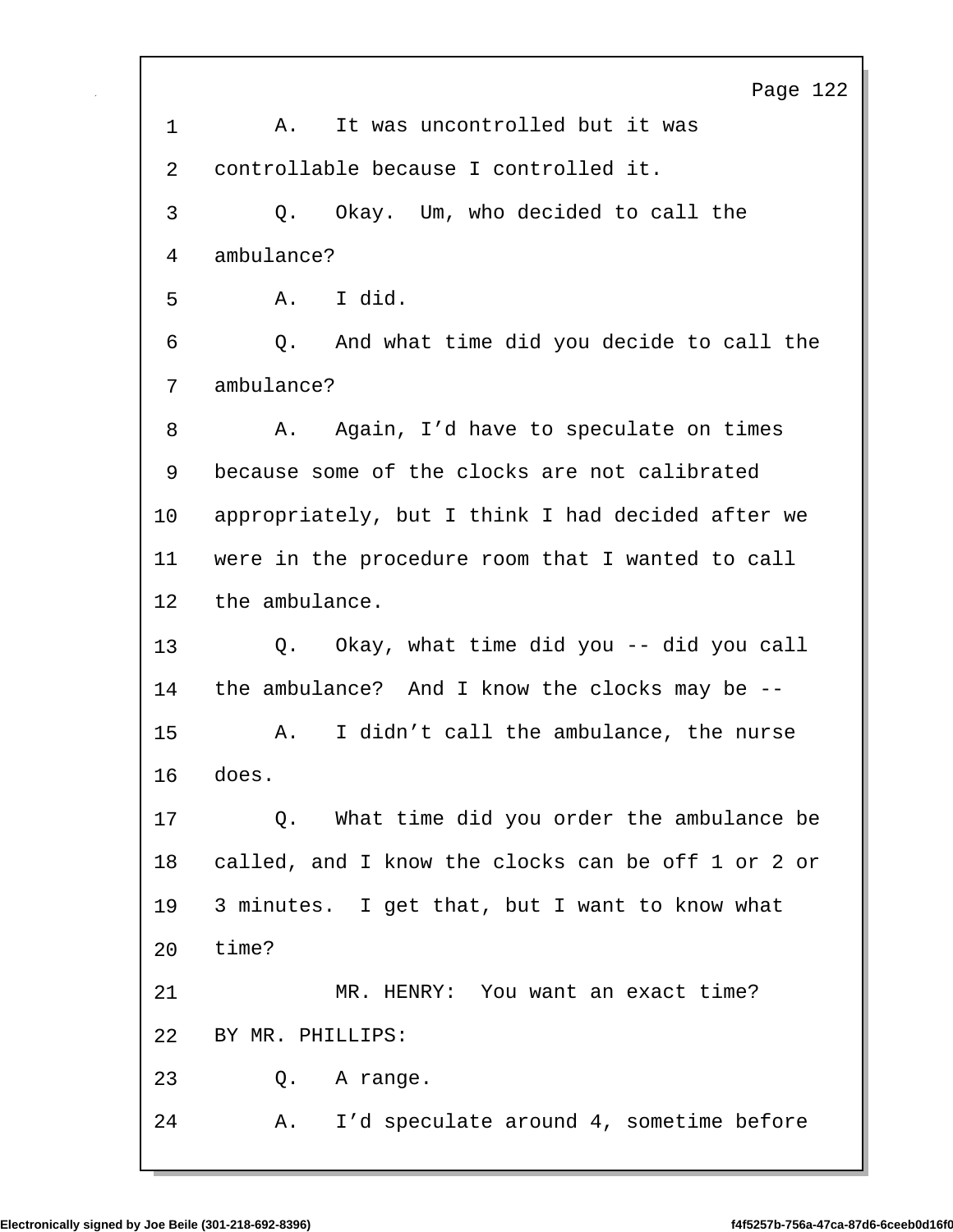Page 122 1 A. It was uncontrolled but it was 2 controllable because I controlled it. 3 Q. Okay. Um, who decided to call the 4 ambulance? 5 A. I did. 6 Q. And what time did you decide to call the 7 ambulance? 8 A. Again, I'd have to speculate on times 9 because some of the clocks are not calibrated 10 appropriately, but I think I had decided after we 11 were in the procedure room that I wanted to call 12 the ambulance. 13 Q. Okay, what time did you -- did you call 14 the ambulance? And I know the clocks may be -- 15 A. I didn't call the ambulance, the nurse 16 does. 17 Q. What time did you order the ambulance be 18 called, and I know the clocks can be off 1 or 2 or 19 3 minutes. I get that, but I want to know what 20 time? 21 MR. HENRY: You want an exact time? 22 BY MR. PHILLIPS: 23 Q. A range. 24 A. I'd speculate around 4, sometime before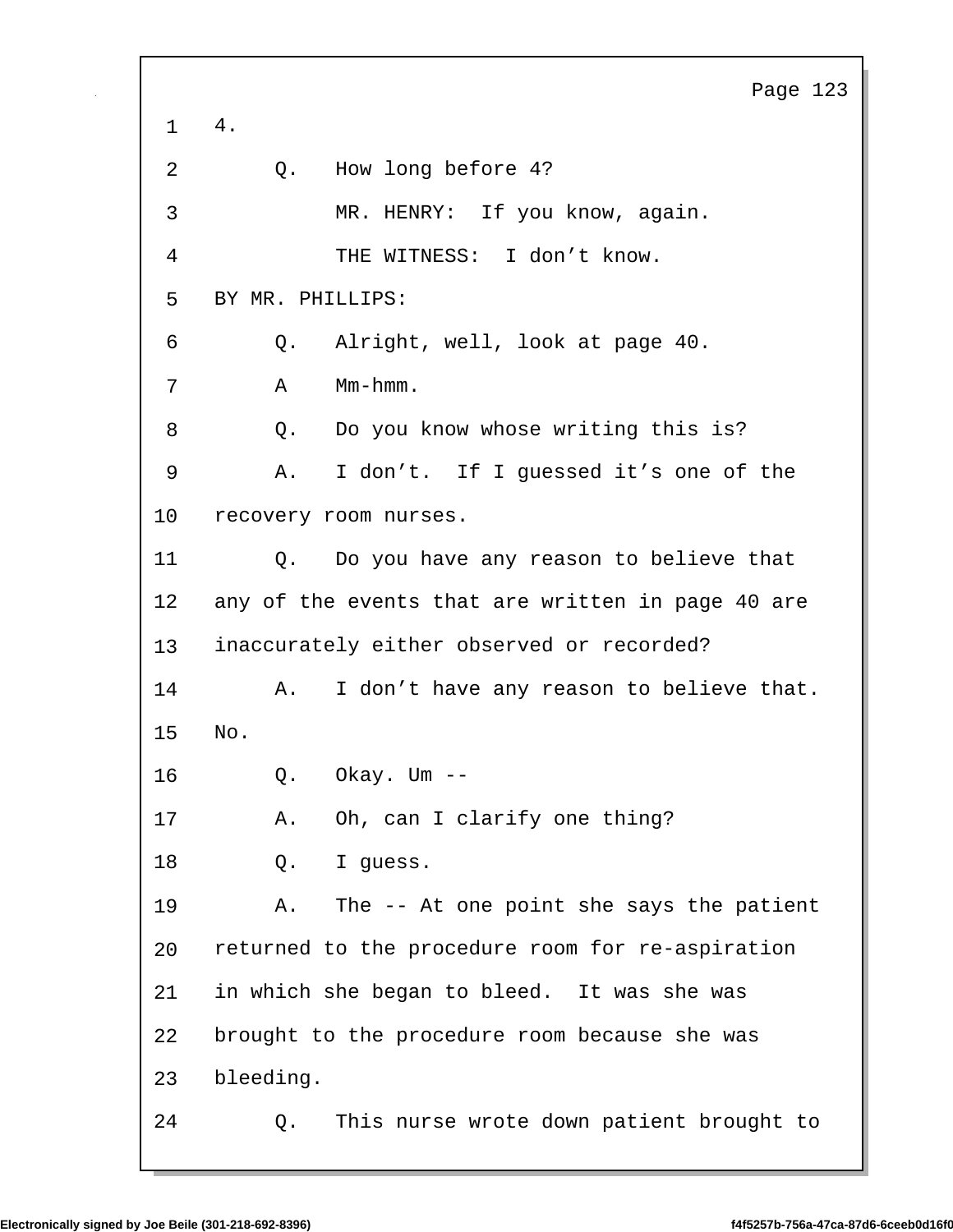Page 123 1 4. 2 Q. How long before 4? 3 MR. HENRY: If you know, again. 4 THE WITNESS: I don't know. 5 BY MR. PHILLIPS: 6 Q. Alright, well, look at page 40. 7 A Mm-hmm. 8 Q. Do you know whose writing this is? 9 A. I don't. If I guessed it's one of the 10 recovery room nurses. 11 Q. Do you have any reason to believe that 12 any of the events that are written in page 40 are 13 inaccurately either observed or recorded? 14 A. I don't have any reason to believe that. 15 No. 16 Q. Okay. Um -- 17 A. Oh, can I clarify one thing? 18 Q. I guess. 19 A. The -- At one point she says the patient 20 returned to the procedure room for re-aspiration 21 in which she began to bleed. It was she was 22 brought to the procedure room because she was 23 bleeding. 24 Q. This nurse wrote down patient brought to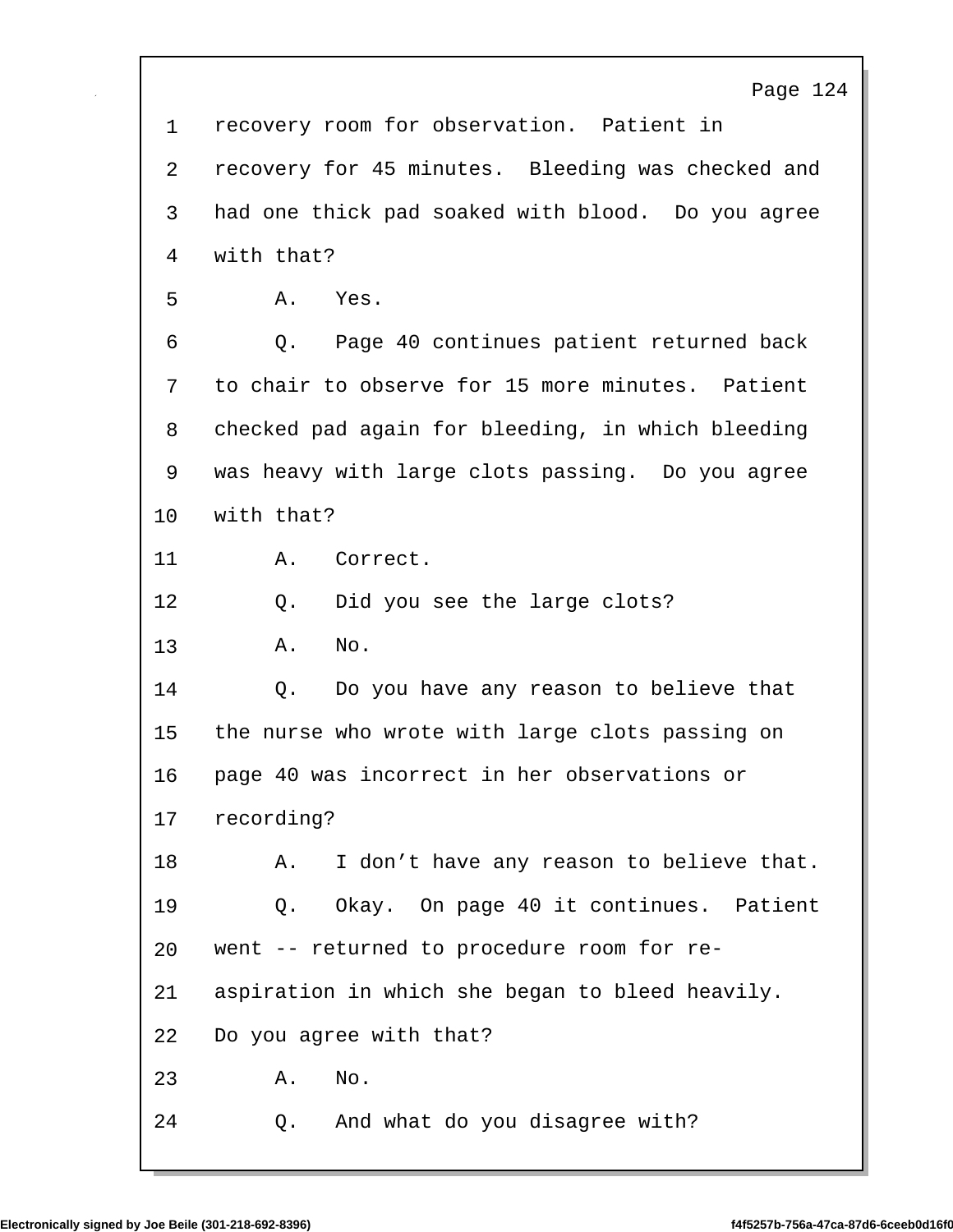|                | Page 124                                          |
|----------------|---------------------------------------------------|
| $\mathbf 1$    | recovery room for observation. Patient in         |
| $\overline{2}$ | recovery for 45 minutes. Bleeding was checked and |
| $\mathsf{3}$   | had one thick pad soaked with blood. Do you agree |
| 4              | with that?                                        |
| 5              | Α.<br>Yes.                                        |
| 6              | Page 40 continues patient returned back<br>Q.     |
| 7              | to chair to observe for 15 more minutes. Patient  |
| 8              | checked pad again for bleeding, in which bleeding |
| 9              | was heavy with large clots passing. Do you agree  |
| 10             | with that?                                        |
| 11             | Α.<br>Correct.                                    |
| 12             | Did you see the large clots?<br>Q.                |
| 13             | No.<br>Α.                                         |
| 14             | Q. Do you have any reason to believe that         |
| 15             | the nurse who wrote with large clots passing on   |
| 16             | page 40 was incorrect in her observations or      |
| 17             | recording?                                        |
| 18             | I don't have any reason to believe that.<br>Α.    |
| 19             | Okay. On page 40 it continues. Patient<br>Q.      |
| 20             | went -- returned to procedure room for re-        |
| 21             | aspiration in which she began to bleed heavily.   |
| 22             | Do you agree with that?                           |
| 23             | No.<br>Α.                                         |
| 24             | And what do you disagree with?<br>Q.              |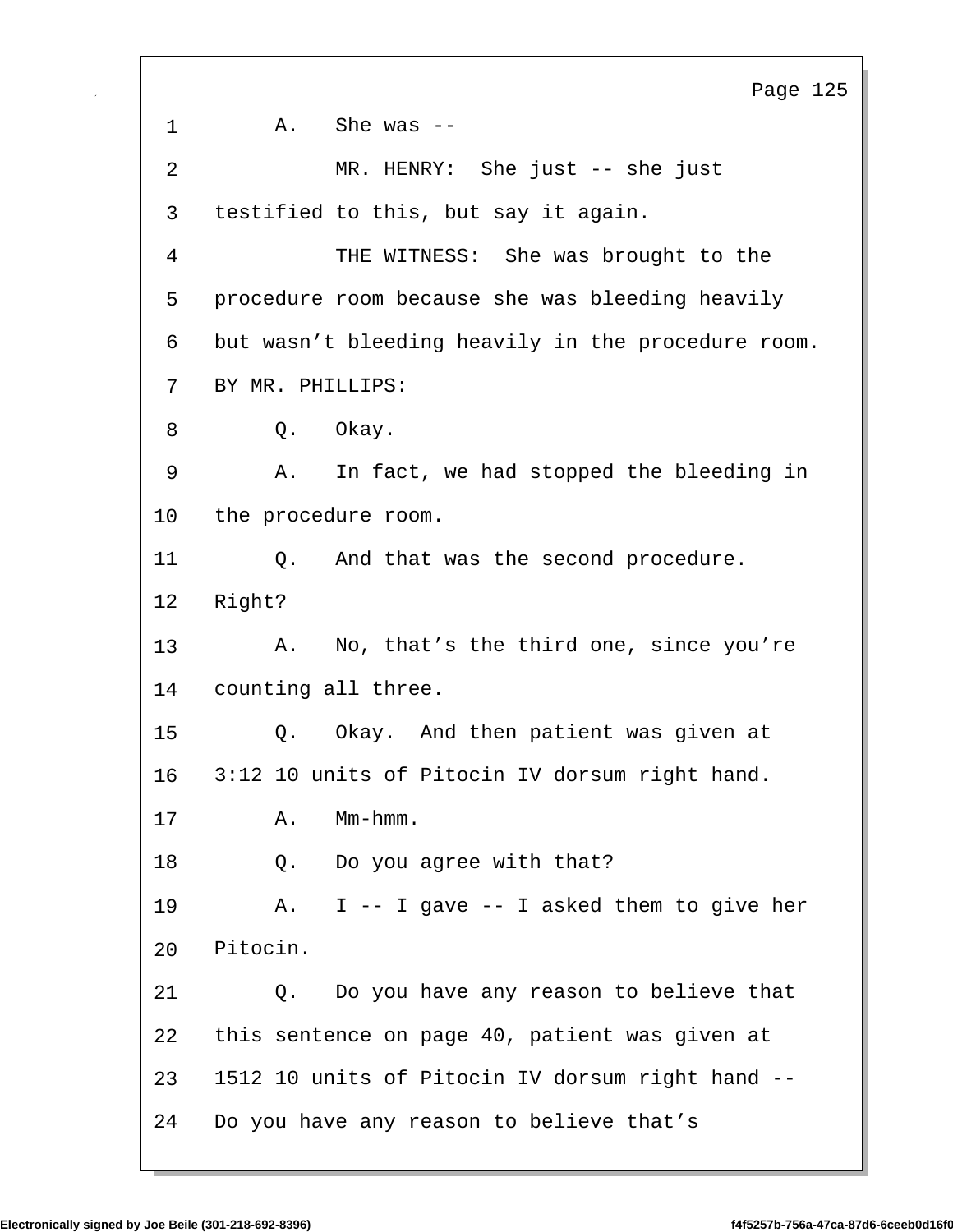Page 125 1 A. She was -- 2 MR. HENRY: She just -- she just 3 testified to this, but say it again. 4 THE WITNESS: She was brought to the 5 procedure room because she was bleeding heavily 6 but wasn't bleeding heavily in the procedure room. 7 BY MR. PHILLIPS: 8 Q. Okay. 9 A. In fact, we had stopped the bleeding in 10 the procedure room. 11 Q. And that was the second procedure. 12 Right? 13 A. No, that's the third one, since you're 14 counting all three. 15 Q. Okay. And then patient was given at 16 3:12 10 units of Pitocin IV dorsum right hand. 17 **A. Mm-hmm.** 18 Q. Do you agree with that? 19 A. I -- I gave -- I asked them to give her 20 Pitocin. 21 Q. Do you have any reason to believe that 22 this sentence on page 40, patient was given at 23 1512 10 units of Pitocin IV dorsum right hand -- 24 Do you have any reason to believe that's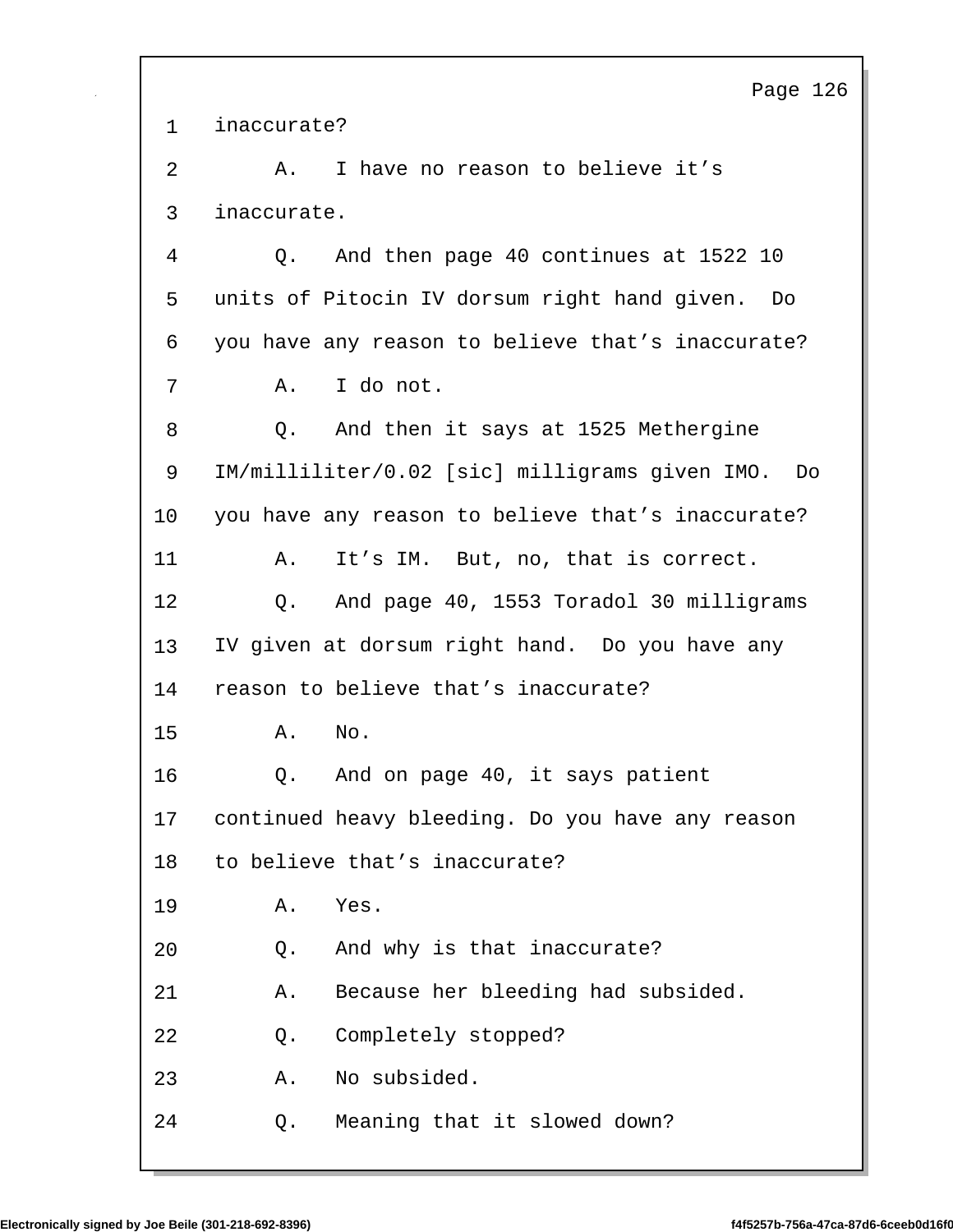Page 126

1 inaccurate?

2 A. I have no reason to believe it's 3 inaccurate.

4 Q. And then page 40 continues at 1522 10 5 units of Pitocin IV dorsum right hand given. Do 6 you have any reason to believe that's inaccurate? 7 A. I do not.

8 Q. And then it says at 1525 Methergine 9 IM/milliliter/0.02 [sic] milligrams given IMO. Do 10 you have any reason to believe that's inaccurate? 11 A. It's IM. But, no, that is correct. 12 Q. And page 40, 1553 Toradol 30 milligrams 13 IV given at dorsum right hand. Do you have any 14 reason to believe that's inaccurate? 15 A. No. 16 Q. And on page 40, it says patient 17 continued heavy bleeding. Do you have any reason 18 to believe that's inaccurate? 19 A. Yes. 20 Q. And why is that inaccurate? 21 A. Because her bleeding had subsided. 22 Q. Completely stopped? 23 A. No subsided. 24 Q. Meaning that it slowed down?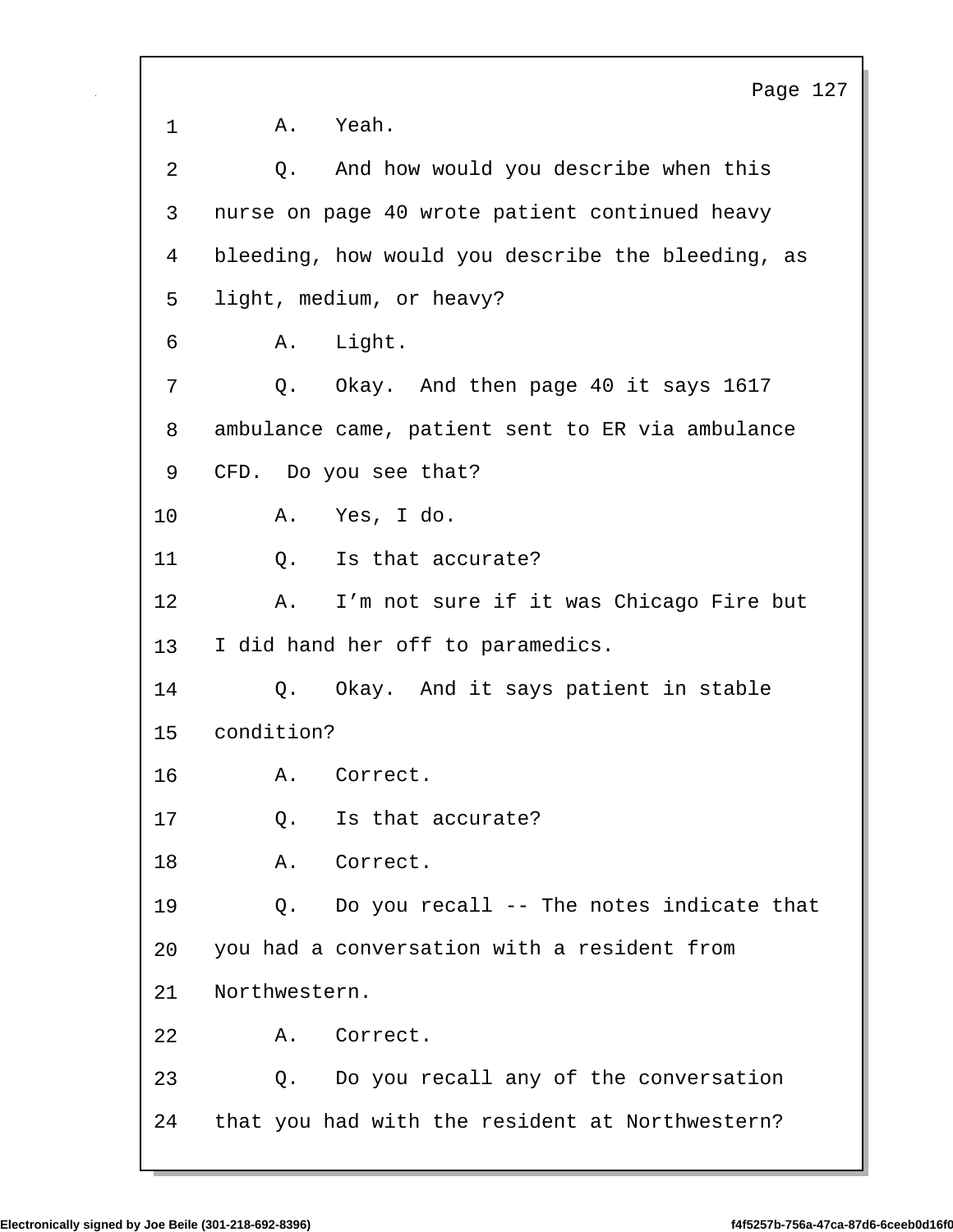Page 127 1 A. Yeah. 2 Q. And how would you describe when this 3 nurse on page 40 wrote patient continued heavy 4 bleeding, how would you describe the bleeding, as 5 light, medium, or heavy? 6 A. Light. 7 Q. Okay. And then page 40 it says 1617 8 ambulance came, patient sent to ER via ambulance 9 CFD. Do you see that? 10 A. Yes, I do. 11 0. Is that accurate? 12 A. I'm not sure if it was Chicago Fire but 13 I did hand her off to paramedics. 14 Q. Okay. And it says patient in stable 15 condition? 16 A. Correct. 17 Q. Is that accurate? 18 A. Correct. 19 Q. Do you recall -- The notes indicate that 20 you had a conversation with a resident from 21 Northwestern. 22 A. Correct. 23 Q. Do you recall any of the conversation 24 that you had with the resident at Northwestern?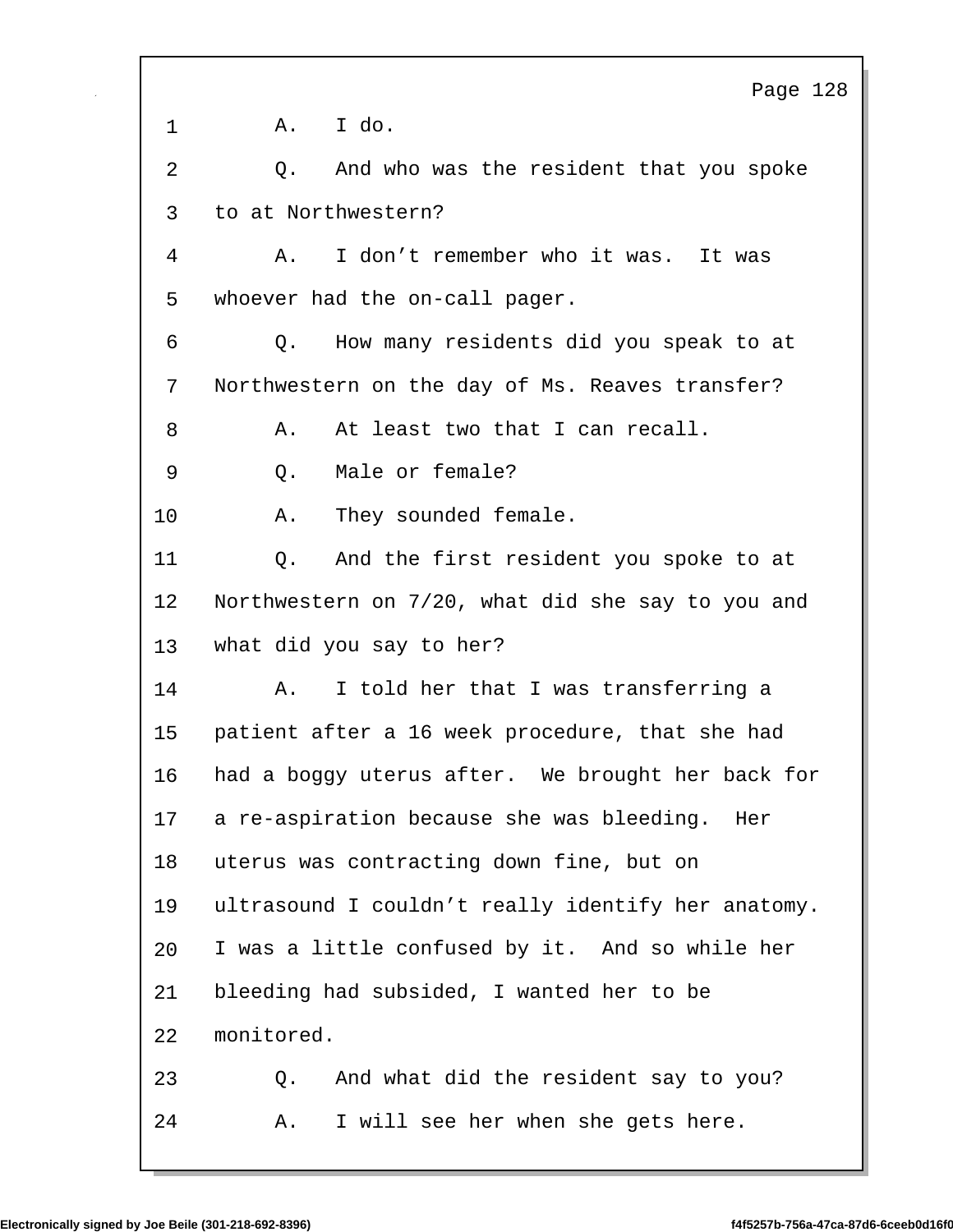Page 128 1 A. I do. 2 Q. And who was the resident that you spoke 3 to at Northwestern? 4 A. I don't remember who it was. It was 5 whoever had the on-call pager. 6 Q. How many residents did you speak to at 7 Northwestern on the day of Ms. Reaves transfer? 8 A. At least two that I can recall. 9 0. Male or female? 10 A. They sounded female. 11 Q. And the first resident you spoke to at 12 Northwestern on 7/20, what did she say to you and 13 what did you say to her? 14 A. I told her that I was transferring a 15 patient after a 16 week procedure, that she had 16 had a boggy uterus after. We brought her back for 17 a re-aspiration because she was bleeding. Her 18 uterus was contracting down fine, but on 19 ultrasound I couldn't really identify her anatomy. 20 I was a little confused by it. And so while her 21 bleeding had subsided, I wanted her to be 22 monitored. 23 Q. And what did the resident say to you? 24 A. I will see her when she gets here.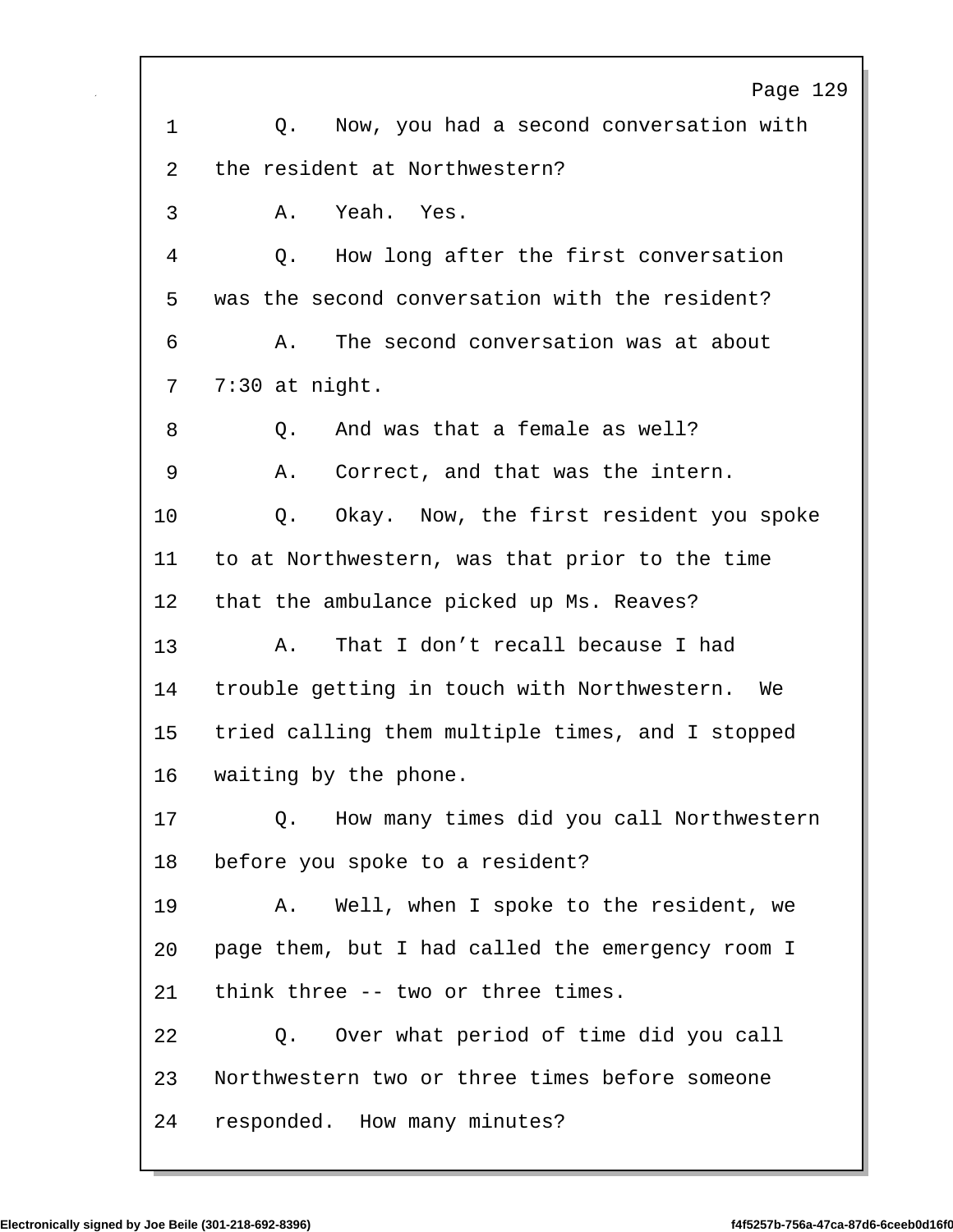Page 129 1 0. Now, you had a second conversation with 2 the resident at Northwestern? 3 A. Yeah. Yes. 4 Q. How long after the first conversation 5 was the second conversation with the resident? 6 A. The second conversation was at about 7 7:30 at night. 8 0. And was that a female as well? 9 A. Correct, and that was the intern. 10 Q. Okay. Now, the first resident you spoke 11 to at Northwestern, was that prior to the time 12 that the ambulance picked up Ms. Reaves? 13 A. That I don't recall because I had 14 trouble getting in touch with Northwestern. We 15 tried calling them multiple times, and I stopped 16 waiting by the phone. 17 Q. How many times did you call Northwestern 18 before you spoke to a resident? 19 A. Well, when I spoke to the resident, we 20 page them, but I had called the emergency room I 21 think three -- two or three times. 22 Q. Over what period of time did you call 23 Northwestern two or three times before someone 24 responded. How many minutes?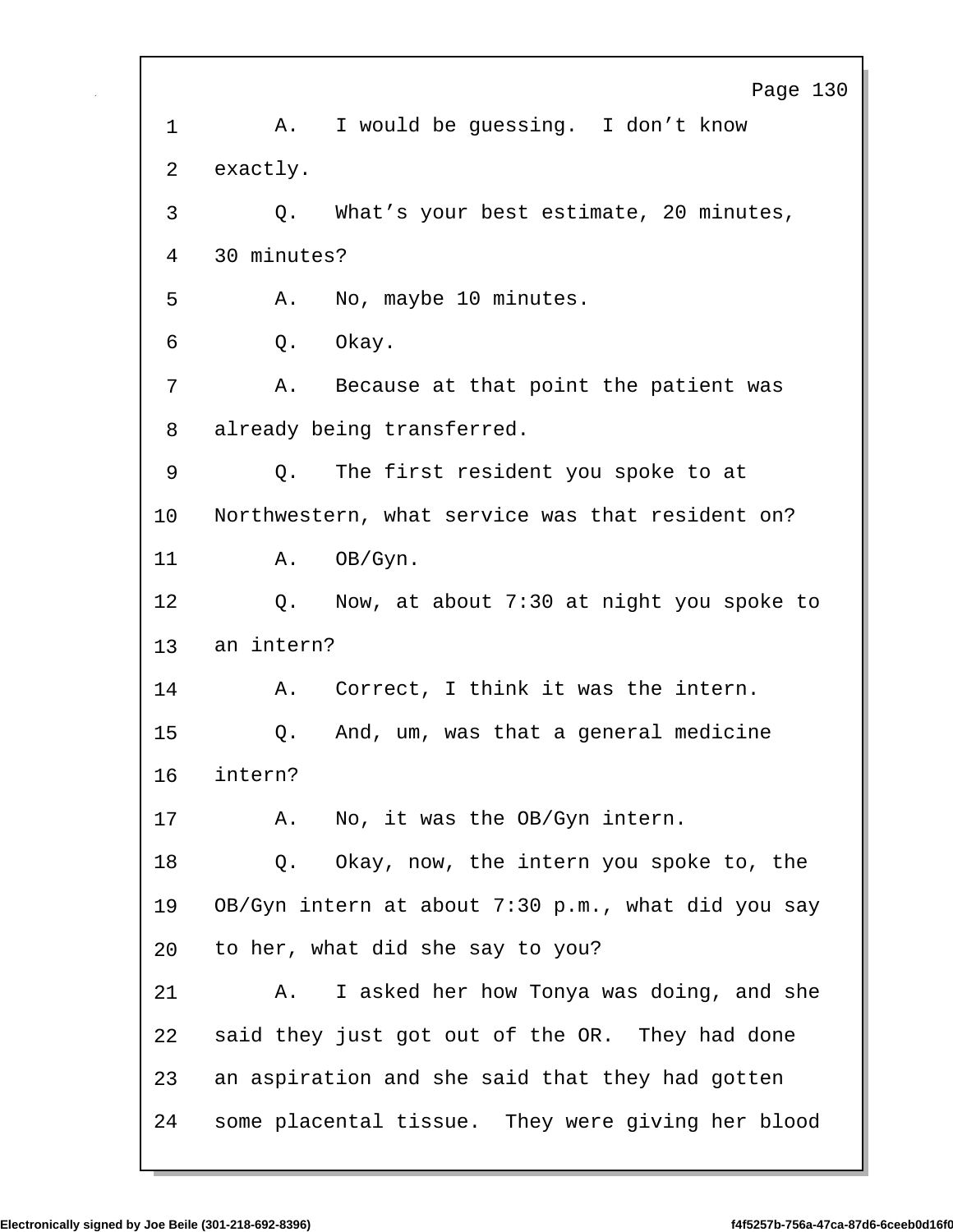Page 130 1 A. I would be guessing. I don't know 2 exactly. 3 Q. What's your best estimate, 20 minutes, 4 30 minutes? 5 A. No, maybe 10 minutes. 6 Q. Okay. 7 A. Because at that point the patient was 8 already being transferred. 9 Q. The first resident you spoke to at 10 Northwestern, what service was that resident on? 11 A. OB/Gyn. 12 Q. Now, at about 7:30 at night you spoke to 13 an intern? 14 A. Correct, I think it was the intern. 15 Q. And, um, was that a general medicine 16 intern? 17 A. No, it was the OB/Gyn intern. 18 Q. Okay, now, the intern you spoke to, the 19 OB/Gyn intern at about 7:30 p.m., what did you say 20 to her, what did she say to you? 21 A. I asked her how Tonya was doing, and she 22 said they just got out of the OR. They had done 23 an aspiration and she said that they had gotten 24 some placental tissue. They were giving her blood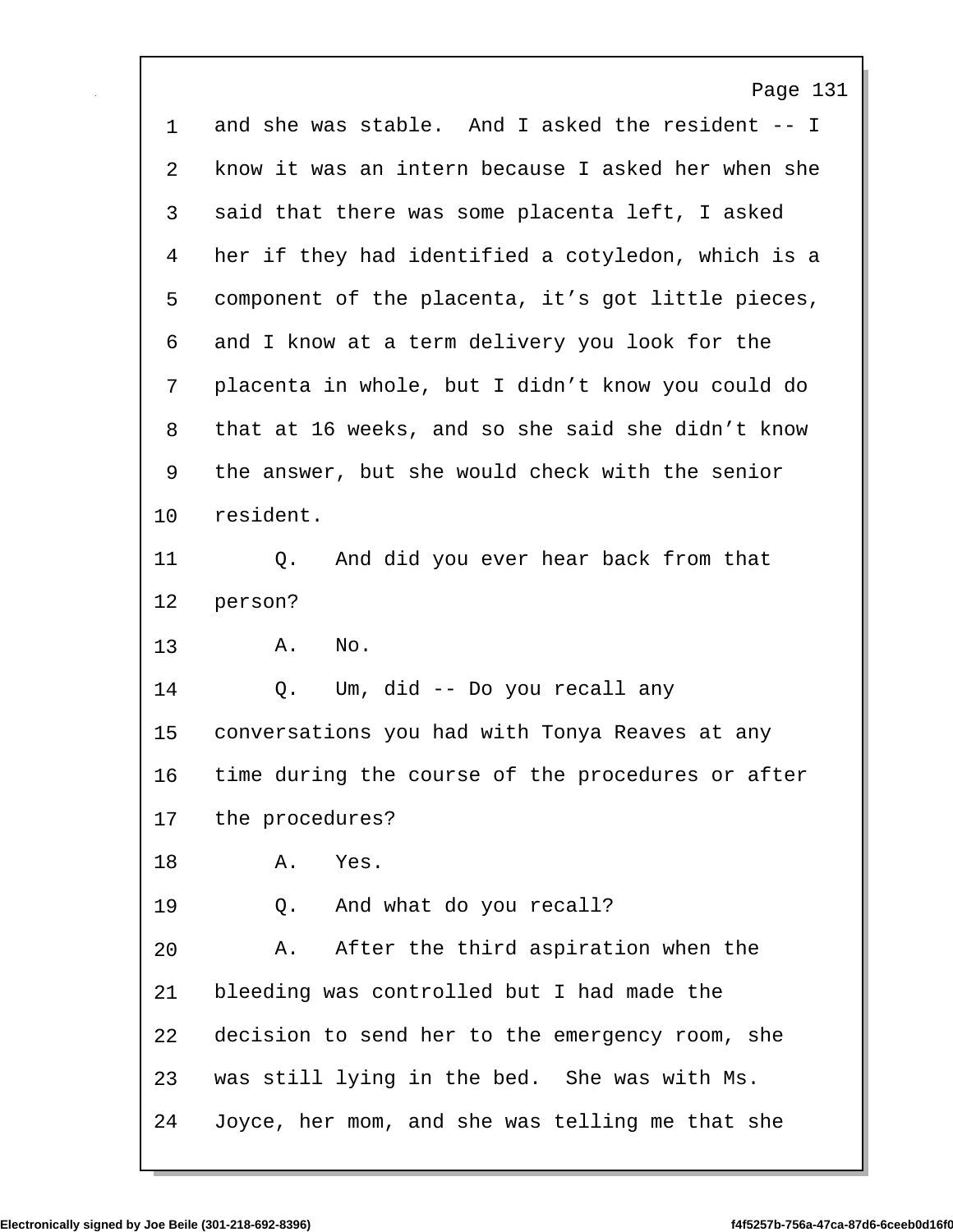Page 131 and she was stable. And I asked the resident -- I know it was an intern because I asked her when she said that there was some placenta left, I asked her if they had identified a cotyledon, which is a component of the placenta, it's got little pieces, and I know at a term delivery you look for the placenta in whole, but I didn't know you could do that at 16 weeks, and so she said she didn't know the answer, but she would check with the senior resident. 11 Q. And did you ever hear back from that person? 13 A. No. 14 Q. Um, did -- Do you recall any conversations you had with Tonya Reaves at any time during the course of the procedures or after the procedures? 18 A. Yes. 19 Q. And what do you recall? 20 A. After the third aspiration when the bleeding was controlled but I had made the decision to send her to the emergency room, she was still lying in the bed. She was with Ms. Joyce, her mom, and she was telling me that she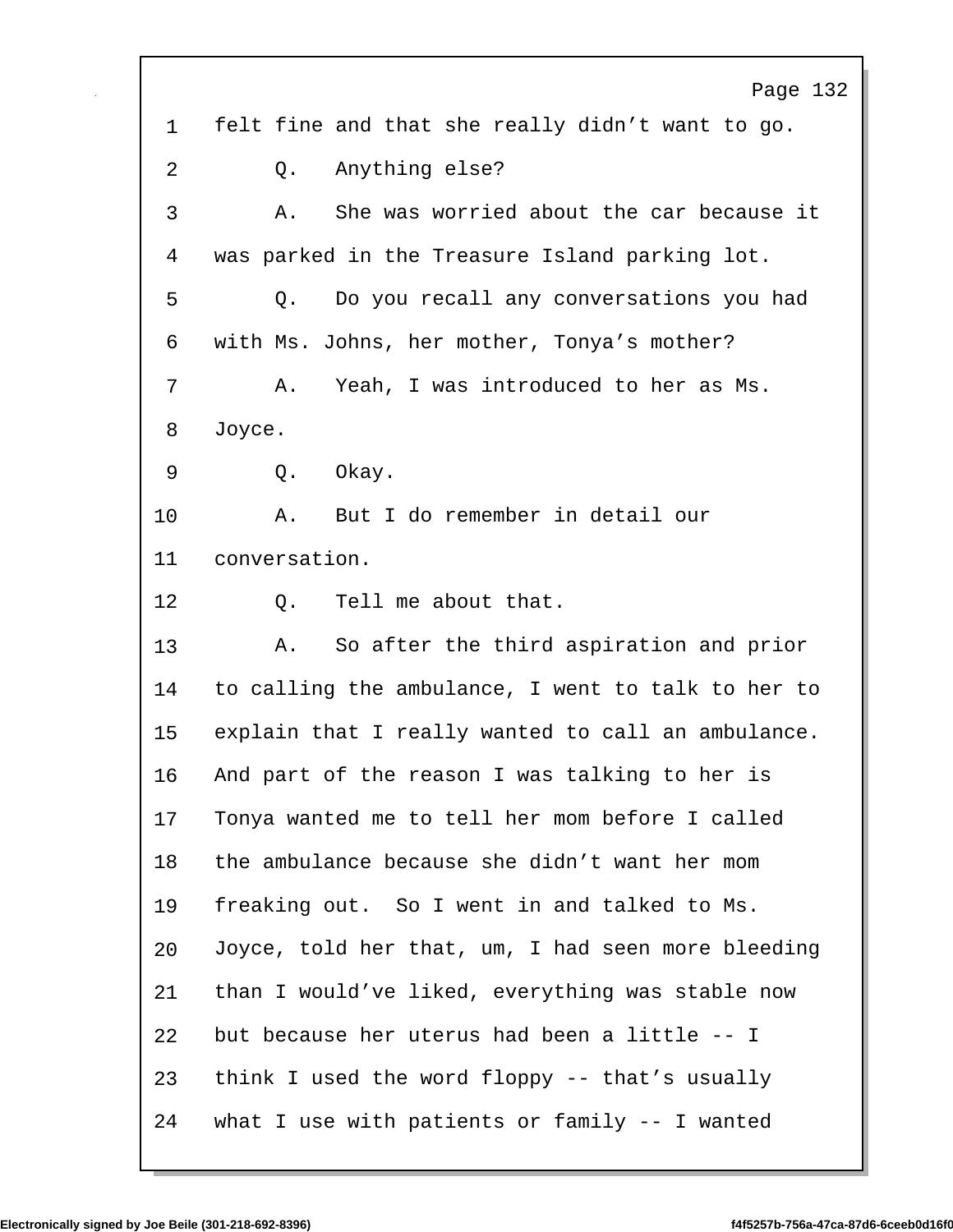Page 132 felt fine and that she really didn't want to go. 2 Q. Anything else? 3 A. She was worried about the car because it was parked in the Treasure Island parking lot. 5 Q. Do you recall any conversations you had with Ms. Johns, her mother, Tonya's mother? 7 A. Yeah, I was introduced to her as Ms. Joyce. 9 Q. Okay. 10 A. But I do remember in detail our conversation. 12 O. Tell me about that. 13 A. So after the third aspiration and prior to calling the ambulance, I went to talk to her to explain that I really wanted to call an ambulance. And part of the reason I was talking to her is Tonya wanted me to tell her mom before I called the ambulance because she didn't want her mom freaking out. So I went in and talked to Ms. Joyce, told her that, um, I had seen more bleeding than I would've liked, everything was stable now but because her uterus had been a little -- I think I used the word floppy -- that's usually what I use with patients or family -- I wanted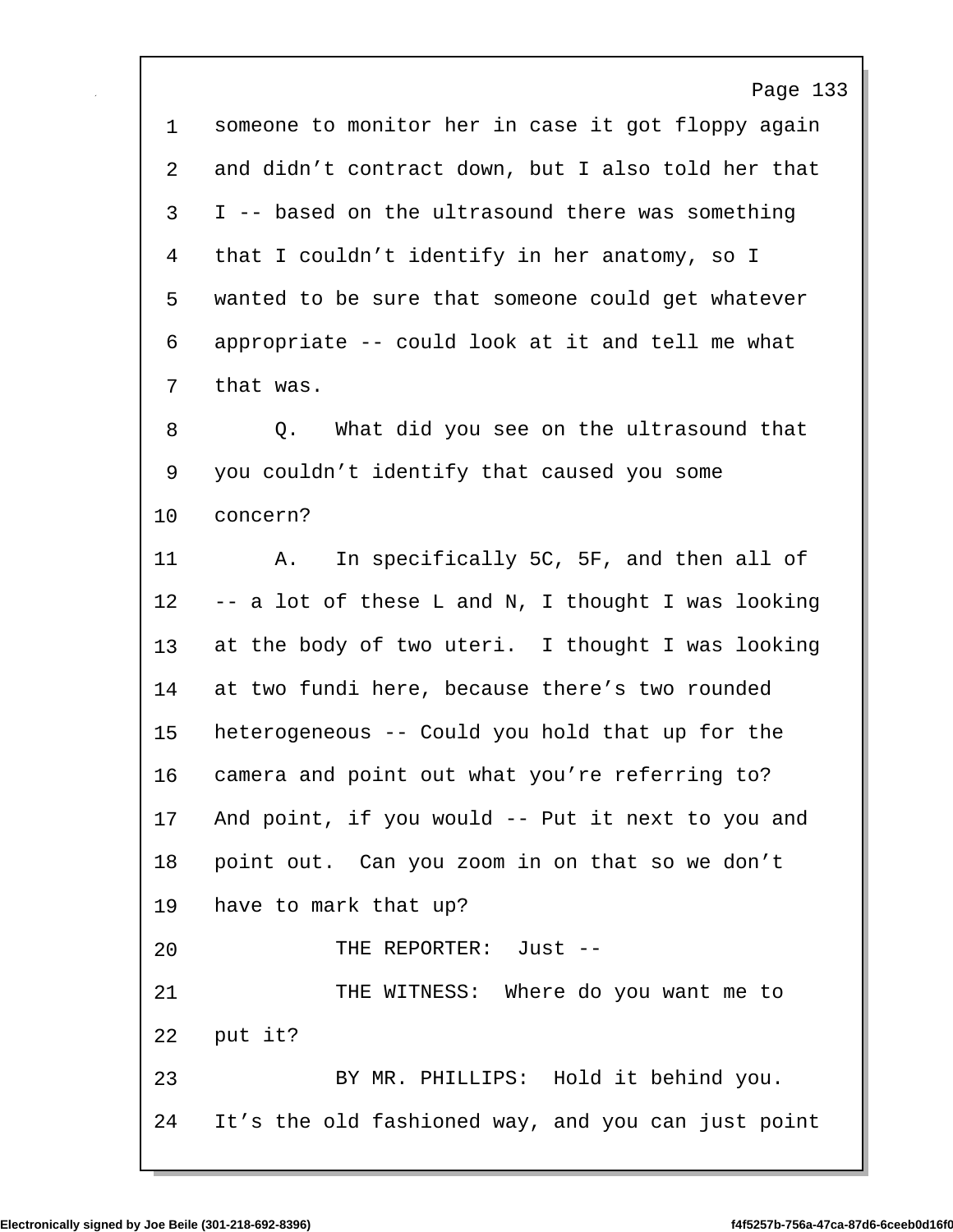someone to monitor her in case it got floppy again and didn't contract down, but I also told her that I -- based on the ultrasound there was something that I couldn't identify in her anatomy, so I wanted to be sure that someone could get whatever appropriate -- could look at it and tell me what that was.

8 Q. What did you see on the ultrasound that you couldn't identify that caused you some concern?

11 A. In specifically 5C, 5F, and then all of -- a lot of these L and N, I thought I was looking at the body of two uteri. I thought I was looking at two fundi here, because there's two rounded heterogeneous -- Could you hold that up for the camera and point out what you're referring to? And point, if you would -- Put it next to you and point out. Can you zoom in on that so we don't have to mark that up? 20 THE REPORTER: Just -- 21 THE WITNESS: Where do you want me to put it? 23 BY MR. PHILLIPS: Hold it behind you. It's the old fashioned way, and you can just point

Page 133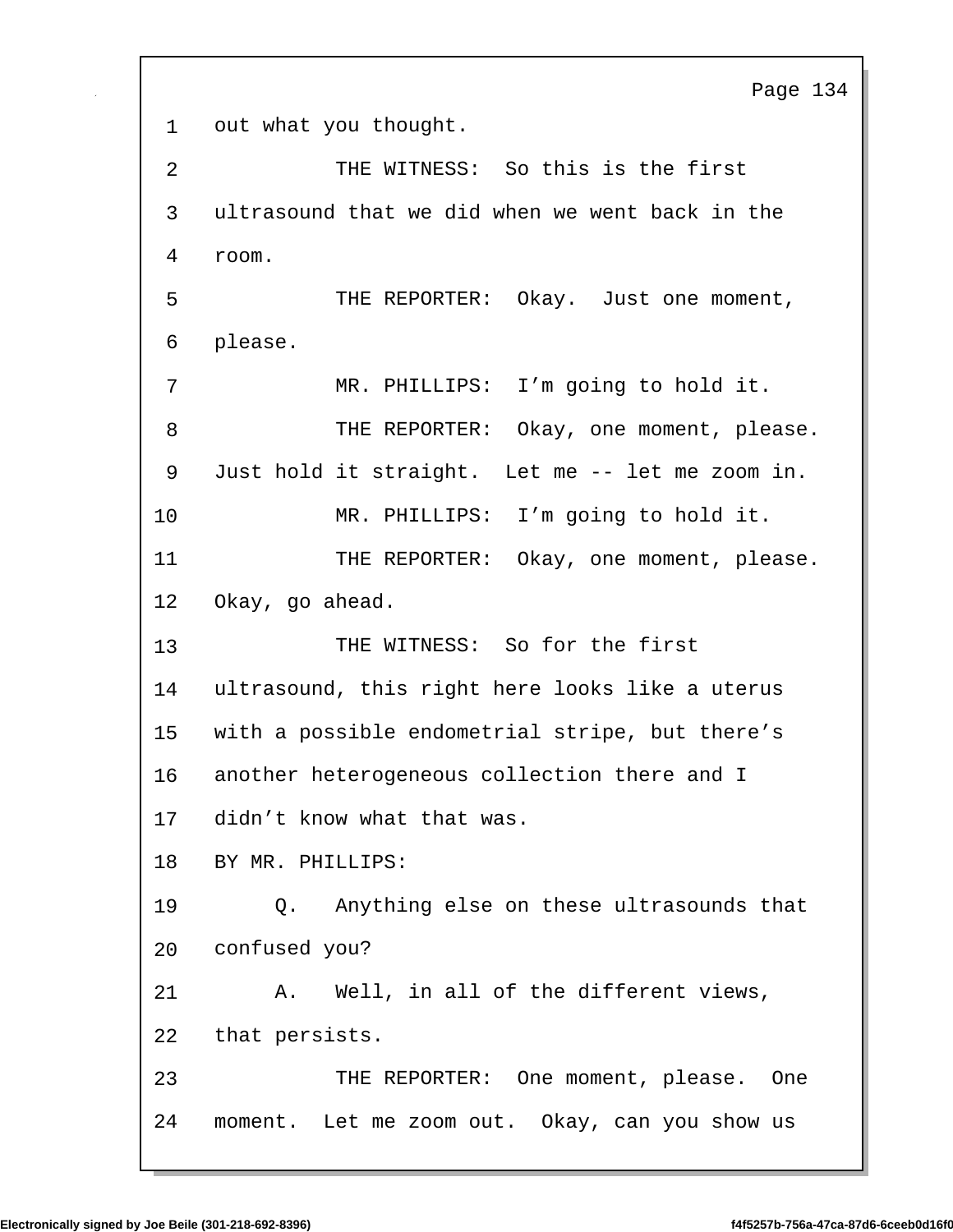Page 134 out what you thought. 2 THE WITNESS: So this is the first ultrasound that we did when we went back in the room. 5 THE REPORTER: Okay. Just one moment, please. MR. PHILLIPS: I'm going to hold it. 8 THE REPORTER: Okay, one moment, please. Just hold it straight. Let me -- let me zoom in. MR. PHILLIPS: I'm going to hold it. 11 THE REPORTER: Okay, one moment, please. Okay, go ahead. 13 THE WITNESS: So for the first ultrasound, this right here looks like a uterus with a possible endometrial stripe, but there's another heterogeneous collection there and I didn't know what that was. BY MR. PHILLIPS: 19 Q. Anything else on these ultrasounds that confused you? 21 A. Well, in all of the different views, that persists. 23 THE REPORTER: One moment, please. One moment. Let me zoom out. Okay, can you show us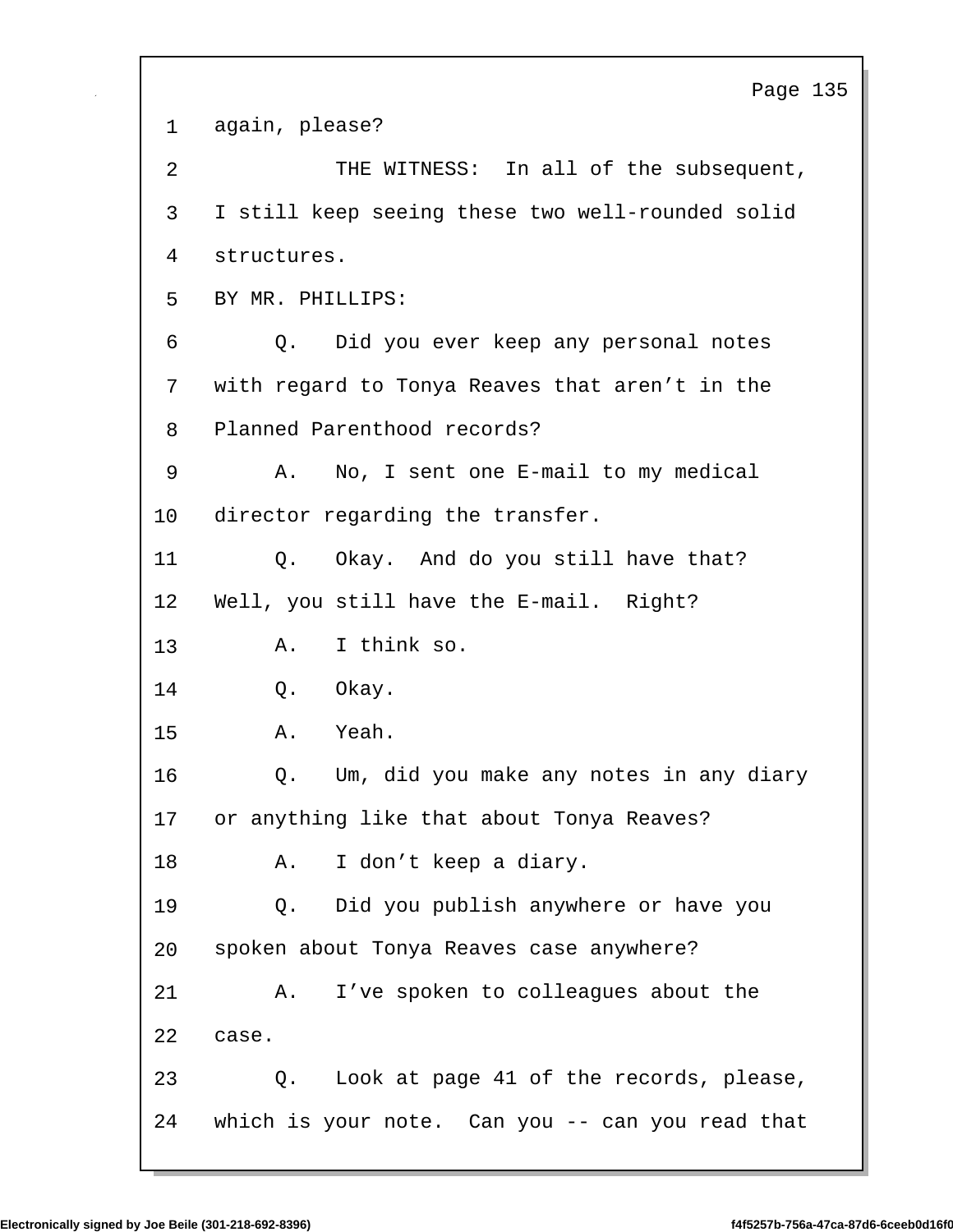Page 135 1 again, please? 2 THE WITNESS: In all of the subsequent, 3 I still keep seeing these two well-rounded solid 4 structures. 5 BY MR. PHILLIPS: 6 Q. Did you ever keep any personal notes 7 with regard to Tonya Reaves that aren't in the 8 Planned Parenthood records? 9 A. No, I sent one E-mail to my medical 10 director regarding the transfer. 11 Q. Okay. And do you still have that? 12 Well, you still have the E-mail. Right? 13 A. I think so. 14 Q. Okay. 15 A. Yeah. 16 Q. Um, did you make any notes in any diary 17 or anything like that about Tonya Reaves? 18 A. I don't keep a diary. 19 Q. Did you publish anywhere or have you 20 spoken about Tonya Reaves case anywhere? 21 A. I've spoken to colleagues about the 22 case. 23 Q. Look at page 41 of the records, please, 24 which is your note. Can you -- can you read that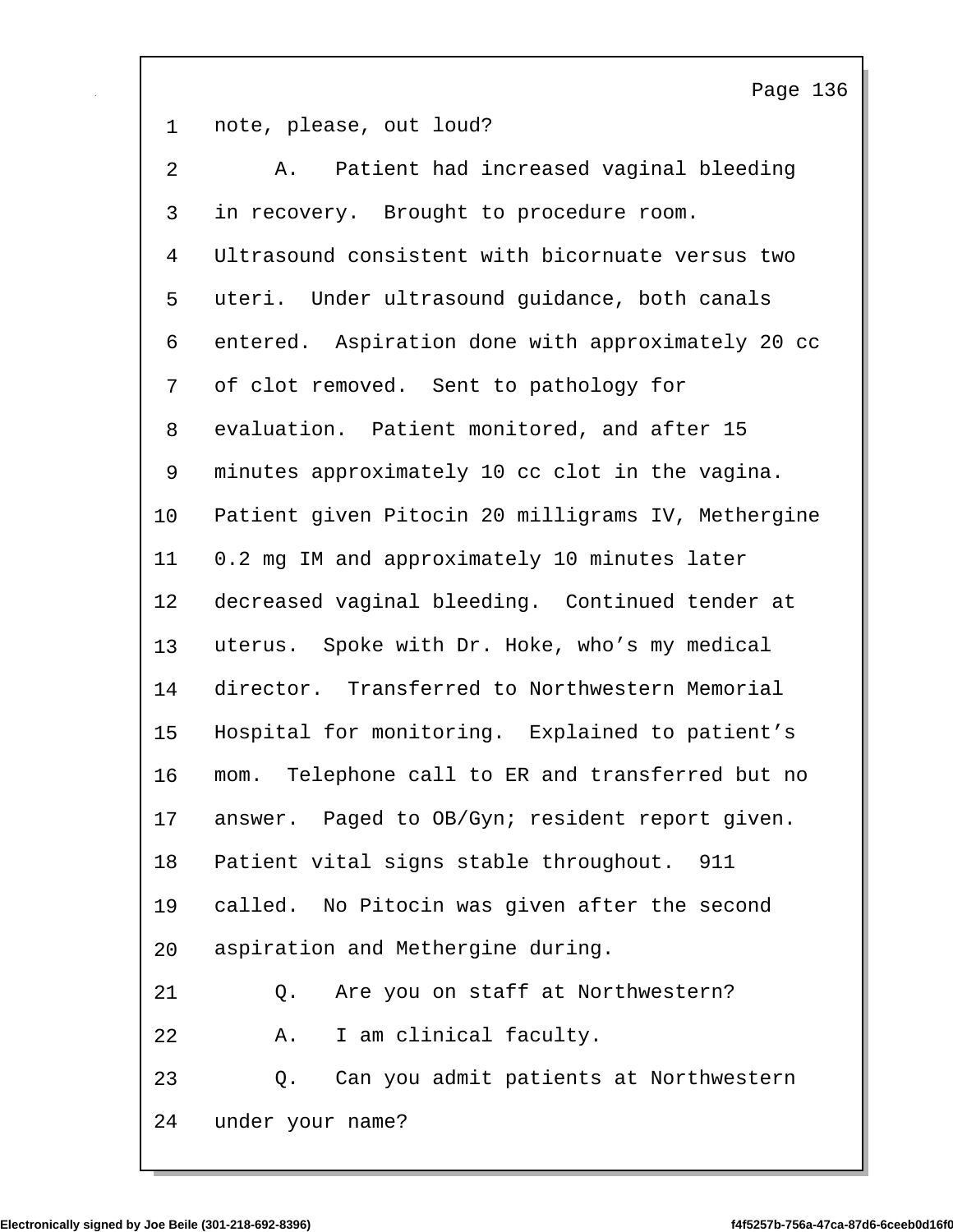Page 136

note, please, out loud?

2 A. Patient had increased vaginal bleeding in recovery. Brought to procedure room. Ultrasound consistent with bicornuate versus two uteri. Under ultrasound guidance, both canals entered. Aspiration done with approximately 20 cc of clot removed. Sent to pathology for evaluation. Patient monitored, and after 15 minutes approximately 10 cc clot in the vagina. Patient given Pitocin 20 milligrams IV, Methergine 0.2 mg IM and approximately 10 minutes later decreased vaginal bleeding. Continued tender at uterus. Spoke with Dr. Hoke, who's my medical director. Transferred to Northwestern Memorial Hospital for monitoring. Explained to patient's mom. Telephone call to ER and transferred but no answer. Paged to OB/Gyn; resident report given. Patient vital signs stable throughout. 911 called. No Pitocin was given after the second aspiration and Methergine during. 21 Q. Are you on staff at Northwestern? 22 A. I am clinical faculty. 23 Q. Can you admit patients at Northwestern under your name?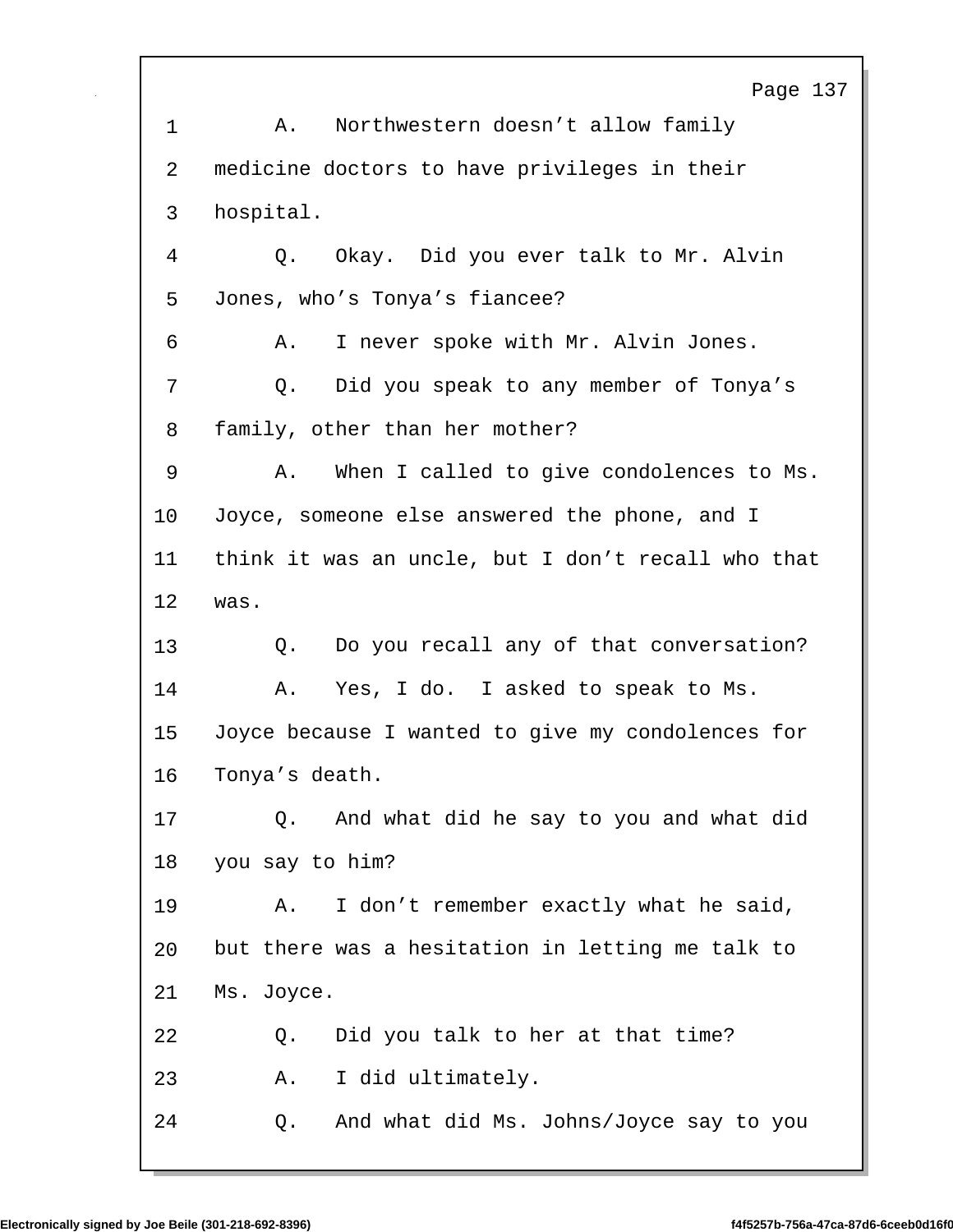Page 137 1 A. Northwestern doesn't allow family 2 medicine doctors to have privileges in their 3 hospital. 4 Q. Okay. Did you ever talk to Mr. Alvin 5 Jones, who's Tonya's fiancee? 6 A. I never spoke with Mr. Alvin Jones. 7 Q. Did you speak to any member of Tonya's 8 family, other than her mother? 9 A. When I called to give condolences to Ms. 10 Joyce, someone else answered the phone, and I 11 think it was an uncle, but I don't recall who that 12 was. 13 Q. Do you recall any of that conversation? 14 A. Yes, I do. I asked to speak to Ms. 15 Joyce because I wanted to give my condolences for 16 Tonya's death. 17 Q. And what did he say to you and what did 18 you say to him? 19 A. I don't remember exactly what he said, 20 but there was a hesitation in letting me talk to 21 Ms. Joyce. 22 Q. Did you talk to her at that time? 23 A. I did ultimately. 24 Q. And what did Ms. Johns/Joyce say to you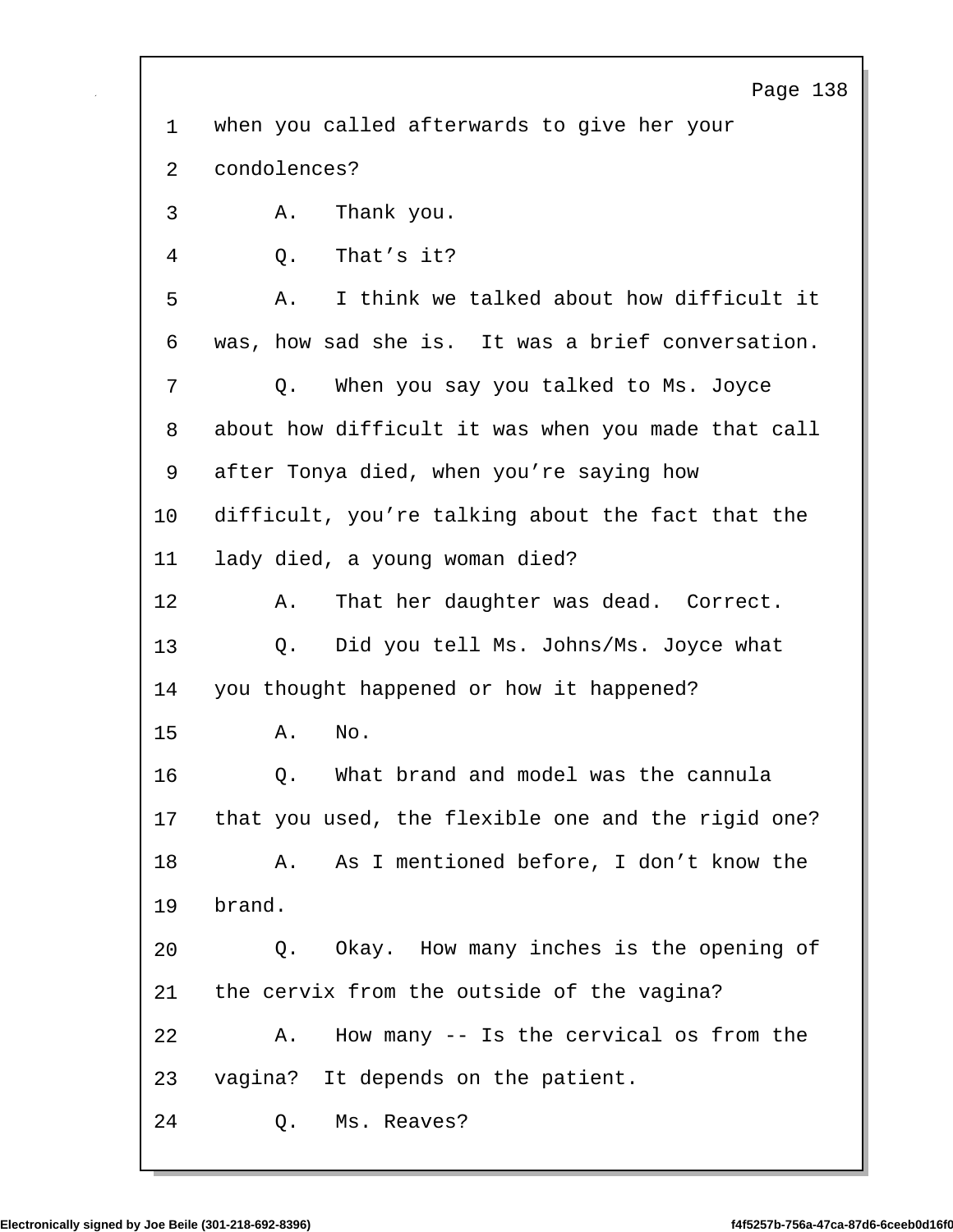|                | Page 138                                           |  |
|----------------|----------------------------------------------------|--|
| $\mathbf 1$    | when you called afterwards to give her your        |  |
| $\overline{2}$ | condolences?                                       |  |
| 3              | Thank you.<br>Α.                                   |  |
| 4              | That's it?<br>$Q$ .                                |  |
| 5              | I think we talked about how difficult it<br>Α.     |  |
| 6              | was, how sad she is. It was a brief conversation.  |  |
| 7              | When you say you talked to Ms. Joyce<br>Q.         |  |
| 8              | about how difficult it was when you made that call |  |
| 9              | after Tonya died, when you're saying how           |  |
| 10             | difficult, you're talking about the fact that the  |  |
| 11             | lady died, a young woman died?                     |  |
| 12             | That her daughter was dead. Correct.<br>Α.         |  |
| 13             | Did you tell Ms. Johns/Ms. Joyce what<br>Q.        |  |
| 14             | you thought happened or how it happened?           |  |
| 15             | No.<br>Α.                                          |  |
| 16             | What brand and model was the cannula<br>Q.         |  |
| 17             | that you used, the flexible one and the rigid one? |  |
| 18             | As I mentioned before, I don't know the<br>Α.      |  |
| 19             | brand.                                             |  |
| 20             | Okay. How many inches is the opening of<br>Q.      |  |
| 21             | the cervix from the outside of the vagina?         |  |
| 22             | How many $-$ Is the cervical os from the<br>Α.     |  |
| 23             | vagina? It depends on the patient.                 |  |
| 24             | Ms. Reaves?<br>Q.                                  |  |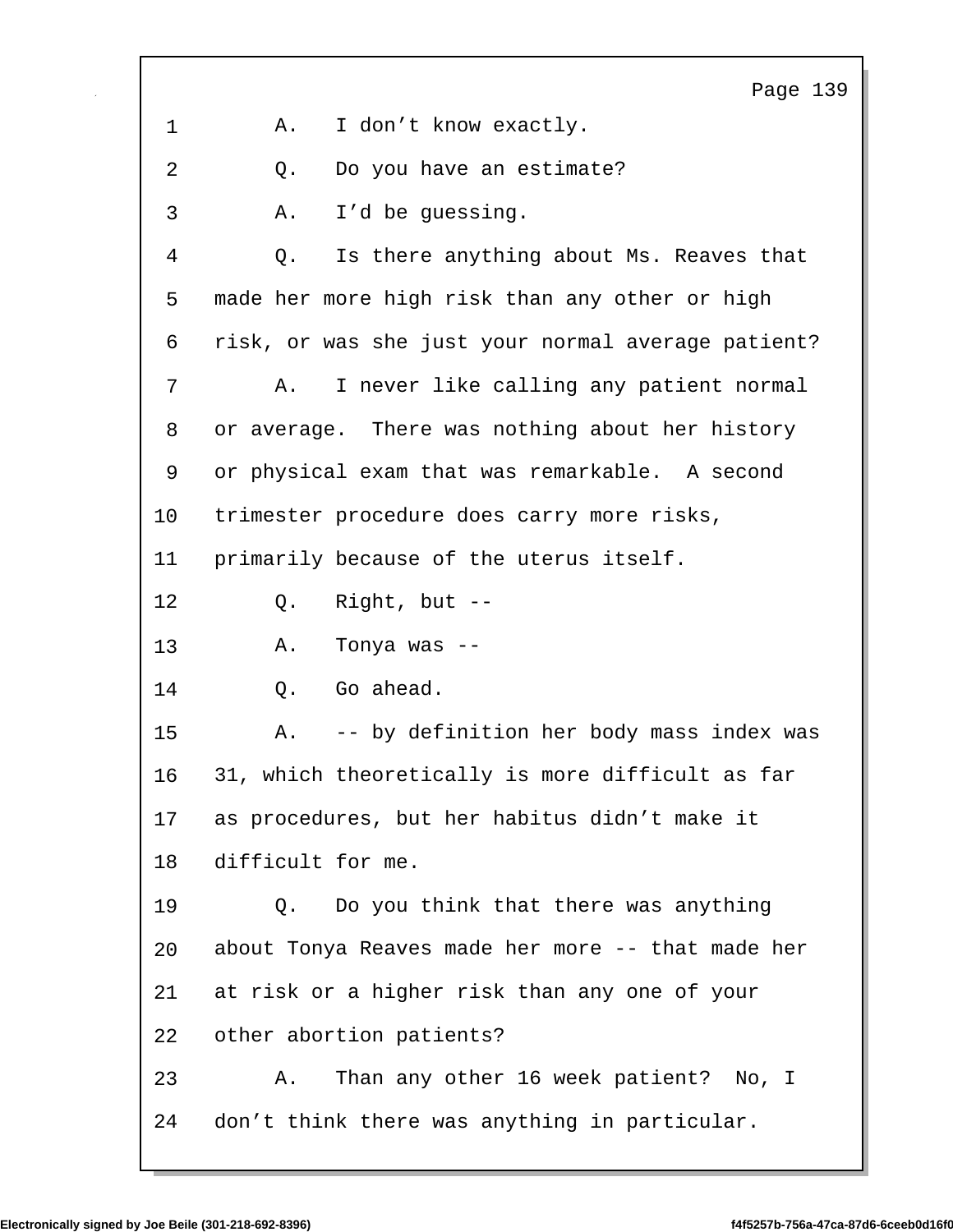Page 139 1 A. I don't know exactly. 2 Q. Do you have an estimate? 3 A. I'd be guessing. 4 Q. Is there anything about Ms. Reaves that 5 made her more high risk than any other or high 6 risk, or was she just your normal average patient? 7 A. I never like calling any patient normal 8 or average. There was nothing about her history 9 or physical exam that was remarkable. A second 10 trimester procedure does carry more risks, 11 primarily because of the uterus itself. 12 Q. Right, but -- 13 A. Tonya was -- 14 O. Go ahead. 15 A. -- by definition her body mass index was 16 31, which theoretically is more difficult as far 17 as procedures, but her habitus didn't make it 18 difficult for me. 19 Q. Do you think that there was anything 20 about Tonya Reaves made her more -- that made her 21 at risk or a higher risk than any one of your 22 other abortion patients? 23 A. Than any other 16 week patient? No, I 24 don't think there was anything in particular.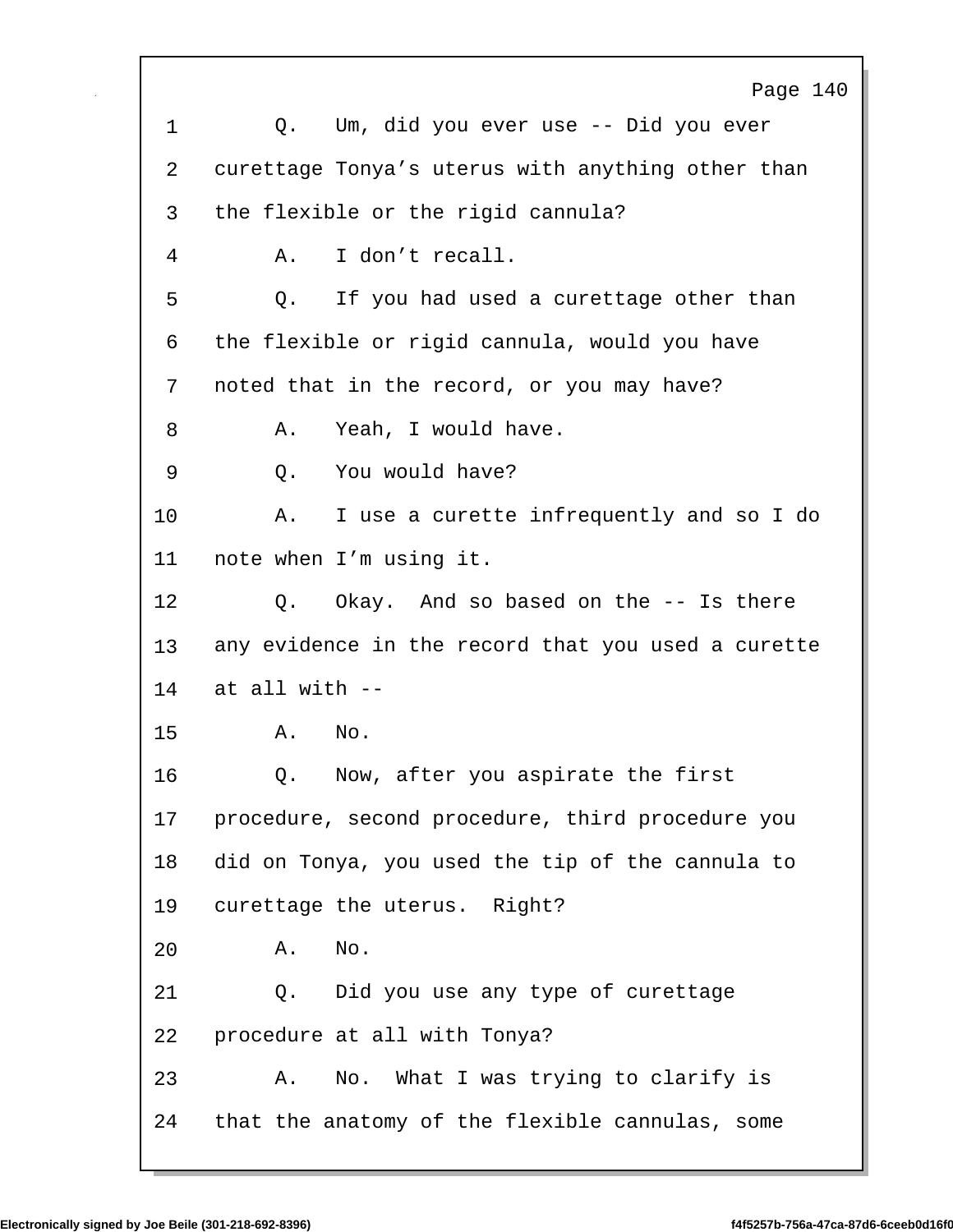Page 140 1 Q. Um, did you ever use -- Did you ever 2 curettage Tonya's uterus with anything other than 3 the flexible or the rigid cannula? 4 A. I don't recall. 5 Q. If you had used a curettage other than 6 the flexible or rigid cannula, would you have 7 noted that in the record, or you may have? 8 A. Yeah, I would have. 9 Q. You would have? 10 A. I use a curette infrequently and so I do 11 note when I'm using it. 12 Q. Okay. And so based on the -- Is there 13 any evidence in the record that you used a curette 14 at all with -- 15 A. No. 16 Q. Now, after you aspirate the first 17 procedure, second procedure, third procedure you 18 did on Tonya, you used the tip of the cannula to 19 curettage the uterus. Right? 20 A. No. 21 Q. Did you use any type of curettage 22 procedure at all with Tonya? 23 A. No. What I was trying to clarify is 24 that the anatomy of the flexible cannulas, some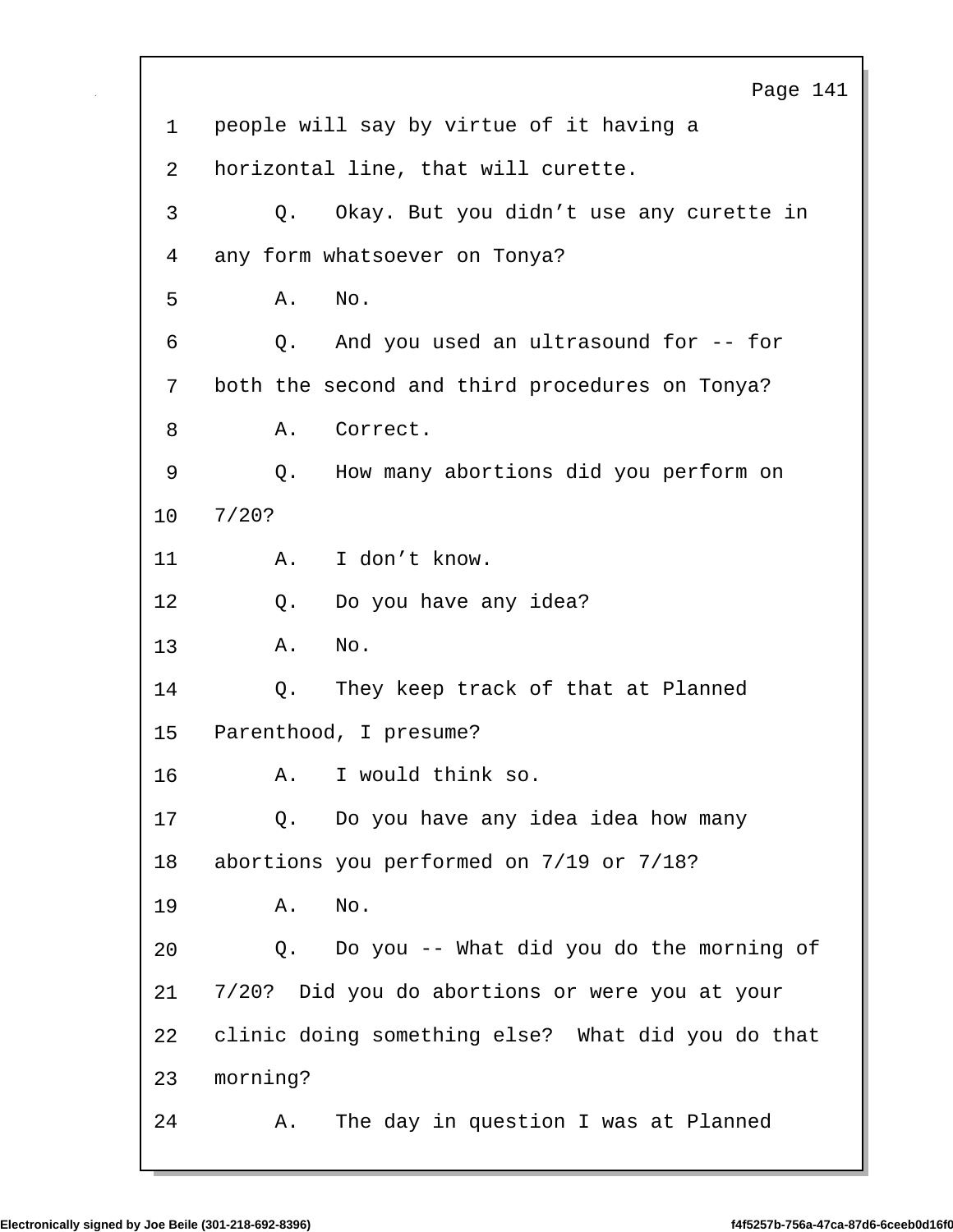Page 141 1 people will say by virtue of it having a 2 horizontal line, that will curette. 3 Q. Okay. But you didn't use any curette in 4 any form whatsoever on Tonya? 5 A. No. 6 Q. And you used an ultrasound for -- for 7 both the second and third procedures on Tonya? 8 A. Correct. 9 Q. How many abortions did you perform on 10 7/20? 11 A. I don't know. 12 Q. Do you have any idea? 13 A. No. 14 Q. They keep track of that at Planned 15 Parenthood, I presume? 16 A. I would think so. 17 Q. Do you have any idea idea how many 18 abortions you performed on 7/19 or 7/18? 19 A. No. 20 Q. Do you -- What did you do the morning of 21 7/20? Did you do abortions or were you at your 22 clinic doing something else? What did you do that 23 morning? 24 A. The day in question I was at Planned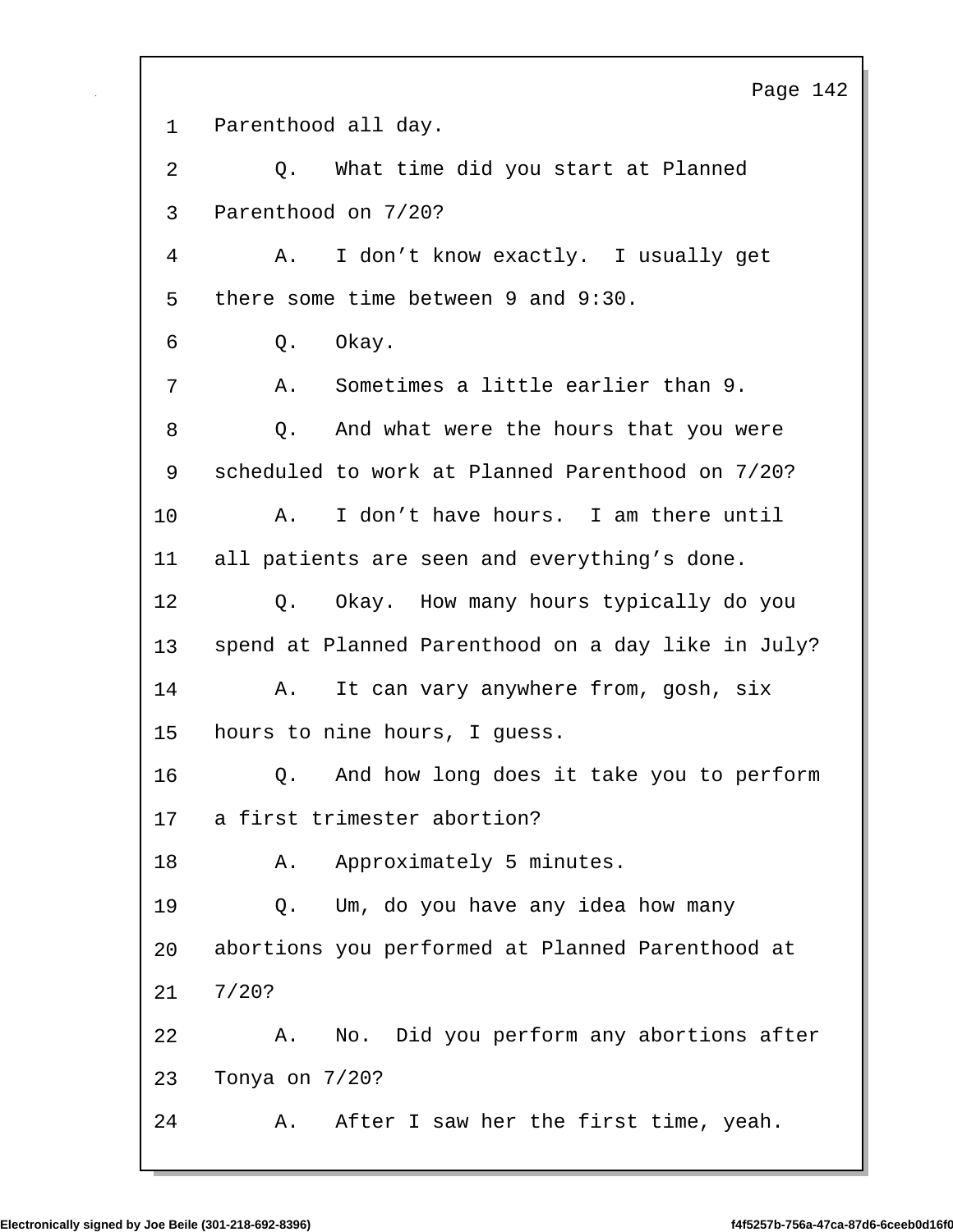Page 142 1 Parenthood all day. 2 Q. What time did you start at Planned 3 Parenthood on 7/20? 4 A. I don't know exactly. I usually get 5 there some time between 9 and 9:30. 6 Q. Okay. 7 A. Sometimes a little earlier than 9. 8 Q. And what were the hours that you were 9 scheduled to work at Planned Parenthood on 7/20? 10 A. I don't have hours. I am there until 11 all patients are seen and everything's done. 12 Q. Okay. How many hours typically do you 13 spend at Planned Parenthood on a day like in July? 14 A. It can vary anywhere from, gosh, six 15 hours to nine hours, I guess. 16 Q. And how long does it take you to perform 17 a first trimester abortion? 18 A. Approximately 5 minutes. 19 Q. Um, do you have any idea how many 20 abortions you performed at Planned Parenthood at 21 7/20? 22 A. No. Did you perform any abortions after 23 Tonya on 7/20? 24 A. After I saw her the first time, yeah.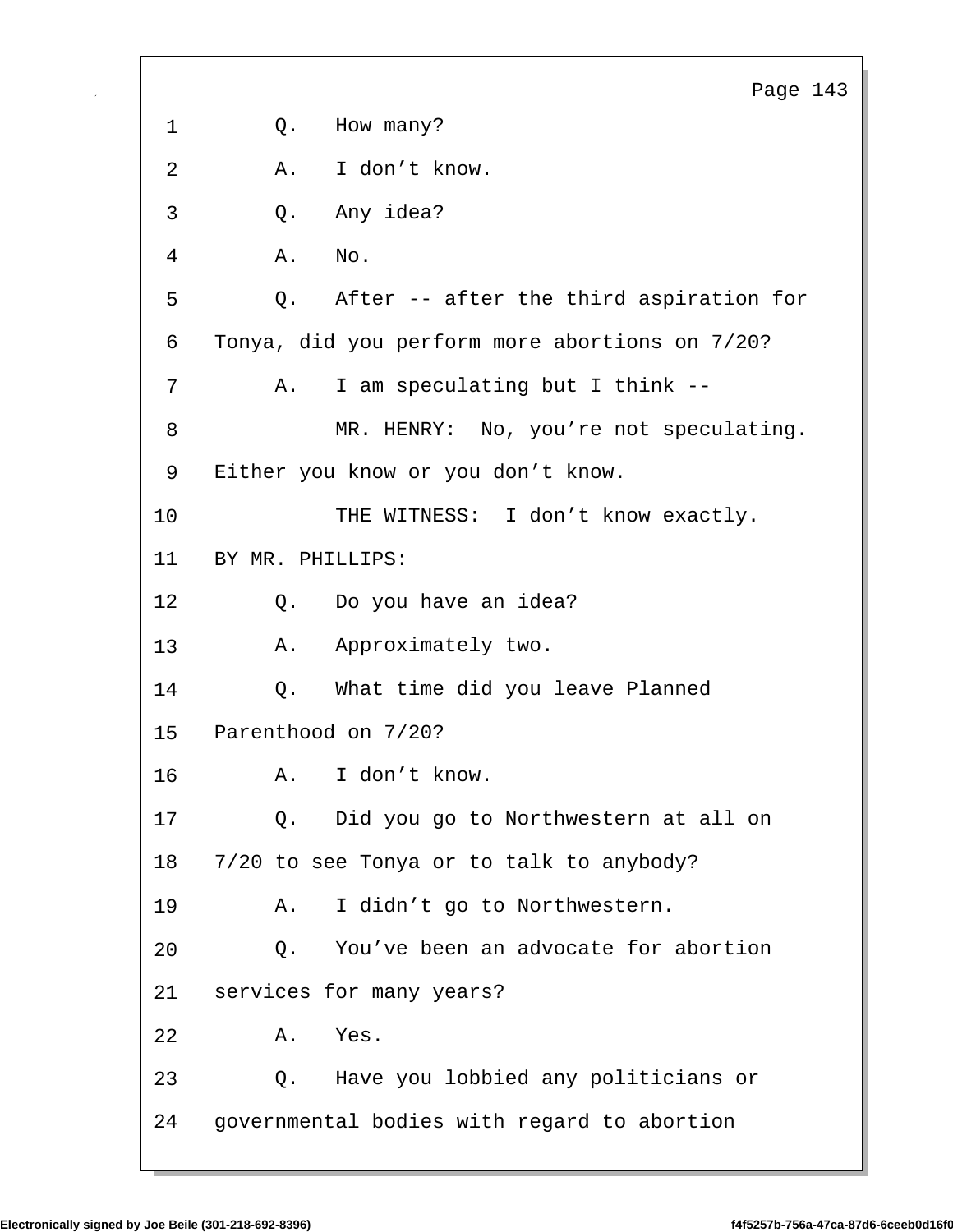Page 143 1 Q. How many? 2 A. I don't know. 3 Q. Any idea? 4 A. No. 5 Q. After -- after the third aspiration for 6 Tonya, did you perform more abortions on 7/20? 7 A. I am speculating but I think -- 8 MR. HENRY: No, you're not speculating. 9 Either you know or you don't know. 10 THE WITNESS: I don't know exactly. 11 BY MR. PHILLIPS: 12 Q. Do you have an idea? 13 A. Approximately two. 14 Q. What time did you leave Planned 15 Parenthood on 7/20? 16 A. I don't know. 17 Q. Did you go to Northwestern at all on 18 7/20 to see Tonya or to talk to anybody? 19 A. I didn't go to Northwestern. 20 Q. You've been an advocate for abortion 21 services for many years? 22 A. Yes. 23 Q. Have you lobbied any politicians or 24 governmental bodies with regard to abortion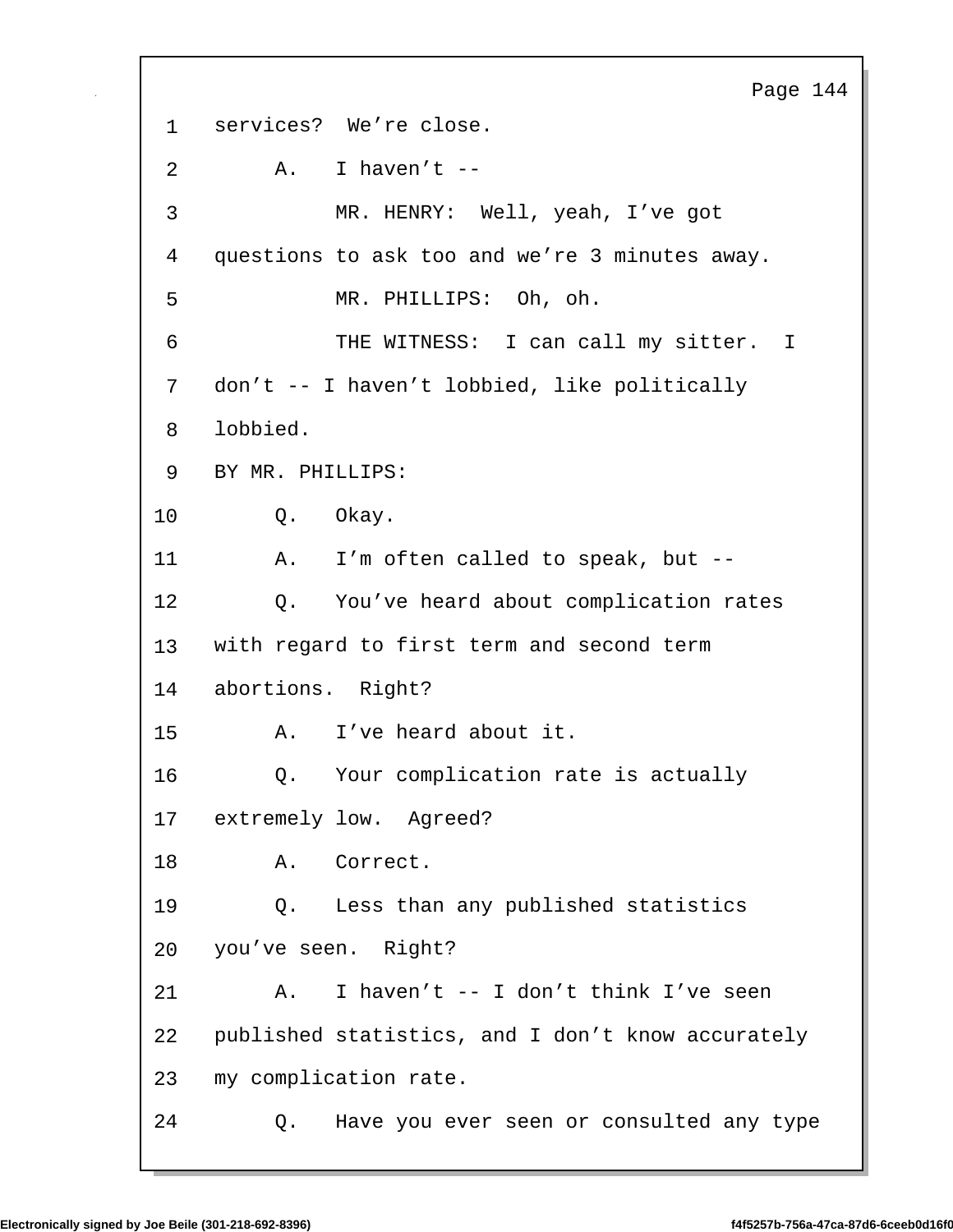Page 144 services? We're close.  $A.$  I haven't  $-$  MR. HENRY: Well, yeah, I've got questions to ask too and we're 3 minutes away. 5 MR. PHILLIPS: Oh, oh. 6 THE WITNESS: I can call my sitter. I don't -- I haven't lobbied, like politically lobbied. BY MR. PHILLIPS: 10 Q. Okay. A. I'm often called to speak, but -- Q. You've heard about complication rates with regard to first term and second term abortions. Right? A. I've heard about it. 16 Q. Your complication rate is actually extremely low. Agreed? 18 A. Correct. 19 Q. Less than any published statistics you've seen. Right? A. I haven't -- I don't think I've seen published statistics, and I don't know accurately my complication rate. 24 Q. Have you ever seen or consulted any type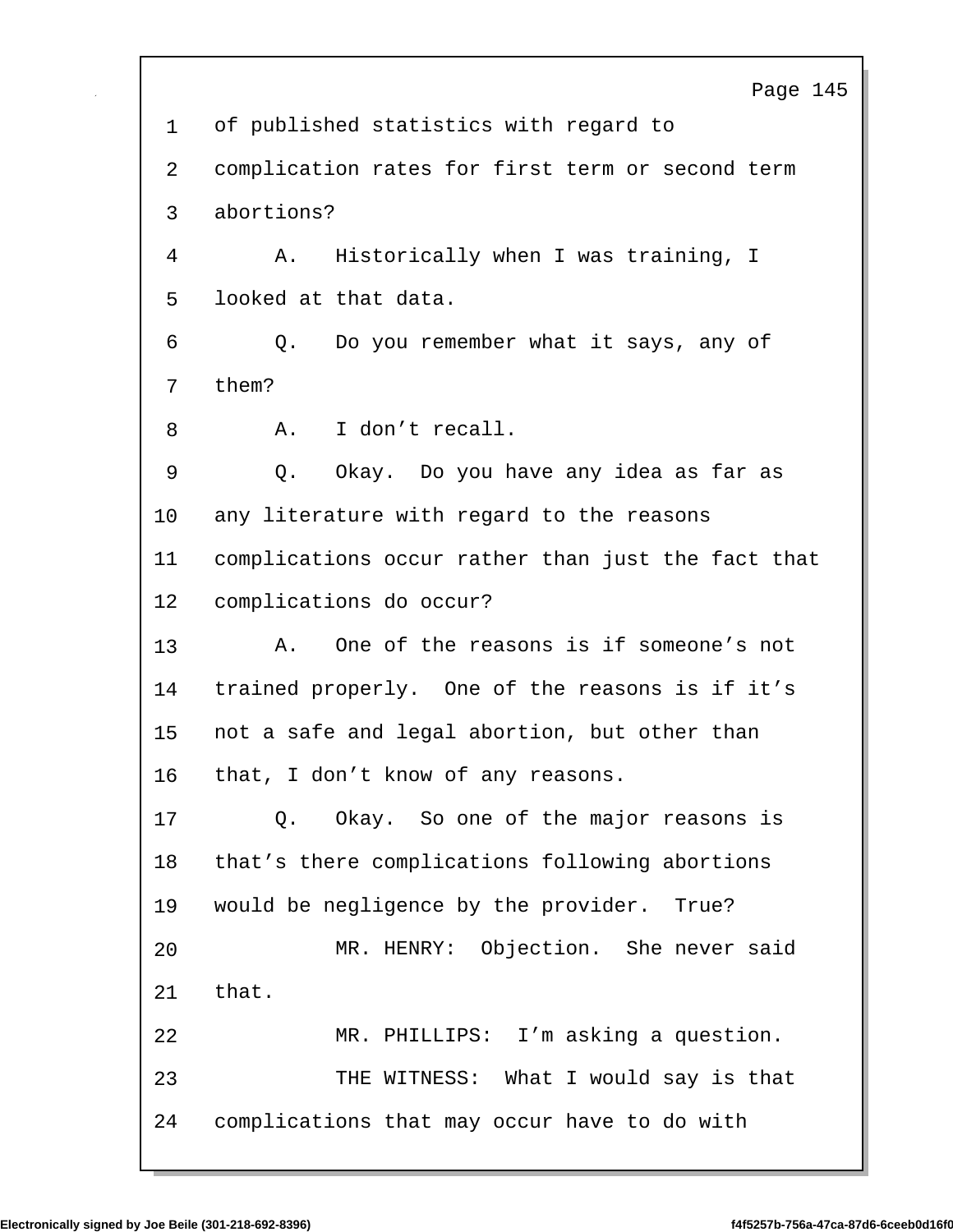Page 145 of published statistics with regard to complication rates for first term or second term abortions? 4 A. Historically when I was training, I looked at that data. 6 Q. Do you remember what it says, any of them? A. I don't recall. 9 Q. Okay. Do you have any idea as far as any literature with regard to the reasons complications occur rather than just the fact that complications do occur? A. One of the reasons is if someone's not trained properly. One of the reasons is if it's not a safe and legal abortion, but other than that, I don't know of any reasons. 17 Q. Okay. So one of the major reasons is that's there complications following abortions would be negligence by the provider. True? 20 MR. HENRY: Objection. She never said that. MR. PHILLIPS: I'm asking a question. 23 THE WITNESS: What I would say is that complications that may occur have to do with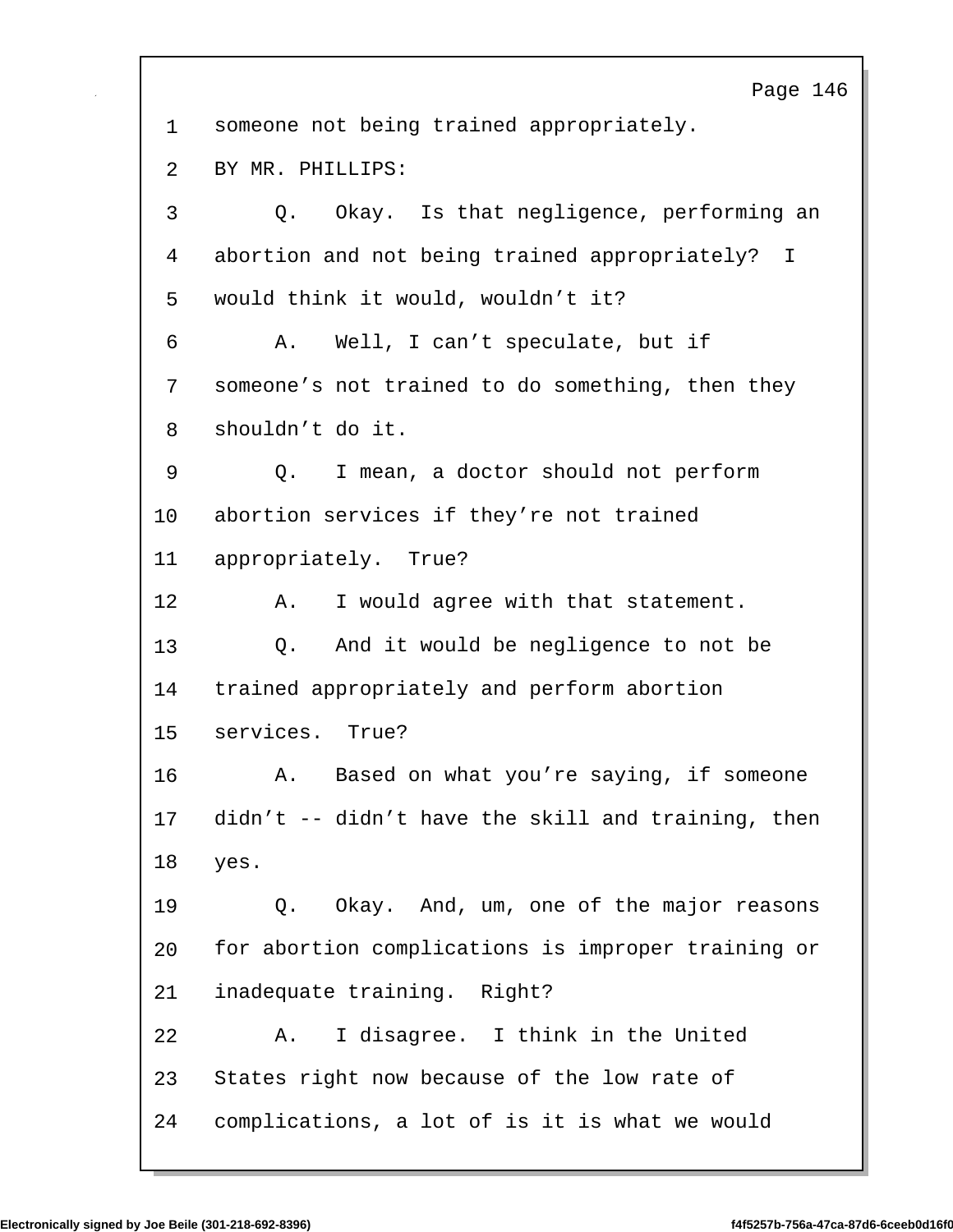Page 146 someone not being trained appropriately. BY MR. PHILLIPS: 3 Q. Okay. Is that negligence, performing an abortion and not being trained appropriately? I would think it would, wouldn't it? A. Well, I can't speculate, but if someone's not trained to do something, then they shouldn't do it. 9 Q. I mean, a doctor should not perform abortion services if they're not trained appropriately. True? 12 A. I would agree with that statement. 13 Q. And it would be negligence to not be trained appropriately and perform abortion services. True? 16 A. Based on what you're saying, if someone didn't -- didn't have the skill and training, then yes. 19 Q. Okay. And, um, one of the major reasons for abortion complications is improper training or inadequate training. Right? 22 A. I disagree. I think in the United States right now because of the low rate of complications, a lot of is it is what we would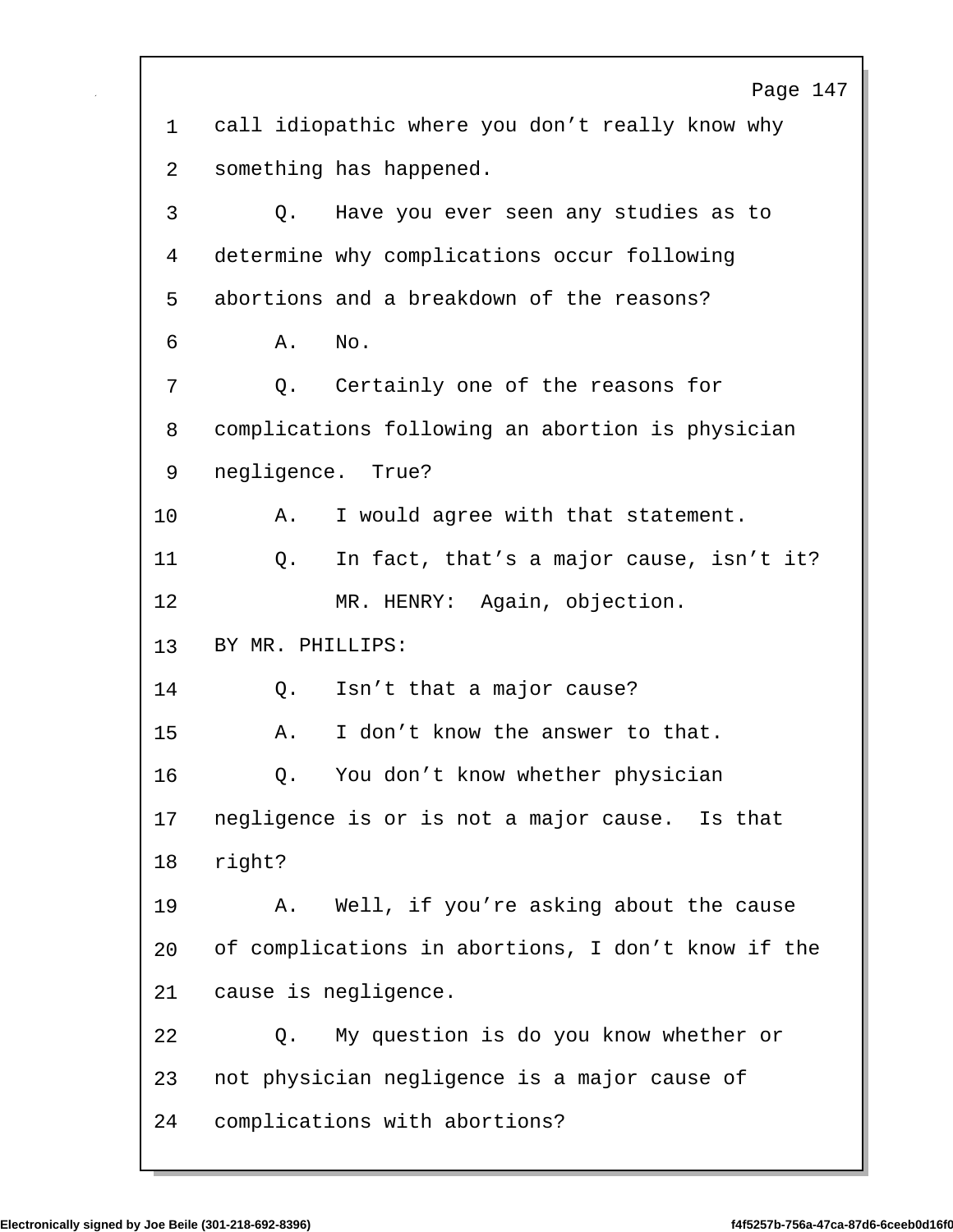Page 147 call idiopathic where you don't really know why something has happened. 3 Q. Have you ever seen any studies as to determine why complications occur following abortions and a breakdown of the reasons? 6 A. No. 7 Q. Certainly one of the reasons for complications following an abortion is physician negligence. True? 10 A. I would agree with that statement. Q. In fact, that's a major cause, isn't it? 12 MR. HENRY: Again, objection. BY MR. PHILLIPS: Q. Isn't that a major cause? A. I don't know the answer to that. Q. You don't know whether physician negligence is or is not a major cause. Is that right? A. Well, if you're asking about the cause of complications in abortions, I don't know if the cause is negligence. 22 Q. My question is do you know whether or not physician negligence is a major cause of complications with abortions?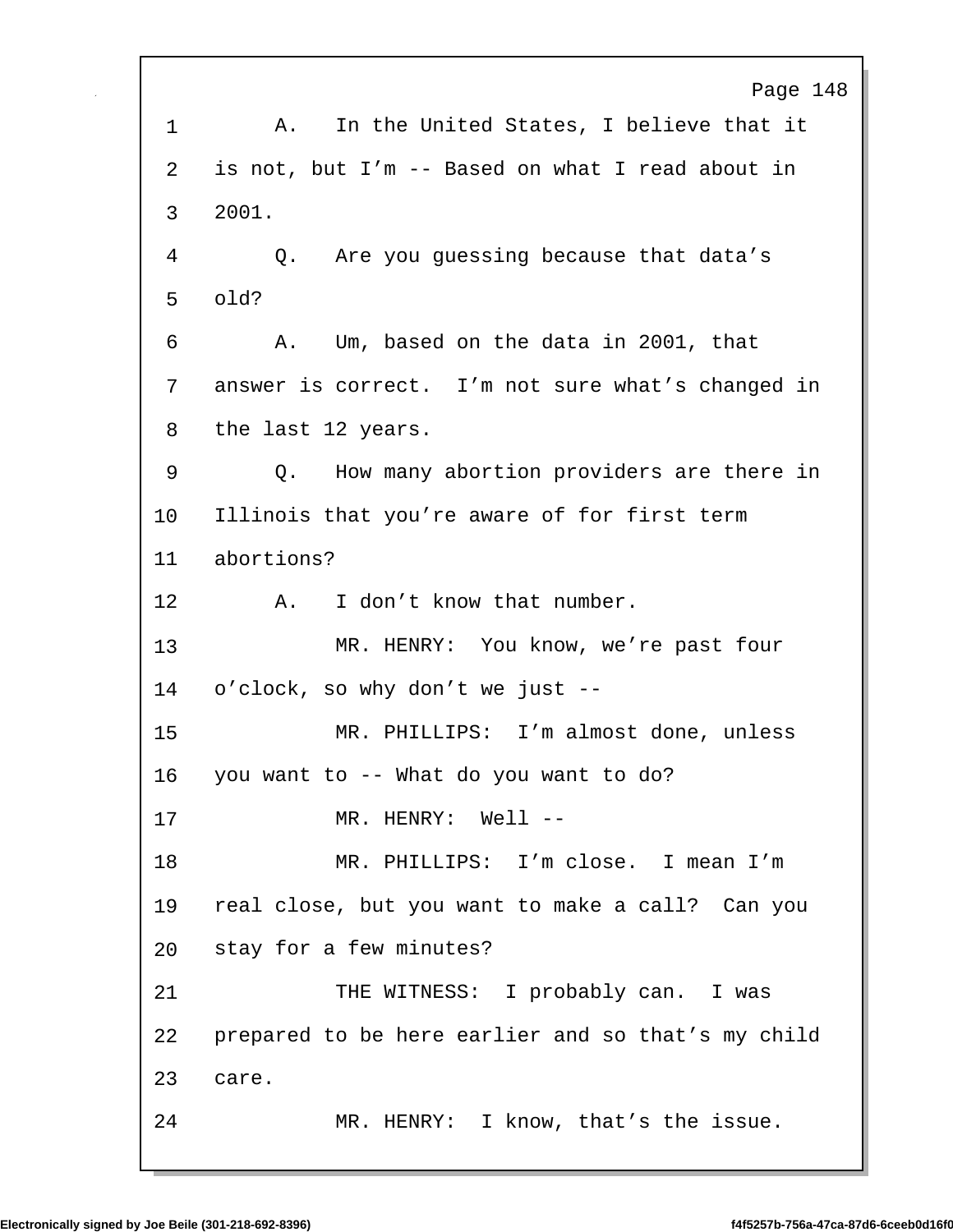Page 148 1 A. In the United States, I believe that it is not, but I'm -- Based on what I read about in 2001. Q. Are you guessing because that data's old? 6 A. Um, based on the data in 2001, that answer is correct. I'm not sure what's changed in the last 12 years. 9 Q. How many abortion providers are there in Illinois that you're aware of for first term abortions? 12 A. I don't know that number. MR. HENRY: You know, we're past four o'clock, so why don't we just -- MR. PHILLIPS: I'm almost done, unless you want to -- What do you want to do? 17 MR. HENRY: Well -- MR. PHILLIPS: I'm close. I mean I'm real close, but you want to make a call? Can you stay for a few minutes? 21 THE WITNESS: I probably can. I was prepared to be here earlier and so that's my child care. MR. HENRY: I know, that's the issue.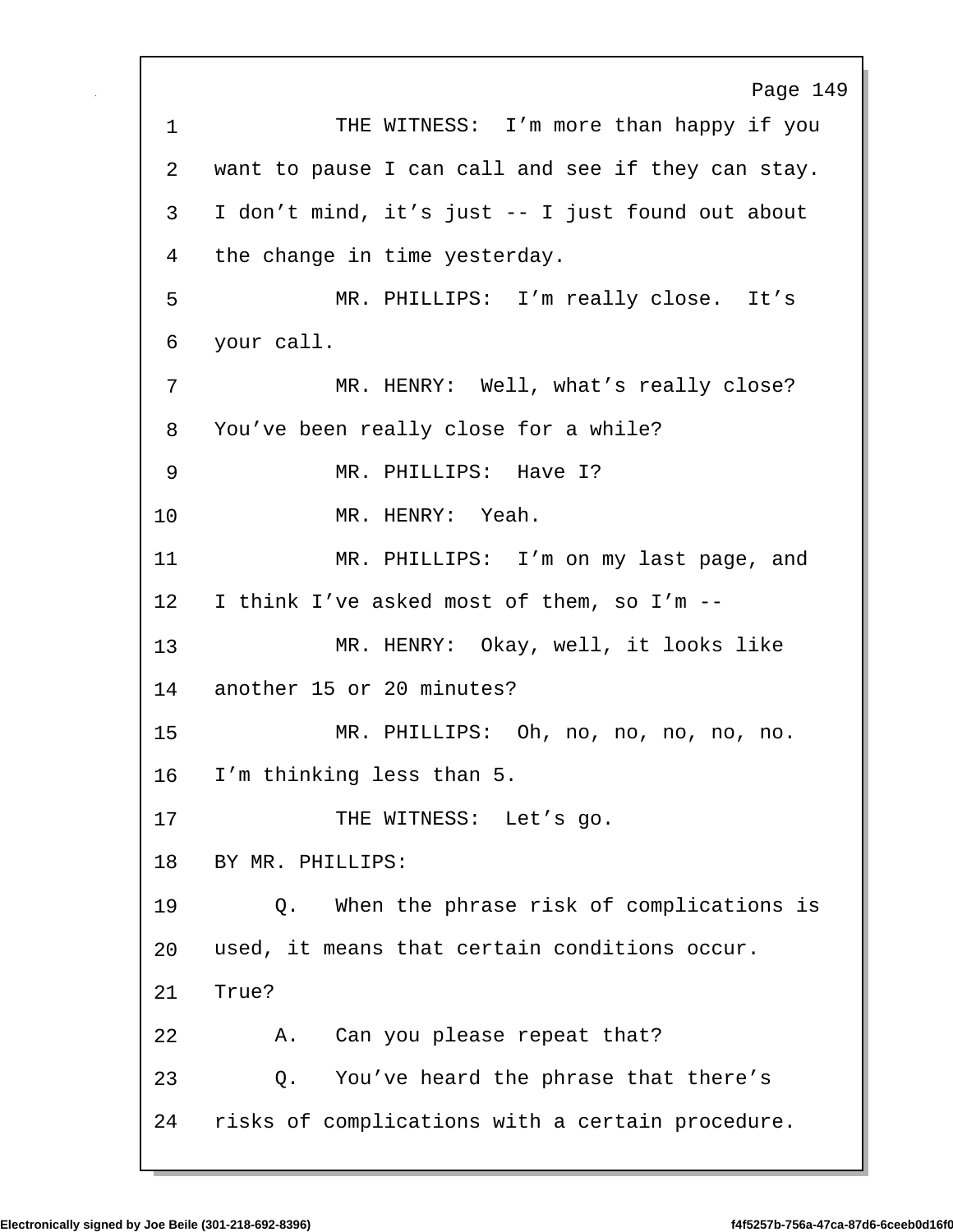Page 149 1 THE WITNESS: I'm more than happy if you 2 want to pause I can call and see if they can stay. 3 I don't mind, it's just -- I just found out about 4 the change in time yesterday. 5 MR. PHILLIPS: I'm really close. It's 6 your call. 7 MR. HENRY: Well, what's really close? 8 You've been really close for a while? 9 MR. PHILLIPS: Have I? 10 MR. HENRY: Yeah. 11 MR. PHILLIPS: I'm on my last page, and 12 I think I've asked most of them, so I'm -- 13 MR. HENRY: Okay, well, it looks like 14 another 15 or 20 minutes? 15 MR. PHILLIPS: Oh, no, no, no, no, no. 16 I'm thinking less than 5. 17 THE WITNESS: Let's go. 18 BY MR. PHILLIPS: 19 Q. When the phrase risk of complications is 20 used, it means that certain conditions occur. 21 True? 22 A. Can you please repeat that? 23 Q. You've heard the phrase that there's 24 risks of complications with a certain procedure.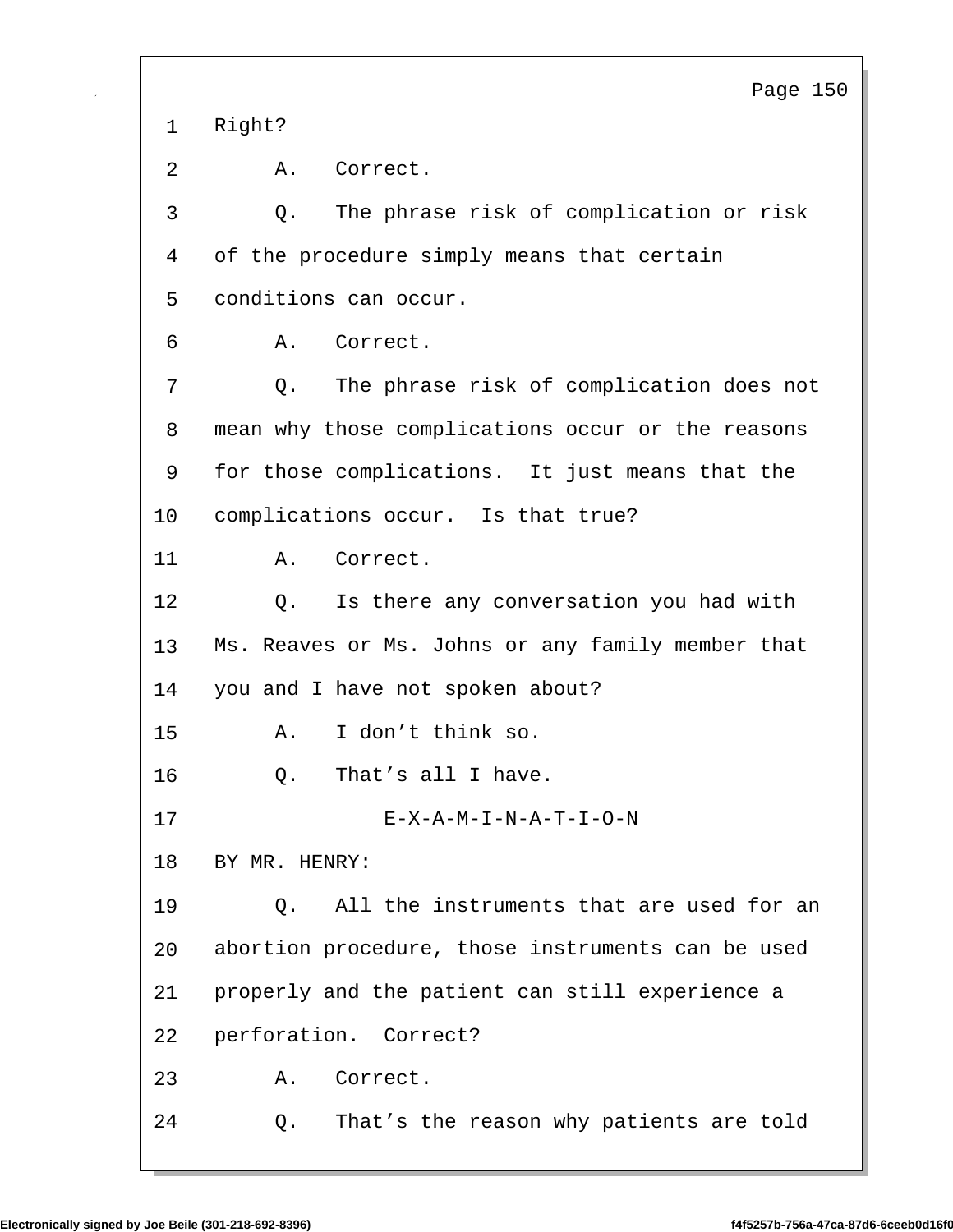1 Right?

2 A. Correct.

3 Q. The phrase risk of complication or risk 4 of the procedure simply means that certain 5 conditions can occur.

6 A. Correct.

7 Q. The phrase risk of complication does not mean why those complications occur or the reasons for those complications. It just means that the complications occur. Is that true?

11 A. Correct.

12 Q. Is there any conversation you had with Ms. Reaves or Ms. Johns or any family member that you and I have not spoken about? A. I don't think so. Q. That's all I have. 17 E-X-A-M-I-N-A-T-I-O-N BY MR. HENRY: 19 Q. All the instruments that are used for an abortion procedure, those instruments can be used properly and the patient can still experience a

22 perforation. Correct?

23 A. Correct.

24 Q. That's the reason why patients are told

Page 150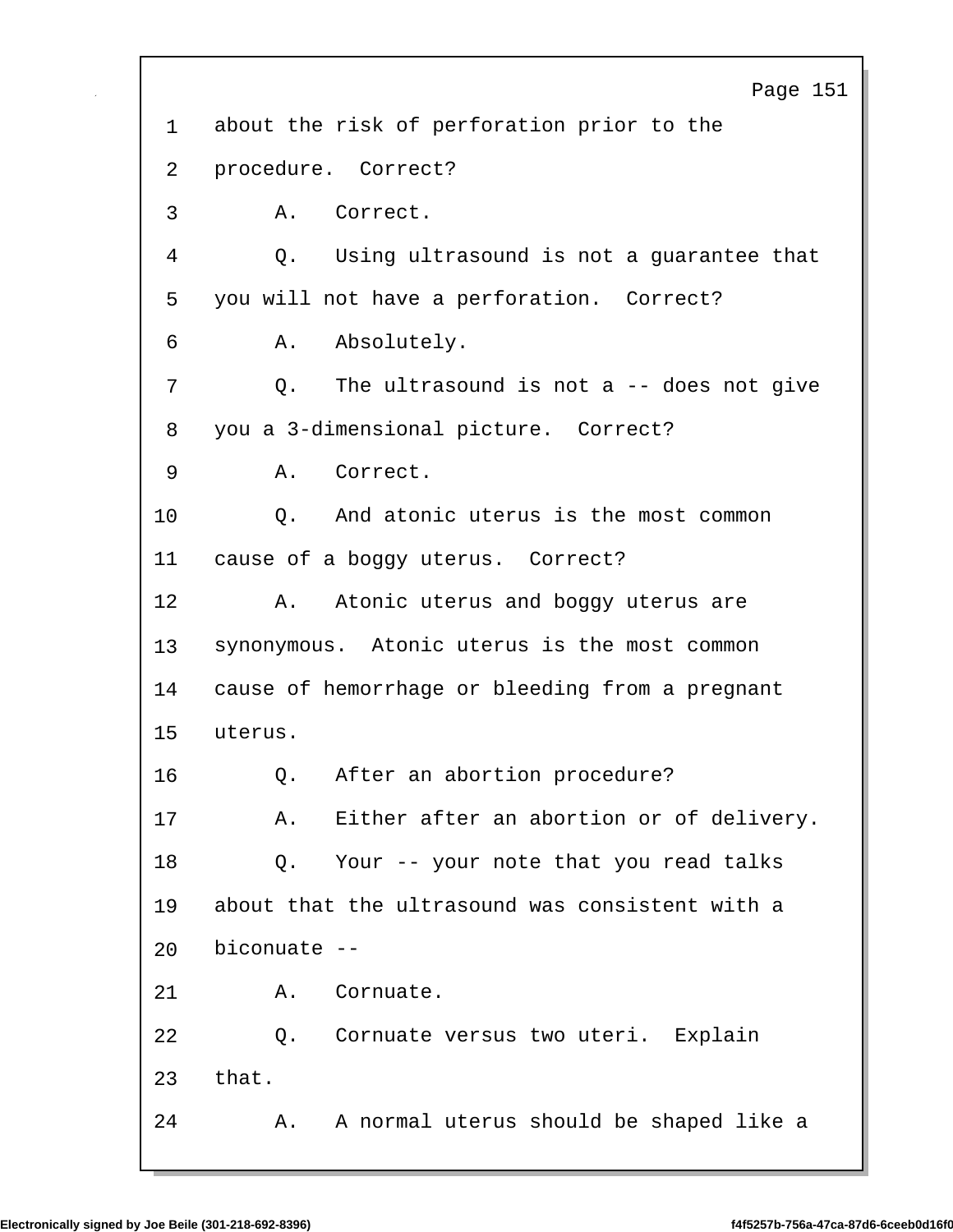Page 151 1 about the risk of perforation prior to the 2 procedure. Correct? 3 A. Correct. 4 Q. Using ultrasound is not a guarantee that 5 you will not have a perforation. Correct? 6 A. Absolutely. 7 Q. The ultrasound is not a -- does not give 8 you a 3-dimensional picture. Correct? 9 A. Correct. 10 Q. And atonic uterus is the most common 11 cause of a boggy uterus. Correct? 12 A. Atonic uterus and boggy uterus are 13 synonymous. Atonic uterus is the most common 14 cause of hemorrhage or bleeding from a pregnant 15 uterus. 16 Q. After an abortion procedure? 17 A. Either after an abortion or of delivery. 18 Q. Your -- your note that you read talks 19 about that the ultrasound was consistent with a 20 biconuate -- 21 A. Cornuate. 22 Q. Cornuate versus two uteri. Explain 23 that. 24 A. A normal uterus should be shaped like a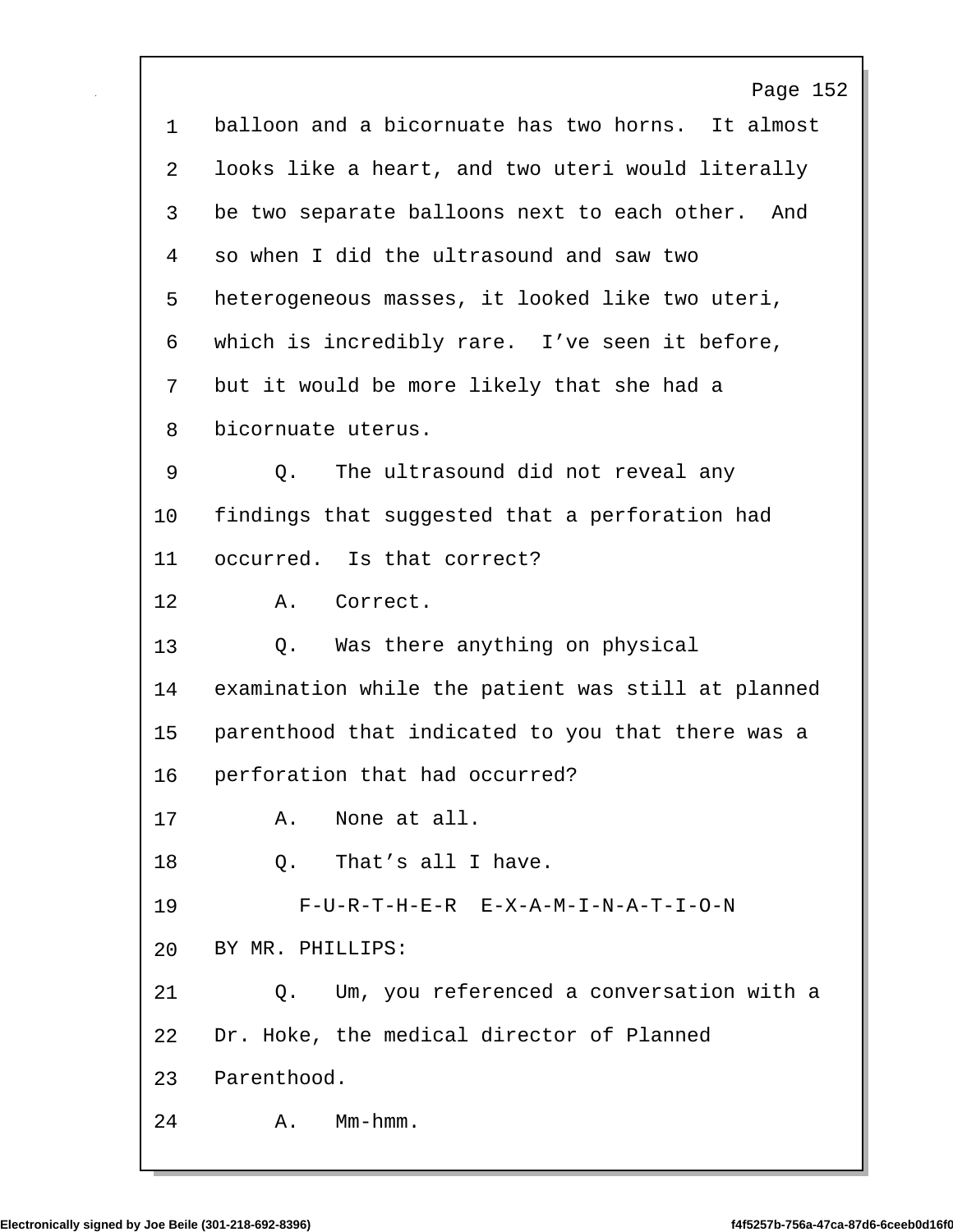Page 152 balloon and a bicornuate has two horns. It almost looks like a heart, and two uteri would literally be two separate balloons next to each other. And so when I did the ultrasound and saw two heterogeneous masses, it looked like two uteri, which is incredibly rare. I've seen it before, but it would be more likely that she had a bicornuate uterus. 9 Q. The ultrasound did not reveal any findings that suggested that a perforation had occurred. Is that correct? 12 A. Correct. 13 Q. Was there anything on physical examination while the patient was still at planned parenthood that indicated to you that there was a perforation that had occurred? 17 A. None at all. 18 O. That's all I have. 19 F-U-R-T-H-E-R E-X-A-M-I-N-A-T-I-O-N BY MR. PHILLIPS: 21 Q. Um, you referenced a conversation with a Dr. Hoke, the medical director of Planned Parenthood. 24 A. Mm-hmm.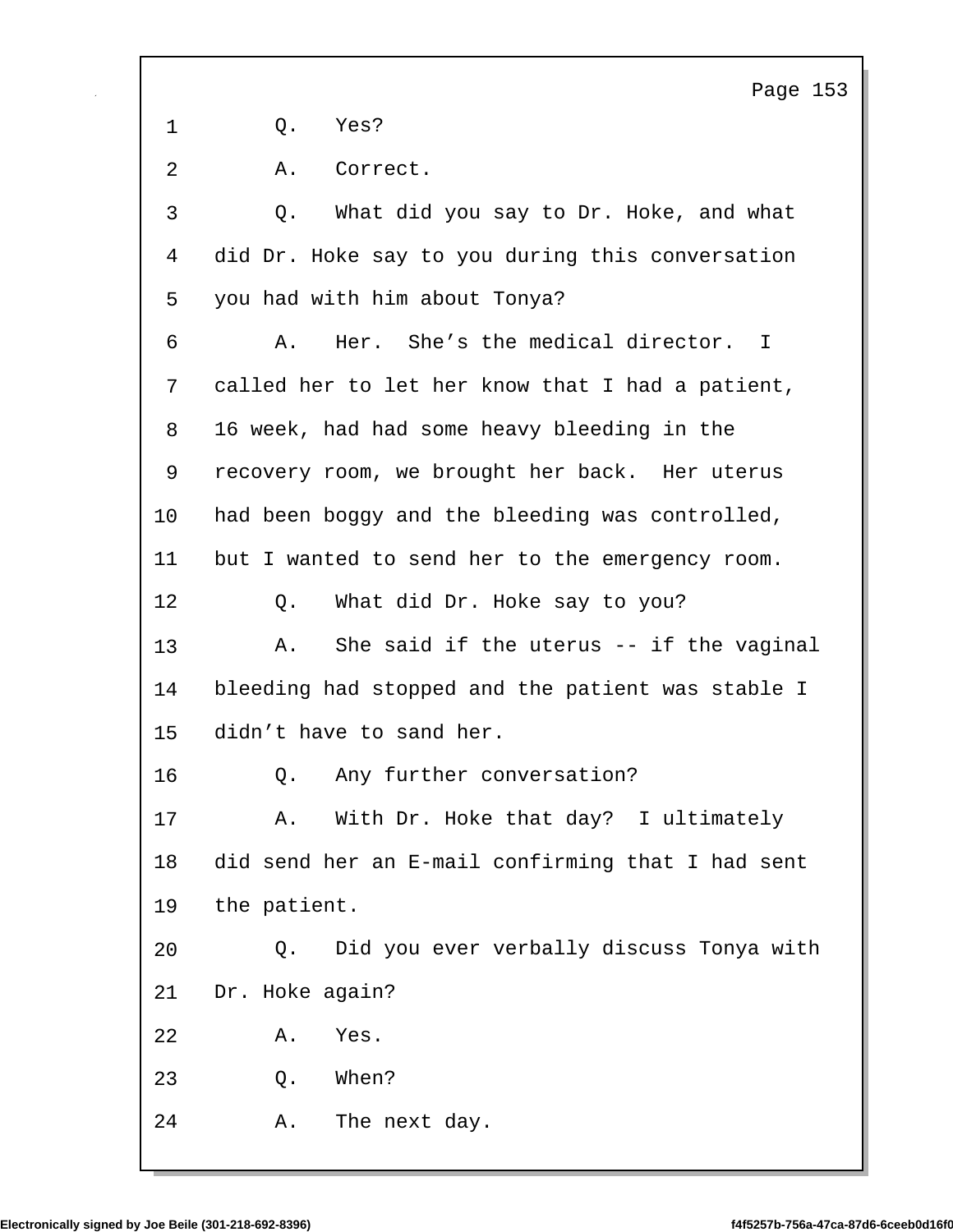Page 153

1 Q. Yes?

2 A. Correct.

3 Q. What did you say to Dr. Hoke, and what 4 did Dr. Hoke say to you during this conversation 5 you had with him about Tonya? 6 A. Her. She's the medical director. I 7 called her to let her know that I had a patient, 8 16 week, had had some heavy bleeding in the 9 recovery room, we brought her back. Her uterus 10 had been boggy and the bleeding was controlled, 11 but I wanted to send her to the emergency room. 12 Q. What did Dr. Hoke say to you? 13 A. She said if the uterus -- if the vaginal 14 bleeding had stopped and the patient was stable I 15 didn't have to sand her. 16 Q. Any further conversation? 17 A. With Dr. Hoke that day? I ultimately 18 did send her an E-mail confirming that I had sent 19 the patient. 20 Q. Did you ever verbally discuss Tonya with 21 Dr. Hoke again? 22 A. Yes. 23 Q. When? 24 A. The next day.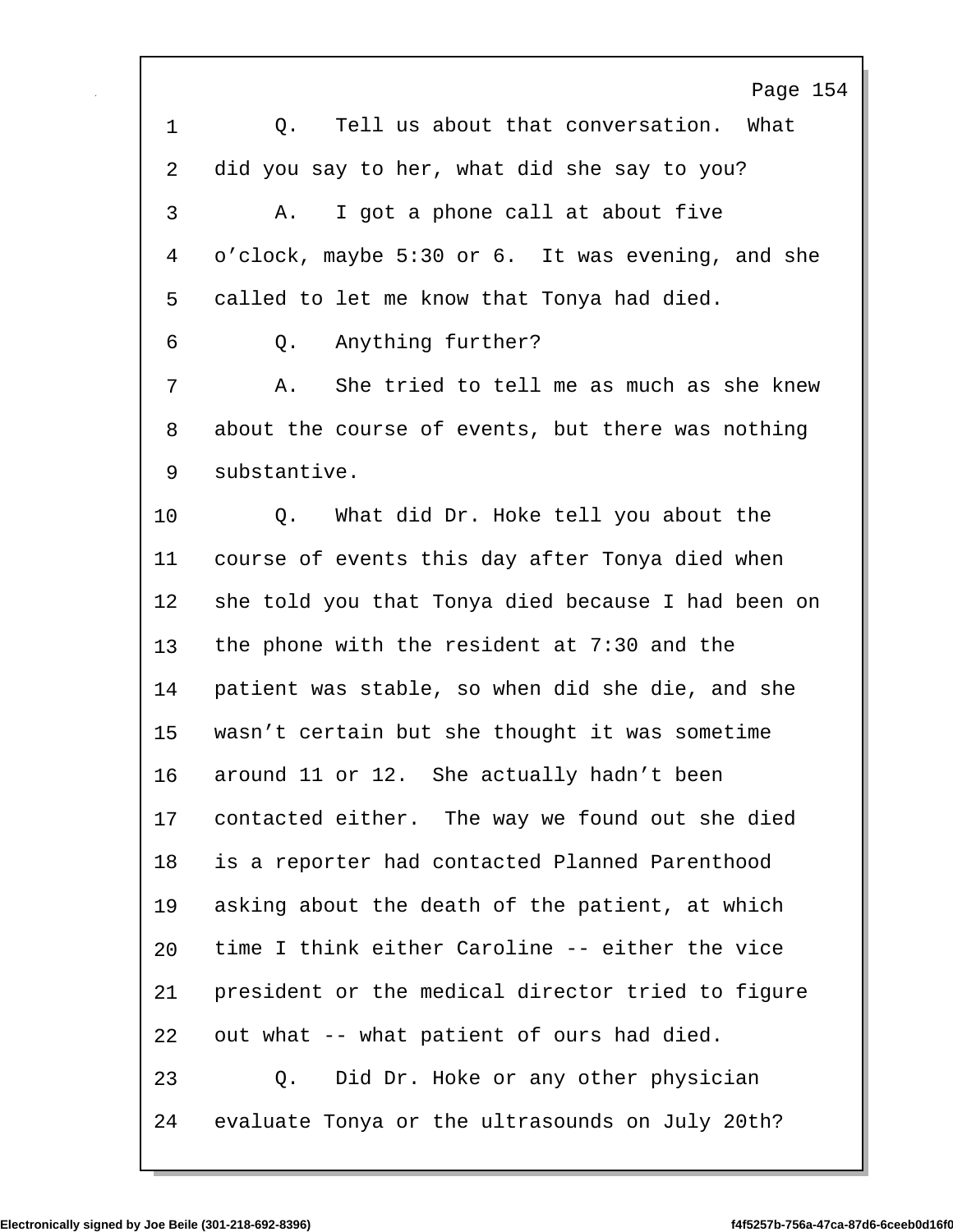Page 154 1 0. Tell us about that conversation. What did you say to her, what did she say to you? 3 A. I got a phone call at about five o'clock, maybe 5:30 or 6. It was evening, and she called to let me know that Tonya had died. 6 Q. Anything further? 7 A. She tried to tell me as much as she knew about the course of events, but there was nothing substantive. 10 Q. What did Dr. Hoke tell you about the course of events this day after Tonya died when she told you that Tonya died because I had been on the phone with the resident at 7:30 and the patient was stable, so when did she die, and she wasn't certain but she thought it was sometime around 11 or 12. She actually hadn't been contacted either. The way we found out she died is a reporter had contacted Planned Parenthood asking about the death of the patient, at which time I think either Caroline -- either the vice president or the medical director tried to figure out what -- what patient of ours had died. 23 Q. Did Dr. Hoke or any other physician evaluate Tonya or the ultrasounds on July 20th?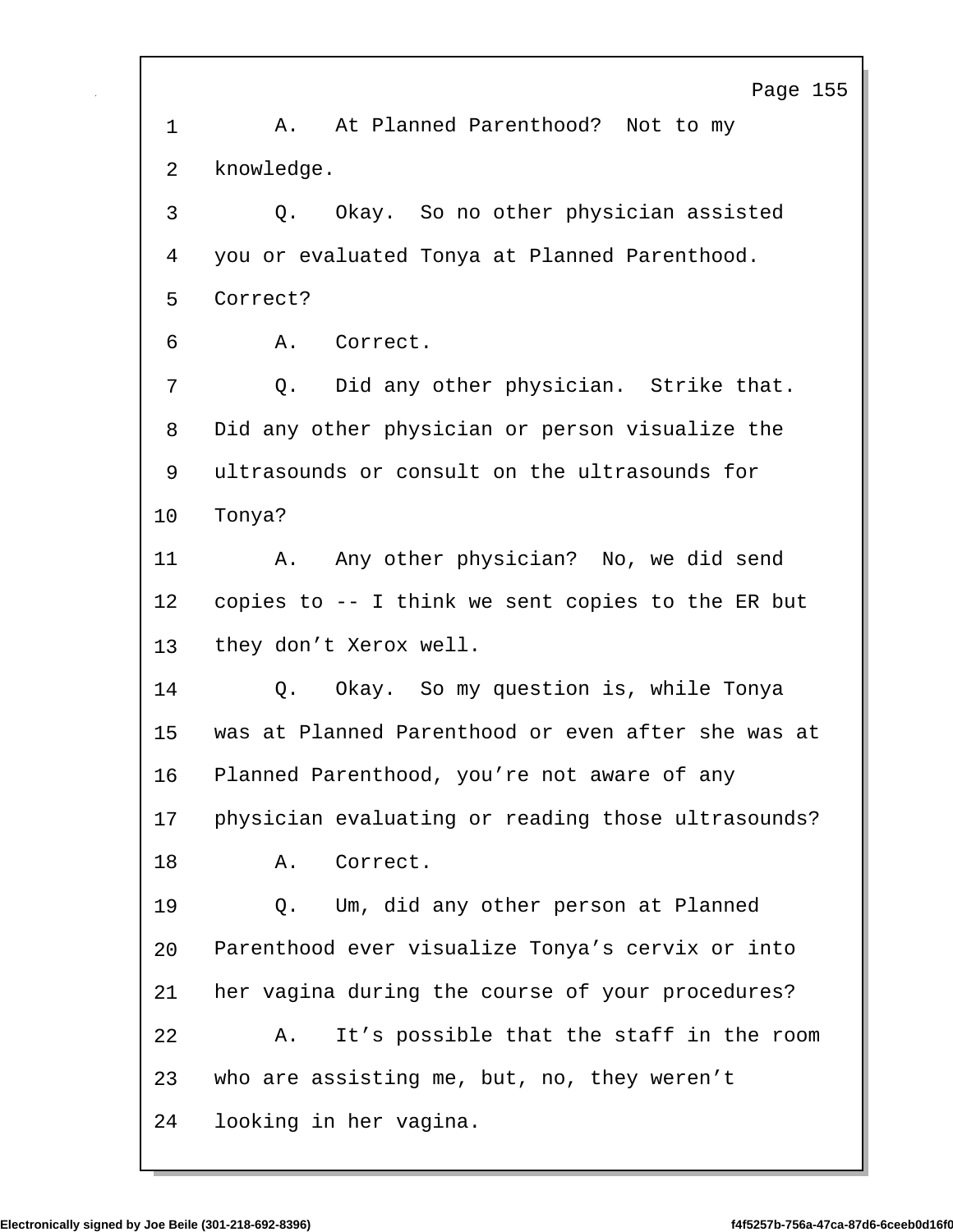Page 155 1 A. At Planned Parenthood? Not to my knowledge. 3 Q. Okay. So no other physician assisted you or evaluated Tonya at Planned Parenthood. Correct? 6 A. Correct. 7 Q. Did any other physician. Strike that. Did any other physician or person visualize the ultrasounds or consult on the ultrasounds for Tonya? 11 A. Any other physician? No, we did send copies to -- I think we sent copies to the ER but they don't Xerox well. 14 Q. Okay. So my question is, while Tonya was at Planned Parenthood or even after she was at Planned Parenthood, you're not aware of any physician evaluating or reading those ultrasounds? 18 A. Correct. 19 Q. Um, did any other person at Planned Parenthood ever visualize Tonya's cervix or into her vagina during the course of your procedures? A. It's possible that the staff in the room who are assisting me, but, no, they weren't looking in her vagina.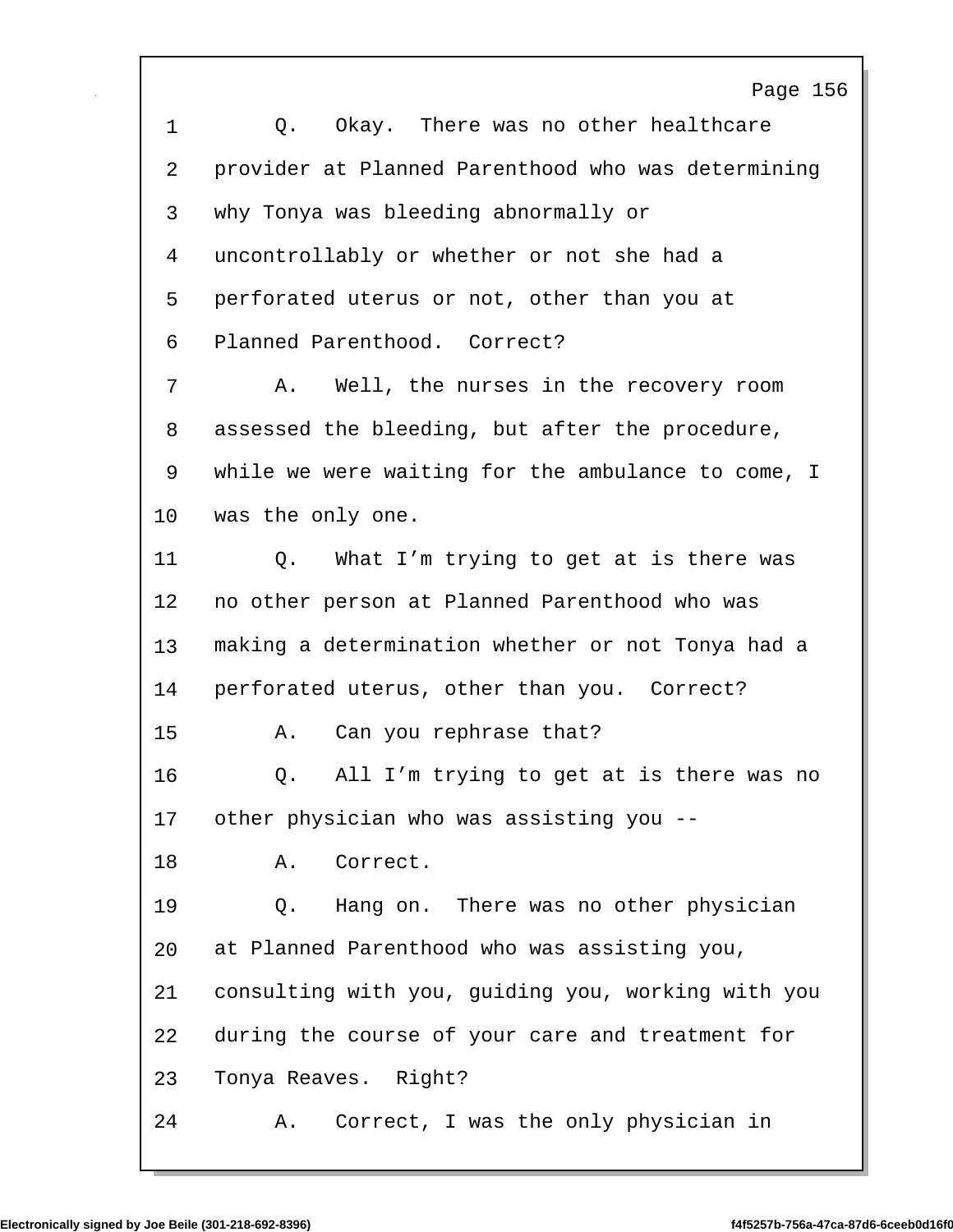Page 156 1 0. Okay. There was no other healthcare provider at Planned Parenthood who was determining why Tonya was bleeding abnormally or uncontrollably or whether or not she had a perforated uterus or not, other than you at Planned Parenthood. Correct? 7 A. Well, the nurses in the recovery room assessed the bleeding, but after the procedure, while we were waiting for the ambulance to come, I was the only one. Q. What I'm trying to get at is there was no other person at Planned Parenthood who was making a determination whether or not Tonya had a perforated uterus, other than you. Correct? 15 A. Can you rephrase that? Q. All I'm trying to get at is there was no other physician who was assisting you -- 18 A. Correct. 19 Q. Hang on. There was no other physician at Planned Parenthood who was assisting you, consulting with you, guiding you, working with you during the course of your care and treatment for Tonya Reaves. Right? 24 A. Correct, I was the only physician in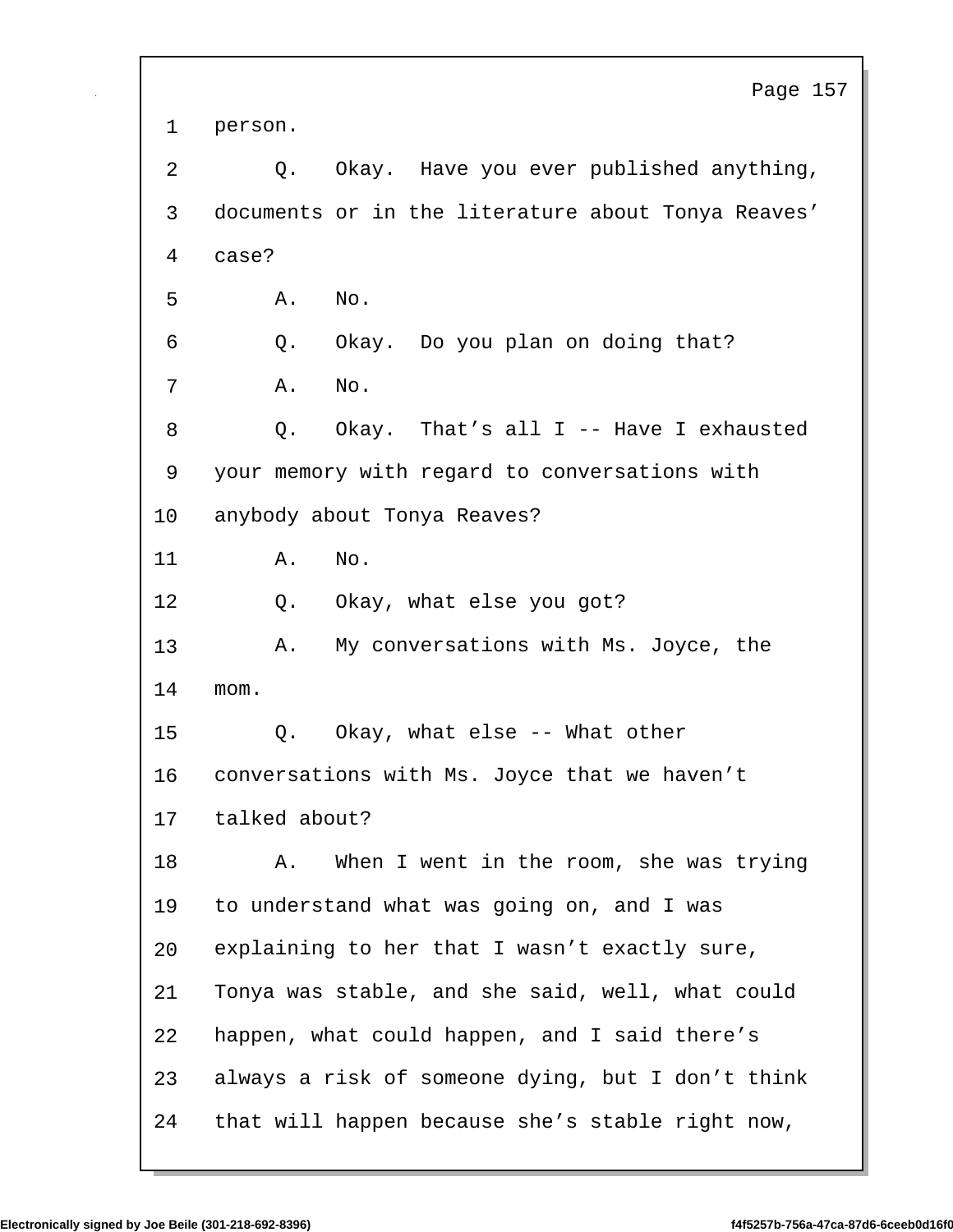Page 157 1 person. 2 Q. Okay. Have you ever published anything, 3 documents or in the literature about Tonya Reaves' 4 case? 5 A. No. 6 Q. Okay. Do you plan on doing that? 7 A. No. 8 Q. Okay. That's all I -- Have I exhausted 9 your memory with regard to conversations with 10 anybody about Tonya Reaves? 11 A. No. 12 Q. Okay, what else you got? 13 A. My conversations with Ms. Joyce, the 14 mom. 15 Q. Okay, what else -- What other 16 conversations with Ms. Joyce that we haven't 17 talked about? 18 A. When I went in the room, she was trying 19 to understand what was going on, and I was 20 explaining to her that I wasn't exactly sure, 21 Tonya was stable, and she said, well, what could 22 happen, what could happen, and I said there's 23 always a risk of someone dying, but I don't think 24 that will happen because she's stable right now,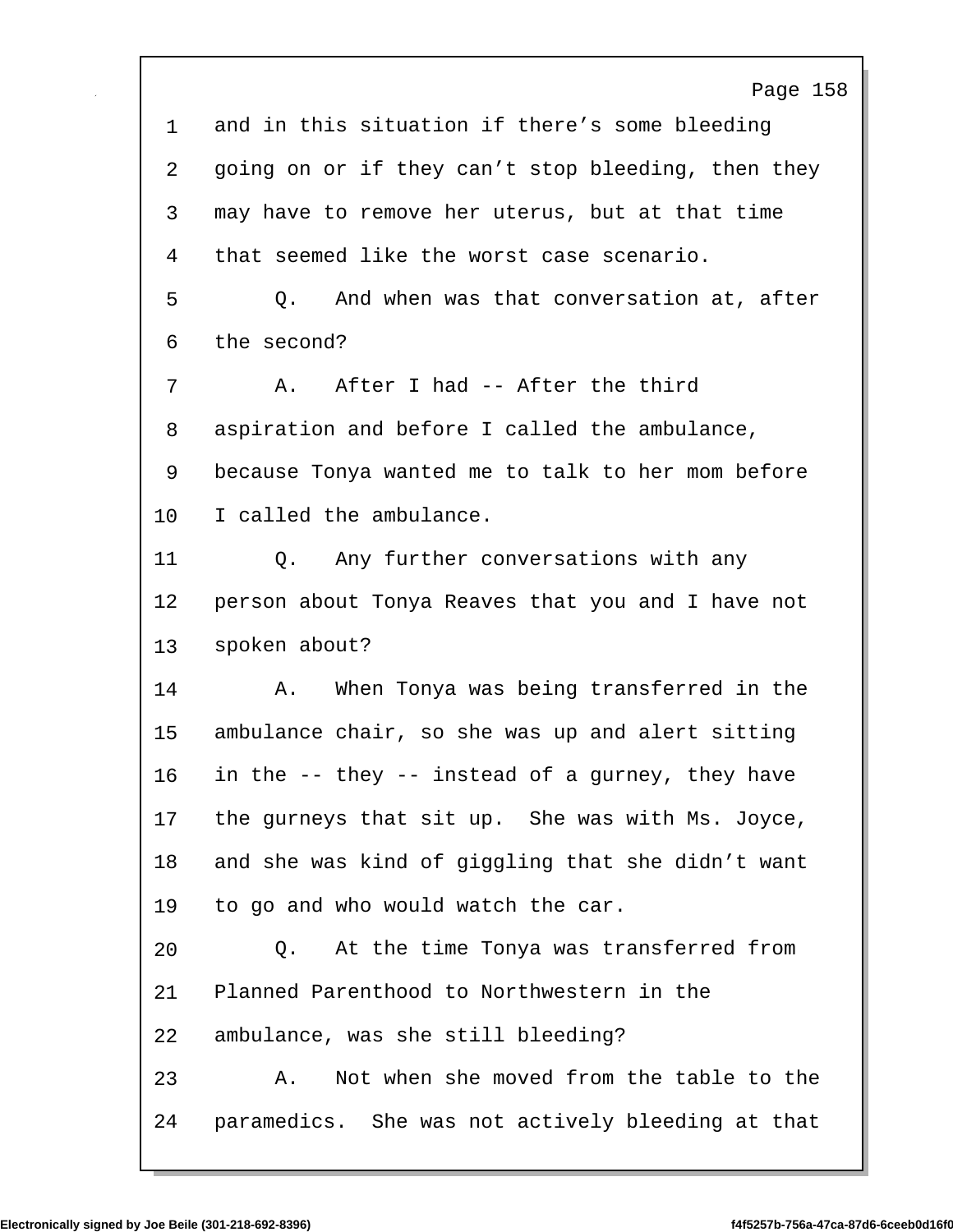Page 158 and in this situation if there's some bleeding going on or if they can't stop bleeding, then they may have to remove her uterus, but at that time that seemed like the worst case scenario. 5 Q. And when was that conversation at, after the second? 7 A. After I had -- After the third aspiration and before I called the ambulance, because Tonya wanted me to talk to her mom before I called the ambulance. 11 Q. Any further conversations with any person about Tonya Reaves that you and I have not spoken about? 14 A. When Tonya was being transferred in the ambulance chair, so she was up and alert sitting in the -- they -- instead of a gurney, they have the gurneys that sit up. She was with Ms. Joyce, and she was kind of giggling that she didn't want to go and who would watch the car. 20 Q. At the time Tonya was transferred from Planned Parenthood to Northwestern in the ambulance, was she still bleeding? 23 A. Not when she moved from the table to the paramedics. She was not actively bleeding at that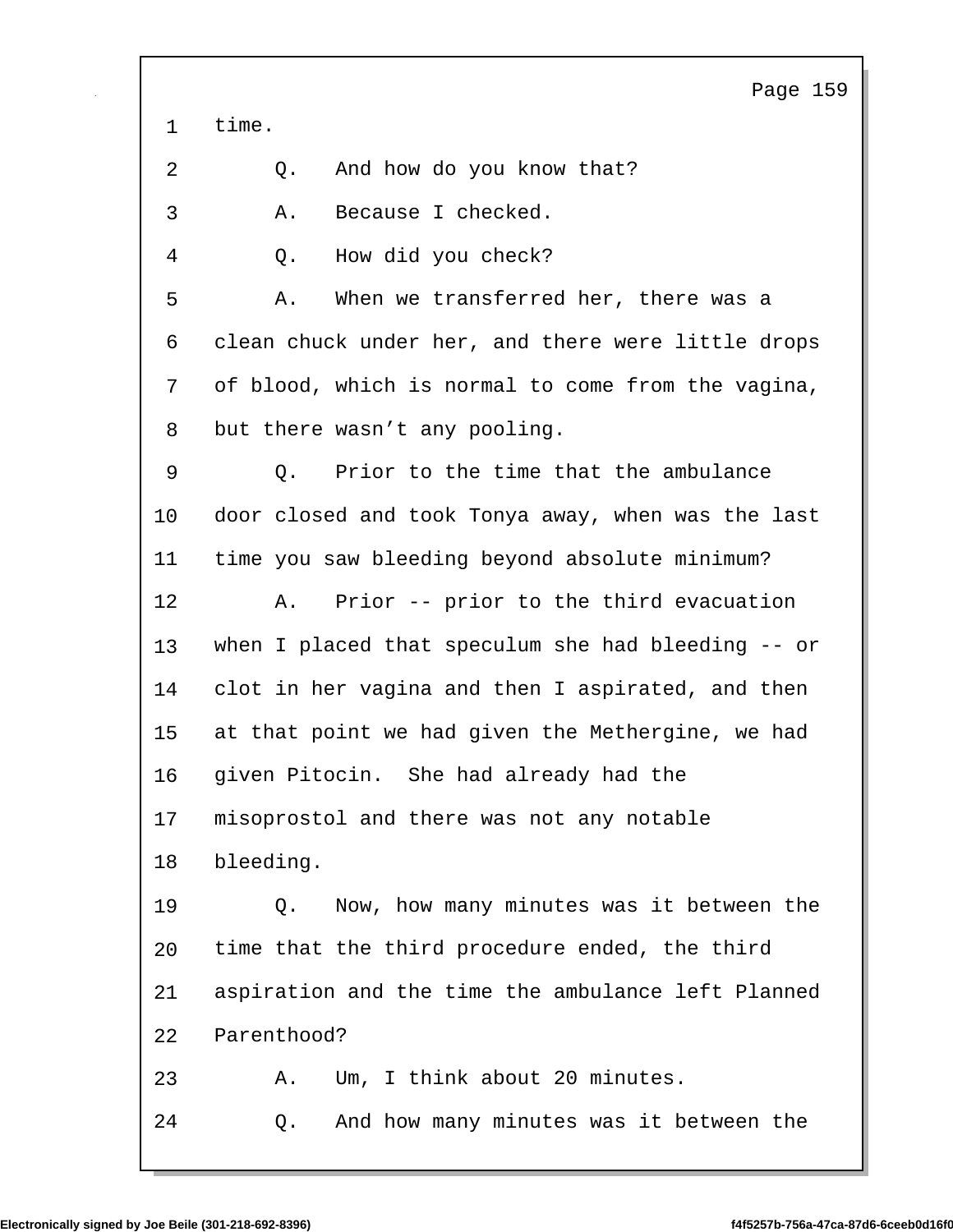1 time.

|  | And how do you know that? |  |  |  |  |
|--|---------------------------|--|--|--|--|
|--|---------------------------|--|--|--|--|

3 A. Because I checked.

4 Q. How did you check?

5 A. When we transferred her, there was a clean chuck under her, and there were little drops of blood, which is normal to come from the vagina, but there wasn't any pooling.

9 Q. Prior to the time that the ambulance 10 door closed and took Tonya away, when was the last 11 time you saw bleeding beyond absolute minimum?

12 A. Prior -- prior to the third evacuation when I placed that speculum she had bleeding -- or clot in her vagina and then I aspirated, and then at that point we had given the Methergine, we had given Pitocin. She had already had the misoprostol and there was not any notable bleeding.

19 Q. Now, how many minutes was it between the 20 time that the third procedure ended, the third 21 aspiration and the time the ambulance left Planned 22 Parenthood? 23 A. Um, I think about 20 minutes.

24 Q. And how many minutes was it between the

Page 159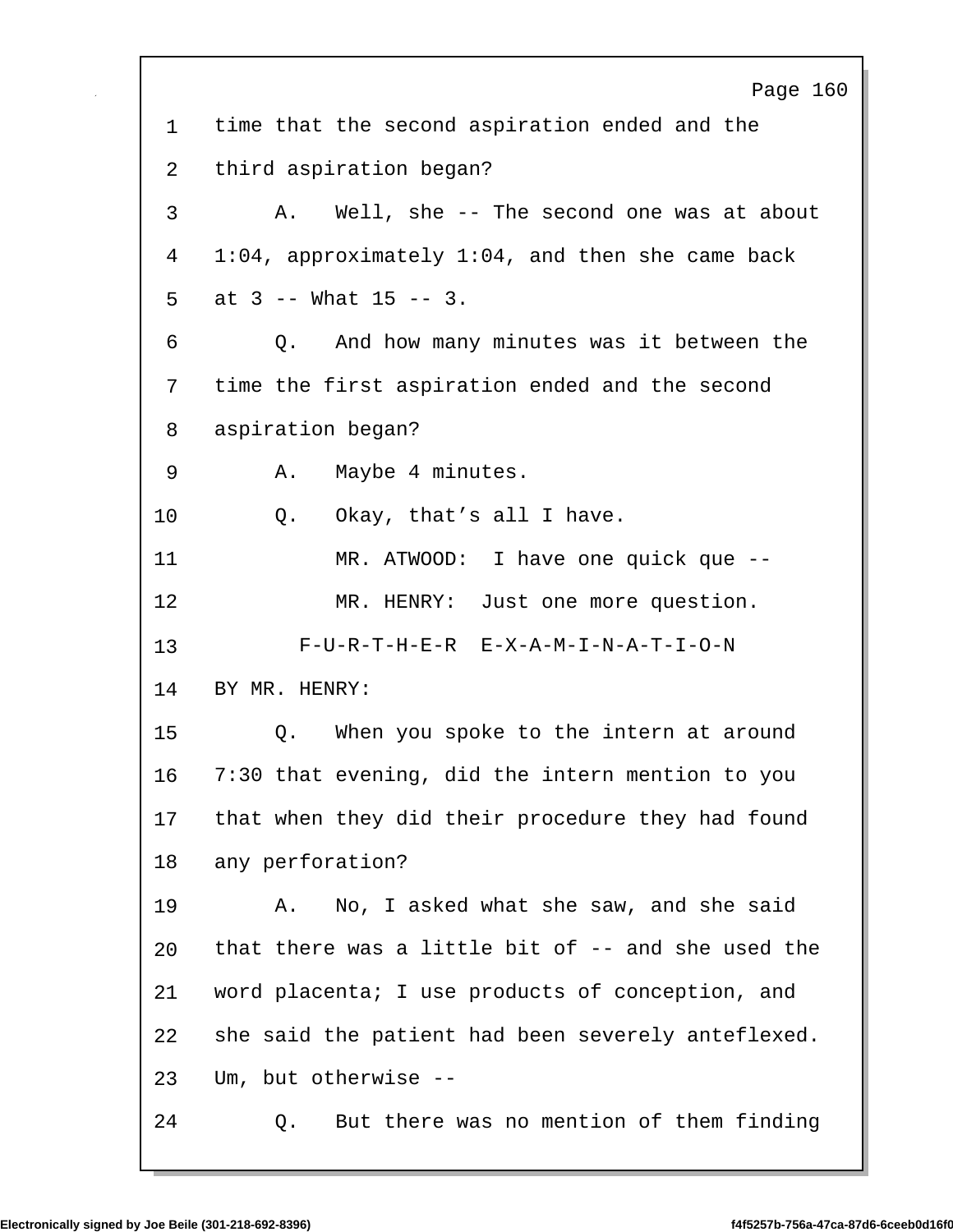Page 160 1 time that the second aspiration ended and the 2 third aspiration began? 3 A. Well, she -- The second one was at about 4 1:04, approximately 1:04, and then she came back 5 at 3 -- What 15 -- 3. 6 Q. And how many minutes was it between the 7 time the first aspiration ended and the second 8 aspiration began? 9 A. Maybe 4 minutes. 10 Q. Okay, that's all I have. 11 MR. ATWOOD: I have one quick que -- 12 MR. HENRY: Just one more question. 13 F-U-R-T-H-E-R E-X-A-M-I-N-A-T-I-O-N 14 BY MR. HENRY: 15 Q. When you spoke to the intern at around 16 7:30 that evening, did the intern mention to you 17 that when they did their procedure they had found 18 any perforation? 19 A. No, I asked what she saw, and she said 20 that there was a little bit of -- and she used the 21 word placenta; I use products of conception, and 22 she said the patient had been severely anteflexed. 23 Um, but otherwise -- 24 Q. But there was no mention of them finding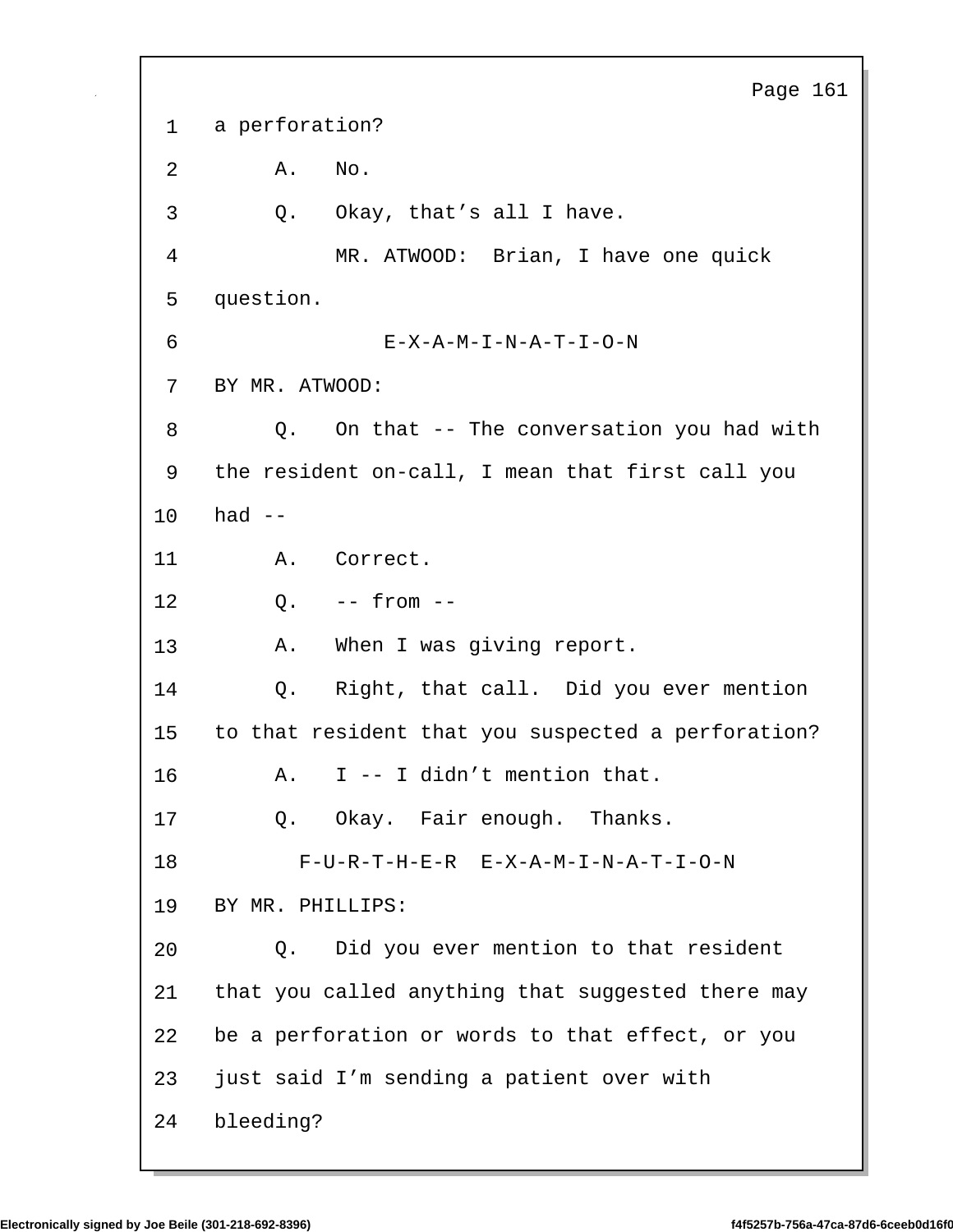Page 161 1 a perforation? 2 A. No. 3 Q. Okay, that's all I have. 4 MR. ATWOOD: Brian, I have one quick 5 question. 6 E-X-A-M-I-N-A-T-I-O-N 7 BY MR. ATWOOD: 8 Q. On that -- The conversation you had with 9 the resident on-call, I mean that first call you 10 had -- 11 A. Correct. 12 Q. -- from -- 13 A. When I was giving report. 14 Q. Right, that call. Did you ever mention 15 to that resident that you suspected a perforation? 16 A. I -- I didn't mention that. 17 Q. Okay. Fair enough. Thanks. 18 F-U-R-T-H-E-R E-X-A-M-I-N-A-T-I-O-N 19 BY MR. PHILLIPS: 20 Q. Did you ever mention to that resident 21 that you called anything that suggested there may 22 be a perforation or words to that effect, or you 23 just said I'm sending a patient over with 24 bleeding?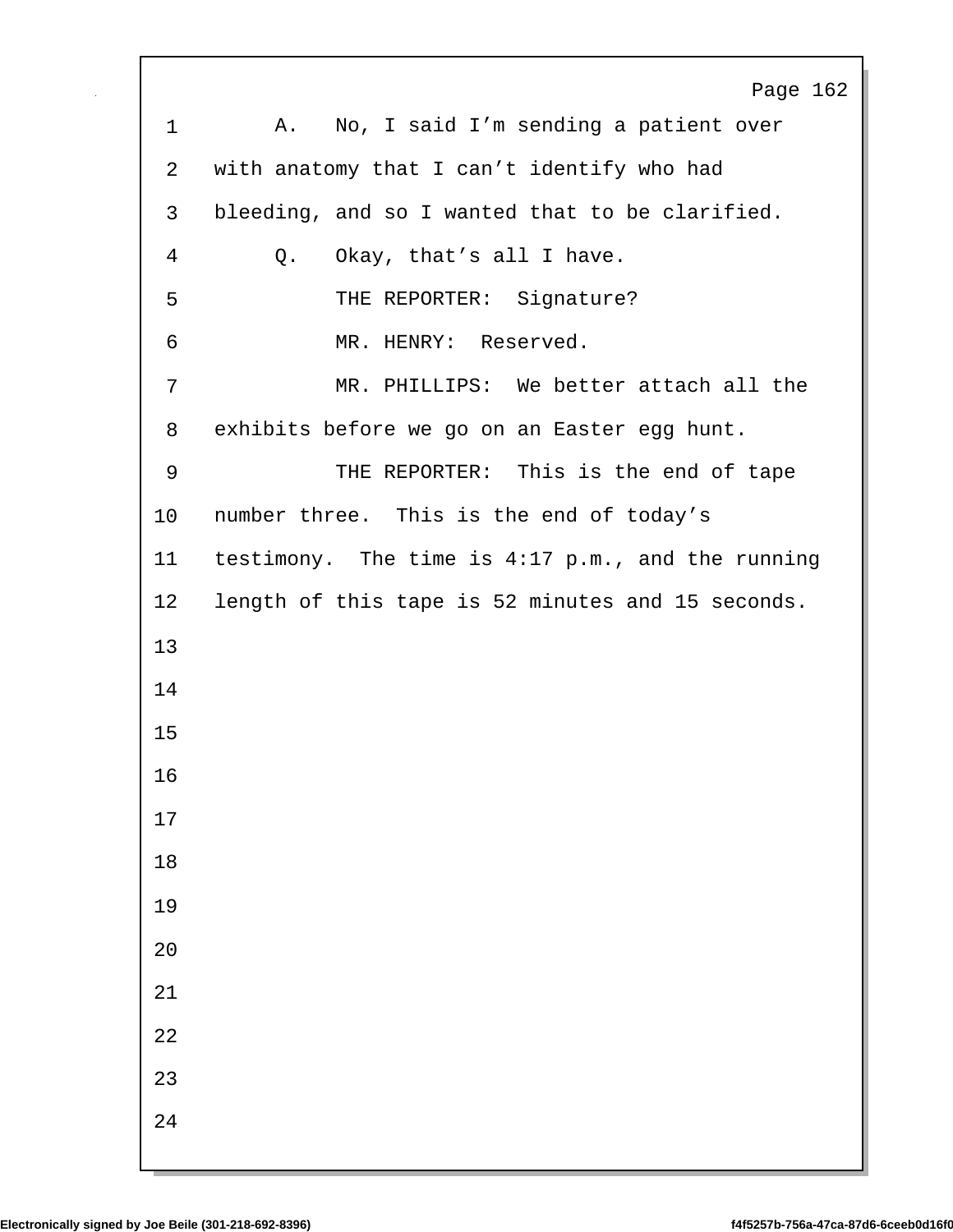Page 162 A. No, I said I'm sending a patient over with anatomy that I can't identify who had bleeding, and so I wanted that to be clarified. Q. Okay, that's all I have. 5 THE REPORTER: Signature? 6 MR. HENRY: Reserved. 7 MR. PHILLIPS: We better attach all the exhibits before we go on an Easter egg hunt. 9 THE REPORTER: This is the end of tape number three. This is the end of today's testimony. The time is 4:17 p.m., and the running length of this tape is 52 minutes and 15 seconds.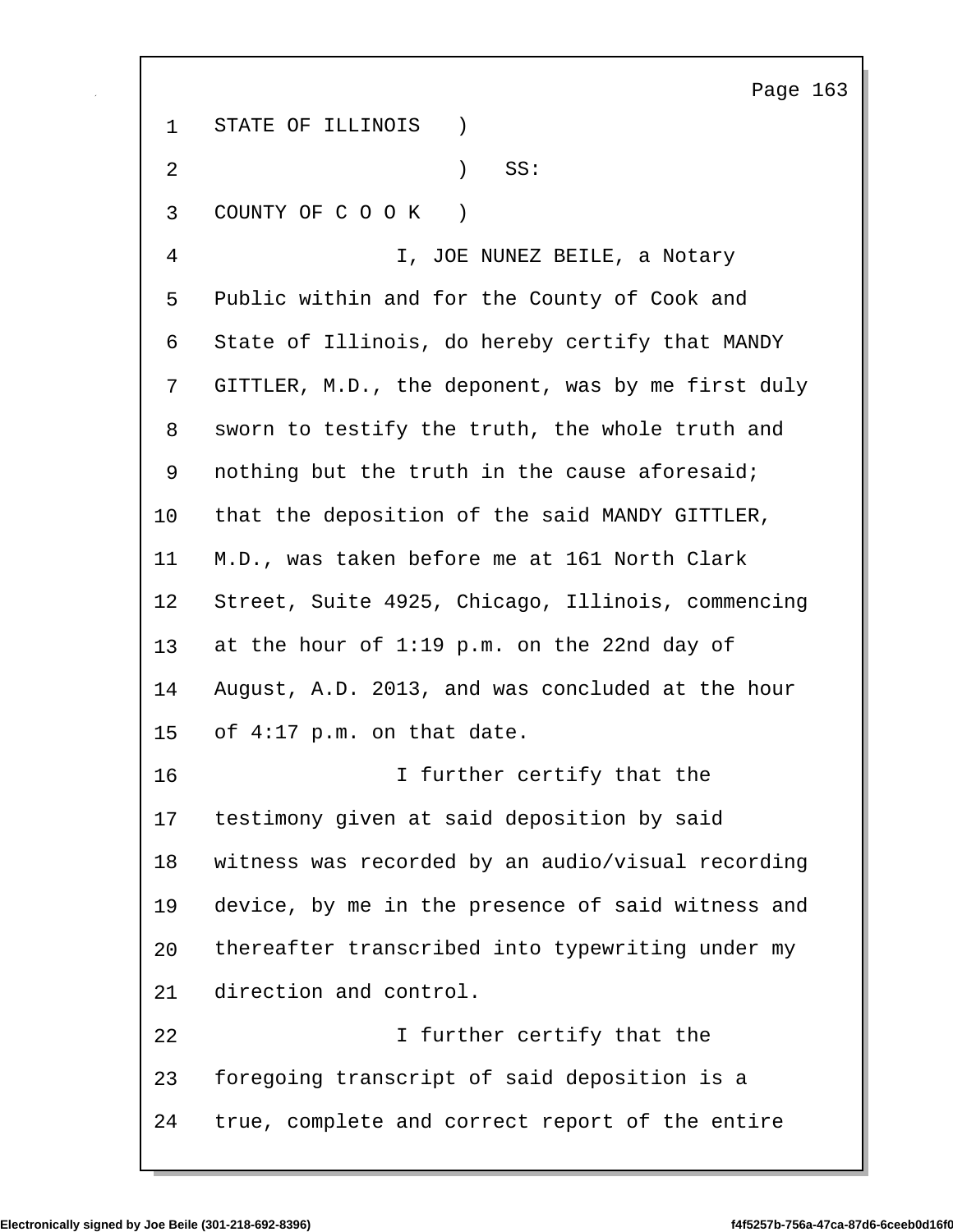Page 163 STATE OF ILLINOIS ) 2 ) SS: COUNTY OF C O O K ) 4 I, JOE NUNEZ BEILE, a Notary Public within and for the County of Cook and State of Illinois, do hereby certify that MANDY GITTLER, M.D., the deponent, was by me first duly sworn to testify the truth, the whole truth and nothing but the truth in the cause aforesaid; that the deposition of the said MANDY GITTLER, M.D., was taken before me at 161 North Clark Street, Suite 4925, Chicago, Illinois, commencing at the hour of 1:19 p.m. on the 22nd day of August, A.D. 2013, and was concluded at the hour of 4:17 p.m. on that date. 16 I further certify that the testimony given at said deposition by said witness was recorded by an audio/visual recording device, by me in the presence of said witness and thereafter transcribed into typewriting under my direction and control. **I** further certify that the foregoing transcript of said deposition is a true, complete and correct report of the entire